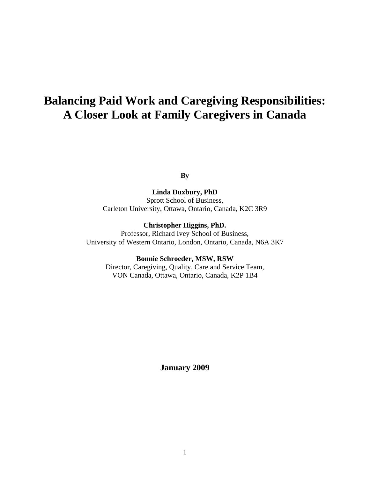# **Balancing Paid Work and Caregiving Responsibilities: A Closer Look at Family Caregivers in Canada**

**By** 

**Linda Duxbury, PhD**  Sprott School of Business, Carleton University, Ottawa, Ontario, Canada, K2C 3R9

**Christopher Higgins, PhD.** 

Professor, Richard Ivey School of Business, University of Western Ontario, London, Ontario, Canada, N6A 3K7

**Bonnie Schroeder, MSW, RSW**  Director, Caregiving, Quality, Care and Service Team, VON Canada, Ottawa, Ontario, Canada, K2P 1B4

**January 2009**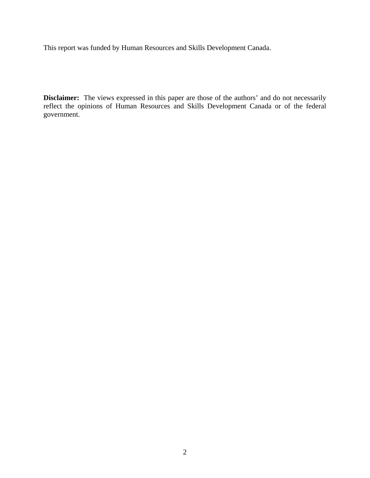This report was funded by Human Resources and Skills Development Canada.

**Disclaimer:** The views expressed in this paper are those of the authors' and do not necessarily reflect the opinions of Human Resources and Skills Development Canada or of the federal government.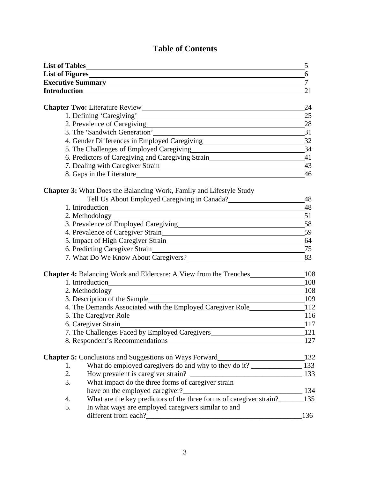# **Table of Contents**

|    |                                                                                                        | 5              |
|----|--------------------------------------------------------------------------------------------------------|----------------|
|    |                                                                                                        | 6              |
|    | Executive Summary<br><u>Executive Summary</u>                                                          | $\overline{7}$ |
|    |                                                                                                        | 21             |
|    |                                                                                                        |                |
|    |                                                                                                        | 24             |
|    |                                                                                                        | 25             |
|    | 2. Prevalence of Caregiving 28                                                                         |                |
|    | 3. The 'Sandwich Generation' 31                                                                        |                |
|    | 4. Gender Differences in Employed Caregiving                                                           | 32             |
|    | 5. The Challenges of Employed Caregiving 34                                                            |                |
|    | 6. Predictors of Caregiving and Caregiving Strain________________________________41                    |                |
|    | 7. Dealing with Caregiver Strain                                                                       | 43             |
|    |                                                                                                        | 46             |
|    | <b>Chapter 3:</b> What Does the Balancing Work, Family and Lifestyle Study                             |                |
|    |                                                                                                        | - 48           |
|    |                                                                                                        | - 48           |
|    | 1. Introduction<br>2. Methodology                                                                      |                |
|    | 51<br>3. Prevalence of Employed Caregiving                                                             | 58             |
|    | 4. Prevalence of Caregiver Strain                                                                      | 59             |
|    | 5. Impact of High Caregiver Strain 64                                                                  |                |
|    |                                                                                                        |                |
|    | 6. Predicting Caregiver Strain 25                                                                      | 83             |
|    |                                                                                                        |                |
|    | <b>Chapter 4:</b> Balancing Work and Eldercare: A View from the Trenches_______________108             |                |
|    | 1. Introduction 108                                                                                    |                |
|    |                                                                                                        |                |
|    |                                                                                                        |                |
|    | 4. The Demands Associated with the Employed Caregiver Role________________112                          |                |
|    | 5. The Caregiver Role 2016                                                                             |                |
|    | 6. Caregiver Strain 117                                                                                |                |
|    | 7. The Challenges Faced by Employed Caregivers__________________________________                       | 121            |
|    | 8. Respondent's Recommendations                                                                        | 127            |
|    |                                                                                                        |                |
|    |                                                                                                        |                |
| 2. | How prevalent is caregiver strain?                                                                     | 133            |
| 3. |                                                                                                        |                |
|    | What impact do the three forms of caregiver strain                                                     | $-134$         |
|    | have on the employed caregiver?<br>What are the key predictors of the three forms of caregiver strain? |                |
| 4. |                                                                                                        | 135            |
| 5. | In what ways are employed caregivers similar to and                                                    |                |
|    |                                                                                                        | 136            |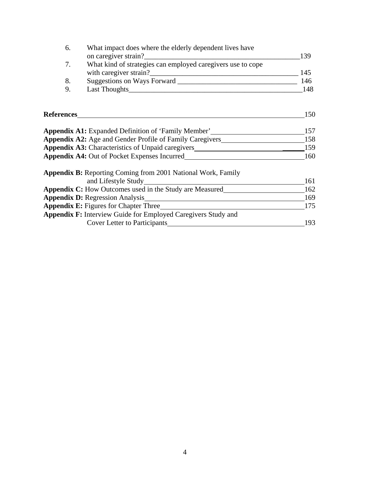| 6.                                                              | What impact does where the elderly dependent lives have                                      |     |
|-----------------------------------------------------------------|----------------------------------------------------------------------------------------------|-----|
|                                                                 | on caregiver strain?                                                                         | 139 |
| 7.                                                              | What kind of strategies can employed caregivers use to cope                                  |     |
|                                                                 |                                                                                              | 145 |
| 8.                                                              |                                                                                              | 146 |
| 9.                                                              |                                                                                              | 148 |
|                                                                 |                                                                                              |     |
| <b>References</b>                                               |                                                                                              | 150 |
|                                                                 | <b>Appendix A1:</b> Expanded Definition of 'Family Member'                                   | 157 |
| <b>Appendix A2:</b> Age and Gender Profile of Family Caregivers |                                                                                              | 158 |
|                                                                 | Appendix A3: Characteristics of Unpaid caregivers________________________________            | 159 |
|                                                                 | <b>Appendix A4:</b> Out of Pocket Expenses Incurred                                          | 160 |
|                                                                 | Appendix B: Reporting Coming from 2001 National Work, Family                                 |     |
|                                                                 | and Lifestyle Study                                                                          | 161 |
|                                                                 | <b>Appendix C:</b> How Outcomes used in the Study are Measured                               | 162 |
|                                                                 | <b>Appendix D:</b> Regression Analysis<br><u> 1989 - John Stein, Amerikaansk politiker (</u> | 169 |
|                                                                 | <b>Appendix E:</b> Figures for Chapter Three                                                 | 175 |
|                                                                 | Appendix F: Interview Guide for Employed Caregivers Study and                                |     |
|                                                                 | <b>Cover Letter to Participants</b>                                                          | 193 |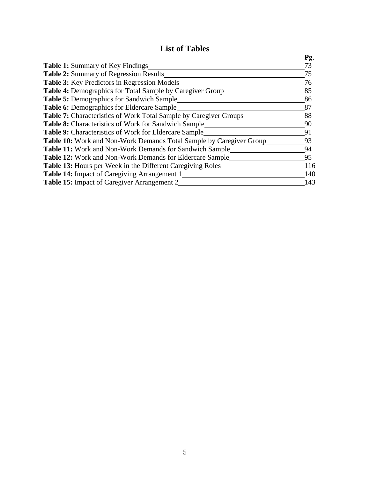# **List of Tables**

|                                                                          | Pg. |
|--------------------------------------------------------------------------|-----|
| <b>Table 1:</b> Summary of Key Findings                                  | 73  |
| <b>Table 2:</b> Summary of Regression Results                            | 75  |
| <b>Table 3:</b> Key Predictors in Regression Models                      | 76  |
| <b>Table 4:</b> Demographics for Total Sample by Caregiver Group         | 85  |
| Table 5: Demographics for Sandwich Sample                                | 86  |
| <b>Table 6:</b> Demographics for Eldercare Sample                        | 87  |
| <b>Table 7:</b> Characteristics of Work Total Sample by Caregiver Groups | 88  |
| Table 8: Characteristics of Work for Sandwich Sample                     | 90  |
| <b>Table 9:</b> Characteristics of Work for Eldercare Sample             | 91  |
| Table 10: Work and Non-Work Demands Total Sample by Caregiver Group      | 93  |
| <b>Table 11:</b> Work and Non-Work Demands for Sandwich Sample           | 94  |
| <b>Table 12:</b> Work and Non-Work Demands for Eldercare Sample          | 95  |
| <b>Table 13:</b> Hours per Week in the Different Caregiving Roles        | 116 |
| <b>Table 14:</b> Impact of Caregiving Arrangement 1                      | 140 |
| <b>Table 15:</b> Impact of Caregiver Arrangement 2                       | 143 |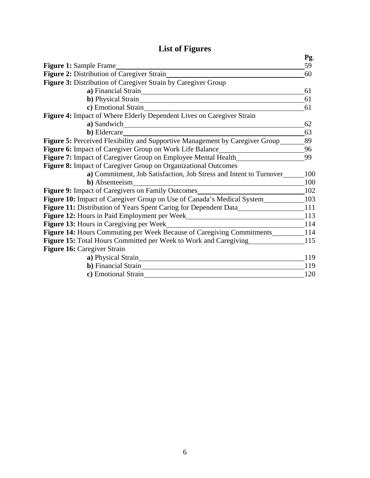# **List of Figures**

|                                                                               | Pg. |
|-------------------------------------------------------------------------------|-----|
| <b>Figure 1:</b> Sample Frame                                                 | 59  |
| Figure 2: Distribution of Caregiver Strain                                    | 60  |
| Figure 3: Distribution of Caregiver Strain by Caregiver Group                 |     |
| a) Financial Strain                                                           | 61  |
| <b>b</b> ) Physical Strain                                                    | 61  |
| c) Emotional Strain                                                           | 61  |
| Figure 4: Impact of Where Elderly Dependent Lives on Caregiver Strain         |     |
| a) Sandwich                                                                   | 62  |
| b) Eldercare                                                                  | 63  |
| Figure 5: Perceived Flexibility and Supportive Management by Caregiver Group  | 89  |
| Figure 6: Impact of Caregiver Group on Work Life Balance                      | 96  |
| Figure 7: Impact of Caregiver Group on Employee Mental Health                 | 99  |
| Figure 8: Impact of Caregiver Group on Organizational Outcomes                |     |
| a) Commitment, Job Satisfaction, Job Stress and Intent to Turnover            | 100 |
| <b>b</b> ) Absenteeism                                                        | 100 |
| Figure 9: Impact of Caregivers on Family Outcomes                             | 102 |
| <b>Figure 10:</b> Impact of Caregiver Group on Use of Canada's Medical System | 103 |
| Figure 11: Distribution of Years Spent Caring for Dependent Data              | 111 |
| Figure 12: Hours in Paid Employment per Week                                  | 113 |
| <b>Figure 13:</b> Hours in Caregiving per Week                                | 114 |
| Figure 14: Hours Commuting per Week Because of Caregiving Commitments         | 114 |
| Figure 15: Total Hours Committed per Week to Work and Caregiving              | 115 |
| Figure 16: Caregiver Strain                                                   |     |
| a) Physical Strain                                                            | 119 |
| <b>b</b> ) Financial Strain                                                   | 119 |
| c) Emotional Strain                                                           | 120 |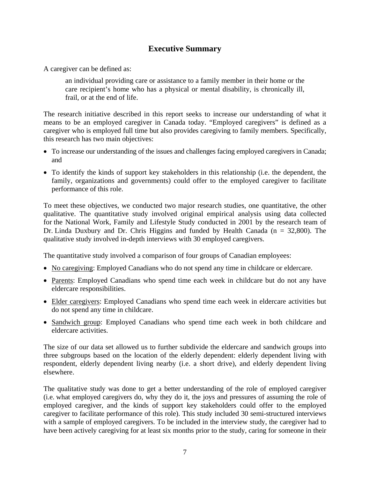## **Executive Summary**

A caregiver can be defined as:

an individual providing care or assistance to a family member in their home or the care recipient's home who has a physical or mental disability, is chronically ill, frail, or at the end of life.

The research initiative described in this report seeks to increase our understanding of what it means to be an employed caregiver in Canada today. "Employed caregivers" is defined as a caregiver who is employed full time but also provides caregiving to family members. Specifically, this research has two main objectives:

- To increase our understanding of the issues and challenges facing employed caregivers in Canada; and
- To identify the kinds of support key stakeholders in this relationship (i.e. the dependent, the family, organizations and governments) could offer to the employed caregiver to facilitate performance of this role.

To meet these objectives, we conducted two major research studies, one quantitative, the other qualitative. The quantitative study involved original empirical analysis using data collected for the National Work, Family and Lifestyle Study conducted in 2001 by the research team of Dr. Linda Duxbury and Dr. Chris Higgins and funded by Health Canada (n = 32,800). The qualitative study involved in-depth interviews with 30 employed caregivers.

The quantitative study involved a comparison of four groups of Canadian employees:

- No caregiving: Employed Canadians who do not spend any time in childcare or eldercare.
- Parents: Employed Canadians who spend time each week in childcare but do not any have eldercare responsibilities.
- Elder caregivers: Employed Canadians who spend time each week in eldercare activities but do not spend any time in childcare.
- Sandwich group: Employed Canadians who spend time each week in both childcare and eldercare activities.

The size of our data set allowed us to further subdivide the eldercare and sandwich groups into three subgroups based on the location of the elderly dependent: elderly dependent living with respondent, elderly dependent living nearby (i.e. a short drive), and elderly dependent living elsewhere.

The qualitative study was done to get a better understanding of the role of employed caregiver (i.e. what employed caregivers do, why they do it, the joys and pressures of assuming the role of employed caregiver, and the kinds of support key stakeholders could offer to the employed caregiver to facilitate performance of this role). This study included 30 semi-structured interviews with a sample of employed caregivers. To be included in the interview study, the caregiver had to have been actively caregiving for at least six months prior to the study, caring for someone in their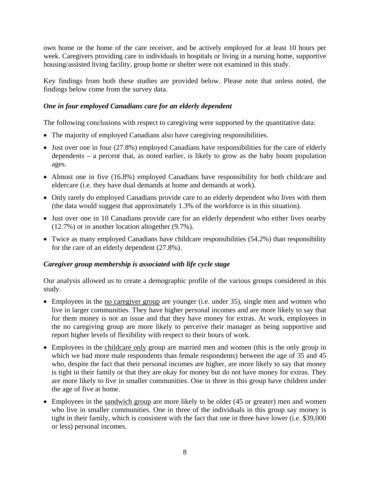own home or the home of the care receiver, and be actively employed for at least 10 hours per week. Caregivers providing care to individuals in hospitals or living in a nursing home, supportive housing/assisted living facility, group home or shelter were not examined in this study.

Key findings from both these studies are provided below. Please note that unless noted, the findings below come from the survey data.

#### *One in four employed Canadians care for an elderly dependent*

The following conclusions with respect to caregiving were supported by the quantitative data:

- The majority of employed Canadians also have caregiving responsibilities.
- Just over one in four (27.8%) employed Canadians have responsibilities for the care of elderly dependents – a percent that, as noted earlier, is likely to grow as the baby boom population ages.
- Almost one in five (16.8%) employed Canadians have responsibility for both childcare and eldercare (i.e. they have dual demands at home and demands at work).
- Only rarely do employed Canadians provide care to an elderly dependent who lives with them (the data would suggest that approximately 1.3% of the workforce is in this situation).
- Just over one in 10 Canadians provide care for an elderly dependent who either lives nearby (12.7%) or in another location altogether (9.7%).
- Twice as many employed Canadians have childcare responsibilities (54.2%) than responsibility for the care of an elderly dependent (27.8%).

#### *Caregiver group membership is associated with life cycle stage*

Our analysis allowed us to create a demographic profile of the various groups considered in this study.

- Employees in the <u>no caregiver group</u> are younger (i.e. under 35), single men and women who live in larger communities. They have higher personal incomes and are more likely to say that for them money is not an issue and that they have money for extras. At work, employees in the no caregiving group are more likely to perceive their manager as being supportive and report higher levels of flexibility with respect to their hours of work.
- Employees in the childcare only group are married men and women (this is the only group in which we had more male respondents than female respondents) between the age of 35 and 45 who, despite the fact that their personal incomes are higher, are more likely to say that money is tight in their family or that they are okay for money but do not have money for extras. They are more likely to live in smaller communities. One in three in this group have children under the age of five at home.
- Employees in the sandwich group are more likely to be older (45 or greater) men and women who live in smaller communities. One in three of the individuals in this group say money is tight in their family, which is consistent with the fact that one in three have lower (i.e. \$39,000 or less) personal incomes.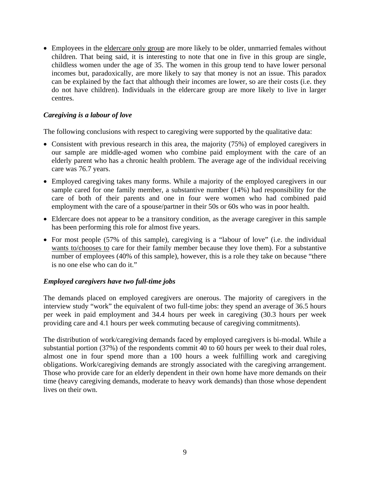• Employees in the eldercare only group are more likely to be older, unmarried females without children. That being said, it is interesting to note that one in five in this group are single, childless women under the age of 35. The women in this group tend to have lower personal incomes but, paradoxically, are more likely to say that money is not an issue. This paradox can be explained by the fact that although their incomes are lower, so are their costs (i.e. they do not have children). Individuals in the eldercare group are more likely to live in larger centres.

#### *Caregiving is a labour of love*

The following conclusions with respect to caregiving were supported by the qualitative data:

- Consistent with previous research in this area, the majority (75%) of employed caregivers in our sample are middle-aged women who combine paid employment with the care of an elderly parent who has a chronic health problem. The average age of the individual receiving care was 76.7 years.
- Employed caregiving takes many forms. While a majority of the employed caregivers in our sample cared for one family member, a substantive number (14%) had responsibility for the care of both of their parents and one in four were women who had combined paid employment with the care of a spouse/partner in their 50s or 60s who was in poor health.
- Eldercare does not appear to be a transitory condition, as the average caregiver in this sample has been performing this role for almost five years.
- For most people (57% of this sample), caregiving is a "labour of love" (i.e. the individual wants to/chooses to care for their family member because they love them). For a substantive number of employees (40% of this sample), however, this is a role they take on because "there is no one else who can do it."

#### *Employed caregivers have two full-time jobs*

The demands placed on employed caregivers are onerous. The majority of caregivers in the interview study "work" the equivalent of two full-time jobs: they spend an average of 36.5 hours per week in paid employment and 34.4 hours per week in caregiving (30.3 hours per week providing care and 4.1 hours per week commuting because of caregiving commitments).

The distribution of work/caregiving demands faced by employed caregivers is bi-modal. While a substantial portion (37%) of the respondents commit 40 to 60 hours per week to their dual roles, almost one in four spend more than a 100 hours a week fulfilling work and caregiving obligations. Work/caregiving demands are strongly associated with the caregiving arrangement. Those who provide care for an elderly dependent in their own home have more demands on their time (heavy caregiving demands, moderate to heavy work demands) than those whose dependent lives on their own.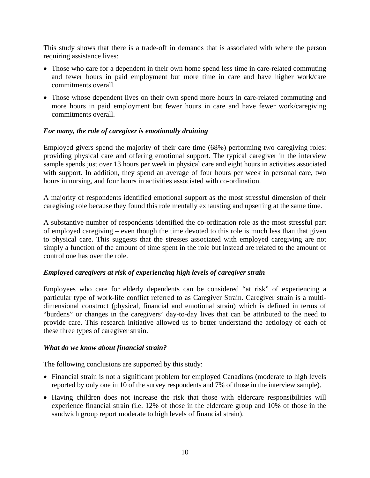This study shows that there is a trade-off in demands that is associated with where the person requiring assistance lives:

- Those who care for a dependent in their own home spend less time in care-related commuting and fewer hours in paid employment but more time in care and have higher work/care commitments overall.
- Those whose dependent lives on their own spend more hours in care-related commuting and more hours in paid employment but fewer hours in care and have fewer work/caregiving commitments overall.

#### *For many, the role of caregiver is emotionally draining*

Employed givers spend the majority of their care time (68%) performing two caregiving roles: providing physical care and offering emotional support. The typical caregiver in the interview sample spends just over 13 hours per week in physical care and eight hours in activities associated with support. In addition, they spend an average of four hours per week in personal care, two hours in nursing, and four hours in activities associated with co-ordination.

A majority of respondents identified emotional support as the most stressful dimension of their caregiving role because they found this role mentally exhausting and upsetting at the same time.

A substantive number of respondents identified the co-ordination role as the most stressful part of employed caregiving – even though the time devoted to this role is much less than that given to physical care. This suggests that the stresses associated with employed caregiving are not simply a function of the amount of time spent in the role but instead are related to the amount of control one has over the role.

#### *Employed caregivers at risk of experiencing high levels of caregiver strain*

Employees who care for elderly dependents can be considered "at risk" of experiencing a particular type of work-life conflict referred to as Caregiver Strain. Caregiver strain is a multidimensional construct (physical, financial and emotional strain) which is defined in terms of "burdens" or changes in the caregivers' day-to-day lives that can be attributed to the need to provide care. This research initiative allowed us to better understand the aetiology of each of these three types of caregiver strain.

#### *What do we know about financial strain?*

The following conclusions are supported by this study:

- Financial strain is not a significant problem for employed Canadians (moderate to high levels reported by only one in 10 of the survey respondents and 7% of those in the interview sample).
- Having children does not increase the risk that those with eldercare responsibilities will experience financial strain (i.e. 12% of those in the eldercare group and 10% of those in the sandwich group report moderate to high levels of financial strain).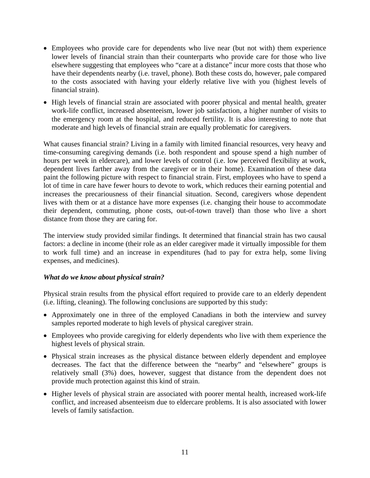- Employees who provide care for dependents who live near (but not with) them experience lower levels of financial strain than their counterparts who provide care for those who live elsewhere suggesting that employees who "care at a distance" incur more costs that those who have their dependents nearby (i.e. travel, phone). Both these costs do, however, pale compared to the costs associated with having your elderly relative live with you (highest levels of financial strain).
- High levels of financial strain are associated with poorer physical and mental health, greater work-life conflict, increased absenteeism, lower job satisfaction, a higher number of visits to the emergency room at the hospital, and reduced fertility. It is also interesting to note that moderate and high levels of financial strain are equally problematic for caregivers.

What causes financial strain? Living in a family with limited financial resources, very heavy and time-consuming caregiving demands (i.e. both respondent and spouse spend a high number of hours per week in eldercare), and lower levels of control (i.e. low perceived flexibility at work, dependent lives farther away from the caregiver or in their home). Examination of these data paint the following picture with respect to financial strain. First, employees who have to spend a lot of time in care have fewer hours to devote to work, which reduces their earning potential and increases the precariousness of their financial situation. Second, caregivers whose dependent lives with them or at a distance have more expenses (i.e. changing their house to accommodate their dependent, commuting, phone costs, out-of-town travel) than those who live a short distance from those they are caring for.

The interview study provided similar findings. It determined that financial strain has two causal factors: a decline in income (their role as an elder caregiver made it virtually impossible for them to work full time) and an increase in expenditures (had to pay for extra help, some living expenses, and medicines).

#### *What do we know about physical strain?*

Physical strain results from the physical effort required to provide care to an elderly dependent (i.e. lifting, cleaning). The following conclusions are supported by this study:

- Approximately one in three of the employed Canadians in both the interview and survey samples reported moderate to high levels of physical caregiver strain.
- Employees who provide caregiving for elderly dependents who live with them experience the highest levels of physical strain.
- Physical strain increases as the physical distance between elderly dependent and employee decreases. The fact that the difference between the "nearby" and "elsewhere" groups is relatively small (3%) does, however, suggest that distance from the dependent does not provide much protection against this kind of strain.
- Higher levels of physical strain are associated with poorer mental health, increased work-life conflict, and increased absenteeism due to eldercare problems. It is also associated with lower levels of family satisfaction.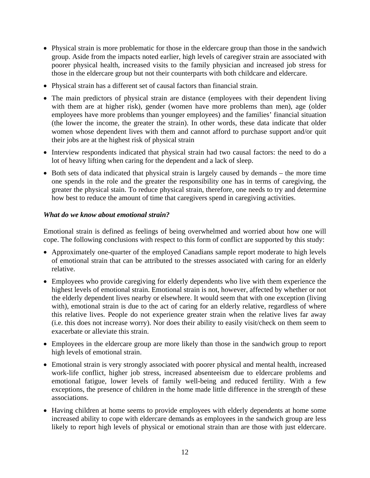- Physical strain is more problematic for those in the eldercare group than those in the sandwich group. Aside from the impacts noted earlier, high levels of caregiver strain are associated with poorer physical health, increased visits to the family physician and increased job stress for those in the eldercare group but not their counterparts with both childcare and eldercare.
- Physical strain has a different set of causal factors than financial strain.
- The main predictors of physical strain are distance (employees with their dependent living with them are at higher risk), gender (women have more problems than men), age (older employees have more problems than younger employees) and the families' financial situation (the lower the income, the greater the strain). In other words, these data indicate that older women whose dependent lives with them and cannot afford to purchase support and/or quit their jobs are at the highest risk of physical strain
- Interview respondents indicated that physical strain had two causal factors: the need to do a lot of heavy lifting when caring for the dependent and a lack of sleep.
- Both sets of data indicated that physical strain is largely caused by demands the more time one spends in the role and the greater the responsibility one has in terms of caregiving, the greater the physical stain. To reduce physical strain, therefore, one needs to try and determine how best to reduce the amount of time that caregivers spend in caregiving activities.

#### *What do we know about emotional strain?*

Emotional strain is defined as feelings of being overwhelmed and worried about how one will cope. The following conclusions with respect to this form of conflict are supported by this study:

- Approximately one-quarter of the employed Canadians sample report moderate to high levels of emotional strain that can be attributed to the stresses associated with caring for an elderly relative.
- Employees who provide caregiving for elderly dependents who live with them experience the highest levels of emotional strain. Emotional strain is not, however, affected by whether or not the elderly dependent lives nearby or elsewhere. It would seem that with one exception (living with), emotional strain is due to the act of caring for an elderly relative, regardless of where this relative lives. People do not experience greater strain when the relative lives far away (i.e. this does not increase worry). Nor does their ability to easily visit/check on them seem to exacerbate or alleviate this strain.
- Employees in the eldercare group are more likely than those in the sandwich group to report high levels of emotional strain.
- Emotional strain is very strongly associated with poorer physical and mental health, increased work-life conflict, higher job stress, increased absenteeism due to eldercare problems and emotional fatigue, lower levels of family well-being and reduced fertility. With a few exceptions, the presence of children in the home made little difference in the strength of these associations.
- Having children at home seems to provide employees with elderly dependents at home some increased ability to cope with eldercare demands as employees in the sandwich group are less likely to report high levels of physical or emotional strain than are those with just eldercare.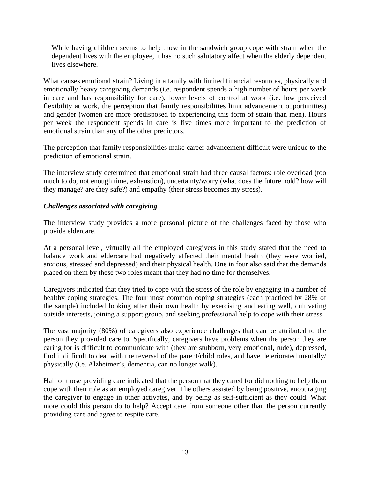While having children seems to help those in the sandwich group cope with strain when the dependent lives with the employee, it has no such salutatory affect when the elderly dependent lives elsewhere.

What causes emotional strain? Living in a family with limited financial resources, physically and emotionally heavy caregiving demands (i.e. respondent spends a high number of hours per week in care and has responsibility for care), lower levels of control at work (i.e. low perceived flexibility at work, the perception that family responsibilities limit advancement opportunities) and gender (women are more predisposed to experiencing this form of strain than men). Hours per week the respondent spends in care is five times more important to the prediction of emotional strain than any of the other predictors.

The perception that family responsibilities make career advancement difficult were unique to the prediction of emotional strain.

The interview study determined that emotional strain had three causal factors: role overload (too much to do, not enough time, exhaustion), uncertainty/worry (what does the future hold? how will they manage? are they safe?) and empathy (their stress becomes my stress).

#### *Challenges associated with caregiving*

The interview study provides a more personal picture of the challenges faced by those who provide eldercare.

At a personal level, virtually all the employed caregivers in this study stated that the need to balance work and eldercare had negatively affected their mental health (they were worried, anxious, stressed and depressed) and their physical health. One in four also said that the demands placed on them by these two roles meant that they had no time for themselves.

Caregivers indicated that they tried to cope with the stress of the role by engaging in a number of healthy coping strategies. The four most common coping strategies (each practiced by 28% of the sample) included looking after their own health by exercising and eating well, cultivating outside interests, joining a support group, and seeking professional help to cope with their stress.

The vast majority (80%) of caregivers also experience challenges that can be attributed to the person they provided care to. Specifically, caregivers have problems when the person they are caring for is difficult to communicate with (they are stubborn, very emotional, rude), depressed, find it difficult to deal with the reversal of the parent/child roles, and have deteriorated mentally/ physically (i.e. Alzheimer's, dementia, can no longer walk).

Half of those providing care indicated that the person that they cared for did nothing to help them cope with their role as an employed caregiver. The others assisted by being positive, encouraging the caregiver to engage in other activates, and by being as self-sufficient as they could. What more could this person do to help? Accept care from someone other than the person currently providing care and agree to respite care.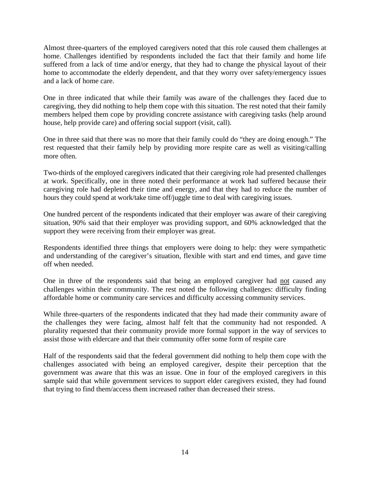Almost three-quarters of the employed caregivers noted that this role caused them challenges at home. Challenges identified by respondents included the fact that their family and home life suffered from a lack of time and/or energy, that they had to change the physical layout of their home to accommodate the elderly dependent, and that they worry over safety/emergency issues and a lack of home care.

One in three indicated that while their family was aware of the challenges they faced due to caregiving, they did nothing to help them cope with this situation. The rest noted that their family members helped them cope by providing concrete assistance with caregiving tasks (help around house, help provide care) and offering social support (visit, call).

One in three said that there was no more that their family could do "they are doing enough." The rest requested that their family help by providing more respite care as well as visiting/calling more often.

Two-thirds of the employed caregivers indicated that their caregiving role had presented challenges at work. Specifically, one in three noted their performance at work had suffered because their caregiving role had depleted their time and energy, and that they had to reduce the number of hours they could spend at work/take time off/juggle time to deal with caregiving issues.

One hundred percent of the respondents indicated that their employer was aware of their caregiving situation, 90% said that their employer was providing support, and 60% acknowledged that the support they were receiving from their employer was great.

Respondents identified three things that employers were doing to help: they were sympathetic and understanding of the caregiver's situation, flexible with start and end times, and gave time off when needed.

One in three of the respondents said that being an employed caregiver had not caused any challenges within their community. The rest noted the following challenges: difficulty finding affordable home or community care services and difficulty accessing community services.

While three-quarters of the respondents indicated that they had made their community aware of the challenges they were facing, almost half felt that the community had not responded. A plurality requested that their community provide more formal support in the way of services to assist those with eldercare and that their community offer some form of respite care

Half of the respondents said that the federal government did nothing to help them cope with the challenges associated with being an employed caregiver, despite their perception that the government was aware that this was an issue. One in four of the employed caregivers in this sample said that while government services to support elder caregivers existed, they had found that trying to find them/access them increased rather than decreased their stress.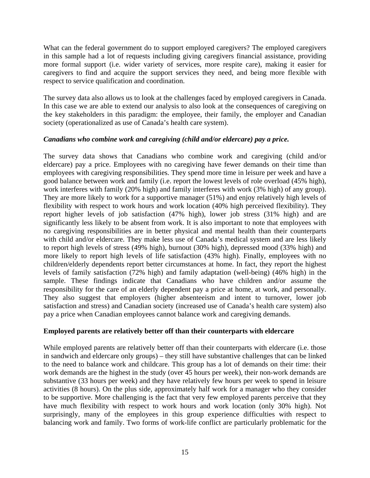What can the federal government do to support employed caregivers? The employed caregivers in this sample had a lot of requests including giving caregivers financial assistance, providing more formal support (i.e. wider variety of services, more respite care), making it easier for caregivers to find and acquire the support services they need, and being more flexible with respect to service qualification and coordination.

The survey data also allows us to look at the challenges faced by employed caregivers in Canada. In this case we are able to extend our analysis to also look at the consequences of caregiving on the key stakeholders in this paradigm: the employee, their family, the employer and Canadian society (operationalized as use of Canada's health care system).

#### *Canadians who combine work and caregiving (child and/or eldercare) pay a price.*

The survey data shows that Canadians who combine work and caregiving (child and/or eldercare) pay a price. Employees with no caregiving have fewer demands on their time than employees with caregiving responsibilities. They spend more time in leisure per week and have a good balance between work and family (i.e. report the lowest levels of role overload (45% high), work interferes with family (20% high) and family interferes with work (3% high) of any group). They are more likely to work for a supportive manager (51%) and enjoy relatively high levels of flexibility with respect to work hours and work location (40% high perceived flexibility). They report higher levels of job satisfaction (47% high), lower job stress (31% high) and are significantly less likely to be absent from work. It is also important to note that employees with no caregiving responsibilities are in better physical and mental health than their counterparts with child and/or eldercare. They make less use of Canada's medical system and are less likely to report high levels of stress (49% high), burnout (30% high), depressed mood (33% high) and more likely to report high levels of life satisfaction (43% high). Finally, employees with no children/elderly dependents report better circumstances at home. In fact, they report the highest levels of family satisfaction (72% high) and family adaptation (well-being) (46% high) in the sample. These findings indicate that Canadians who have children and/or assume the responsibility for the care of an elderly dependent pay a price at home, at work, and personally. They also suggest that employers (higher absenteeism and intent to turnover, lower job satisfaction and stress) and Canadian society (increased use of Canada's health care system) also pay a price when Canadian employees cannot balance work and caregiving demands.

#### **Employed parents are relatively better off than their counterparts with eldercare**

While employed parents are relatively better off than their counterparts with eldercare (i.e. those in sandwich and eldercare only groups) – they still have substantive challenges that can be linked to the need to balance work and childcare. This group has a lot of demands on their time: their work demands are the highest in the study (over 45 hours per week), their non-work demands are substantive (33 hours per week) and they have relatively few hours per week to spend in leisure activities (8 hours). On the plus side, approximately half work for a manager who they consider to be supportive. More challenging is the fact that very few employed parents perceive that they have much flexibility with respect to work hours and work location (only 30% high). Not surprisingly, many of the employees in this group experience difficulties with respect to balancing work and family. Two forms of work-life conflict are particularly problematic for the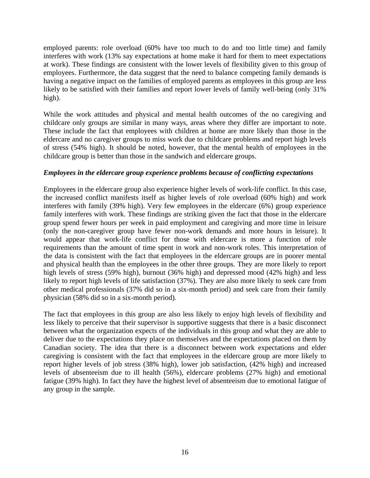employed parents: role overload (60% have too much to do and too little time) and family interferes with work (13% say expectations at home make it hard for them to meet expectations at work). These findings are consistent with the lower levels of flexibility given to this group of employees. Furthermore, the data suggest that the need to balance competing family demands is having a negative impact on the families of employed parents as employees in this group are less likely to be satisfied with their families and report lower levels of family well-being (only 31%) high).

While the work attitudes and physical and mental health outcomes of the no caregiving and childcare only groups are similar in many ways, areas where they differ are important to note. These include the fact that employees with children at home are more likely than those in the eldercare and no caregiver groups to miss work due to childcare problems and report high levels of stress (54% high). It should be noted, however, that the mental health of employees in the childcare group is better than those in the sandwich and eldercare groups.

#### *Employees in the eldercare group experience problems because of conflicting expectations*

Employees in the eldercare group also experience higher levels of work-life conflict. In this case, the increased conflict manifests itself as higher levels of role overload (60% high) and work interferes with family (39% high). Very few employees in the eldercare (6%) group experience family interferes with work. These findings are striking given the fact that those in the eldercare group spend fewer hours per week in paid employment and caregiving and more time in leisure (only the non-caregiver group have fewer non-work demands and more hours in leisure). It would appear that work-life conflict for those with eldercare is more a function of role requirements than the amount of time spent in work and non-work roles. This interpretation of the data is consistent with the fact that employees in the eldercare groups are in poorer mental and physical health than the employees in the other three groups. They are more likely to report high levels of stress (59% high), burnout (36% high) and depressed mood (42% high) and less likely to report high levels of life satisfaction (37%). They are also more likely to seek care from other medical professionals (37% did so in a six-month period) and seek care from their family physician (58% did so in a six-month period).

The fact that employees in this group are also less likely to enjoy high levels of flexibility and less likely to perceive that their supervisor is supportive suggests that there is a basic disconnect between what the organization expects of the individuals in this group and what they are able to deliver due to the expectations they place on themselves and the expectations placed on them by Canadian society. The idea that there is a disconnect between work expectations and elder caregiving is consistent with the fact that employees in the eldercare group are more likely to report higher levels of job stress (38% high), lower job satisfaction, (42% high) and increased levels of absenteeism due to ill health (56%), eldercare problems (27% high) and emotional fatigue (39% high). In fact they have the highest level of absenteeism due to emotional fatigue of any group in the sample.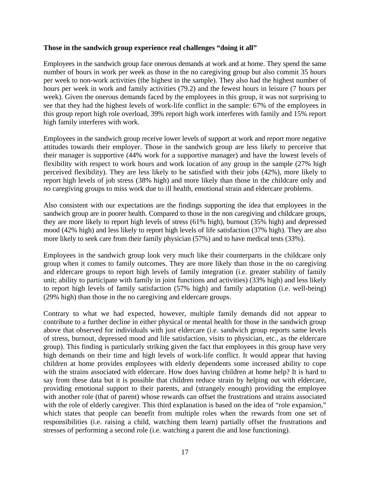#### **Those in the sandwich group experience real challenges "doing it all"**

Employees in the sandwich group face onerous demands at work and at home. They spend the same number of hours in work per week as those in the no caregiving group but also commit 35 hours per week to non-work activities (the highest in the sample). They also had the highest number of hours per week in work and family activities (79.2) and the fewest hours in leisure (7 hours per week). Given the onerous demands faced by the employees in this group, it was not surprising to see that they had the highest levels of work-life conflict in the sample: 67% of the employees in this group report high role overload, 39% report high work interferes with family and 15% report high family interferes with work.

Employees in the sandwich group receive lower levels of support at work and report more negative attitudes towards their employer. Those in the sandwich group are less likely to perceive that their manager is supportive (44% work for a supportive manager) and have the lowest levels of flexibility with respect to work hours and work location of any group in the sample (27% high perceived flexibility). They are less likely to be satisfied with their jobs (42%), more likely to report high levels of job stress (38% high) and more likely than those in the childcare only and no caregiving groups to miss work due to ill health, emotional strain and eldercare problems.

Also consistent with our expectations are the findings supporting the idea that employees in the sandwich group are in poorer health. Compared to those in the non caregiving and childcare groups, they are more likely to report high levels of stress (61% high), burnout (35% high) and depressed mood (42% high) and less likely to report high levels of life satisfaction (37% high). They are also more likely to seek care from their family physician (57%) and to have medical tests (33%).

Employees in the sandwich group look very much like their counterparts in the childcare only group when it comes to family outcomes. They are more likely than those in the no caregiving and eldercare groups to report high levels of family integration (i.e. greater stability of family unit; ability to participate with family in joint functions and activities) (33% high) and less likely to report high levels of family satisfaction (57% high) and family adaptation (i.e. well-being) (29% high) than those in the no caregiving and eldercare groups.

Contrary to what we had expected, however, multiple family demands did not appear to contribute to a further decline in either physical or mental health for those in the sandwich group above that observed for individuals with just eldercare (i.e. sandwich group reports same levels of stress, burnout, depressed mood and life satisfaction, visits to physician, etc., as the eldercare group). This finding is particularly striking given the fact that employees in this group have very high demands on their time and high levels of work-life conflict. It would appear that having children at home provides employees with elderly dependents some increased ability to cope with the strains associated with eldercare. How does having children at home help? It is hard to say from these data but it is possible that children reduce strain by helping out with eldercare, providing emotional support to their parents, and (strangely enough) providing the employee with another role (that of parent) whose rewards can offset the frustrations and strains associated with the role of elderly caregiver. This third explanation is based on the idea of "role expansion," which states that people can benefit from multiple roles when the rewards from one set of responsibilities (i.e. raising a child, watching them learn) partially offset the frustrations and stresses of performing a second role (i.e. watching a parent die and lose functioning).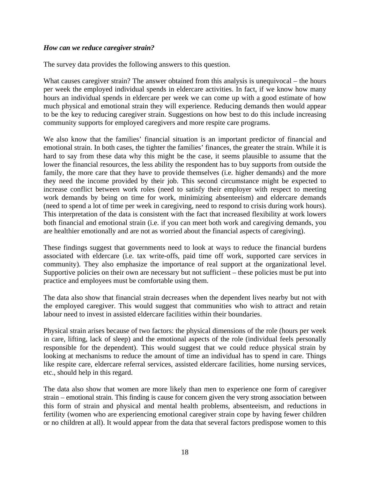#### *How can we reduce caregiver strain?*

The survey data provides the following answers to this question.

What causes caregiver strain? The answer obtained from this analysis is unequivocal – the hours per week the employed individual spends in eldercare activities. In fact, if we know how many hours an individual spends in eldercare per week we can come up with a good estimate of how much physical and emotional strain they will experience. Reducing demands then would appear to be the key to reducing caregiver strain. Suggestions on how best to do this include increasing community supports for employed caregivers and more respite care programs.

We also know that the families' financial situation is an important predictor of financial and emotional strain. In both cases, the tighter the families' finances, the greater the strain. While it is hard to say from these data why this might be the case, it seems plausible to assume that the lower the financial resources, the less ability the respondent has to buy supports from outside the family, the more care that they have to provide themselves (i.e. higher demands) and the more they need the income provided by their job. This second circumstance might be expected to increase conflict between work roles (need to satisfy their employer with respect to meeting work demands by being on time for work, minimizing absenteeism) and eldercare demands (need to spend a lot of time per week in caregiving, need to respond to crisis during work hours). This interpretation of the data is consistent with the fact that increased flexibility at work lowers both financial and emotional strain (i.e. if you can meet both work and caregiving demands, you are healthier emotionally and are not as worried about the financial aspects of caregiving).

These findings suggest that governments need to look at ways to reduce the financial burdens associated with eldercare (i.e. tax write-offs, paid time off work, supported care services in community). They also emphasize the importance of real support at the organizational level. Supportive policies on their own are necessary but not sufficient – these policies must be put into practice and employees must be comfortable using them.

The data also show that financial strain decreases when the dependent lives nearby but not with the employed caregiver. This would suggest that communities who wish to attract and retain labour need to invest in assisted eldercare facilities within their boundaries.

Physical strain arises because of two factors: the physical dimensions of the role (hours per week in care, lifting, lack of sleep) and the emotional aspects of the role (individual feels personally responsible for the dependent). This would suggest that we could reduce physical strain by looking at mechanisms to reduce the amount of time an individual has to spend in care. Things like respite care, eldercare referral services, assisted eldercare facilities, home nursing services, etc., should help in this regard.

The data also show that women are more likely than men to experience one form of caregiver strain – emotional strain. This finding is cause for concern given the very strong association between this form of strain and physical and mental health problems, absenteeism, and reductions in fertility (women who are experiencing emotional caregiver strain cope by having fewer children or no children at all). It would appear from the data that several factors predispose women to this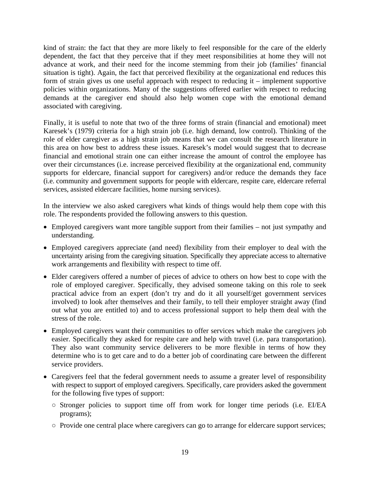kind of strain: the fact that they are more likely to feel responsible for the care of the elderly dependent, the fact that they perceive that if they meet responsibilities at home they will not advance at work, and their need for the income stemming from their job (families' financial situation is tight). Again, the fact that perceived flexibility at the organizational end reduces this form of strain gives us one useful approach with respect to reducing it – implement supportive policies within organizations. Many of the suggestions offered earlier with respect to reducing demands at the caregiver end should also help women cope with the emotional demand associated with caregiving.

Finally, it is useful to note that two of the three forms of strain (financial and emotional) meet Karesek's (1979) criteria for a high strain job (i.e. high demand, low control). Thinking of the role of elder caregiver as a high strain job means that we can consult the research literature in this area on how best to address these issues. Karesek's model would suggest that to decrease financial and emotional strain one can either increase the amount of control the employee has over their circumstances (i.e. increase perceived flexibility at the organizational end, community supports for eldercare, financial support for caregivers) and/or reduce the demands they face (i.e. community and government supports for people with eldercare, respite care, eldercare referral services, assisted eldercare facilities, home nursing services).

In the interview we also asked caregivers what kinds of things would help them cope with this role. The respondents provided the following answers to this question.

- Employed caregivers want more tangible support from their families not just sympathy and understanding.
- Employed caregivers appreciate (and need) flexibility from their employer to deal with the uncertainty arising from the caregiving situation. Specifically they appreciate access to alternative work arrangements and flexibility with respect to time off.
- Elder caregivers offered a number of pieces of advice to others on how best to cope with the role of employed caregiver. Specifically, they advised someone taking on this role to seek practical advice from an expert (don't try and do it all yourself/get government services involved) to look after themselves and their family, to tell their employer straight away (find out what you are entitled to) and to access professional support to help them deal with the stress of the role.
- Employed caregivers want their communities to offer services which make the caregivers job easier. Specifically they asked for respite care and help with travel (i.e. para transportation). They also want community service deliverers to be more flexible in terms of how they determine who is to get care and to do a better job of coordinating care between the different service providers.
- Caregivers feel that the federal government needs to assume a greater level of responsibility with respect to support of employed caregivers. Specifically, care providers asked the government for the following five types of support:
	- Stronger policies to support time off from work for longer time periods (i.e. EI/EA programs);
	- Provide one central place where caregivers can go to arrange for eldercare support services;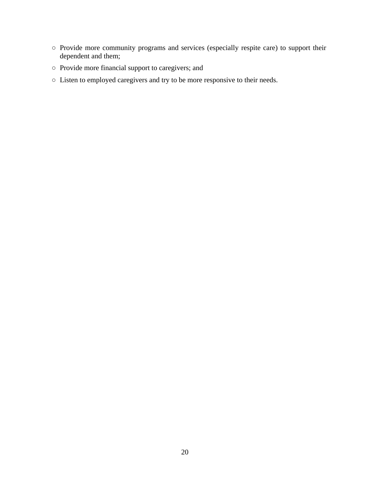- Provide more community programs and services (especially respite care) to support their dependent and them;
- Provide more financial support to caregivers; and
- Listen to employed caregivers and try to be more responsive to their needs.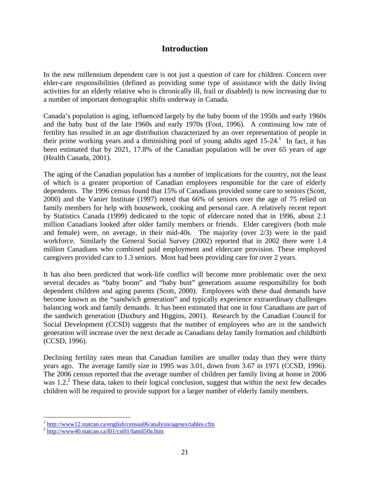### **Introduction**

In the new millennium dependent care is not just a question of care for children. Concern over elder-care responsibilities (defined as providing some type of assistance with the daily living activities for an elderly relative who is chronically ill, frail or disabled) is now increasing due to a number of important demographic shifts underway in Canada.

Canada's population is aging, influenced largely by the baby boom of the 1950s and early 1960s and the baby bust of the late 1960s and early 1970s (Foot, 1996). A continuing low rate of fertility has resulted in an age distribution characterized by an over representation of people in their prime working years and a diminishing pool of young adults aged  $15{\text -}24$ .<sup>1</sup> In fact, it has been estimated that by 2021, 17.8% of the Canadian population will be over 65 years of age (Health Canada, 2001).

The aging of the Canadian population has a number of implications for the country, not the least of which is a greater proportion of Canadian employees responsible for the care of elderly dependents. The 1996 census found that 15% of Canadians provided some care to seniors (Scott, 2000) and the Vanier Institute (1997) noted that 66% of seniors over the age of 75 relied on family members for help with housework, cooking and personal care. A relatively recent report by Statistics Canada (1999) dedicated to the topic of eldercare noted that in 1996, about 2.1 million Canadians looked after older family members or friends. Elder caregivers (both male and female) were, on average, in their mid-40s. The majority (over 2/3) were in the paid workforce. Similarly the General Social Survey (2002) reported that in 2002 there were 1.4 million Canadians who combined paid employment and eldercare provision. These employed caregivers provided care to 1.3 seniors. Most had been providing care for over 2 years.

It has also been predicted that work-life conflict will become more problematic over the next several decades as "baby boom" and "baby bust" generations assume responsibility for both dependent children and aging parents (Scott, 2000). Employees with these dual demands have become known as the "sandwich generation" and typically experience extraordinary challenges balancing work and family demands. It has been estimated that one in four Canadians are part of the sandwich generation (Duxbury and Higgins, 2001). Research by the Canadian Council for Social Development (CCSD) suggests that the number of employees who are in the sandwich generation will increase over the next decade as Canadians delay family formation and childbirth (CCSD, 1996).

Declining fertility rates mean that Canadian families are smaller today than they were thirty years ago. The average family size in 1995 was 3.01, down from 3.67 in 1971 (CCSD, 1996). The 2006 census reported that the average number of children per family living at home in 2006 was  $1.2<sup>2</sup>$  These data, taken to their logical conclusion, suggest that within the next few decades children will be required to provide support for a larger number of elderly family members.

 $\overline{a}$ 

<sup>&</sup>lt;sup>1</sup> http://www12.statcan.ca/english/census06/analysis/agesex/tables.cfm

 $^{2}$  http://www40.statcan.ca/l01/cst01/famil50a.htm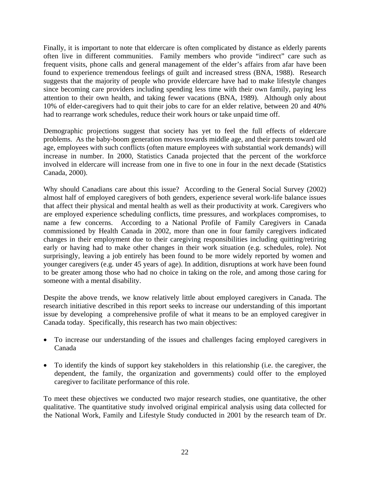Finally, it is important to note that eldercare is often complicated by distance as elderly parents often live in different communities. Family members who provide "indirect" care such as frequent visits, phone calls and general management of the elder's affairs from afar have been found to experience tremendous feelings of guilt and increased stress (BNA, 1988). Research suggests that the majority of people who provide eldercare have had to make lifestyle changes since becoming care providers including spending less time with their own family, paying less attention to their own health, and taking fewer vacations (BNA, 1989). Although only about 10% of elder-caregivers had to quit their jobs to care for an elder relative, between 20 and 40% had to rearrange work schedules, reduce their work hours or take unpaid time off.

Demographic projections suggest that society has yet to feel the full effects of eldercare problems. As the baby-boom generation moves towards middle age, and their parents toward old age, employees with such conflicts (often mature employees with substantial work demands) will increase in number. In 2000, Statistics Canada projected that the percent of the workforce involved in eldercare will increase from one in five to one in four in the next decade (Statistics Canada, 2000).

Why should Canadians care about this issue? According to the General Social Survey (2002) almost half of employed caregivers of both genders, experience several work-life balance issues that affect their physical and mental health as well as their productivity at work. Caregivers who are employed experience scheduling conflicts, time pressures, and workplaces compromises, to name a few concerns. According to a National Profile of Family Caregivers in Canada commissioned by Health Canada in 2002, more than one in four family caregivers indicated changes in their employment due to their caregiving responsibilities including quitting/retiring early or having had to make other changes in their work situation (e.g. schedules, role). Not surprisingly, leaving a job entirely has been found to be more widely reported by women and younger caregivers (e.g. under 45 years of age). In addition, disruptions at work have been found to be greater among those who had no choice in taking on the role, and among those caring for someone with a mental disability.

Despite the above trends, we know relatively little about employed caregivers in Canada. The research initiative described in this report seeks to increase our understanding of this important issue by developing a comprehensive profile of what it means to be an employed caregiver in Canada today. Specifically, this research has two main objectives:

- To increase our understanding of the issues and challenges facing employed caregivers in Canada
- To identify the kinds of support key stakeholders in this relationship (i.e. the caregiver, the dependent, the family, the organization and governments) could offer to the employed caregiver to facilitate performance of this role.

To meet these objectives we conducted two major research studies, one quantitative, the other qualitative. The quantitative study involved original empirical analysis using data collected for the National Work, Family and Lifestyle Study conducted in 2001 by the research team of Dr.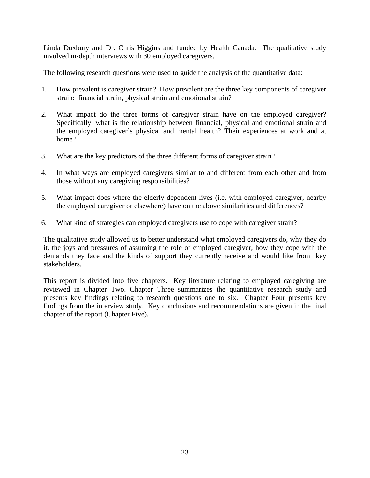Linda Duxbury and Dr. Chris Higgins and funded by Health Canada. The qualitative study involved in-depth interviews with 30 employed caregivers.

The following research questions were used to guide the analysis of the quantitative data:

- 1. How prevalent is caregiver strain? How prevalent are the three key components of caregiver strain: financial strain, physical strain and emotional strain?
- 2. What impact do the three forms of caregiver strain have on the employed caregiver? Specifically, what is the relationship between financial, physical and emotional strain and the employed caregiver's physical and mental health? Their experiences at work and at home?
- 3. What are the key predictors of the three different forms of caregiver strain?
- 4. In what ways are employed caregivers similar to and different from each other and from those without any caregiving responsibilities?
- 5. What impact does where the elderly dependent lives (i.e. with employed caregiver, nearby the employed caregiver or elsewhere) have on the above similarities and differences?
- 6. What kind of strategies can employed caregivers use to cope with caregiver strain?

The qualitative study allowed us to better understand what employed caregivers do, why they do it, the joys and pressures of assuming the role of employed caregiver, how they cope with the demands they face and the kinds of support they currently receive and would like from key stakeholders.

This report is divided into five chapters. Key literature relating to employed caregiving are reviewed in Chapter Two. Chapter Three summarizes the quantitative research study and presents key findings relating to research questions one to six. Chapter Four presents key findings from the interview study. Key conclusions and recommendations are given in the final chapter of the report (Chapter Five).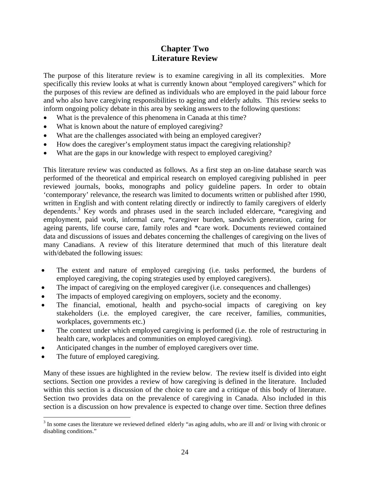# **Chapter Two Literature Review**

The purpose of this literature review is to examine caregiving in all its complexities. More specifically this review looks at what is currently known about "employed caregivers" which for the purposes of this review are defined as individuals who are employed in the paid labour force and who also have caregiving responsibilities to ageing and elderly adults. This review seeks to inform ongoing policy debate in this area by seeking answers to the following questions:

- What is the prevalence of this phenomena in Canada at this time?
- What is known about the nature of employed caregiving?
- What are the challenges associated with being an employed caregiver?
- How does the caregiver's employment status impact the caregiving relationship?
- What are the gaps in our knowledge with respect to employed caregiving?

This literature review was conducted as follows. As a first step an on-line database search was performed of the theoretical and empirical research on employed caregiving published in peer reviewed journals, books, monographs and policy guideline papers. In order to obtain 'contemporary' relevance, the research was limited to documents written or published after 1990, written in English and with content relating directly or indirectly to family caregivers of elderly dependents.<sup>3</sup> Key words and phrases used in the search included eldercare, \*caregiving and employment, paid work, informal care, \*caregiver burden, sandwich generation, caring for ageing parents, life course care, family roles and \*care work. Documents reviewed contained data and discussions of issues and debates concerning the challenges of caregiving on the lives of many Canadians. A review of this literature determined that much of this literature dealt with/debated the following issues:

- The extent and nature of employed caregiving (i.e. tasks performed, the burdens of employed caregiving, the coping strategies used by employed caregivers).
- The impact of caregiving on the employed caregiver (i.e. consequences and challenges)
- The impacts of employed caregiving on employers, society and the economy.
- The financial, emotional, health and psycho-social impacts of caregiving on key stakeholders (i.e. the employed caregiver, the care receiver, families, communities, workplaces, governments etc.)
- The context under which employed caregiving is performed (i.e. the role of restructuring in health care, workplaces and communities on employed caregiving).
- Anticipated changes in the number of employed caregivers over time.
- The future of employed caregiving.

Many of these issues are highlighted in the review below. The review itself is divided into eight sections. Section one provides a review of how caregiving is defined in the literature. Included within this section is a discussion of the choice to care and a critique of this body of literature. Section two provides data on the prevalence of caregiving in Canada. Also included in this section is a discussion on how prevalence is expected to change over time. Section three defines

<sup>&</sup>lt;sup>3</sup> In some cases the literature we reviewed defined elderly "as aging adults, who are ill and/ or living with chronic or disabling conditions."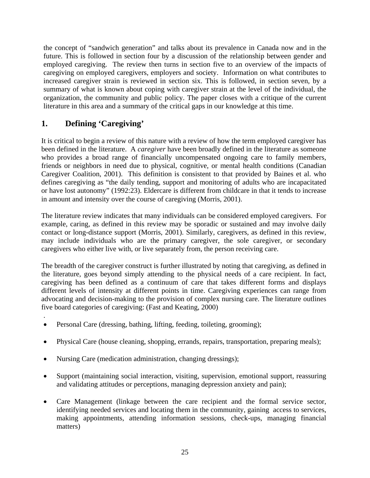the concept of "sandwich generation" and talks about its prevalence in Canada now and in the future. This is followed in section four by a discussion of the relationship between gender and employed caregiving. The review then turns in section five to an overview of the impacts of caregiving on employed caregivers, employers and society. Information on what contributes to increased caregiver strain is reviewed in section six. This is followed, in section seven, by a summary of what is known about coping with caregiver strain at the level of the individual, the organization, the community and public policy. The paper closes with a critique of the current literature in this area and a summary of the critical gaps in our knowledge at this time.

# **1. Defining 'Caregiving'**

.

It is critical to begin a review of this nature with a review of how the term employed caregiver has been defined in the literature. A *caregiver* have been broadly defined in the literature as someone who provides a broad range of financially uncompensated ongoing care to family members, friends or neighbors in need due to physical, cognitive, or mental health conditions (Canadian Caregiver Coalition, 2001). This definition is consistent to that provided by Baines et al. who defines caregiving as "the daily tending, support and monitoring of adults who are incapacitated or have lost autonomy" (1992:23). Eldercare is different from childcare in that it tends to increase in amount and intensity over the course of caregiving (Morris, 2001).

The literature review indicates that many individuals can be considered employed caregivers. For example, caring, as defined in this review may be sporadic or sustained and may involve daily contact or long-distance support (Morris, 2001). Similarly, caregivers, as defined in this review, may include individuals who are the primary caregiver, the sole caregiver, or secondary caregivers who either live with, or live separately from, the person receiving care.

The breadth of the caregiver construct is further illustrated by noting that caregiving, as defined in the literature, goes beyond simply attending to the physical needs of a care recipient. In fact, caregiving has been defined as a continuum of care that takes different forms and displays different levels of intensity at different points in time. Caregiving experiences can range from advocating and decision-making to the provision of complex nursing care. The literature outlines five board categories of caregiving: (Fast and Keating, 2000)

- Personal Care (dressing, bathing, lifting, feeding, toileting, grooming);
- Physical Care (house cleaning, shopping, errands, repairs, transportation, preparing meals);
- Nursing Care (medication administration, changing dressings);
- Support (maintaining social interaction, visiting, supervision, emotional support, reassuring and validating attitudes or perceptions, managing depression anxiety and pain);
- Care Management (linkage between the care recipient and the formal service sector, identifying needed services and locating them in the community, gaining access to services, making appointments, attending information sessions, check-ups, managing financial matters)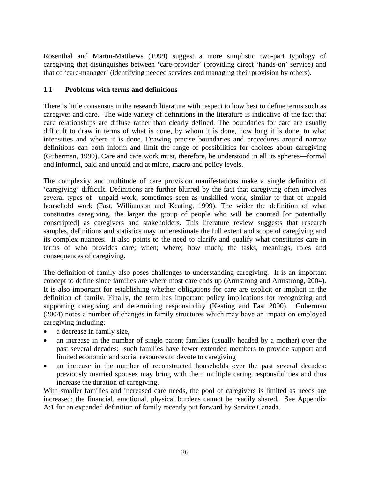Rosenthal and Martin-Matthews (1999) suggest a more simplistic two-part typology of caregiving that distinguishes between 'care-provider' (providing direct 'hands-on' service) and that of 'care-manager' (identifying needed services and managing their provision by others).

#### **1.1 Problems with terms and definitions**

There is little consensus in the research literature with respect to how best to define terms such as caregiver and care. The wide variety of definitions in the literature is indicative of the fact that care relationships are diffuse rather than clearly defined. The boundaries for care are usually difficult to draw in terms of what is done, by whom it is done, how long it is done, to what intensities and where it is done. Drawing precise boundaries and procedures around narrow definitions can both inform and limit the range of possibilities for choices about caregiving (Guberman, 1999). Care and care work must, therefore, be understood in all its spheres—formal and informal, paid and unpaid and at micro, macro and policy levels.

The complexity and multitude of care provision manifestations make a single definition of 'caregiving' difficult. Definitions are further blurred by the fact that caregiving often involves several types of unpaid work, sometimes seen as unskilled work, similar to that of unpaid household work (Fast, Williamson and Keating, 1999). The wider the definition of what constitutes caregiving, the larger the group of people who will be counted [or potentially conscripted] as caregivers and stakeholders. This literature review suggests that research samples, definitions and statistics may underestimate the full extent and scope of caregiving and its complex nuances. It also points to the need to clarify and qualify what constitutes care in terms of who provides care; when; where; how much; the tasks, meanings, roles and consequences of caregiving.

The definition of family also poses challenges to understanding caregiving. It is an important concept to define since families are where most care ends up (Armstrong and Armstrong, 2004). It is also important for establishing whether obligations for care are explicit or implicit in the definition of family. Finally, the term has important policy implications for recognizing and supporting caregiving and determining responsibility (Keating and Fast 2000). Guberman (2004) notes a number of changes in family structures which may have an impact on employed caregiving including:

- a decrease in family size,
- an increase in the number of single parent families (usually headed by a mother) over the past several decades: such families have fewer extended members to provide support and limited economic and social resources to devote to caregiving
- an increase in the number of reconstructed households over the past several decades: previously married spouses may bring with them multiple caring responsibilities and thus increase the duration of caregiving.

With smaller families and increased care needs, the pool of caregivers is limited as needs are increased; the financial, emotional, physical burdens cannot be readily shared. See Appendix A:1 for an expanded definition of family recently put forward by Service Canada.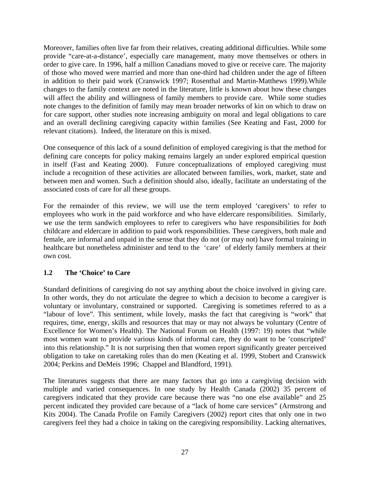Moreover, families often live far from their relatives, creating additional difficulties. While some provide "care-at-a-distance', especially care management, many move themselves or others in order to give care. In 1996, half a million Canadians moved to give or receive care. The majority of those who moved were married and more than one-third had children under the age of fifteen in addition to their paid work (Cranswick 1997; Rosenthal and Martin-Matthews 1999).While changes to the family context are noted in the literature, little is known about how these changes will affect the ability and willingness of family members to provide care. While some studies note changes to the definition of family may mean broader networks of kin on which to draw on for care support, other studies note increasing ambiguity on moral and legal obligations to care and an overall declining caregiving capacity within families (See Keating and Fast, 2000 for relevant citations). Indeed, the literature on this is mixed.

One consequence of this lack of a sound definition of employed caregiving is that the method for defining care concepts for policy making remains largely an under explored empirical question in itself (Fast and Keating 2000). Future conceptualizations of employed caregiving must include a recognition of these activities are allocated between families, work, market, state and between men and women. Such a definition should also, ideally, facilitate an understating of the associated costs of care for all these groups.

For the remainder of this review, we will use the term employed 'caregivers' to refer to employees who work in the paid workforce and who have eldercare responsibilities. Similarly, we use the term sandwich employees to refer to caregivers who have responsibilities for *both* childcare and eldercare in addition to paid work responsibilities. These caregivers, both male and female, are informal and unpaid in the sense that they do not (or may not) have formal training in healthcare but nonetheless administer and tend to the 'care' of elderly family members at their own cost.

### **1.2 The 'Choice' to Care**

Standard definitions of caregiving do not say anything about the choice involved in giving care. In other words, they do not articulate the degree to which a decision to become a caregiver is voluntary or involuntary, constrained or supported. Caregiving is sometimes referred to as a "labour of love". This sentiment, while lovely, masks the fact that caregiving is "work" that requires, time, energy, skills and resources that may or may not always be voluntary (Centre of Excellence for Women's Health). The National Forum on Health (1997: 19) notes that "while most women want to provide various kinds of informal care, they do want to be 'conscripted' into this relationship." It is not surprising then that women report significantly greater perceived obligation to take on caretaking roles than do men (Keating et al. 1999, Stobert and Cranswick 2004; Perkins and DeMeis 1996; Chappel and Blandford, 1991).

The literatures suggests that there are many factors that go into a caregiving decision with multiple and varied consequences. In one study by Health Canada (2002) 35 percent of caregivers indicated that they provide care because there was "no one else available" and 25 percent indicated they provided care because of a "lack of home care services" (Armstrong and Kits 2004). The Canada Profile on Family Caregivers (2002) report cites that only one in two caregivers feel they had a choice in taking on the caregiving responsibility. Lacking alternatives,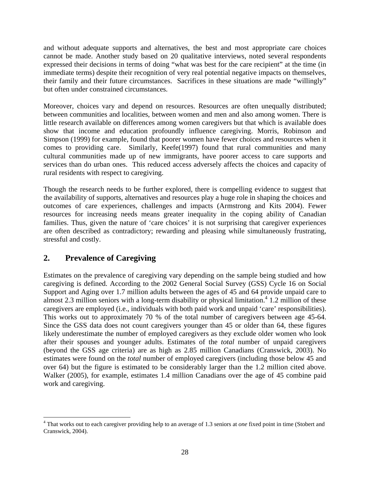and without adequate supports and alternatives, the best and most appropriate care choices cannot be made. Another study based on 20 qualitative interviews, noted several respondents expressed their decisions in terms of doing "what was best for the care recipient" at the time (in immediate terms) despite their recognition of very real potential negative impacts on themselves, their family and their future circumstances. Sacrifices in these situations are made "willingly" but often under constrained circumstances.

Moreover, choices vary and depend on resources. Resources are often unequally distributed; between communities and localities, between women and men and also among women. There is little research available on differences among women caregivers but that which is available does show that income and education profoundly influence caregiving. Morris, Robinson and Simpson (1999) for example, found that poorer women have fewer choices and resources when it comes to providing care. Similarly, Keefe(1997) found that rural communities and many cultural communities made up of new immigrants, have poorer access to care supports and services than do urban ones. This reduced access adversely affects the choices and capacity of rural residents with respect to caregiving.

Though the research needs to be further explored, there is compelling evidence to suggest that the availability of supports, alternatives and resources play a huge role in shaping the choices and outcomes of care experiences, challenges and impacts (Armstrong and Kits 2004). Fewer resources for increasing needs means greater inequality in the coping ability of Canadian families. Thus, given the nature of 'care choices' it is not surprising that caregiver experiences are often described as contradictory; rewarding and pleasing while simultaneously frustrating, stressful and costly.

# **2. Prevalence of Caregiving**

 $\overline{a}$ 

Estimates on the prevalence of caregiving vary depending on the sample being studied and how caregiving is defined. According to the 2002 General Social Survey (GSS) Cycle 16 on Social Support and Aging over 1.7 million adults between the ages of 45 and 64 provide unpaid care to almost 2.3 million seniors with a long-term disability or physical limitation.<sup>4</sup> 1.2 million of these caregivers are employed (i.e., individuals with both paid work and unpaid 'care' responsibilities). This works out to approximately 70 % of the total number of caregivers between age 45-64. Since the GSS data does not count caregivers younger than 45 or older than 64, these figures likely underestimate the number of employed caregivers as they exclude older women who look after their spouses and younger adults. Estimates of the *total* number of unpaid caregivers (beyond the GSS age criteria) are as high as 2.85 million Canadians (Cranswick, 2003). No estimates were found on the *total* number of employed caregivers (including those below 45 and over 64) but the figure is estimated to be considerably larger than the 1.2 million cited above. Walker (2005), for example, estimates 1.4 million Canadians over the age of 45 combine paid work and caregiving.

<sup>4</sup> That works out to each caregiver providing help to an average of 1.3 seniors at *one* fixed point in time (Stobert and Cranswick, 2004).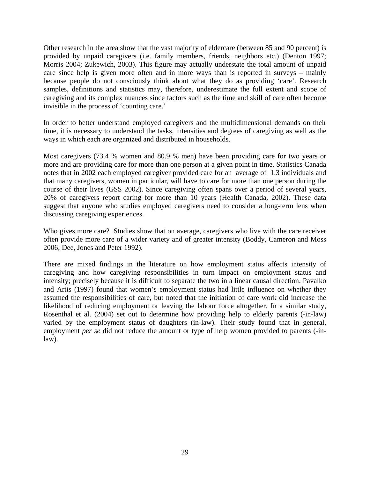Other research in the area show that the vast majority of eldercare (between 85 and 90 percent) is provided by unpaid caregivers (i.e. family members, friends, neighbors etc.) (Denton 1997; Morris 2004; Zukewich, 2003). This figure may actually understate the total amount of unpaid care since help is given more often and in more ways than is reported in surveys – mainly because people do not consciously think about what they do as providing 'care'. Research samples, definitions and statistics may, therefore, underestimate the full extent and scope of caregiving and its complex nuances since factors such as the time and skill of care often become invisible in the process of 'counting care.'

In order to better understand employed caregivers and the multidimensional demands on their time, it is necessary to understand the tasks, intensities and degrees of caregiving as well as the ways in which each are organized and distributed in households.

Most caregivers (73.4 % women and 80.9 % men) have been providing care for two years or more and are providing care for more than one person at a given point in time. Statistics Canada notes that in 2002 each employed caregiver provided care for an average of 1.3 individuals and that many caregivers, women in particular, will have to care for more than one person during the course of their lives (GSS 2002). Since caregiving often spans over a period of several years, 20% of caregivers report caring for more than 10 years (Health Canada, 2002). These data suggest that anyone who studies employed caregivers need to consider a long-term lens when discussing caregiving experiences.

Who gives more care? Studies show that on average, caregivers who live with the care receiver often provide more care of a wider variety and of greater intensity (Boddy, Cameron and Moss 2006; Dee, Jones and Peter 1992).

There are mixed findings in the literature on how employment status affects intensity of caregiving and how caregiving responsibilities in turn impact on employment status and intensity; precisely because it is difficult to separate the two in a linear causal direction. Pavalko and Artis (1997) found that women's employment status had little influence on whether they assumed the responsibilities of care, but noted that the initiation of care work did increase the likelihood of reducing employment or leaving the labour force altogether. In a similar study, Rosenthal et al. (2004) set out to determine how providing help to elderly parents (-in-law) varied by the employment status of daughters (in-law). Their study found that in general, employment *per se* did not reduce the amount or type of help women provided to parents (-inlaw).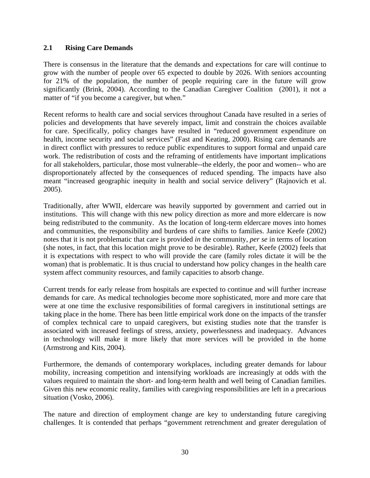#### **2.1 Rising Care Demands**

There is consensus in the literature that the demands and expectations for care will continue to grow with the number of people over 65 expected to double by 2026. With seniors accounting for 21% of the population, the number of people requiring care in the future will grow significantly (Brink, 2004). According to the Canadian Caregiver Coalition (2001), it not a matter of "if you become a caregiver, but when."

Recent reforms to health care and social services throughout Canada have resulted in a series of policies and developments that have severely impact, limit and constrain the choices available for care. Specifically, policy changes have resulted in "reduced government expenditure on health, income security and social services" (Fast and Keating, 2000). Rising care demands are in direct conflict with pressures to reduce public expenditures to support formal and unpaid care work. The redistribution of costs and the reframing of entitlements have important implications for all stakeholders, particular, those most vulnerable--the elderly, the poor and women-- who are disproportionately affected by the consequences of reduced spending. The impacts have also meant "increased geographic inequity in health and social service delivery" (Rajnovich et al. 2005).

Traditionally, after WWII, eldercare was heavily supported by government and carried out in institutions. This will change with this new policy direction as more and more eldercare is now being redistributed to the community. As the location of long-term eldercare moves into homes and communities, the responsibility and burdens of care shifts to families. Janice Keefe (2002) notes that it is not problematic that care is provided *in* the community, *per se* in terms of location (she notes, in fact, that this location might prove to be desirable). Rather, Keefe (2002) feels that it is expectations with respect to who will provide the care (family roles dictate it will be the woman) that is problematic. It is thus crucial to understand how policy changes in the health care system affect community resources, and family capacities to absorb change.

Current trends for early release from hospitals are expected to continue and will further increase demands for care. As medical technologies become more sophisticated, more and more care that were at one time the exclusive responsibilities of formal caregivers in institutional settings are taking place in the home. There has been little empirical work done on the impacts of the transfer of complex technical care to unpaid caregivers, but existing studies note that the transfer is associated with increased feelings of stress, anxiety, powerlessness and inadequacy. Advances in technology will make it more likely that more services will be provided in the home (Armstrong and Kits, 2004).

Furthermore, the demands of contemporary workplaces, including greater demands for labour mobility, increasing competition and intensifying workloads are increasingly at odds with the values required to maintain the short- and long-term health and well being of Canadian families. Given this new economic reality, families with caregiving responsibilities are left in a precarious situation (Vosko, 2006).

The nature and direction of employment change are key to understanding future caregiving challenges. It is contended that perhaps "government retrenchment and greater deregulation of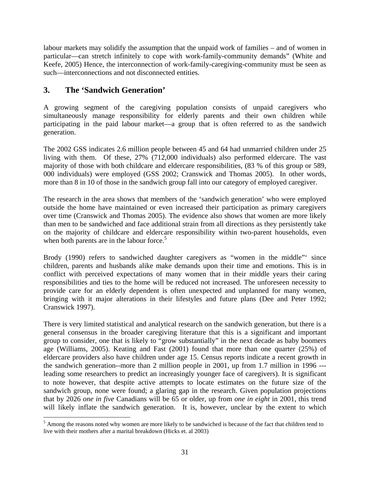labour markets may solidify the assumption that the unpaid work of families – and of women in particular—can stretch infinitely to cope with work-family-community demands" (White and Keefe, 2005) Hence, the interconnection of work-family-caregiving-community must be seen as such—interconnections and not disconnected entities.

## **3. The 'Sandwich Generation'**

A growing segment of the caregiving population consists of unpaid caregivers who simultaneously manage responsibility for elderly parents and their own children while participating in the paid labour market—a group that is often referred to as the sandwich generation.

The 2002 GSS indicates 2.6 million people between 45 and 64 had unmarried children under 25 living with them. Of these, 27% (712,000 individuals) also performed eldercare. The vast majority of those with both childcare and eldercare responsibilities, (83 % of this group or 589, 000 individuals) were employed (GSS 2002; Cranswick and Thomas 2005). In other words, more than 8 in 10 of those in the sandwich group fall into our category of employed caregiver.

The research in the area shows that members of the 'sandwich generation' who were employed outside the home have maintained or even increased their participation as primary caregivers over time (Cranswick and Thomas 2005). The evidence also shows that women are more likely than men to be sandwiched and face additional strain from all directions as they persistently take on the majority of childcare and eldercare responsibility within two-parent households, even when both parents are in the labour force.<sup>5</sup>

Brody (1990) refers to sandwiched daughter caregivers as "women in the middle" since children, parents and husbands alike make demands upon their time and emotions. This is in conflict with perceived expectations of many women that in their middle years their caring responsibilities and ties to the home will be reduced not increased. The unforeseen necessity to provide care for an elderly dependent is often unexpected and unplanned for many women, bringing with it major alterations in their lifestyles and future plans (Dee and Peter 1992; Cranswick 1997).

There is very limited statistical and analytical research on the sandwich generation, but there is a general consensus in the broader caregiving literature that this is a significant and important group to consider, one that is likely to "grow substantially" in the next decade as baby boomers age (Williams, 2005). Keating and Fast (2001) found that more than one quarter (25%) of eldercare providers also have children under age 15. Census reports indicate a recent growth in the sandwich generation--more than 2 million people in 2001, up from 1.7 million in 1996 -- leading some researchers to predict an increasingly younger face of caregivers). It is significant to note however, that despite active attempts to locate estimates on the future size of the sandwich group, none were found; a glaring gap in the research. Given population projections that by 2026 *one in five* Canadians will be 65 or older, up from *one in eight* in 2001, this trend will likely inflate the sandwich generation. It is, however, unclear by the extent to which

<sup>&</sup>lt;sup>5</sup> Among the reasons noted why women are more likely to be sandwiched is because of the fact that children tend to live with their mothers after a marital breakdown (Hicks et. al 2003)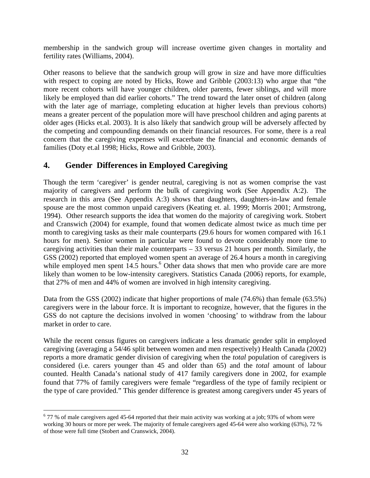membership in the sandwich group will increase overtime given changes in mortality and fertility rates (Williams, 2004).

Other reasons to believe that the sandwich group will grow in size and have more difficulties with respect to coping are noted by Hicks, Rowe and Gribble (2003:13) who argue that "the more recent cohorts will have younger children, older parents, fewer siblings, and will more likely be employed than did earlier cohorts." The trend toward the later onset of children (along with the later age of marriage, completing education at higher levels than previous cohorts) means a greater percent of the population more will have preschool children and aging parents at older ages (Hicks et.al. 2003). It is also likely that sandwich group will be adversely affected by the competing and compounding demands on their financial resources. For some, there is a real concern that the caregiving expenses will exacerbate the financial and economic demands of families (Doty et.al 1998; Hicks, Rowe and Gribble, 2003).

# **4. Gender Differences in Employed Caregiving**

 $\overline{a}$ 

Though the term 'caregiver' is gender neutral, caregiving is not as women comprise the vast majority of caregivers and perform the bulk of caregiving work (See Appendix A:2). The research in this area (See Appendix A:3) shows that daughters, daughters-in-law and female spouse are the most common unpaid caregivers (Keating et. al. 1999; Morris 2001; Armstrong, 1994). Other research supports the idea that women do the majority of caregiving work. Stobert and Cranswich (2004) for example, found that women dedicate almost twice as much time per month to caregiving tasks as their male counterparts (29.6 hours for women compared with 16.1 hours for men). Senior women in particular were found to devote considerably more time to caregiving activities than their male counterparts  $-33$  versus 21 hours per month. Similarly, the GSS (2002) reported that employed women spent an average of 26.4 hours a month in caregiving while employed men spent  $14.5$  hours.<sup>6</sup> Other data shows that men who provide care are more likely than women to be low-intensity caregivers. Statistics Canada (2006) reports, for example, that 27% of men and 44% of women are involved in high intensity caregiving.

Data from the GSS (2002) indicate that higher proportions of male (74.6%) than female (63.5%) caregivers were in the labour force. It is important to recognize, however, that the figures in the GSS do not capture the decisions involved in women 'choosing' to withdraw from the labour market in order to care.

While the recent census figures on caregivers indicate a less dramatic gender split in employed caregiving (averaging a 54/46 split between women and men respectively) Health Canada (2002) reports a more dramatic gender division of caregiving when the *total* population of caregivers is considered (i.e. carers younger than 45 and older than 65) and the *total* amount of labour counted. Health Canada's national study of 417 family caregivers done in 2002, for example found that 77% of family caregivers were female "regardless of the type of family recipient or the type of care provided." This gender difference is greatest among caregivers under 45 years of

 $677%$  of male caregivers aged 45-64 reported that their main activity was working at a job; 93% of whom were working 30 hours or more per week. The majority of female caregivers aged 45-64 were also working (63%), 72 % of those were full time (Stobert and Cranswick, 2004).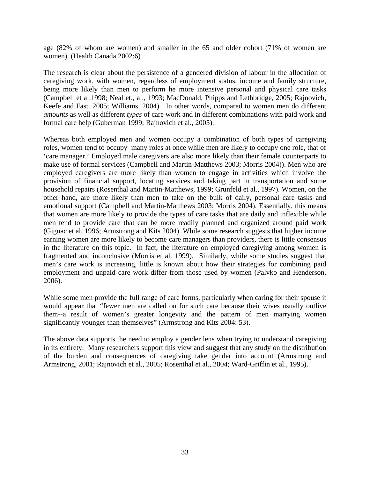age (82% of whom are women) and smaller in the 65 and older cohort (71% of women are women). (Health Canada 2002:6)

The research is clear about the persistence of a gendered division of labour in the allocation of caregiving work, with women, regardless of employment status, income and family structure, being more likely than men to perform he more intensive personal and physical care tasks (Campbell et al.1998; Neal et., al., 1993; MacDonald, Phipps and Lethbridge, 2005; Rajnovich, Keefe and Fast. 2005; Williams, 2004). In other words, compared to women men do different *amounts* as well as different *types* of care work and in different combinations with paid work and formal care help (Guberman 1999; Rajnovich et al., 2005).

Whereas both employed men and women occupy a combination of both types of caregiving roles, women tend to occupy many roles at once while men are likely to occupy one role, that of 'care manager.' Employed male caregivers are also more likely than their female counterparts to make use of formal services (Campbell and Martin-Matthews 2003; Morris 2004)). Men who are employed caregivers are more likely than women to engage in activities which involve the provision of financial support, locating services and taking part in transportation and some household repairs (Rosenthal and Martin-Matthews, 1999; Grunfeld et al., 1997). Women, on the other hand, are more likely than men to take on the bulk of daily, personal care tasks and emotional support (Campbell and Martin-Matthews 2003; Morris 2004). Essentially, this means that women are more likely to provide the types of care tasks that are daily and inflexible while men tend to provide care that can be more readily planned and organized around paid work (Gignac et al. 1996; Armstrong and Kits 2004). While some research suggests that higher income earning women are more likely to become care managers than providers, there is little consensus in the literature on this topic. In fact, the literature on employed caregiving among women is fragmented and inconclusive (Morris et al. 1999). Similarly, while some studies suggest that men's care work is increasing, little is known about how their strategies for combining paid employment and unpaid care work differ from those used by women (Palvko and Henderson, 2006).

While some men provide the full range of care forms, particularly when caring for their spouse it would appear that "fewer men are called on for such care because their wives usually outlive them--a result of women's greater longevity and the pattern of men marrying women significantly younger than themselves" (Armstrong and Kits 2004: 53).

The above data supports the need to employ a gender lens when trying to understand caregiving in its entirety. Many researchers support this view and suggest that any study on the distribution of the burden and consequences of caregiving take gender into account (Armstrong and Armstrong, 2001; Rajnovich et al., 2005; Rosenthal et al., 2004; Ward-Griffin et al., 1995).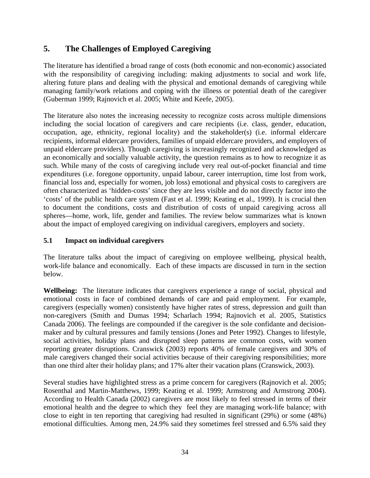# **5. The Challenges of Employed Caregiving**

The literature has identified a broad range of costs (both economic and non-economic) associated with the responsibility of caregiving including: making adjustments to social and work life, altering future plans and dealing with the physical and emotional demands of caregiving while managing family/work relations and coping with the illness or potential death of the caregiver (Guberman 1999; Rajnovich et al. 2005; White and Keefe, 2005).

The literature also notes the increasing necessity to recognize costs across multiple dimensions including the social location of caregivers and care recipients (i.e. class, gender, education, occupation, age, ethnicity, regional locality) and the stakeholder(s) (i.e. informal eldercare recipients, informal eldercare providers, families of unpaid eldercare providers, and employers of unpaid eldercare providers). Though caregiving is increasingly recognized and acknowledged as an economically and socially valuable activity, the question remains as to how to recognize it as such. While many of the costs of caregiving include very real out-of-pocket financial and time expenditures (i.e. foregone opportunity, unpaid labour, career interruption, time lost from work, financial loss and, especially for women, job loss) emotional and physical costs to caregivers are often characterized as 'hidden-costs' since they are less visible and do not directly factor into the 'costs' of the public health care system (Fast et al. 1999; Keating et al., 1999). It is crucial then to document the conditions, costs and distribution of costs of unpaid caregiving across all spheres—home, work, life, gender and families. The review below summarizes what is known about the impact of employed caregiving on individual caregivers, employers and society.

#### **5.1 Impact on individual caregivers**

The literature talks about the impact of caregiving on employee wellbeing, physical health, work-life balance and economically. Each of these impacts are discussed in turn in the section below.

**Wellbeing:**The literature indicates that caregivers experience a range of social, physical and emotional costs in face of combined demands of care and paid employment. For example, caregivers (especially women) consistently have higher rates of stress, depression and guilt than non-caregivers (Smith and Dumas 1994; Scharlach 1994; Rajnovich et al. 2005, Statistics Canada 2006). The feelings are compounded if the caregiver is the sole confidante and decisionmaker and by cultural pressures and family tensions (Jones and Peter 1992). Changes to lifestyle, social activities, holiday plans and disrupted sleep patterns are common costs, with women reporting greater disruptions. Cranswick (2003) reports 40% of female caregivers and 30% of male caregivers changed their social activities because of their caregiving responsibilities; more than one third alter their holiday plans; and 17% alter their vacation plans (Cranswick, 2003).

Several studies have highlighted stress as a prime concern for caregivers (Rajnovich et al. 2005; Rosenthal and Martin-Matthews, 1999; Keating et al. 1999; Armstrong and Armstrong 2004). According to Health Canada (2002) caregivers are most likely to feel stressed in terms of their emotional health and the degree to which they feel they are managing work-life balance; with close to eight in ten reporting that caregiving had resulted in significant (29%) or some (48%) emotional difficulties. Among men, 24.9% said they sometimes feel stressed and 6.5% said they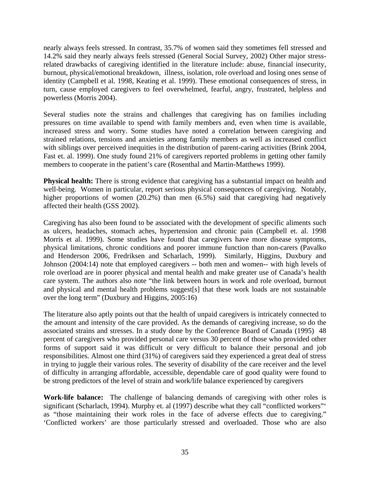nearly always feels stressed. In contrast, 35.7% of women said they sometimes fell stressed and 14.2% said they nearly always feels stressed (General Social Survey, 2002) Other major stressrelated drawbacks of caregiving identified in the literature include: abuse, financial insecurity, burnout, physical/emotional breakdown, illness, isolation, role overload and losing ones sense of identity (Campbell et al. 1998, Keating et al. 1999). These emotional consequences of stress, in turn, cause employed caregivers to feel overwhelmed, fearful, angry, frustrated, helpless and powerless (Morris 2004).

Several studies note the strains and challenges that caregiving has on families including pressures on time available to spend with family members and, even when time is available, increased stress and worry. Some studies have noted a correlation between caregiving and strained relations, tensions and anxieties among family members as well as increased conflict with siblings over perceived inequities in the distribution of parent-caring activities (Brink 2004, Fast et. al. 1999). One study found 21% of caregivers reported problems in getting other family members to cooperate in the patient's care (Rosenthal and Martin-Matthews 1999).

**Physical health:** There is strong evidence that caregiving has a substantial impact on health and well-being. Women in particular, report serious physical consequences of caregiving. Notably, higher proportions of women (20.2%) than men (6.5%) said that caregiving had negatively affected their health (GSS 2002).

Caregiving has also been found to be associated with the development of specific aliments such as ulcers, headaches, stomach aches, hypertension and chronic pain (Campbell et. al. 1998 Morris et al. 1999). Some studies have found that caregivers have more disease symptoms, physical limitations, chronic conditions and poorer immune function than non-carers (Pavalko and Henderson 2006, Fredriksen and Scharlach, 1999). Similarly, Higgins, Duxbury and Johnson (2004:14) note that employed caregivers -- both men and women-- with high levels of role overload are in poorer physical and mental health and make greater use of Canada's health care system. The authors also note "the link between hours in work and role overload, burnout and physical and mental health problems suggest[s] that these work loads are not sustainable over the long term" (Duxbury and Higgins, 2005:16)

The literature also aptly points out that the health of unpaid caregivers is intricately connected to the amount and intensity of the care provided. As the demands of caregiving increase, so do the associated strains and stresses. In a study done by the Conference Board of Canada (1995) 48 percent of caregivers who provided personal care versus 30 percent of those who provided other forms of support said it was difficult or very difficult to balance their personal and job responsibilities. Almost one third (31%) of caregivers said they experienced a great deal of stress in trying to juggle their various roles. The severity of disability of the care receiver and the level of difficulty in arranging affordable, accessible, dependable care of good quality were found to be strong predictors of the level of strain and work/life balance experienced by caregivers

**Work-life balance:** The challenge of balancing demands of caregiving with other roles is significant (Scharlach, 1994). Murphy et. al (1997) describe what they call "conflicted workers"<sup>\*</sup> as "those maintaining their work roles in the face of adverse effects due to caregiving." 'Conflicted workers' are those particularly stressed and overloaded. Those who are also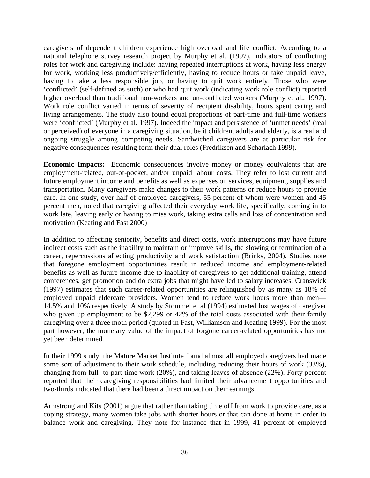caregivers of dependent children experience high overload and life conflict. According to a national telephone survey research project by Murphy et al. (1997), indicators of conflicting roles for work and caregiving include: having repeated interruptions at work, having less energy for work, working less productively/efficiently, having to reduce hours or take unpaid leave, having to take a less responsible job, or having to quit work entirely. Those who were 'conflicted' (self-defined as such) or who had quit work (indicating work role conflict) reported higher overload than traditional non-workers and un-conflicted workers (Murphy et al., 1997). Work role conflict varied in terms of severity of recipient disability, hours spent caring and living arrangements. The study also found equal proportions of part-time and full-time workers were 'conflicted' (Murphy et al. 1997). Indeed the impact and persistence of 'unmet needs' (real or perceived) of everyone in a caregiving situation, be it children, adults and elderly, is a real and ongoing struggle among competing needs. Sandwiched caregivers are at particular risk for negative consequences resulting form their dual roles (Fredriksen and Scharlach 1999).

**Economic Impacts:** Economic consequences involve money or money equivalents that are employment-related, out-of-pocket, and/or unpaid labour costs. They refer to lost current and future employment income and benefits as well as expenses on services, equipment, supplies and transportation. Many caregivers make changes to their work patterns or reduce hours to provide care. In one study, over half of employed caregivers, 55 percent of whom were women and 45 percent men, noted that caregiving affected their everyday work life, specifically, coming in to work late, leaving early or having to miss work, taking extra calls and loss of concentration and motivation (Keating and Fast 2000)

In addition to affecting seniority, benefits and direct costs, work interruptions may have future indirect costs such as the inability to maintain or improve skills, the slowing or termination of a career, repercussions affecting productivity and work satisfaction (Brinks, 2004). Studies note that foregone employment opportunities result in reduced income and employment-related benefits as well as future income due to inability of caregivers to get additional training, attend conferences, get promotion and do extra jobs that might have led to salary increases. Cranswick (1997) estimates that such career-related opportunities are relinquished by as many as 18% of employed unpaid eldercare providers. Women tend to reduce work hours more than men— 14.5% and 10% respectively. A study by Stommel et al (1994) estimated lost wages of caregiver who given up employment to be \$2,299 or 42% of the total costs associated with their family caregiving over a three moth period (quoted in Fast, Williamson and Keating 1999). For the most part however, the monetary value of the impact of forgone career-related opportunities has not yet been determined.

In their 1999 study, the Mature Market Institute found almost all employed caregivers had made some sort of adjustment to their work schedule, including reducing their hours of work (33%), changing from full- to part-time work (20%), and taking leaves of absence (22%). Forty percent reported that their caregiving responsibilities had limited their advancement opportunities and two-thirds indicated that there had been a direct impact on their earnings.

Armstrong and Kits (2001) argue that rather than taking time off from work to provide care, as a coping strategy, many women take jobs with shorter hours or that can done at home in order to balance work and caregiving. They note for instance that in 1999, 41 percent of employed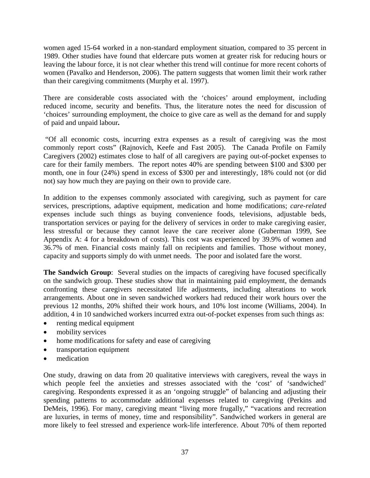women aged 15-64 worked in a non-standard employment situation, compared to 35 percent in 1989. Other studies have found that eldercare puts women at greater risk for reducing hours or leaving the labour force, it is not clear whether this trend will continue for more recent cohorts of women (Pavalko and Henderson, 2006). The pattern suggests that women limit their work rather than their caregiving commitments (Murphy et al. 1997).

There are considerable costs associated with the 'choices' around employment, including reduced income, security and benefits. Thus, the literature notes the need for discussion of 'choices' surrounding employment, the choice to give care as well as the demand for and supply of paid and unpaid labour*.* 

 "Of all economic costs, incurring extra expenses as a result of caregiving was the most commonly report costs" (Rajnovich, Keefe and Fast 2005). The Canada Profile on Family Caregivers (2002) estimates close to half of all caregivers are paying out-of-pocket expenses to care for their family members. The report notes 40% are spending between \$100 and \$300 per month, one in four (24%) spend in excess of \$300 per and interestingly, 18% could not (or did not) say how much they are paying on their own to provide care.

In addition to the expenses commonly associated with caregiving, such as payment for care services, prescriptions, adaptive equipment, medication and home modifications; *care-related* expenses include such things as buying convenience foods, televisions, adjustable beds, transportation services or paying for the delivery of services in order to make caregiving easier, less stressful or because they cannot leave the care receiver alone (Guberman 1999, See Appendix A: 4 for a breakdown of costs). This cost was experienced by 39.9% of women and 36.7% of men. Financial costs mainly fall on recipients and families. Those without money, capacity and supports simply do with unmet needs. The poor and isolated fare the worst.

**The Sandwich Group**: Several studies on the impacts of caregiving have focused specifically on the sandwich group. These studies show that in maintaining paid employment, the demands confronting these caregivers necessitated life adjustments, including alterations to work arrangements. About one in seven sandwiched workers had reduced their work hours over the previous 12 months, 20% shifted their work hours, and 10% lost income (Williams, 2004). In addition, 4 in 10 sandwiched workers incurred extra out-of-pocket expenses from such things as:

- renting medical equipment
- mobility services
- home modifications for safety and ease of caregiving
- transportation equipment
- medication

One study, drawing on data from 20 qualitative interviews with caregivers, reveal the ways in which people feel the anxieties and stresses associated with the 'cost' of 'sandwiched' caregiving. Respondents expressed it as an 'ongoing struggle" of balancing and adjusting their spending patterns to accommodate additional expenses related to caregiving (Perkins and DeMeis, 1996). For many, caregiving meant "living more frugally," "vacations and recreation are luxuries, in terms of money, time and responsibility". Sandwiched workers in general are more likely to feel stressed and experience work-life interference. About 70% of them reported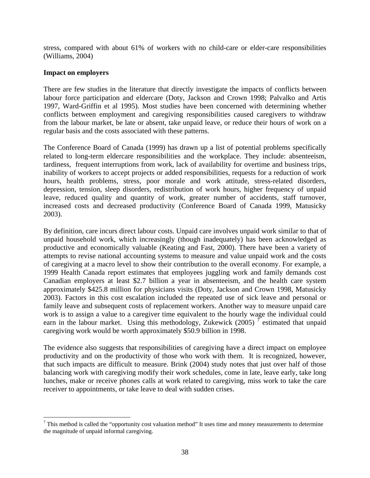stress, compared with about 61% of workers with no child-care or elder-care responsibilities (Williams, 2004)

#### **Impact on employers**

 $\overline{a}$ 

There are few studies in the literature that directly investigate the impacts of conflicts between labour force participation and eldercare (Doty, Jackson and Crown 1998; Palvalko and Artis 1997, Ward-Griffin et al 1995). Most studies have been concerned with determining whether conflicts between employment and caregiving responsibilities caused caregivers to withdraw from the labour market, be late or absent, take unpaid leave, or reduce their hours of work on a regular basis and the costs associated with these patterns.

The Conference Board of Canada (1999) has drawn up a list of potential problems specifically related to long-term eldercare responsibilities and the workplace. They include: absenteeism, tardiness, frequent interruptions from work, lack of availability for overtime and business trips, inability of workers to accept projects or added responsibilities, requests for a reduction of work hours, health problems, stress, poor morale and work attitude, stress-related disorders, depression, tension, sleep disorders, redistribution of work hours, higher frequency of unpaid leave, reduced quality and quantity of work, greater number of accidents, staff turnover, increased costs and decreased productivity (Conference Board of Canada 1999, Matusicky 2003).

By definition, care incurs direct labour costs. Unpaid care involves unpaid work similar to that of unpaid household work, which increasingly (though inadequately) has been acknowledged as productive and economically valuable (Keating and Fast, 2000). There have been a variety of attempts to revise national accounting systems to measure and value unpaid work and the costs of caregiving at a macro level to show their contribution to the overall economy. For example, a 1999 Health Canada report estimates that employees juggling work and family demands cost Canadian employers at least \$2.7 billion a year in absenteeism, and the health care system approximately \$425.8 million for physicians visits (Doty, Jackson and Crown 1998, Matusicky 2003). Factors in this cost escalation included the repeated use of sick leave and personal or family leave and subsequent costs of replacement workers. Another way to measure unpaid care work is to assign a value to a caregiver time equivalent to the hourly wage the individual could earn in the labour market. Using this methodology, Zukewick  $(2005)^{\frac{7}{2}}$  estimated that unpaid caregiving work would be worth approximately \$50.9 billion in 1998.

The evidence also suggests that responsibilities of caregiving have a direct impact on employee productivity and on the productivity of those who work with them. It is recognized, however, that such impacts are difficult to measure. Brink (2004) study notes that just over half of those balancing work with caregiving modify their work schedules, come in late, leave early, take long lunches, make or receive phones calls at work related to caregiving, miss work to take the care receiver to appointments, or take leave to deal with sudden crises.

 $<sup>7</sup>$  This method is called the "opportunity cost valuation method" It uses time and money measurements to determine</sup> the magnitude of unpaid informal caregiving.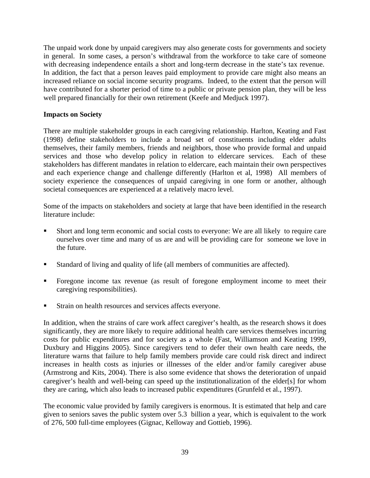The unpaid work done by unpaid caregivers may also generate costs for governments and society in general. In some cases, a person's withdrawal from the workforce to take care of someone with decreasing independence entails a short and long-term decrease in the state's tax revenue. In addition, the fact that a person leaves paid employment to provide care might also means an increased reliance on social income security programs. Indeed, to the extent that the person will have contributed for a shorter period of time to a public or private pension plan, they will be less well prepared financially for their own retirement (Keefe and Medjuck 1997).

#### **Impacts on Society**

There are multiple stakeholder groups in each caregiving relationship. Harlton, Keating and Fast (1998) define stakeholders to include a broad set of constituents including elder adults themselves, their family members, friends and neighbors, those who provide formal and unpaid services and those who develop policy in relation to eldercare services. Each of these stakeholders has different mandates in relation to eldercare, each maintain their own perspectives and each experience change and challenge differently (Harlton et al, 1998) All members of society experience the consequences of unpaid caregiving in one form or another, although societal consequences are experienced at a relatively macro level.

Some of the impacts on stakeholders and society at large that have been identified in the research literature include:

- Short and long term economic and social costs to everyone: We are all likely to require care ourselves over time and many of us are and will be providing care for someone we love in the future.
- Standard of living and quality of life (all members of communities are affected).
- Foregone income tax revenue (as result of foregone employment income to meet their caregiving responsibilities).
- Strain on health resources and services affects everyone.

In addition, when the strains of care work affect caregiver's health, as the research shows it does significantly, they are more likely to require additional health care services themselves incurring costs for public expenditures and for society as a whole (Fast, Williamson and Keating 1999, Duxbury and Higgins 2005). Since caregivers tend to defer their own health care needs, the literature warns that failure to help family members provide care could risk direct and indirect increases in health costs as injuries or illnesses of the elder and/or family caregiver abuse (Armstrong and Kits, 2004). There is also some evidence that shows the deterioration of unpaid caregiver's health and well-being can speed up the institutionalization of the elder[s] for whom they are caring, which also leads to increased public expenditures (Grunfeld et al., 1997).

The economic value provided by family caregivers is enormous. It is estimated that help and care given to seniors saves the public system over 5.3 billion a year, which is equivalent to the work of 276, 500 full-time employees (Gignac, Kelloway and Gottieb, 1996).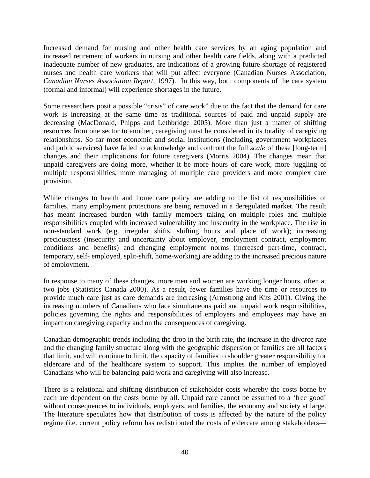Increased demand for nursing and other health care services by an aging population and increased retirement of workers in nursing and other health care fields, along with a predicted inadequate number of new graduates, are indications of a growing future shortage of registered nurses and health care workers that will put affect everyone (Canadian Nurses Association, *Canadian Nurses Association Report*, 1997). In this way, both components of the care system (formal and informal) will experience shortages in the future.

Some researchers posit a possible "crisis" of care work" due to the fact that the demand for care work is increasing at the same time as traditional sources of paid and unpaid supply are decreasing (MacDonald, Phipps and Lethbridge 2005). More than just a matter of shifting resources from one sector to another, caregiving must be considered in its totality of caregiving relationships. So far most economic and social institutions (including government workplaces and public services) have failed to acknowledge and confront the full *scale* of these [long-term] changes and their implications for future caregivers (Morris 2004). The changes mean that unpaid caregivers are doing more, whether it be more hours of care work, more juggling of multiple responsibilities, more managing of multiple care providers and more complex care provision.

While changes to health and home care policy are adding to the list of responsibilities of families, many employment protections are being removed in a deregulated market. The result has meant increased burden with family members taking on multiple roles and multiple responsibilities coupled with increased vulnerability and insecurity in the workplace. The rise in non-standard work (e.g. irregular shifts, shifting hours and place of work); increasing preciousness (insecurity and uncertainty about employer, employment contract, employment conditions and benefits) and changing employment norms (increased part-time, contract, temporary, self- employed, split-shift, home-working) are adding to the increased precious nature of employment.

In response to many of these changes, more men and women are working longer hours, often at two jobs (Statistics Canada 2000). As a result, fewer families have the time or resources to provide much care just as care demands are increasing (Armstrong and Kits 2001). Giving the increasing numbers of Canadians who face simultaneous paid and unpaid work responsibilities, policies governing the rights and responsibilities of employers and employees may have an impact on caregiving capacity and on the consequences of caregiving.

Canadian demographic trends including the drop in the birth rate, the increase in the divorce rate and the changing family structure along with the geographic dispersion of families are all factors that limit, and will continue to limit, the capacity of families to shoulder greater responsibility for eldercare and of the healthcare system to support. This implies the number of employed Canadians who will be balancing paid work and caregiving will also increase.

There is a relational and shifting distribution of stakeholder costs whereby the costs borne by each are dependent on the costs borne by all. Unpaid care cannot be assumed to a 'free good' without consequences to individuals, employers, and families, the economy and society at large. The literature speculates how that distribution of costs is affected by the nature of the policy regime (i.e. current policy reform has redistributed the costs of eldercare among stakeholders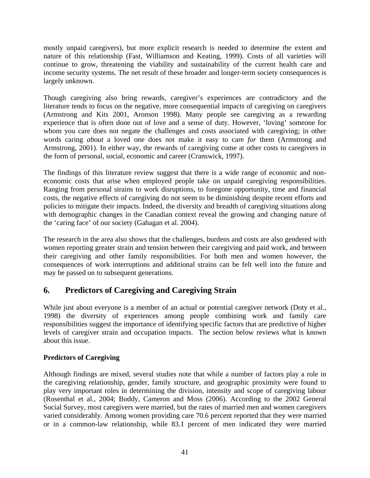mostly unpaid caregivers), but more explicit research is needed to determine the extent and nature of this relationship (Fast, Williamson and Keating, 1999). Costs of all varieties will continue to grow, threatening the viability and sustainability of the current health care and income security systems. The net result of these broader and longer-term society consequences is largely unknown.

Though caregiving also bring rewards, caregiver's experiences are contradictory and the literature tends to focus on the negative, more consequential impacts of caregiving on caregivers (Armstrong and Kits 2001, Aronson 1998). Many people see caregiving as a rewarding experience that is often done out of love and a sense of duty. However, 'loving' someone for whom you care does not negate the challenges and costs associated with caregiving; in other words caring *about* a loved one does not make it easy to care *for* them (Armstrong and Armstrong, 2001). In either way, the rewards of caregiving come at other costs to caregivers in the form of personal, social, economic and career (Cranswick, 1997).

The findings of this literature review suggest that there is a wide range of economic and noneconomic costs that arise when employed people take on unpaid caregiving responsibilities. Ranging from personal strains to work disruptions, to foregone opportunity, time and financial costs, the negative effects of caregiving do not seem to be diminishing despite recent efforts and policies to mitigate their impacts. Indeed, the diversity and breadth of caregiving situations along with demographic changes in the Canadian context reveal the growing and changing nature of the 'caring face' of our society (Gahagan et al. 2004).

The research in the area also shows that the challenges, burdens and costs are also gendered with women reporting greater strain and tension between their caregiving and paid work, and between their caregiving and other family responsibilities. For both men and women however, the consequences of work interruptions and additional strains can be felt well into the future and may be passed on to subsequent generations.

# **6. Predictors of Caregiving and Caregiving Strain**

While just about everyone is a member of an actual or potential caregiver network (Doty et al., 1998) the diversity of experiences among people combining work and family care responsibilities suggest the importance of identifying specific factors that are predictive of higher levels of caregiver strain and occupation impacts. The section below reviews what is known about this issue.

# **Predictors of Caregiving**

Although findings are mixed, several studies note that while a number of factors play a role in the caregiving relationship, gender, family structure, and geographic proximity were found to play very important roles in determining the division, intensity and scope of caregiving labour (Rosenthal et al., 2004; Boddy, Cameron and Moss (2006). According to the 2002 General Social Survey, most caregivers were married, but the rates of married men and women caregivers varied considerably. Among women providing care 70.6 percent reported that they were married or in a common-law relationship, while 83.1 percent of men indicated they were married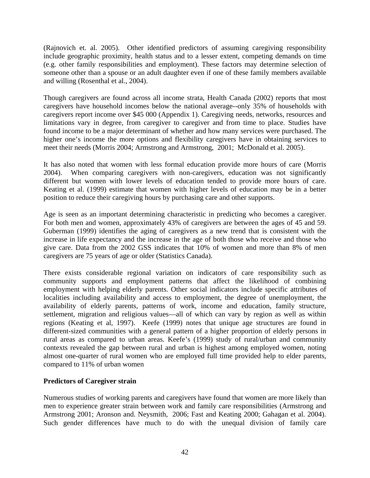(Rajnovich et. al. 2005). Other identified predictors of assuming caregiving responsibility include geographic proximity, health status and to a lesser extent, competing demands on time (e.g. other family responsibilities and employment). These factors may determine selection of someone other than a spouse or an adult daughter even if one of these family members available and willing (Rosenthal et al., 2004).

Though caregivers are found across all income strata, Health Canada (2002) reports that most caregivers have household incomes below the national average--only 35% of households with caregivers report income over \$45 000 (Appendix 1). Caregiving needs, networks, resources and limitations vary in degree, from caregiver to caregiver and from time to place. Studies have found income to be a major determinant of whether and how many services were purchased. The higher one's income the more options and flexibility caregivers have in obtaining services to meet their needs (Morris 2004; Armstrong and Armstrong, 2001; McDonald et al. 2005).

It has also noted that women with less formal education provide more hours of care (Morris 2004). When comparing caregivers with non-caregivers, education was not significantly different but women with lower levels of education tended to provide more hours of care. Keating et al. (1999) estimate that women with higher levels of education may be in a better position to reduce their caregiving hours by purchasing care and other supports.

Age is seen as an important determining characteristic in predicting who becomes a caregiver. For both men and women, approximately 43% of caregivers are between the ages of 45 and 59. Guberman (1999) identifies the aging of caregivers as a new trend that is consistent with the increase in life expectancy and the increase in the age of both those who receive and those who give care. Data from the 2002 GSS indicates that 10% of women and more than 8% of men caregivers are 75 years of age or older (Statistics Canada).

There exists considerable regional variation on indicators of care responsibility such as community supports and employment patterns that affect the likelihood of combining employment with helping elderly parents. Other social indicators include specific attributes of localities including availability and access to employment, the degree of unemployment, the availability of elderly parents, patterns of work, income and education, family structure, settlement, migration and religious values—all of which can vary by region as well as within regions (Keating et al, 1997). Keefe (1999) notes that unique age structures are found in different-sized communities with a general pattern of a higher proportion of elderly persons in rural areas as compared to urban areas. Keefe's (1999) study of rural/urban and community contexts revealed the gap between rural and urban is highest among employed women, noting almost one-quarter of rural women who are employed full time provided help to elder parents, compared to 11% of urban women

### **Predictors of Caregiver strain**

Numerous studies of working parents and caregivers have found that women are more likely than men to experience greater strain between work and family care responsibilities (Armstrong and Armstrong 2001; Aronson and. Neysmith, 2006; Fast and Keating 2000; Gahagan et al. 2004). Such gender differences have much to do with the unequal division of family care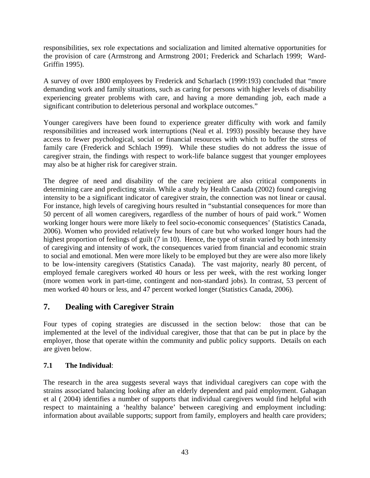responsibilities, sex role expectations and socialization and limited alternative opportunities for the provision of care (Armstrong and Armstrong 2001; Frederick and Scharlach 1999; Ward-Griffin 1995).

A survey of over 1800 employees by Frederick and Scharlach (1999:193) concluded that "more demanding work and family situations, such as caring for persons with higher levels of disability experiencing greater problems with care, and having a more demanding job, each made a significant contribution to deleterious personal and workplace outcomes."

Younger caregivers have been found to experience greater difficulty with work and family responsibilities and increased work interruptions (Neal et al. 1993) possibly because they have access to fewer psychological, social or financial resources with which to buffer the stress of family care (Frederick and Schlach 1999). While these studies do not address the issue of caregiver strain, the findings with respect to work-life balance suggest that younger employees may also be at higher risk for caregiver strain.

The degree of need and disability of the care recipient are also critical components in determining care and predicting strain. While a study by Health Canada (2002) found caregiving intensity to be a significant indicator of caregiver strain, the connection was not linear or causal. For instance, high levels of caregiving hours resulted in "substantial consequences for more than 50 percent of all women caregivers, regardless of the number of hours of paid work." Women working longer hours were more likely to feel socio-economic consequences' (Statistics Canada, 2006). Women who provided relatively few hours of care but who worked longer hours had the highest proportion of feelings of guilt (7 in 10). Hence, the type of strain varied by both intensity of caregiving and intensity of work, the consequences varied from financial and economic strain to social and emotional. Men were more likely to be employed but they are were also more likely to be low-intensity caregivers (Statistics Canada). The vast majority, nearly 80 percent, of employed female caregivers worked 40 hours or less per week, with the rest working longer (more women work in part-time, contingent and non-standard jobs). In contrast, 53 percent of men worked 40 hours or less, and 47 percent worked longer (Statistics Canada, 2006).

# **7. Dealing with Caregiver Strain**

Four types of coping strategies are discussed in the section below: those that can be implemented at the level of the individual caregiver, those that that can be put in place by the employer, those that operate within the community and public policy supports. Details on each are given below.

# **7.1 The Individual**:

The research in the area suggests several ways that individual caregivers can cope with the strains associated balancing looking after an elderly dependent and paid employment. Gahagan et al ( 2004) identifies a number of supports that individual caregivers would find helpful with respect to maintaining a 'healthy balance' between caregiving and employment including: information about available supports; support from family, employers and health care providers;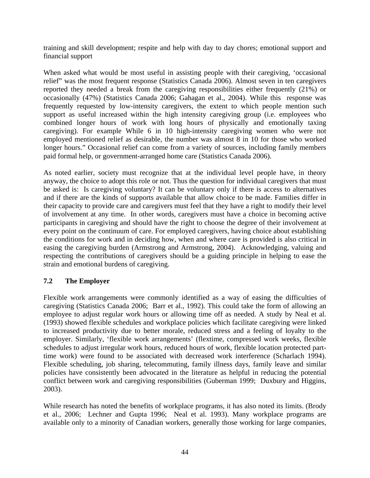training and skill development; respite and help with day to day chores; emotional support and financial support

When asked what would be most useful in assisting people with their caregiving, 'occasional relief" was the most frequent response (Statistics Canada 2006). Almost seven in ten caregivers reported they needed a break from the caregiving responsibilities either frequently (21%) or occasionally (47%) (Statistics Canada 2006; Gahagan et al., 2004). While this response was frequently requested by low-intensity caregivers, the extent to which people mention such support as useful increased within the high intensity caregiving group (i.e. employees who combined longer hours of work with long hours of physically and emotionally taxing caregiving). For example While 6 in 10 high-intensity caregiving women who were not employed mentioned relief as desirable, the number was almost 8 in 10 for those who worked longer hours." Occasional relief can come from a variety of sources, including family members paid formal help, or government-arranged home care (Statistics Canada 2006).

As noted earlier, society must recognize that at the individual level people have, in theory anyway, the choice to adopt this role or not. Thus the question for individual caregivers that must be asked is: Is caregiving voluntary? It can be voluntary only if there is access to alternatives and if there are the kinds of supports available that allow choice to be made. Families differ in their capacity to provide care and caregivers must feel that they have a right to modify their level of involvement at any time. In other words, caregivers must have a choice in becoming active participants in caregiving and should have the right to choose the degree of their involvement at every point on the continuum of care. For employed caregivers, having choice about establishing the conditions for work and in deciding how, when and where care is provided is also critical in easing the caregiving burden (Armstrong and Armstrong, 2004). Acknowledging, valuing and respecting the contributions of caregivers should be a guiding principle in helping to ease the strain and emotional burdens of caregiving.

### **7.2 The Employer**

Flexible work arrangements were commonly identified as a way of easing the difficulties of caregiving (Statistics Canada 2006; Barr et al., 1992). This could take the form of allowing an employee to adjust regular work hours or allowing time off as needed. A study by Neal et al. (1993) showed flexible schedules and workplace policies which facilitate caregiving were linked to increased productivity due to better morale, reduced stress and a feeling of loyalty to the employer. Similarly, 'flexible work arrangements' (flextime, compressed work weeks, flexible schedules to adjust irregular work hours, reduced hours of work, flexible location protected parttime work) were found to be associated with decreased work interference (Scharlach 1994). Flexible scheduling, job sharing, telecommuting, family illness days, family leave and similar policies have consistently been advocated in the literature as helpful in reducing the potential conflict between work and caregiving responsibilities (Guberman 1999; Duxbury and Higgins, 2003).

While research has noted the benefits of workplace programs, it has also noted its limits. (Brody et al., 2006; Lechner and Gupta 1996; Neal et al. 1993). Many workplace programs are available only to a minority of Canadian workers, generally those working for large companies,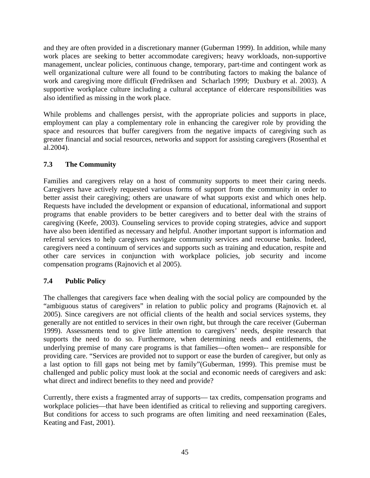and they are often provided in a discretionary manner (Guberman 1999). In addition, while many work places are seeking to better accommodate caregivers; heavy workloads, non-supportive management, unclear policies, continuous change, temporary, part-time and contingent work as well organizational culture were all found to be contributing factors to making the balance of work and caregiving more difficult **(**Fredriksen and Scharlach 1999; Duxbury et al. 2003). A supportive workplace culture including a cultural acceptance of eldercare responsibilities was also identified as missing in the work place.

While problems and challenges persist, with the appropriate policies and supports in place, employment can play a complementary role in enhancing the caregiver role by providing the space and resources that buffer caregivers from the negative impacts of caregiving such as greater financial and social resources, networks and support for assisting caregivers (Rosenthal et al.2004).

# **7.3 The Community**

Families and caregivers relay on a host of community supports to meet their caring needs. Caregivers have actively requested various forms of support from the community in order to better assist their caregiving; others are unaware of what supports exist and which ones help. Requests have included the development or expansion of educational, informational and support programs that enable providers to be better caregivers and to better deal with the strains of caregiving (Keefe, 2003). Counseling services to provide coping strategies, advice and support have also been identified as necessary and helpful. Another important support is information and referral services to help caregivers navigate community services and recourse banks. Indeed, caregivers need a continuum of services and supports such as training and education, respite and other care services in conjunction with workplace policies, job security and income compensation programs (Rajnovich et al 2005).

### **7.4 Public Policy**

The challenges that caregivers face when dealing with the social policy are compounded by the "ambiguous status of caregivers" in relation to public policy and programs (Rajnovich et. al 2005). Since caregivers are not official clients of the health and social services systems, they generally are not entitled to services in their own right, but through the care receiver (Guberman 1999). Assessments tend to give little attention to caregivers' needs, despite research that supports the need to do so. Furthermore, when determining needs and entitlements, the underlying premise of many care programs is that families—often women-- are responsible for providing care. "Services are provided not to support or ease the burden of caregiver, but only as a last option to fill gaps not being met by family"(Guberman, 1999). This premise must be challenged and public policy must look at the social and economic needs of caregivers and ask: what direct and indirect benefits to they need and provide?

Currently, there exists a fragmented array of supports— tax credits, compensation programs and workplace policies—that have been identified as critical to relieving and supporting caregivers. But conditions for access to such programs are often limiting and need reexamination (Eales, Keating and Fast, 2001).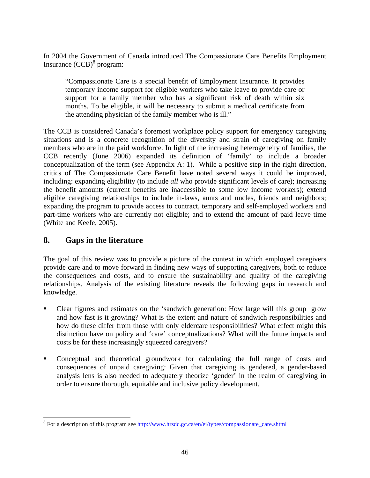In 2004 the Government of Canada introduced The Compassionate Care Benefits Employment Insurance (CCB)<sup>8</sup> program:

"Compassionate Care is a special benefit of Employment Insurance. It provides temporary income support for eligible workers who take leave to provide care or support for a family member who has a significant risk of death within six months. To be eligible, it will be necessary to submit a medical certificate from the attending physician of the family member who is ill."

The CCB is considered Canada's foremost workplace policy support for emergency caregiving situations and is a concrete recognition of the diversity and strain of caregiving on family members who are in the paid workforce. In light of the increasing heterogeneity of families, the CCB recently (June 2006) expanded its definition of 'family' to include a broader conceptualization of the term (see Appendix A: 1). While a positive step in the right direction, critics of The Compassionate Care Benefit have noted several ways it could be improved, including: expanding eligibility (to include *all* who provide significant levels of care); increasing the benefit amounts (current benefits are inaccessible to some low income workers); extend eligible caregiving relationships to include in-laws, aunts and uncles, friends and neighbors; expanding the program to provide access to contract, temporary and self-employed workers and part-time workers who are currently not eligible; and to extend the amount of paid leave time (White and Keefe, 2005).

# **8. Gaps in the literature**

The goal of this review was to provide a picture of the context in which employed caregivers provide care and to move forward in finding new ways of supporting caregivers, both to reduce the consequences and costs, and to ensure the sustainability and quality of the caregiving relationships. Analysis of the existing literature reveals the following gaps in research and knowledge.

- Clear figures and estimates on the 'sandwich generation: How large will this group grow and how fast is it growing? What is the extent and nature of sandwich responsibilities and how do these differ from those with only eldercare responsibilities? What effect might this distinction have on policy and 'care' conceptualizations? What will the future impacts and costs be for these increasingly squeezed caregivers?
- Conceptual and theoretical groundwork for calculating the full range of costs and consequences of unpaid caregiving: Given that caregiving is gendered, a gender-based analysis lens is also needed to adequately theorize 'gender' in the realm of caregiving in order to ensure thorough, equitable and inclusive policy development.

<sup>&</sup>lt;sup>8</sup> For a description of this program see <u>http://www.hrsdc.gc.ca/en/ei/types/compassionate\_care.shtml</u>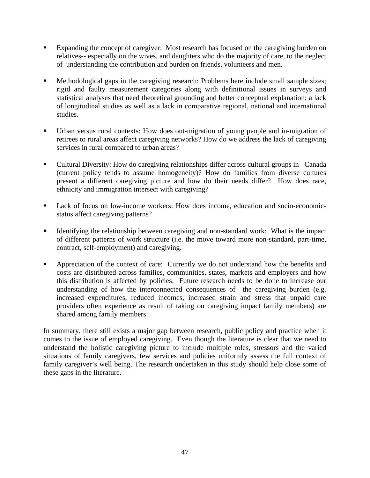- Expanding the concept of caregiver: Most research has focused on the caregiving burden on relatives-- especially on the wives, and daughters who do the majority of care, to the neglect of understanding the contribution and burden on friends, volunteers and men.
- Methodological gaps in the caregiving research: Problems here include small sample sizes; rigid and faulty measurement categories along with definitional issues in surveys and statistical analyses that need theoretical grounding and better conceptual explanation; a lack of longitudinal studies as well as a lack in comparative regional, national and international studies.
- Urban versus rural contexts: How does out-migration of young people and in-migration of retirees to rural areas affect caregiving networks? How do we address the lack of caregiving services in rural compared to urban areas?
- Cultural Diversity: How do caregiving relationships differ across cultural groups in Canada (current policy tends to assume homogeneity)? How do families from diverse cultures present a different caregiving picture and how do their needs differ? How does race, ethnicity and immigration intersect with caregiving?
- Lack of focus on low-income workers: How does income, education and socio-economicstatus affect caregiving patterns?
- Identifying the relationship between caregiving and non-standard work: What is the impact of different patterns of work structure (i.e. the move toward more non-standard, part-time, contract, self-employment) and caregiving.
- Appreciation of the context of care: Currently we do not understand how the benefits and costs are distributed across families, communities, states, markets and employers and how this distribution is affected by policies. Future research needs to be done to increase our understanding of how the interconnected consequences of the caregiving burden (e.g. increased expenditures, reduced incomes, increased strain and stress that unpaid care providers often experience as result of taking on caregiving impact family members) are shared among family members.

In summary, there still exists a major gap between research, public policy and practice when it comes to the issue of employed caregiving. Even though the literature is clear that we need to understand the holistic caregiving picture to include multiple roles, stressors and the varied situations of family caregivers, few services and policies uniformly assess the full context of family caregiver's well being. The research undertaken in this study should help close some of these gaps in the literature.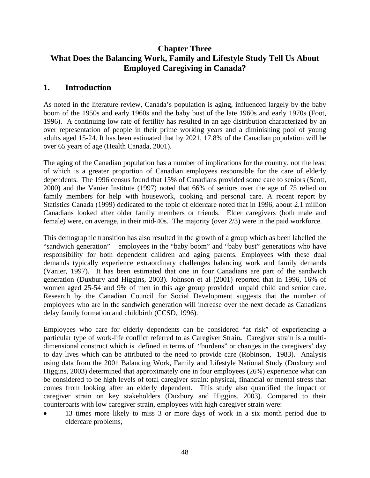# **Chapter Three What Does the Balancing Work, Family and Lifestyle Study Tell Us About Employed Caregiving in Canada?**

# **1. Introduction**

As noted in the literature review, Canada's population is aging, influenced largely by the baby boom of the 1950s and early 1960s and the baby bust of the late 1960s and early 1970s (Foot, 1996). A continuing low rate of fertility has resulted in an age distribution characterized by an over representation of people in their prime working years and a diminishing pool of young adults aged 15-24. It has been estimated that by 2021, 17.8% of the Canadian population will be over 65 years of age (Health Canada, 2001).

The aging of the Canadian population has a number of implications for the country, not the least of which is a greater proportion of Canadian employees responsible for the care of elderly dependents. The 1996 census found that 15% of Canadians provided some care to seniors (Scott, 2000) and the Vanier Institute (1997) noted that 66% of seniors over the age of 75 relied on family members for help with housework, cooking and personal care. A recent report by Statistics Canada (1999) dedicated to the topic of eldercare noted that in 1996, about 2.1 million Canadians looked after older family members or friends. Elder caregivers (both male and female) were, on average, in their mid-40s. The majority (over 2/3) were in the paid workforce.

This demographic transition has also resulted in the growth of a group which as been labelled the "sandwich generation" – employees in the "baby boom" and "baby bust" generations who have responsibility for both dependent children and aging parents. Employees with these dual demands typically experience extraordinary challenges balancing work and family demands (Vanier, 1997). It has been estimated that one in four Canadians are part of the sandwich generation (Duxbury and Higgins, 2003). Johnson et al (2001) reported that in 1996, 16% of women aged 25-54 and 9% of men in this age group provided unpaid child and senior care. Research by the Canadian Council for Social Development suggests that the number of employees who are in the sandwich generation will increase over the next decade as Canadians delay family formation and childbirth (CCSD, 1996).

Employees who care for elderly dependents can be considered "at risk" of experiencing a particular type of work-life conflict referred to as Caregiver Strain**.** Caregiver strain is a multidimensional construct which is defined in terms of "burdens" or changes in the caregivers' day to day lives which can be attributed to the need to provide care (Robinson, 1983). Analysis using data from the 2001 Balancing Work, Family and Lifestyle National Study (Duxbury and Higgins, 2003) determined that approximately one in four employees (26%) experience what can be considered to be high levels of total caregiver strain: physical, financial or mental stress that comes from looking after an elderly dependent. This study also quantified the impact of caregiver strain on key stakeholders (Duxbury and Higgins, 2003). Compared to their counterparts with low caregiver strain, employees with high caregiver strain were:

• 13 times more likely to miss 3 or more days of work in a six month period due to eldercare problems,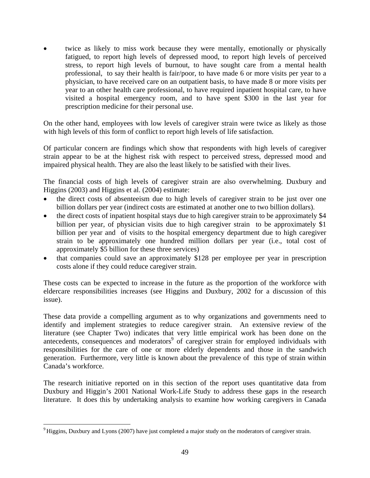twice as likely to miss work because they were mentally, emotionally or physically fatigued, to report high levels of depressed mood, to report high levels of perceived stress, to report high levels of burnout, to have sought care from a mental health professional, to say their health is fair/poor, to have made 6 or more visits per year to a physician, to have received care on an outpatient basis, to have made 8 or more visits per year to an other health care professional, to have required inpatient hospital care, to have visited a hospital emergency room, and to have spent \$300 in the last year for prescription medicine for their personal use.

On the other hand, employees with low levels of caregiver strain were twice as likely as those with high levels of this form of conflict to report high levels of life satisfaction.

Of particular concern are findings which show that respondents with high levels of caregiver strain appear to be at the highest risk with respect to perceived stress, depressed mood and impaired physical health. They are also the least likely to be satisfied with their lives.

The financial costs of high levels of caregiver strain are also overwhelming. Duxbury and Higgins (2003) and Higgins et al. (2004) estimate:

- the direct costs of absenteeism due to high levels of caregiver strain to be just over one billion dollars per year (indirect costs are estimated at another one to two billion dollars).
- the direct costs of inpatient hospital stays due to high caregiver strain to be approximately \$4 billion per year, of physician visits due to high caregiver strain to be approximately \$1 billion per year and of visits to the hospital emergency department due to high caregiver strain to be approximately one hundred million dollars per year (i.e., total cost of approximately \$5 billion for these three services)
- that companies could save an approximately \$128 per employee per year in prescription costs alone if they could reduce caregiver strain.

These costs can be expected to increase in the future as the proportion of the workforce with eldercare responsibilities increases (see Higgins and Duxbury, 2002 for a discussion of this issue).

These data provide a compelling argument as to why organizations and governments need to identify and implement strategies to reduce caregiver strain. An extensive review of the literature (see Chapter Two) indicates that very little empirical work has been done on the antecedents, consequences and moderators<sup>9</sup> of caregiver strain for employed individuals with responsibilities for the care of one or more elderly dependents and those in the sandwich generation. Furthermore, very little is known about the prevalence of this type of strain within Canada's workforce.

The research initiative reported on in this section of the report uses quantitative data from Duxbury and Higgin's 2001 National Work-Life Study to address these gaps in the research literature. It does this by undertaking analysis to examine how working caregivers in Canada

 $\overline{a}$ 

<sup>&</sup>lt;sup>9</sup> Higgins, Duxbury and Lyons (2007) have just completed a major study on the moderators of caregiver strain.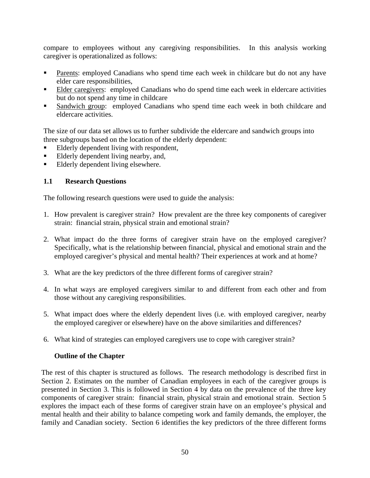compare to employees without any caregiving responsibilities. In this analysis working caregiver is operationalized as follows:

- Parents: employed Canadians who spend time each week in childcare but do not any have elder care responsibilities,
- Elder caregivers: employed Canadians who do spend time each week in eldercare activities but do not spend any time in childcare
- Sandwich group: employed Canadians who spend time each week in both childcare and eldercare activities.

The size of our data set allows us to further subdivide the eldercare and sandwich groups into three subgroups based on the location of the elderly dependent:

- Elderly dependent living with respondent,
- Elderly dependent living nearby, and,
- Elderly dependent living elsewhere.

### **1.1 Research Questions**

The following research questions were used to guide the analysis:

- 1. How prevalent is caregiver strain? How prevalent are the three key components of caregiver strain: financial strain, physical strain and emotional strain?
- 2. What impact do the three forms of caregiver strain have on the employed caregiver? Specifically, what is the relationship between financial, physical and emotional strain and the employed caregiver's physical and mental health? Their experiences at work and at home?
- 3. What are the key predictors of the three different forms of caregiver strain?
- 4. In what ways are employed caregivers similar to and different from each other and from those without any caregiving responsibilities.
- 5. What impact does where the elderly dependent lives (i.e. with employed caregiver, nearby the employed caregiver or elsewhere) have on the above similarities and differences?
- 6. What kind of strategies can employed caregivers use to cope with caregiver strain?

### **Outline of the Chapter**

The rest of this chapter is structured as follows. The research methodology is described first in Section 2. Estimates on the number of Canadian employees in each of the caregiver groups is presented in Section 3. This is followed in Section 4 by data on the prevalence of the three key components of caregiver strain: financial strain, physical strain and emotional strain. Section 5 explores the impact each of these forms of caregiver strain have on an employee's physical and mental health and their ability to balance competing work and family demands, the employer, the family and Canadian society. Section 6 identifies the key predictors of the three different forms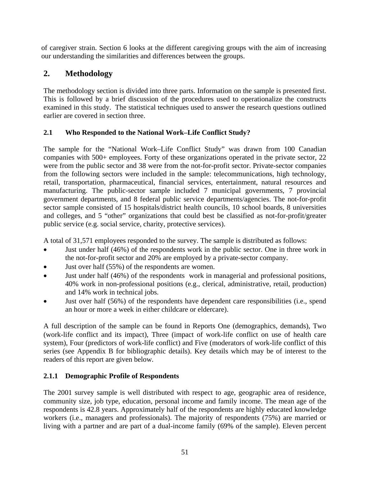of caregiver strain. Section 6 looks at the different caregiving groups with the aim of increasing our understanding the similarities and differences between the groups.

# **2. Methodology**

The methodology section is divided into three parts. Information on the sample is presented first. This is followed by a brief discussion of the procedures used to operationalize the constructs examined in this study. The statistical techniques used to answer the research questions outlined earlier are covered in section three.

# **2.1 Who Responded to the National Work–Life Conflict Study?**

The sample for the "National Work–Life Conflict Study" was drawn from 100 Canadian companies with 500+ employees. Forty of these organizations operated in the private sector, 22 were from the public sector and 38 were from the not-for-profit sector. Private-sector companies from the following sectors were included in the sample: telecommunications, high technology, retail, transportation, pharmaceutical, financial services, entertainment, natural resources and manufacturing. The public-sector sample included 7 municipal governments, 7 provincial government departments, and 8 federal public service departments/agencies. The not-for-profit sector sample consisted of 15 hospitals/district health councils, 10 school boards, 8 universities and colleges, and 5 "other" organizations that could best be classified as not-for-profit/greater public service (e.g. social service, charity, protective services).

A total of 31,571 employees responded to the survey. The sample is distributed as follows:

- Just under half (46%) of the respondents work in the public sector. One in three work in the not-for-profit sector and 20% are employed by a private-sector company.
- Just over half (55%) of the respondents are women.
- Just under half (46%) of the respondents work in managerial and professional positions, 40% work in non-professional positions (e.g., clerical, administrative, retail, production) and 14% work in technical jobs.
- Just over half (56%) of the respondents have dependent care responsibilities (i.e., spend an hour or more a week in either childcare or eldercare).

A full description of the sample can be found in Reports One (demographics, demands), Two (work-life conflict and its impact), Three (impact of work-life conflict on use of health care system), Four (predictors of work-life conflict) and Five (moderators of work-life conflict of this series (see Appendix B for bibliographic details). Key details which may be of interest to the readers of this report are given below.

# **2.1.1 Demographic Profile of Respondents**

The 2001 survey sample is well distributed with respect to age, geographic area of residence, community size, job type, education, personal income and family income. The mean age of the respondents is 42.8 years. Approximately half of the respondents are highly educated knowledge workers (i.e., managers and professionals). The majority of respondents (75%) are married or living with a partner and are part of a dual-income family (69% of the sample). Eleven percent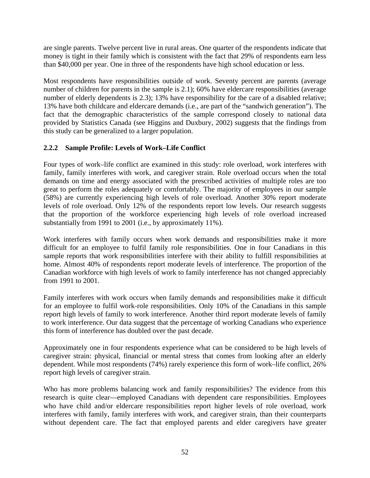are single parents. Twelve percent live in rural areas. One quarter of the respondents indicate that money is tight in their family which is consistent with the fact that 29% of respondents earn less than \$40,000 per year. One in three of the respondents have high school education or less.

Most respondents have responsibilities outside of work. Seventy percent are parents (average number of children for parents in the sample is 2.1); 60% have eldercare responsibilities (average number of elderly dependents is 2.3); 13% have responsibility for the care of a disabled relative; 13% have both childcare and eldercare demands (i.e., are part of the "sandwich generation"). The fact that the demographic characteristics of the sample correspond closely to national data provided by Statistics Canada (see Higgins and Duxbury, 2002) suggests that the findings from this study can be generalized to a larger population.

## **2.2.2 Sample Profile: Levels of Work–Life Conflict**

Four types of work–life conflict are examined in this study: role overload, work interferes with family, family interferes with work, and caregiver strain. Role overload occurs when the total demands on time and energy associated with the prescribed activities of multiple roles are too great to perform the roles adequately or comfortably. The majority of employees in our sample (58%) are currently experiencing high levels of role overload. Another 30% report moderate levels of role overload. Only 12% of the respondents report low levels. Our research suggests that the proportion of the workforce experiencing high levels of role overload increased substantially from 1991 to 2001 (i.e., by approximately 11%).

Work interferes with family occurs when work demands and responsibilities make it more difficult for an employee to fulfil family role responsibilities. One in four Canadians in this sample reports that work responsibilities interfere with their ability to fulfill responsibilities at home. Almost 40% of respondents report moderate levels of interference. The proportion of the Canadian workforce with high levels of work to family interference has not changed appreciably from 1991 to 2001.

Family interferes with work occurs when family demands and responsibilities make it difficult for an employee to fulfil work-role responsibilities. Only 10% of the Canadians in this sample report high levels of family to work interference. Another third report moderate levels of family to work interference. Our data suggest that the percentage of working Canadians who experience this form of interference has doubled over the past decade.

Approximately one in four respondents experience what can be considered to be high levels of caregiver strain: physical, financial or mental stress that comes from looking after an elderly dependent. While most respondents (74%) rarely experience this form of work–life conflict, 26% report high levels of caregiver strain.

Who has more problems balancing work and family responsibilities? The evidence from this research is quite clear—employed Canadians with dependent care responsibilities. Employees who have child and/or eldercare responsibilities report higher levels of role overload, work interferes with family, family interferes with work, and caregiver strain, than their counterparts without dependent care. The fact that employed parents and elder caregivers have greater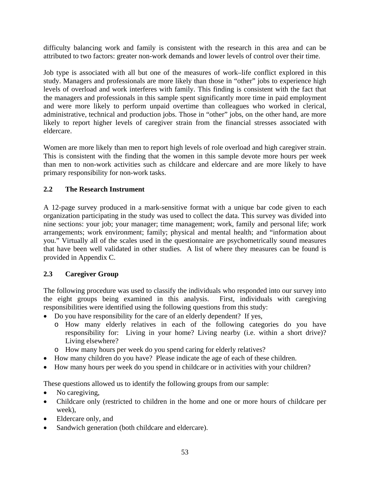difficulty balancing work and family is consistent with the research in this area and can be attributed to two factors: greater non-work demands and lower levels of control over their time.

Job type is associated with all but one of the measures of work–life conflict explored in this study. Managers and professionals are more likely than those in "other" jobs to experience high levels of overload and work interferes with family. This finding is consistent with the fact that the managers and professionals in this sample spent significantly more time in paid employment and were more likely to perform unpaid overtime than colleagues who worked in clerical, administrative, technical and production jobs. Those in "other" jobs, on the other hand, are more likely to report higher levels of caregiver strain from the financial stresses associated with eldercare.

Women are more likely than men to report high levels of role overload and high caregiver strain. This is consistent with the finding that the women in this sample devote more hours per week than men to non-work activities such as childcare and eldercare and are more likely to have primary responsibility for non-work tasks.

### **2.2 The Research Instrument**

A 12-page survey produced in a mark-sensitive format with a unique bar code given to each organization participating in the study was used to collect the data. This survey was divided into nine sections: your job; your manager; time management; work, family and personal life; work arrangements; work environment; family; physical and mental health; and "information about you." Virtually all of the scales used in the questionnaire are psychometrically sound measures that have been well validated in other studies. A list of where they measures can be found is provided in Appendix C.

### **2.3 Caregiver Group**

The following procedure was used to classify the individuals who responded into our survey into the eight groups being examined in this analysis. First, individuals with caregiving responsibilities were identified using the following questions from this study:

- Do you have responsibility for the care of an elderly dependent? If yes,
	- o How many elderly relatives in each of the following categories do you have responsibility for: Living in your home? Living nearby (i.e. within a short drive)? Living elsewhere?
	- o How many hours per week do you spend caring for elderly relatives?
- How many children do you have? Please indicate the age of each of these children.
- How many hours per week do you spend in childcare or in activities with your children?

These questions allowed us to identify the following groups from our sample:

- No caregiving,
- Childcare only (restricted to children in the home and one or more hours of childcare per week),
- Eldercare only, and
- Sandwich generation (both childcare and eldercare).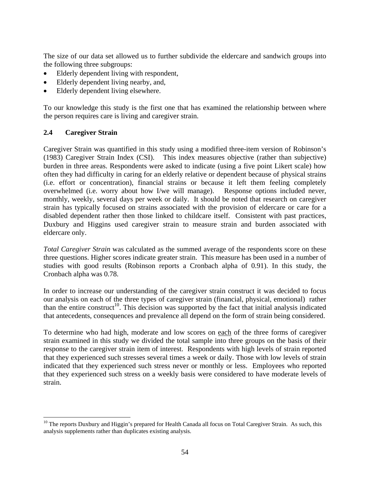The size of our data set allowed us to further subdivide the eldercare and sandwich groups into the following three subgroups:

- Elderly dependent living with respondent,
- Elderly dependent living nearby, and,
- Elderly dependent living elsewhere.

To our knowledge this study is the first one that has examined the relationship between where the person requires care is living and caregiver strain.

### **2.4 Caregiver Strain**

 $\overline{a}$ 

Caregiver Strain was quantified in this study using a modified three-item version of Robinson's (1983) Caregiver Strain Index (CSI). This index measures objective (rather than subjective) burden in three areas. Respondents were asked to indicate (using a five point Likert scale) how often they had difficulty in caring for an elderly relative or dependent because of physical strains (i.e. effort or concentration), financial strains or because it left them feeling completely overwhelmed (i.e. worry about how I/we will manage). Response options included never, monthly, weekly, several days per week or daily. It should be noted that research on caregiver strain has typically focused on strains associated with the provision of eldercare or care for a disabled dependent rather then those linked to childcare itself. Consistent with past practices, Duxbury and Higgins used caregiver strain to measure strain and burden associated with eldercare only.

*Total Caregiver Strain* was calculated as the summed average of the respondents score on these three questions. Higher scores indicate greater strain. This measure has been used in a number of studies with good results (Robinson reports a Cronbach alpha of 0.91). In this study, the Cronbach alpha was 0.78.

In order to increase our understanding of the caregiver strain construct it was decided to focus our analysis on each of the three types of caregiver strain (financial, physical, emotional) rather than the entire construct<sup>10</sup>. This decision was supported by the fact that initial analysis indicated that antecedents, consequences and prevalence all depend on the form of strain being considered.

To determine who had high, moderate and low scores on each of the three forms of caregiver strain examined in this study we divided the total sample into three groups on the basis of their response to the caregiver strain item of interest. Respondents with high levels of strain reported that they experienced such stresses several times a week or daily. Those with low levels of strain indicated that they experienced such stress never or monthly or less. Employees who reported that they experienced such stress on a weekly basis were considered to have moderate levels of strain.

<sup>&</sup>lt;sup>10</sup> The reports Duxbury and Higgin's prepared for Health Canada all focus on Total Caregiver Strain. As such, this analysis supplements rather than duplicates existing analysis.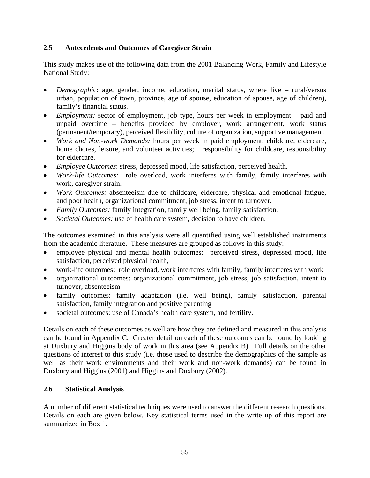### **2.5 Antecedents and Outcomes of Caregiver Strain**

This study makes use of the following data from the 2001 Balancing Work, Family and Lifestyle National Study:

- *Demographi*c: age, gender, income, education, marital status, where live rural/versus urban, population of town, province, age of spouse, education of spouse, age of children), family's financial status.
- *Employment:* sector of employment, job type, hours per week in employment paid and unpaid overtime – benefits provided by employer, work arrangement, work status (permanent/temporary), perceived flexibility, culture of organization, supportive management.
- *Work and Non-work Demands:* hours per week in paid employment, childcare, eldercare, home chores, leisure, and volunteer activities; responsibility for childcare, responsibility for eldercare.
- *Employee Outcomes*: stress, depressed mood, life satisfaction, perceived health.
- *Work-life Outcomes:* role overload, work interferes with family, family interferes with work, caregiver strain.
- *Work Outcomes:* absenteeism due to childcare, eldercare, physical and emotional fatigue, and poor health, organizational commitment, job stress, intent to turnover.
- *Family Outcomes:* family integration, family well being, family satisfaction.
- *Societal Outcomes:* use of health care system, decision to have children.

The outcomes examined in this analysis were all quantified using well established instruments from the academic literature. These measures are grouped as follows in this study:

- employee physical and mental health outcomes: perceived stress, depressed mood, life satisfaction, perceived physical health,
- work-life outcomes: role overload, work interferes with family, family interferes with work
- organizational outcomes: organizational commitment, job stress, job satisfaction, intent to turnover, absenteeism
- family outcomes: family adaptation (i.e. well being), family satisfaction, parental satisfaction, family integration and positive parenting
- societal outcomes: use of Canada's health care system, and fertility.

Details on each of these outcomes as well are how they are defined and measured in this analysis can be found in Appendix C. Greater detail on each of these outcomes can be found by looking at Duxbury and Higgins body of work in this area (see Appendix B). Full details on the other questions of interest to this study (i.e. those used to describe the demographics of the sample as well as their work environments and their work and non-work demands) can be found in Duxbury and Higgins (2001) and Higgins and Duxbury (2002).

### **2.6 Statistical Analysis**

A number of different statistical techniques were used to answer the different research questions. Details on each are given below. Key statistical terms used in the write up of this report are summarized in Box 1.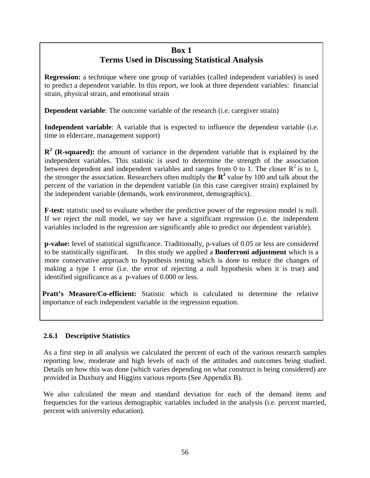# **Box 1 Terms Used in Discussing Statistical Analysis**

**Regression:** a technique where one group of variables (called independent variables) is used to predict a dependent variable. In this report, we look at three dependent variables: financial strain, physical strain, and emotional strain

**Dependent variable**: The outcome variable of the research (i.e. caregiver strain)

**Independent variable**: A variable that is expected to influence the dependent variable (i.e. time in eldercare, management support)

**R<sup>2</sup>** (**R-squared**): the amount of variance in the dependent variable that is explained by the independent variables. This statistic is used to determine the strength of the association between dependent and independent variables and ranges from 0 to 1. The closer  $\mathbb{R}^2$  is to 1, the stronger the association. Researchers often multiply the  $\mathbb{R}^2$  value by 100 and talk about the percent of the variation in the dependent variable (in this case caregiver strain) explained by the independent variable (demands, work environment, demographics).

**F-test:** statistic used to evaluate whether the predictive power of the regression model is null. If we reject the null model, we say we have a significant regression (i.e. the independent variables included in the regression are significantly able to predict our dependent variable).

**p-value:** level of statistical significance. Traditionally, p-values of 0.05 or less are considered to be statistically significant. In this study we applied a **Bonferroni adjustment** which is a more conservative approach to hypothesis testing which is done to reduce the changes of making a type 1 error (i.e. the error of rejecting a null hypothesis when it is true) and identified significance as a p-values of 0.000 or less.

**Pratt's Measure/Co-efficient:** Statistic which is calculated to determine the relative importance of each independent variable in the regression equation.

# **2.6.1 Descriptive Statistics**

As a first step in all analysis we calculated the percent of each of the various research samples reporting low, moderate and high levels of each of the attitudes and outcomes being studied. Details on how this was done (which varies depending on what construct is being considered) are provided in Duxbury and Higgins various reports (See Appendix B).

We also calculated the mean and standard deviation for each of the demand items and frequencies for the various demographic variables included in the analysis (i.e. percent married, percent with university education).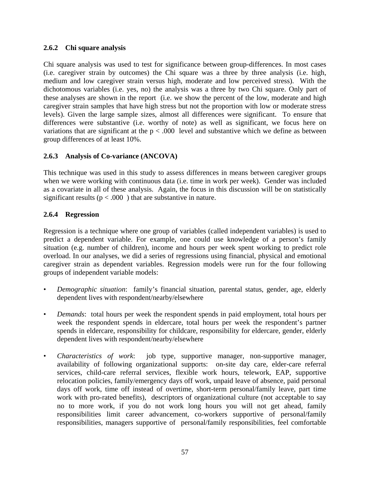### **2.6.2 Chi square analysis**

Chi square analysis was used to test for significance between group-differences. In most cases (i.e. caregiver strain by outcomes) the Chi square was a three by three analysis (i.e. high, medium and low caregiver strain versus high, moderate and low perceived stress). With the dichotomous variables (i.e. yes, no) the analysis was a three by two Chi square. Only part of these analyses are shown in the report (i.e. we show the percent of the low, moderate and high caregiver strain samples that have high stress but not the proportion with low or moderate stress levels). Given the large sample sizes, almost all differences were significant. To ensure that differences were substantive (i.e. worthy of note) as well as significant, we focus here on variations that are significant at the  $p < .000$  level and substantive which we define as between group differences of at least 10%.

## **2.6.3 Analysis of Co-variance (ANCOVA)**

This technique was used in this study to assess differences in means between caregiver groups when we were working with continuous data (i.e. time in work per week). Gender was included as a covariate in all of these analysis. Again, the focus in this discussion will be on statistically significant results ( $p < .000$ ) that are substantive in nature.

### **2.6.4 Regression**

Regression is a technique where one group of variables (called independent variables) is used to predict a dependent variable. For example, one could use knowledge of a person's family situation (e.g. number of children), income and hours per week spent working to predict role overload. In our analyses, we did a series of regressions using financial, physical and emotional caregiver strain as dependent variables. Regression models were run for the four following groups of independent variable models:

- *Demographic situation*: family's financial situation, parental status, gender, age, elderly dependent lives with respondent/nearby/elsewhere
- *Demands*: total hours per week the respondent spends in paid employment, total hours per week the respondent spends in eldercare, total hours per week the respondent's partner spends in eldercare, responsibility for childcare, responsibility for eldercare, gender, elderly dependent lives with respondent/nearby/elsewhere
- *Characteristics of work*: job type, supportive manager, non-supportive manager, availability of following organizational supports: on-site day care, elder-care referral services, child-care referral services, flexible work hours, telework, EAP, supportive relocation policies, family/emergency days off work, unpaid leave of absence, paid personal days off work, time off instead of overtime, short-term personal/family leave, part time work with pro-rated benefits), descriptors of organizational culture (not acceptable to say no to more work, if you do not work long hours you will not get ahead, family responsibilities limit career advancement, co-workers supportive of personal/family responsibilities, managers supportive of personal/family responsibilities, feel comfortable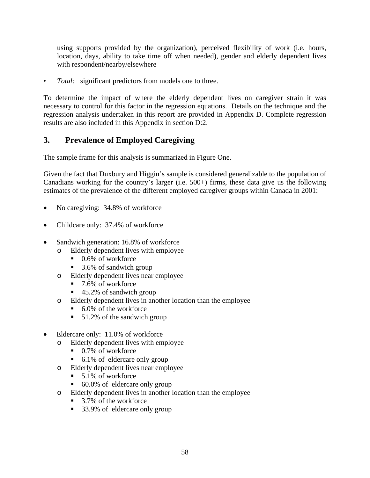using supports provided by the organization), perceived flexibility of work (i.e. hours, location, days, ability to take time off when needed), gender and elderly dependent lives with respondent/nearby/elsewhere

• *Total:* significant predictors from models one to three.

To determine the impact of where the elderly dependent lives on caregiver strain it was necessary to control for this factor in the regression equations. Details on the technique and the regression analysis undertaken in this report are provided in Appendix D. Complete regression results are also included in this Appendix in section D:2.

# **3. Prevalence of Employed Caregiving**

The sample frame for this analysis is summarized in Figure One.

Given the fact that Duxbury and Higgin's sample is considered generalizable to the population of Canadians working for the country's larger (i.e. 500+) firms, these data give us the following estimates of the prevalence of the different employed caregiver groups within Canada in 2001:

- No caregiving: 34.8% of workforce
- Childcare only: 37.4% of workforce
- Sandwich generation: 16.8% of workforce
	- o Elderly dependent lives with employee
		- 0.6% of workforce
		- 3.6% of sandwich group
	- o Elderly dependent lives near employee
		- $\blacksquare$  7.6% of workforce
		- $\blacksquare$  45.2% of sandwich group
	- o Elderly dependent lives in another location than the employee
		- 6.0% of the workforce
		- 51.2% of the sandwich group
- Eldercare only: 11.0% of workforce
	- o Elderly dependent lives with employee
		- 0.7% of workforce
		- 6.1% of eldercare only group
	- o Elderly dependent lives near employee
		- $\blacksquare$  5.1% of workforce
		- 60.0% of eldercare only group
	- o Elderly dependent lives in another location than the employee
		- 3.7% of the workforce
		- 33.9% of eldercare only group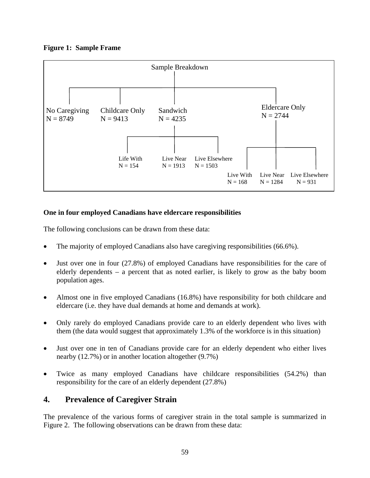## **Figure 1: Sample Frame**



## **One in four employed Canadians have eldercare responsibilities**

The following conclusions can be drawn from these data:

- The majority of employed Canadians also have caregiving responsibilities (66.6%).
- Just over one in four (27.8%) of employed Canadians have responsibilities for the care of elderly dependents – a percent that as noted earlier, is likely to grow as the baby boom population ages.
- Almost one in five employed Canadians (16.8%) have responsibility for both childcare and eldercare (i.e. they have dual demands at home and demands at work).
- Only rarely do employed Canadians provide care to an elderly dependent who lives with them (the data would suggest that approximately 1.3% of the workforce is in this situation)
- Just over one in ten of Canadians provide care for an elderly dependent who either lives nearby (12.7%) or in another location altogether (9.7%)
- Twice as many employed Canadians have childcare responsibilities (54.2%) than responsibility for the care of an elderly dependent (27.8%)

# **4. Prevalence of Caregiver Strain**

The prevalence of the various forms of caregiver strain in the total sample is summarized in Figure 2. The following observations can be drawn from these data: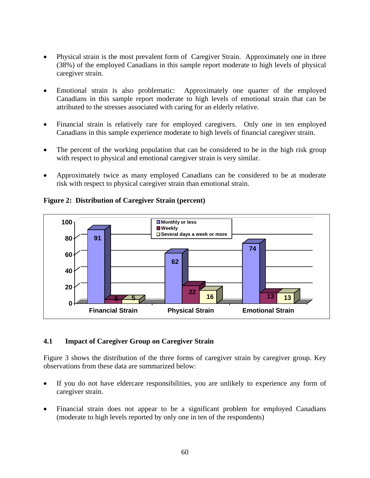- Physical strain is the most prevalent form of Caregiver Strain. Approximately one in three (38%) of the employed Canadians in this sample report moderate to high levels of physical caregiver strain.
- Emotional strain is also problematic: Approximately one quarter of the employed Canadians in this sample report moderate to high levels of emotional strain that can be attributed to the stresses associated with caring for an elderly relative.
- Financial strain is relatively rare for employed caregivers. Only one in ten employed Canadians in this sample experience moderate to high levels of financial caregiver strain.
- The percent of the working population that can be considered to be in the high risk group with respect to physical and emotional caregiver strain is very similar.
- Approximately twice as many employed Canadians can be considered to be at moderate risk with respect to physical caregiver strain than emotional strain.



## **Figure 2: Distribution of Caregiver Strain (percent)**

### **4.1 Impact of Caregiver Group on Caregiver Strain**

Figure 3 shows the distribution of the three forms of caregiver strain by caregiver group. Key observations from these data are summarized below:

- If you do not have eldercare responsibilities, you are unlikely to experience any form of caregiver strain.
- Financial strain does not appear to be a significant problem for employed Canadians (moderate to high levels reported by only one in ten of the respondents)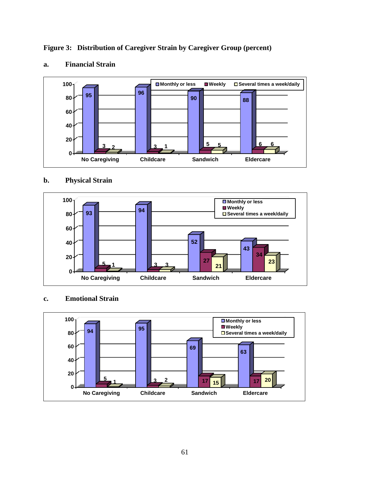**Figure 3: Distribution of Caregiver Strain by Caregiver Group (percent)** 



# **a. Financial Strain**

## **b. Physical Strain**



### **c. Emotional Strain**

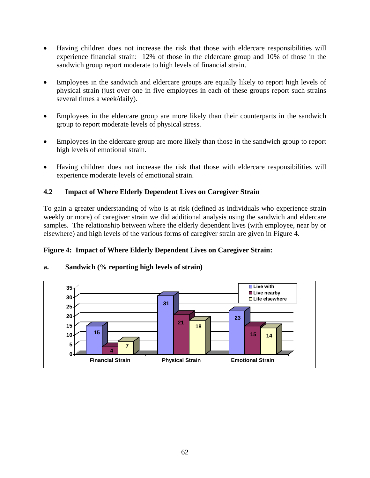- Having children does not increase the risk that those with eldercare responsibilities will experience financial strain: 12% of those in the eldercare group and 10% of those in the sandwich group report moderate to high levels of financial strain.
- Employees in the sandwich and eldercare groups are equally likely to report high levels of physical strain (just over one in five employees in each of these groups report such strains several times a week/daily).
- Employees in the eldercare group are more likely than their counterparts in the sandwich group to report moderate levels of physical stress.
- Employees in the eldercare group are more likely than those in the sandwich group to report high levels of emotional strain.
- Having children does not increase the risk that those with eldercare responsibilities will experience moderate levels of emotional strain.

## **4.2 Impact of Where Elderly Dependent Lives on Caregiver Strain**

To gain a greater understanding of who is at risk (defined as individuals who experience strain weekly or more) of caregiver strain we did additional analysis using the sandwich and eldercare samples. The relationship between where the elderly dependent lives (with employee, near by or elsewhere) and high levels of the various forms of caregiver strain are given in Figure 4.

### **Figure 4: Impact of Where Elderly Dependent Lives on Caregiver Strain:**



### **a. Sandwich (% reporting high levels of strain)**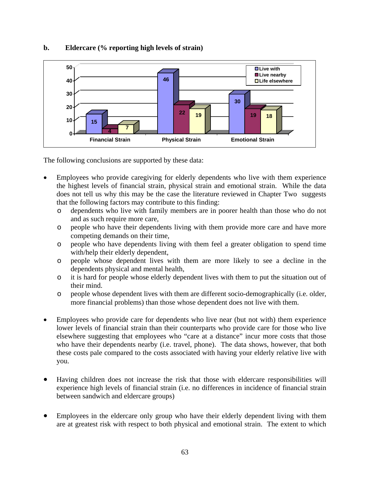

### **b. Eldercare (% reporting high levels of strain)**

The following conclusions are supported by these data:

- Employees who provide caregiving for elderly dependents who live with them experience the highest levels of financial strain, physical strain and emotional strain. While the data does not tell us why this may be the case the literature reviewed in Chapter Two suggests that the following factors may contribute to this finding:
	- o dependents who live with family members are in poorer health than those who do not and as such require more care,
	- o people who have their dependents living with them provide more care and have more competing demands on their time,
	- o people who have dependents living with them feel a greater obligation to spend time with/help their elderly dependent,
	- o people whose dependent lives with them are more likely to see a decline in the dependents physical and mental health,
	- o it is hard for people whose elderly dependent lives with them to put the situation out of their mind.
	- o people whose dependent lives with them are different socio-demographically (i.e. older, more financial problems) than those whose dependent does not live with them.
- Employees who provide care for dependents who live near (but not with) them experience lower levels of financial strain than their counterparts who provide care for those who live elsewhere suggesting that employees who "care at a distance" incur more costs that those who have their dependents nearby (i.e. travel, phone). The data shows, however, that both these costs pale compared to the costs associated with having your elderly relative live with you.
- Having children does not increase the risk that those with eldercare responsibilities will experience high levels of financial strain (i.e. no differences in incidence of financial strain between sandwich and eldercare groups)
- Employees in the eldercare only group who have their elderly dependent living with them are at greatest risk with respect to both physical and emotional strain. The extent to which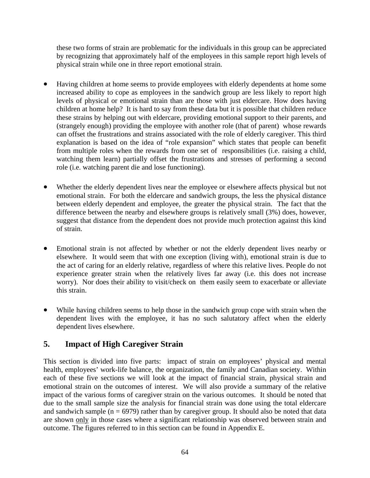these two forms of strain are problematic for the individuals in this group can be appreciated by recognizing that approximately half of the employees in this sample report high levels of physical strain while one in three report emotional strain.

- Having children at home seems to provide employees with elderly dependents at home some increased ability to cope as employees in the sandwich group are less likely to report high levels of physical or emotional strain than are those with just eldercare. How does having children at home help? It is hard to say from these data but it is possible that children reduce these strains by helping out with eldercare, providing emotional support to their parents, and (strangely enough) providing the employee with another role (that of parent) whose rewards can offset the frustrations and strains associated with the role of elderly caregiver. This third explanation is based on the idea of "role expansion" which states that people can benefit from multiple roles when the rewards from one set of responsibilities (i.e. raising a child, watching them learn) partially offset the frustrations and stresses of performing a second role (i.e. watching parent die and lose functioning).
- Whether the elderly dependent lives near the employee or elsewhere affects physical but not emotional strain. For both the eldercare and sandwich groups, the less the physical distance between elderly dependent and employee, the greater the physical strain. The fact that the difference between the nearby and elsewhere groups is relatively small (3%) does, however, suggest that distance from the dependent does not provide much protection against this kind of strain.
- Emotional strain is not affected by whether or not the elderly dependent lives nearby or elsewhere. It would seem that with one exception (living with), emotional strain is due to the act of caring for an elderly relative, regardless of where this relative lives. People do not experience greater strain when the relatively lives far away (i.e. this does not increase worry). Nor does their ability to visit/check on them easily seem to exacerbate or alleviate this strain.
- While having children seems to help those in the sandwich group cope with strain when the dependent lives with the employee, it has no such salutatory affect when the elderly dependent lives elsewhere.

# **5. Impact of High Caregiver Strain**

This section is divided into five parts: impact of strain on employees' physical and mental health, employees' work-life balance, the organization, the family and Canadian society. Within each of these five sections we will look at the impact of financial strain, physical strain and emotional strain on the outcomes of interest. We will also provide a summary of the relative impact of the various forms of caregiver strain on the various outcomes. It should be noted that due to the small sample size the analysis for financial strain was done using the total eldercare and sandwich sample ( $n = 6979$ ) rather than by caregiver group. It should also be noted that data are shown only in those cases where a significant relationship was observed between strain and outcome. The figures referred to in this section can be found in Appendix E.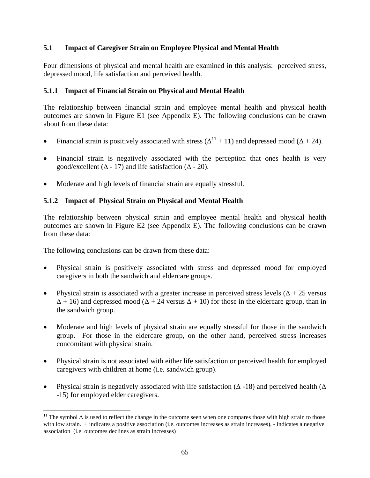### **5.1 Impact of Caregiver Strain on Employee Physical and Mental Health**

Four dimensions of physical and mental health are examined in this analysis: perceived stress, depressed mood, life satisfaction and perceived health.

### **5.1.1 Impact of Financial Strain on Physical and Mental Health**

The relationship between financial strain and employee mental health and physical health outcomes are shown in Figure E1 (see Appendix E). The following conclusions can be drawn about from these data:

- Financial strain is positively associated with stress ( $\Delta^{11}$  + 11) and depressed mood ( $\Delta$  + 24).
- Financial strain is negatively associated with the perception that ones health is very good/excellent ( $\Delta$  - 17) and life satisfaction ( $\Delta$  - 20).
- Moderate and high levels of financial strain are equally stressful.

## **5.1.2 Impact of Physical Strain on Physical and Mental Health**

The relationship between physical strain and employee mental health and physical health outcomes are shown in Figure E2 (see Appendix E). The following conclusions can be drawn from these data:

The following conclusions can be drawn from these data:

- Physical strain is positively associated with stress and depressed mood for employed caregivers in both the sandwich and eldercare groups.
- Physical strain is associated with a greater increase in perceived stress levels  $(\Delta + 25 \text{ versus})$  $\Delta$  + 16) and depressed mood ( $\Delta$  + 24 versus  $\Delta$  + 10) for those in the eldercare group, than in the sandwich group.
- Moderate and high levels of physical strain are equally stressful for those in the sandwich group. For those in the eldercare group, on the other hand, perceived stress increases concomitant with physical strain.
- Physical strain is not associated with either life satisfaction or perceived health for employed caregivers with children at home (i.e. sandwich group).
- Physical strain is negatively associated with life satisfaction ( $\Delta$  -18) and perceived health ( $\Delta$ -15) for employed elder caregivers.

 $\overline{a}$ <sup>11</sup> The symbol  $\Delta$  is used to reflect the change in the outcome seen when one compares those with high strain to those with low strain. + indicates a positive association (i.e. outcomes increases as strain increases), - indicates a negative association (i.e. outcomes declines as strain increases)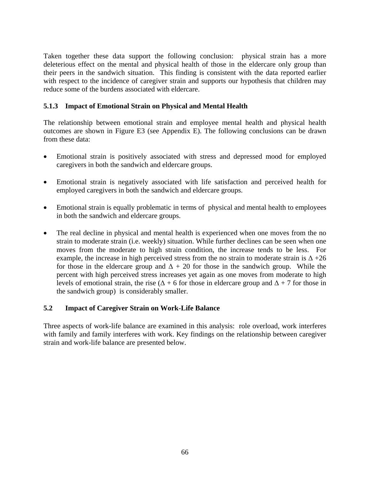Taken together these data support the following conclusion: physical strain has a more deleterious effect on the mental and physical health of those in the eldercare only group than their peers in the sandwich situation. This finding is consistent with the data reported earlier with respect to the incidence of caregiver strain and supports our hypothesis that children may reduce some of the burdens associated with eldercare.

### **5.1.3 Impact of Emotional Strain on Physical and Mental Health**

The relationship between emotional strain and employee mental health and physical health outcomes are shown in Figure E3 (see Appendix E). The following conclusions can be drawn from these data:

- Emotional strain is positively associated with stress and depressed mood for employed caregivers in both the sandwich and eldercare groups.
- Emotional strain is negatively associated with life satisfaction and perceived health for employed caregivers in both the sandwich and eldercare groups.
- Emotional strain is equally problematic in terms of physical and mental health to employees in both the sandwich and eldercare groups.
- The real decline in physical and mental health is experienced when one moves from the no strain to moderate strain (i.e. weekly) situation. While further declines can be seen when one moves from the moderate to high strain condition, the increase tends to be less. For example, the increase in high perceived stress from the no strain to moderate strain is  $\Delta$  +26 for those in the eldercare group and  $\Delta$  + 20 for those in the sandwich group. While the percent with high perceived stress increases yet again as one moves from moderate to high levels of emotional strain, the rise ( $\Delta$  + 6 for those in eldercare group and  $\Delta$  + 7 for those in the sandwich group) is considerably smaller.

#### **5.2 Impact of Caregiver Strain on Work-Life Balance**

Three aspects of work-life balance are examined in this analysis: role overload, work interferes with family and family interferes with work. Key findings on the relationship between caregiver strain and work-life balance are presented below.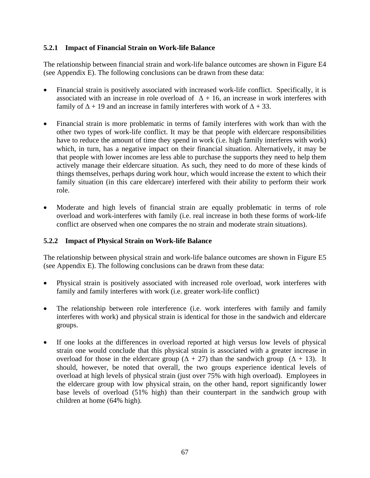### **5.2.1 Impact of Financial Strain on Work-life Balance**

The relationship between financial strain and work-life balance outcomes are shown in Figure E4 (see Appendix E). The following conclusions can be drawn from these data:

- Financial strain is positively associated with increased work-life conflict. Specifically, it is associated with an increase in role overload of  $\Delta$  + 16, an increase in work interferes with family of  $\Delta$  + 19 and an increase in family interferes with work of  $\Delta$  + 33.
- Financial strain is more problematic in terms of family interferes with work than with the other two types of work-life conflict. It may be that people with eldercare responsibilities have to reduce the amount of time they spend in work (i.e. high family interferes with work) which, in turn, has a negative impact on their financial situation. Alternatively, it may be that people with lower incomes are less able to purchase the supports they need to help them actively manage their eldercare situation. As such, they need to do more of these kinds of things themselves, perhaps during work hour, which would increase the extent to which their family situation (in this care eldercare) interfered with their ability to perform their work role.
- Moderate and high levels of financial strain are equally problematic in terms of role overload and work-interferes with family (i.e. real increase in both these forms of work-life conflict are observed when one compares the no strain and moderate strain situations).

#### **5.2.2 Impact of Physical Strain on Work-life Balance**

The relationship between physical strain and work-life balance outcomes are shown in Figure E5 (see Appendix E). The following conclusions can be drawn from these data:

- Physical strain is positively associated with increased role overload, work interferes with family and family interferes with work (i.e. greater work-life conflict)
- The relationship between role interference (i.e. work interferes with family and family interferes with work) and physical strain is identical for those in the sandwich and eldercare groups.
- If one looks at the differences in overload reported at high versus low levels of physical strain one would conclude that this physical strain is associated with a greater increase in overload for those in the eldercare group ( $\Delta + 27$ ) than the sandwich group ( $\Delta + 13$ ). It should, however, be noted that overall, the two groups experience identical levels of overload at high levels of physical strain (just over 75% with high overload). Employees in the eldercare group with low physical strain, on the other hand, report significantly lower base levels of overload (51% high) than their counterpart in the sandwich group with children at home (64% high).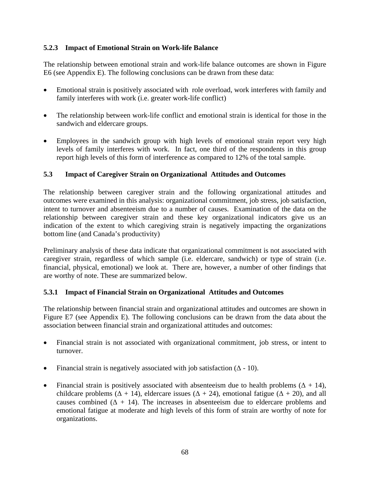### **5.2.3 Impact of Emotional Strain on Work-life Balance**

The relationship between emotional strain and work-life balance outcomes are shown in Figure E6 (see Appendix E). The following conclusions can be drawn from these data:

- Emotional strain is positively associated with role overload, work interferes with family and family interferes with work (i.e. greater work-life conflict)
- The relationship between work-life conflict and emotional strain is identical for those in the sandwich and eldercare groups.
- Employees in the sandwich group with high levels of emotional strain report very high levels of family interferes with work. In fact, one third of the respondents in this group report high levels of this form of interference as compared to 12% of the total sample.

## **5.3 Impact of Caregiver Strain on Organizational Attitudes and Outcomes**

The relationship between caregiver strain and the following organizational attitudes and outcomes were examined in this analysis: organizational commitment, job stress, job satisfaction, intent to turnover and absenteeism due to a number of causes. Examination of the data on the relationship between caregiver strain and these key organizational indicators give us an indication of the extent to which caregiving strain is negatively impacting the organizations bottom line (and Canada's productivity)

Preliminary analysis of these data indicate that organizational commitment is not associated with caregiver strain, regardless of which sample (i.e. eldercare, sandwich) or type of strain (i.e. financial, physical, emotional) we look at. There are, however, a number of other findings that are worthy of note. These are summarized below.

### **5.3.1 Impact of Financial Strain on Organizational Attitudes and Outcomes**

The relationship between financial strain and organizational attitudes and outcomes are shown in Figure E7 (see Appendix E). The following conclusions can be drawn from the data about the association between financial strain and organizational attitudes and outcomes:

- Financial strain is not associated with organizational commitment, job stress, or intent to turnover.
- Financial strain is negatively associated with job satisfaction  $(∆ 10)$ .
- Financial strain is positively associated with absenteeism due to health problems  $(\Delta + 14)$ , childcare problems ( $\Delta$  + 14), eldercare issues ( $\Delta$  + 24), emotional fatigue ( $\Delta$  + 20), and all causes combined  $(\Delta + 14)$ . The increases in absenteeism due to eldercare problems and emotional fatigue at moderate and high levels of this form of strain are worthy of note for organizations.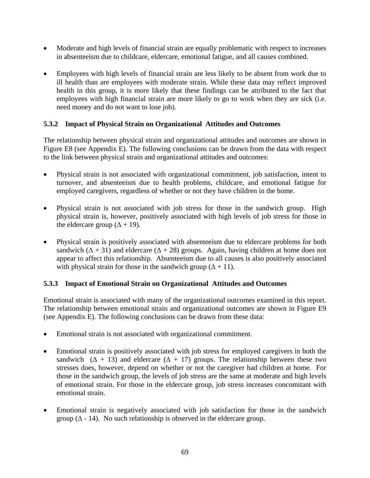- Moderate and high levels of financial strain are equally problematic with respect to increases in absenteeism due to childcare, eldercare, emotional fatigue, and all causes combined.
- Employees with high levels of financial strain are less likely to be absent from work due to ill health than are employees with moderate strain. While these data may reflect improved health in this group, it is more likely that these findings can be attributed to the fact that employees with high financial strain are more likely to go to work when they are sick (i.e. need money and do not want to lose job).

## **5.3.2 Impact of Physical Strain on Organizational Attitudes and Outcomes**

The relationship between physical strain and organizational attitudes and outcomes are shown in Figure E8 (see Appendix E). The following conclusions can be drawn from the data with respect to the link between physical strain and organizational attitudes and outcomes:

- Physical strain is not associated with organizational commitment, job satisfaction, intent to turnover, and absenteeism due to health problems, childcare, and emotional fatigue for employed caregivers, regardless of whether or not they have children in the home.
- Physical strain is not associated with job stress for those in the sandwich group. High physical strain is, however, positively associated with high levels of job stress for those in the eldercare group  $(\Delta + 19)$ .
- Physical strain is positively associated with absenteeism due to eldercare problems for both sandwich ( $\Delta$  + 31) and eldercare ( $\Delta$  + 28) groups. Again, having children at home does not appear to affect this relationship. Absenteeism due to all causes is also positively associated with physical strain for those in the sandwich group ( $\Delta + 11$ ).

# **5.3.3 Impact of Emotional Strain on Organizational Attitudes and Outcomes**

Emotional strain is associated with many of the organizational outcomes examined in this report. The relationship between emotional strain and organizational outcomes are shown in Figure E9 (see Appendix E). The following conclusions can be drawn from these data:

- Emotional strain is not associated with organizational commitment.
- Emotional strain is positively associated with job stress for employed caregivers in both the sandwich ( $\Delta$  + 13) and eldercare ( $\Delta$  + 17) groups. The relationship between these two stresses does, however, depend on whether or not the caregiver had children at home. For those in the sandwich group, the levels of job stress are the same at moderate and high levels of emotional strain. For those in the eldercare group, job stress increases concomitant with emotional strain.
- Emotional strain is negatively associated with job satisfaction for those in the sandwich group ( $\Delta$  - 14). No such relationship is observed in the eldercare group.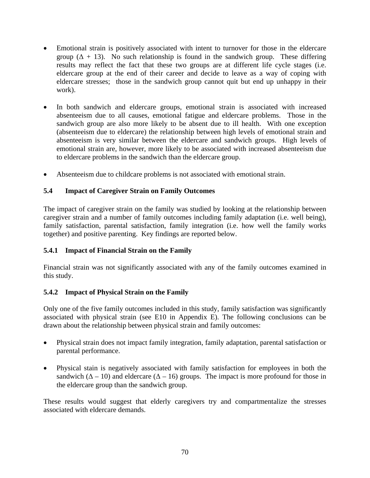- Emotional strain is positively associated with intent to turnover for those in the eldercare group ( $\Delta$  + 13). No such relationship is found in the sandwich group. These differing results may reflect the fact that these two groups are at different life cycle stages (i.e. eldercare group at the end of their career and decide to leave as a way of coping with eldercare stresses; those in the sandwich group cannot quit but end up unhappy in their work).
- In both sandwich and eldercare groups, emotional strain is associated with increased absenteeism due to all causes, emotional fatigue and eldercare problems. Those in the sandwich group are also more likely to be absent due to ill health. With one exception (absenteeism due to eldercare) the relationship between high levels of emotional strain and absenteeism is very similar between the eldercare and sandwich groups. High levels of emotional strain are, however, more likely to be associated with increased absenteeism due to eldercare problems in the sandwich than the eldercare group.
- Absenteeism due to childcare problems is not associated with emotional strain.

## **5.4 Impact of Caregiver Strain on Family Outcomes**

The impact of caregiver strain on the family was studied by looking at the relationship between caregiver strain and a number of family outcomes including family adaptation (i.e. well being), family satisfaction, parental satisfaction, family integration (i.e. how well the family works together) and positive parenting. Key findings are reported below.

### **5.4.1 Impact of Financial Strain on the Family**

Financial strain was not significantly associated with any of the family outcomes examined in this study.

### **5.4.2 Impact of Physical Strain on the Family**

Only one of the five family outcomes included in this study, family satisfaction was significantly associated with physical strain (see E10 in Appendix E). The following conclusions can be drawn about the relationship between physical strain and family outcomes:

- Physical strain does not impact family integration, family adaptation, parental satisfaction or parental performance.
- Physical stain is negatively associated with family satisfaction for employees in both the sandwich ( $\Delta - 10$ ) and eldercare ( $\Delta - 16$ ) groups. The impact is more profound for those in the eldercare group than the sandwich group.

These results would suggest that elderly caregivers try and compartmentalize the stresses associated with eldercare demands.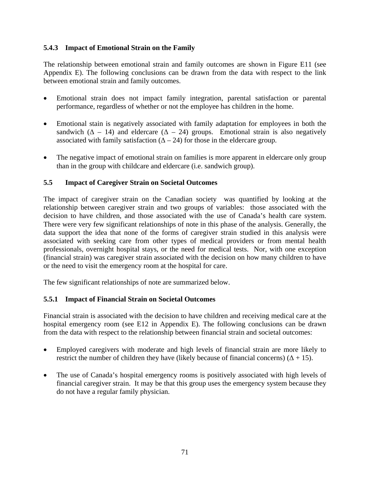### **5.4.3 Impact of Emotional Strain on the Family**

The relationship between emotional strain and family outcomes are shown in Figure E11 (see Appendix E). The following conclusions can be drawn from the data with respect to the link between emotional strain and family outcomes.

- Emotional strain does not impact family integration, parental satisfaction or parental performance, regardless of whether or not the employee has children in the home.
- Emotional stain is negatively associated with family adaptation for employees in both the sandwich ( $\Delta$  – 14) and eldercare ( $\Delta$  – 24) groups. Emotional strain is also negatively associated with family satisfaction  $(∆ - 24)$  for those in the eldercare group.
- The negative impact of emotional strain on families is more apparent in eldercare only group than in the group with childcare and eldercare (i.e. sandwich group).

### **5.5 Impact of Caregiver Strain on Societal Outcomes**

The impact of caregiver strain on the Canadian society was quantified by looking at the relationship between caregiver strain and two groups of variables: those associated with the decision to have children, and those associated with the use of Canada's health care system. There were very few significant relationships of note in this phase of the analysis. Generally, the data support the idea that none of the forms of caregiver strain studied in this analysis were associated with seeking care from other types of medical providers or from mental health professionals, overnight hospital stays, or the need for medical tests. Nor, with one exception (financial strain) was caregiver strain associated with the decision on how many children to have or the need to visit the emergency room at the hospital for care.

The few significant relationships of note are summarized below.

### **5.5.1 Impact of Financial Strain on Societal Outcomes**

Financial strain is associated with the decision to have children and receiving medical care at the hospital emergency room (see E12 in Appendix E). The following conclusions can be drawn from the data with respect to the relationship between financial strain and societal outcomes:

- Employed caregivers with moderate and high levels of financial strain are more likely to restrict the number of children they have (likely because of financial concerns)  $(\Delta + 15)$ .
- The use of Canada's hospital emergency rooms is positively associated with high levels of financial caregiver strain. It may be that this group uses the emergency system because they do not have a regular family physician.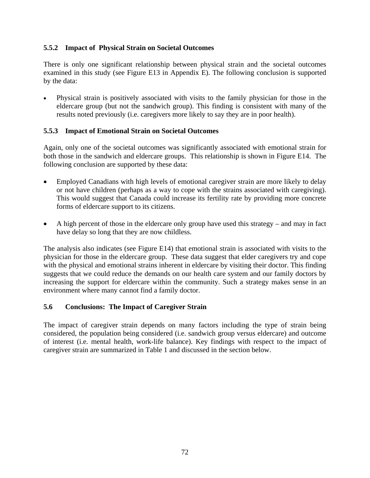### **5.5.2 Impact of Physical Strain on Societal Outcomes**

There is only one significant relationship between physical strain and the societal outcomes examined in this study (see Figure E13 in Appendix E). The following conclusion is supported by the data:

• Physical strain is positively associated with visits to the family physician for those in the eldercare group (but not the sandwich group). This finding is consistent with many of the results noted previously (i.e. caregivers more likely to say they are in poor health).

## **5.5.3 Impact of Emotional Strain on Societal Outcomes**

Again, only one of the societal outcomes was significantly associated with emotional strain for both those in the sandwich and eldercare groups. This relationship is shown in Figure E14. The following conclusion are supported by these data:

- Employed Canadians with high levels of emotional caregiver strain are more likely to delay or not have children (perhaps as a way to cope with the strains associated with caregiving). This would suggest that Canada could increase its fertility rate by providing more concrete forms of eldercare support to its citizens.
- A high percent of those in the eldercare only group have used this strategy and may in fact have delay so long that they are now childless.

The analysis also indicates (see Figure E14) that emotional strain is associated with visits to the physician for those in the eldercare group. These data suggest that elder caregivers try and cope with the physical and emotional strains inherent in eldercare by visiting their doctor. This finding suggests that we could reduce the demands on our health care system and our family doctors by increasing the support for eldercare within the community. Such a strategy makes sense in an environment where many cannot find a family doctor.

# **5.6 Conclusions: The Impact of Caregiver Strain**

The impact of caregiver strain depends on many factors including the type of strain being considered, the population being considered (i.e. sandwich group versus eldercare) and outcome of interest (i.e. mental health, work-life balance). Key findings with respect to the impact of caregiver strain are summarized in Table 1 and discussed in the section below.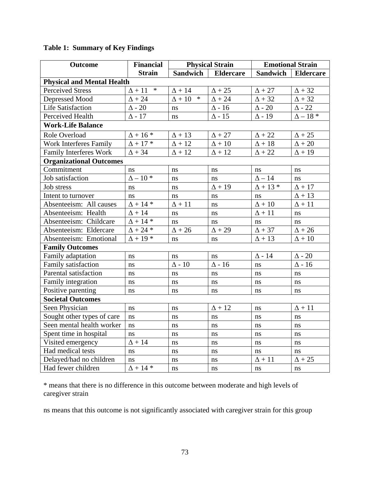| Outcome                           | <b>Financial</b>        | <b>Physical Strain</b>  |                  | <b>Emotional Strain</b> |                  |
|-----------------------------------|-------------------------|-------------------------|------------------|-------------------------|------------------|
|                                   | <b>Strain</b>           | Sandwich                | <b>Eldercare</b> | Sandwich                | <b>Eldercare</b> |
| <b>Physical and Mental Health</b> |                         |                         |                  |                         |                  |
| <b>Perceived Stress</b>           | $\ast$<br>$\Delta$ + 11 | $\Delta + 14$           | $\Delta+25$      | $\Delta+27$             | $\Delta+32$      |
| Depressed Mood                    | $\Delta+24$             | $\ast$<br>$\Delta + 10$ | $\Delta$ + 24    | $\Delta$ + 32           | $\Delta+32$      |
| <b>Life Satisfaction</b>          | $\Delta$ - $20$         | ns                      | $\Delta$ - 16    | $\Delta$ - 20           | $\Delta$ - 22    |
| Perceived Health                  | $\Delta$ - 17           | ns                      | $\Delta$ - 15    | $\Delta$ - 19           | $\Delta - 18$ *  |
| <b>Work-Life Balance</b>          |                         |                         |                  |                         |                  |
| Role Overload                     | $\Delta$ + 16 $^*$      | $\Delta$ + 13           | $\Delta+27$      | $\Delta$ + 22           | $\Delta+25$      |
| <b>Work Interferes Family</b>     | $\Delta$ + 17 *         | $\Delta$ + 12           | $\Delta+10$      | $\Delta+18$             | $\Delta + 20$    |
| <b>Family Interferes Work</b>     | $\Delta$ + 34           | $\Delta$ + 12           | $\Delta$ + 12    | $\Delta$ + 22           | $\Delta + 19$    |
| <b>Organizational Outcomes</b>    |                         |                         |                  |                         |                  |
| Commitment                        | ns                      | ns                      | ns               | ns                      | ns               |
| Job satisfaction                  | $\Delta - 10$ *         | ns                      | ns               | $\Delta - 14$           | ns               |
| Job stress                        | ns                      | ns                      | $\Delta$ + 19    | $\Delta$ + 13 *         | $\Delta+17$      |
| Intent to turnover                | ns                      | $\bf ns$                | ns               | ns                      | $\Delta+13$      |
| Absenteeism: All causes           | $\Delta$ + 14 *         | $\Delta+11$             | ns               | $\Delta+10$             | $\Delta+11$      |
| Absenteeism: Health               | $\Delta$ + 14           | ns                      | ns               | $\Delta+11$             | ns               |
| Absenteeism: Childcare            | $\Delta$ + 14 *         | ns                      | ns               | ns                      | ns               |
| Absenteeism: Eldercare            | $\Delta$ + 24 $^*$      | $\Delta$ + 26           | $\Delta+29$      | $\Delta + 37$           | $\Delta+26$      |
| Absenteeism: Emotional            | $\Delta$ + 19 *         | ns                      | ns               | $\Delta$ + 13           | $\Delta+10$      |
| <b>Family Outcomes</b>            |                         |                         |                  |                         |                  |
| Family adaptation                 | ns                      | ns                      | ns               | $\Delta$ - $14$         | $\Delta$ - $20$  |
| Family satisfaction               | ns                      | $\Delta$ - $10$         | $\Delta$ - 16    | ns                      | $\Delta$ - $16$  |
| Parental satisfaction             | ns                      | ns                      | ns               | ns                      | ns               |
| Family integration                | ns                      | ns                      | ns               | ns                      | ns               |
| Positive parenting                | ns                      | ns                      | ns               | ns                      | ns               |
| <b>Societal Outcomes</b>          |                         |                         |                  |                         |                  |
| Seen Physician                    | ns                      | ns                      | $\Delta$ + 12    | ns                      | $\Delta$ + 11    |
| Sought other types of care        | ns                      | ns                      | ns               | <sub>ns</sub>           | ns               |
| Seen mental health worker         | ns                      | ns                      | ns               | ns                      | ns               |
| Spent time in hospital            | ns                      | ns                      | ns               | ns                      | ns               |
| Visited emergency                 | $\Delta$ + 14           | ns                      | ns               | ns                      | ns               |
| Had medical tests                 | ns                      | ns                      | ns               | ns                      | ns               |
| Delayed/had no children           | ns                      | ns                      | ns               | $\Delta+11$             | $\Delta+25$      |
| Had fewer children                | $\Delta + 14*$          | ns                      | ns               | ns                      | ns               |

# **Table 1: Summary of Key Findings**

\* means that there is no difference in this outcome between moderate and high levels of caregiver strain

ns means that this outcome is not significantly associated with caregiver strain for this group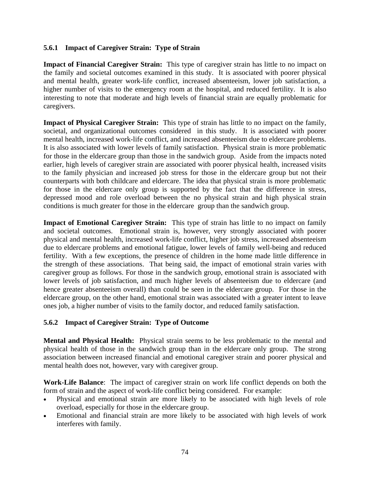#### **5.6.1 Impact of Caregiver Strain: Type of Strain**

**Impact of Financial Caregiver Strain:** This type of caregiver strain has little to no impact on the family and societal outcomes examined in this study. It is associated with poorer physical and mental health, greater work-life conflict, increased absenteeism, lower job satisfaction, a higher number of visits to the emergency room at the hospital, and reduced fertility. It is also interesting to note that moderate and high levels of financial strain are equally problematic for caregivers.

**Impact of Physical Caregiver Strain:** This type of strain has little to no impact on the family, societal, and organizational outcomes considered in this study. It is associated with poorer mental health, increased work-life conflict, and increased absenteeism due to eldercare problems. It is also associated with lower levels of family satisfaction. Physical strain is more problematic for those in the eldercare group than those in the sandwich group. Aside from the impacts noted earlier, high levels of caregiver strain are associated with poorer physical health, increased visits to the family physician and increased job stress for those in the eldercare group but not their counterparts with both childcare and eldercare. The idea that physical strain is more problematic for those in the eldercare only group is supported by the fact that the difference in stress, depressed mood and role overload between the no physical strain and high physical strain conditions is much greater for those in the eldercare group than the sandwich group.

**Impact of Emotional Caregiver Strain:** This type of strain has little to no impact on family and societal outcomes. Emotional strain is, however, very strongly associated with poorer physical and mental health, increased work-life conflict, higher job stress, increased absenteeism due to eldercare problems and emotional fatigue, lower levels of family well-being and reduced fertility. With a few exceptions, the presence of children in the home made little difference in the strength of these associations. That being said, the impact of emotional strain varies with caregiver group as follows. For those in the sandwich group, emotional strain is associated with lower levels of job satisfaction, and much higher levels of absenteeism due to eldercare (and hence greater absenteeism overall) than could be seen in the eldercare group. For those in the eldercare group, on the other hand, emotional strain was associated with a greater intent to leave ones job, a higher number of visits to the family doctor, and reduced family satisfaction.

### **5.6.2 Impact of Caregiver Strain: Type of Outcome**

**Mental and Physical Health:** Physical strain seems to be less problematic to the mental and physical health of those in the sandwich group than in the eldercare only group. The strong association between increased financial and emotional caregiver strain and poorer physical and mental health does not, however, vary with caregiver group.

**Work-Life Balance**: The impact of caregiver strain on work life conflict depends on both the form of strain and the aspect of work-life conflict being considered. For example:

- Physical and emotional strain are more likely to be associated with high levels of role overload, especially for those in the eldercare group.
- Emotional and financial strain are more likely to be associated with high levels of work interferes with family.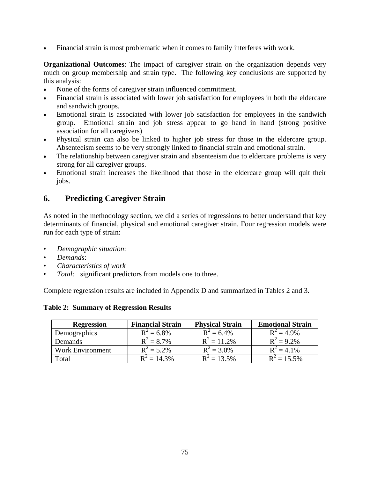• Financial strain is most problematic when it comes to family interferes with work.

**Organizational Outcomes**: The impact of caregiver strain on the organization depends very much on group membership and strain type. The following key conclusions are supported by this analysis:

- None of the forms of caregiver strain influenced commitment.
- Financial strain is associated with lower job satisfaction for employees in both the eldercare and sandwich groups.
- Emotional strain is associated with lower job satisfaction for employees in the sandwich group. Emotional strain and job stress appear to go hand in hand (strong positive association for all caregivers)
- Physical strain can also be linked to higher job stress for those in the eldercare group. Absenteeism seems to be very strongly linked to financial strain and emotional strain.
- The relationship between caregiver strain and absenteeism due to eldercare problems is very strong for all caregiver groups.
- Emotional strain increases the likelihood that those in the eldercare group will quit their jobs.

## **6. Predicting Caregiver Strain**

As noted in the methodology section, we did a series of regressions to better understand that key determinants of financial, physical and emotional caregiver strain. Four regression models were run for each type of strain:

- *Demographic situation*:
- *Demands*:
- *Characteristics of work*
- *Total:* significant predictors from models one to three.

Complete regression results are included in Appendix D and summarized in Tables 2 and 3.

**Table 2: Summary of Regression Results** 

| <b>Regression</b>       | <b>Financial Strain</b> | <b>Physical Strain</b> | <b>Emotional Strain</b> |
|-------------------------|-------------------------|------------------------|-------------------------|
| Demographics            | $R^2 = 6.8\%$           | $R^2 = 6.4\%$          | $R^2 = 4.9\%$           |
| Demands                 | $R^2 = 8.7\%$           | $R^2 = 11.2\%$         | $R^2 = 9.2\%$           |
| <b>Work Environment</b> | $R^2 = 5.2\%$           | $R^2 = 3.0\%$          | $R^2 = 4.1\%$           |
| Total                   | $R^2 = 14.3\%$          | $R^2 = 13.5\%$         | $R^2 = 15.5\%$          |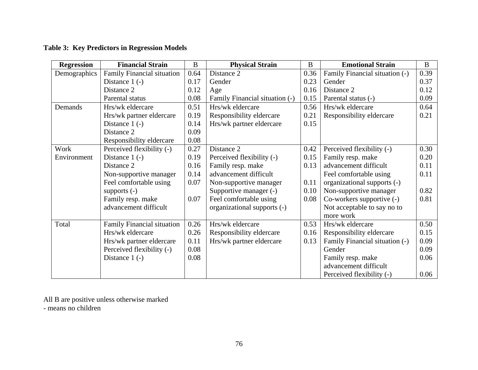|  | <b>Table 3: Key Predictors in Regression Models</b> |  |  |
|--|-----------------------------------------------------|--|--|
|--|-----------------------------------------------------|--|--|

| <b>Regression</b> | <b>Financial Strain</b>           | $\bf{B}$ | <b>Physical Strain</b>         | B    | <b>Emotional Strain</b>        | $\bf{B}$ |
|-------------------|-----------------------------------|----------|--------------------------------|------|--------------------------------|----------|
| Demographics      | <b>Family Financial situation</b> | 0.64     | Distance 2                     | 0.36 | Family Financial situation (-) | 0.39     |
|                   | Distance $1(-)$                   | 0.17     | Gender                         | 0.23 | Gender                         | 0.37     |
|                   | Distance 2                        | 0.12     | Age                            | 0.16 | Distance 2                     | 0.12     |
|                   | Parental status                   | 0.08     | Family Financial situation (-) | 0.15 | Parental status (-)            | 0.09     |
| Demands           | Hrs/wk eldercare                  | 0.51     | Hrs/wk eldercare               | 0.56 | Hrs/wk eldercare               | 0.64     |
|                   | Hrs/wk partner eldercare          | 0.19     | Responsibility eldercare       | 0.21 | Responsibility eldercare       | 0.21     |
|                   | Distance $1(-)$                   | 0.14     | Hrs/wk partner eldercare       | 0.15 |                                |          |
|                   | Distance 2                        | 0.09     |                                |      |                                |          |
|                   | Responsibility eldercare          | 0.08     |                                |      |                                |          |
| Work              | Perceived flexibility (-)         | 0.27     | Distance 2                     | 0.42 | Perceived flexibility (-)      | 0.30     |
| Environment       | Distance $1(-)$                   | 0.19     | Perceived flexibility (-)      | 0.15 | Family resp. make              | 0.20     |
|                   | Distance 2                        | 0.16     | Family resp. make              | 0.13 | advancement difficult          | 0.11     |
|                   | Non-supportive manager            | 0.14     | advancement difficult          |      | Feel comfortable using         | 0.11     |
|                   | Feel comfortable using            | 0.07     | Non-supportive manager         | 0.11 | organizational supports (-)    |          |
|                   | supports $(-)$                    |          | Supportive manager (-)         | 0.10 | Non-supportive manager         | 0.82     |
|                   | Family resp. make                 | 0.07     | Feel comfortable using         | 0.08 | Co-workers supportive (-)      | 0.81     |
|                   | advancement difficult             |          | organizational supports (-)    |      | Not acceptable to say no to    |          |
|                   |                                   |          |                                |      | more work                      |          |
| Total             | <b>Family Financial situation</b> | 0.26     | Hrs/wk eldercare               | 0.53 | Hrs/wk eldercare               | 0.50     |
|                   | Hrs/wk eldercare                  | 0.26     | Responsibility eldercare       | 0.16 | Responsibility eldercare       | 0.15     |
|                   | Hrs/wk partner eldercare          | 0.11     | Hrs/wk partner eldercare       | 0.13 | Family Financial situation (-) | 0.09     |
|                   | Perceived flexibility (-)         | 0.08     |                                |      | Gender                         | 0.09     |
|                   | Distance $1(-)$                   | 0.08     |                                |      | Family resp. make              | 0.06     |
|                   |                                   |          |                                |      | advancement difficult          |          |
|                   |                                   |          |                                |      | Perceived flexibility (-)      | 0.06     |

All B are positive unless otherwise marked

- means no children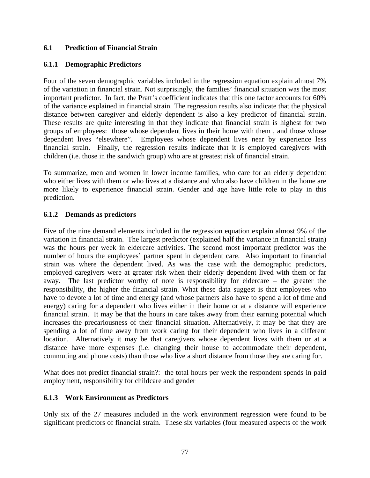### **6.1 Prediction of Financial Strain**

### **6.1.1 Demographic Predictors**

Four of the seven demographic variables included in the regression equation explain almost 7% of the variation in financial strain. Not surprisingly, the families' financial situation was the most important predictor. In fact, the Pratt's coefficient indicates that this one factor accounts for 60% of the variance explained in financial strain. The regression results also indicate that the physical distance between caregiver and elderly dependent is also a key predictor of financial strain. These results are quite interesting in that they indicate that financial strain is highest for two groups of employees: those whose dependent lives in their home with them , and those whose dependent lives "elsewhere". Employees whose dependent lives near by experience less financial strain. Finally, the regression results indicate that it is employed caregivers with children (i.e. those in the sandwich group) who are at greatest risk of financial strain.

To summarize, men and women in lower income families, who care for an elderly dependent who either lives with them or who lives at a distance and who also have children in the home are more likely to experience financial strain. Gender and age have little role to play in this prediction.

### **6.1.2 Demands as predictors**

Five of the nine demand elements included in the regression equation explain almost 9% of the variation in financial strain. The largest predictor (explained half the variance in financial strain) was the hours per week in eldercare activities. The second most important predictor was the number of hours the employees' partner spent in dependent care. Also important to financial strain was where the dependent lived. As was the case with the demographic predictors, employed caregivers were at greater risk when their elderly dependent lived with them or far away. The last predictor worthy of note is responsibility for eldercare – the greater the responsibility, the higher the financial strain. What these data suggest is that employees who have to devote a lot of time and energy (and whose partners also have to spend a lot of time and energy) caring for a dependent who lives either in their home or at a distance will experience financial strain. It may be that the hours in care takes away from their earning potential which increases the precariousness of their financial situation. Alternatively, it may be that they are spending a lot of time away from work caring for their dependent who lives in a different location. Alternatively it may be that caregivers whose dependent lives with them or at a distance have more expenses (i.e. changing their house to accommodate their dependent, commuting and phone costs) than those who live a short distance from those they are caring for.

What does not predict financial strain?: the total hours per week the respondent spends in paid employment, responsibility for childcare and gender

### **6.1.3 Work Environment as Predictors**

Only six of the 27 measures included in the work environment regression were found to be significant predictors of financial strain. These six variables (four measured aspects of the work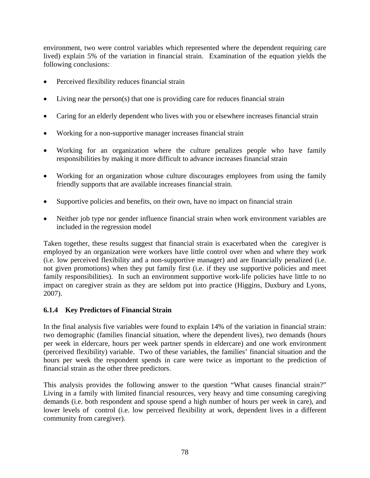environment, two were control variables which represented where the dependent requiring care lived) explain 5% of the variation in financial strain. Examination of the equation yields the following conclusions:

- Perceived flexibility reduces financial strain
- Living near the person(s) that one is providing care for reduces financial strain
- Caring for an elderly dependent who lives with you or elsewhere increases financial strain
- Working for a non-supportive manager increases financial strain
- Working for an organization where the culture penalizes people who have family responsibilities by making it more difficult to advance increases financial strain
- Working for an organization whose culture discourages employees from using the family friendly supports that are available increases financial strain.
- Supportive policies and benefits, on their own, have no impact on financial strain
- Neither job type nor gender influence financial strain when work environment variables are included in the regression model

Taken together, these results suggest that financial strain is exacerbated when the caregiver is employed by an organization were workers have little control over when and where they work (i.e. low perceived flexibility and a non-supportive manager) and are financially penalized (i.e. not given promotions) when they put family first (i.e. if they use supportive policies and meet family responsibilities). In such an environment supportive work-life policies have little to no impact on caregiver strain as they are seldom put into practice (Higgins, Duxbury and Lyons, 2007).

### **6.1.4 Key Predictors of Financial Strain**

In the final analysis five variables were found to explain 14% of the variation in financial strain: two demographic (families financial situation, where the dependent lives), two demands (hours per week in eldercare, hours per week partner spends in eldercare) and one work environment (perceived flexibility) variable. Two of these variables, the families' financial situation and the hours per week the respondent spends in care were twice as important to the prediction of financial strain as the other three predictors.

This analysis provides the following answer to the question "What causes financial strain?" Living in a family with limited financial resources, very heavy and time consuming caregiving demands (i.e. both respondent and spouse spend a high number of hours per week in care), and lower levels of control (i.e. low perceived flexibility at work, dependent lives in a different community from caregiver).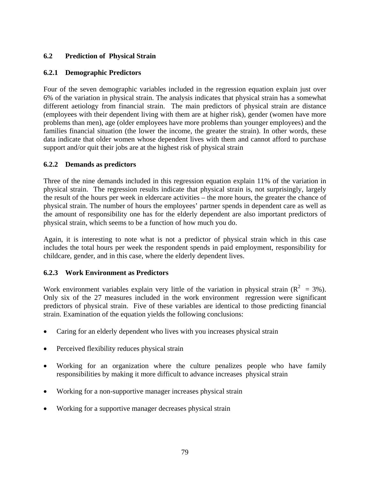### **6.2 Prediction of Physical Strain**

### **6.2.1 Demographic Predictors**

Four of the seven demographic variables included in the regression equation explain just over 6% of the variation in physical strain. The analysis indicates that physical strain has a somewhat different aetiology from financial strain. The main predictors of physical strain are distance (employees with their dependent living with them are at higher risk), gender (women have more problems than men), age (older employees have more problems than younger employees) and the families financial situation (the lower the income, the greater the strain). In other words, these data indicate that older women whose dependent lives with them and cannot afford to purchase support and/or quit their jobs are at the highest risk of physical strain

### **6.2.2 Demands as predictors**

Three of the nine demands included in this regression equation explain 11% of the variation in physical strain. The regression results indicate that physical strain is, not surprisingly, largely the result of the hours per week in eldercare activities – the more hours, the greater the chance of physical strain. The number of hours the employees' partner spends in dependent care as well as the amount of responsibility one has for the elderly dependent are also important predictors of physical strain, which seems to be a function of how much you do.

Again, it is interesting to note what is not a predictor of physical strain which in this case includes the total hours per week the respondent spends in paid employment, responsibility for childcare, gender, and in this case, where the elderly dependent lives.

### **6.2.3 Work Environment as Predictors**

Work environment variables explain very little of the variation in physical strain  $(R^2 = 3\%)$ . Only six of the 27 measures included in the work environment regression were significant predictors of physical strain. Five of these variables are identical to those predicting financial strain. Examination of the equation yields the following conclusions:

- Caring for an elderly dependent who lives with you increases physical strain
- Perceived flexibility reduces physical strain
- Working for an organization where the culture penalizes people who have family responsibilities by making it more difficult to advance increases physical strain
- Working for a non-supportive manager increases physical strain
- Working for a supportive manager decreases physical strain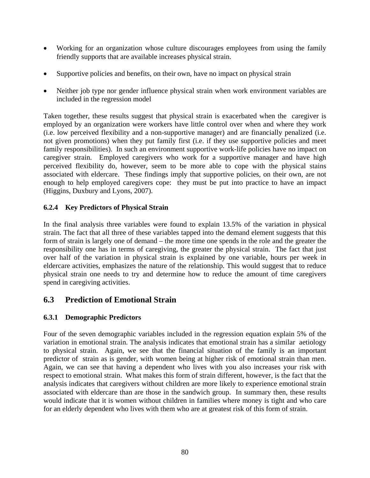- Working for an organization whose culture discourages employees from using the family friendly supports that are available increases physical strain.
- Supportive policies and benefits, on their own, have no impact on physical strain
- Neither job type nor gender influence physical strain when work environment variables are included in the regression model

Taken together, these results suggest that physical strain is exacerbated when the caregiver is employed by an organization were workers have little control over when and where they work (i.e. low perceived flexibility and a non-supportive manager) and are financially penalized (i.e. not given promotions) when they put family first (i.e. if they use supportive policies and meet family responsibilities). In such an environment supportive work-life policies have no impact on caregiver strain. Employed caregivers who work for a supportive manager and have high perceived flexibility do, however, seem to be more able to cope with the physical stains associated with eldercare. These findings imply that supportive policies, on their own, are not enough to help employed caregivers cope: they must be put into practice to have an impact (Higgins, Duxbury and Lyons, 2007).

## **6.2.4 Key Predictors of Physical Strain**

In the final analysis three variables were found to explain 13.5% of the variation in physical strain. The fact that all three of these variables tapped into the demand element suggests that this form of strain is largely one of demand – the more time one spends in the role and the greater the responsibility one has in terms of caregiving, the greater the physical strain. The fact that just over half of the variation in physical strain is explained by one variable, hours per week in eldercare activities, emphasizes the nature of the relationship. This would suggest that to reduce physical strain one needs to try and determine how to reduce the amount of time caregivers spend in caregiving activities.

## **6.3 Prediction of Emotional Strain**

## **6.3.1 Demographic Predictors**

Four of the seven demographic variables included in the regression equation explain 5% of the variation in emotional strain. The analysis indicates that emotional strain has a similar aetiology to physical strain. Again, we see that the financial situation of the family is an important predictor of strain as is gender, with women being at higher risk of emotional strain than men. Again, we can see that having a dependent who lives with you also increases your risk with respect to emotional strain. What makes this form of strain different, however, is the fact that the analysis indicates that caregivers without children are more likely to experience emotional strain associated with eldercare than are those in the sandwich group. In summary then, these results would indicate that it is women without children in families where money is tight and who care for an elderly dependent who lives with them who are at greatest risk of this form of strain.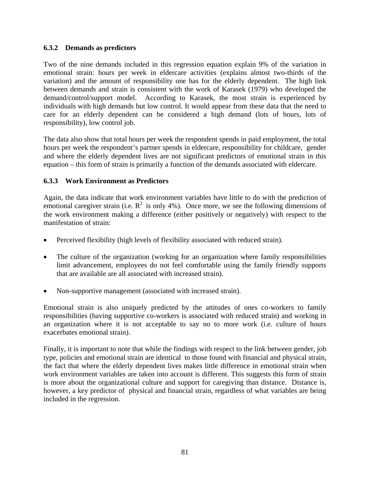#### **6.3.2 Demands as predictors**

Two of the nine demands included in this regression equation explain 9% of the variation in emotional strain: hours per week in eldercare activities (explains almost two-thirds of the variation) and the amount of responsibility one has for the elderly dependent. The high link between demands and strain is consistent with the work of Karasek (1979) who developed the demand/control/support model. According to Karasek, the most strain is experienced by individuals with high demands but low control. It would appear from these data that the need to care for an elderly dependent can be considered a high demand (lots of hours, lots of responsibility), low control job.

The data also show that total hours per week the respondent spends in paid employment, the total hours per week the respondent's partner spends in eldercare, responsibility for childcare, gender and where the elderly dependent lives are not significant predictors of emotional strain in this equation – this form of strain is primarily a function of the demands associated with eldercare.

#### **6.3.3 Work Environment as Predictors**

Again, the data indicate that work environment variables have little to do with the prediction of emotional caregiver strain (i.e.  $R^2$  is only 4%). Once more, we see the following dimensions of the work environment making a difference (either positively or negatively) with respect to the manifestation of strain:

- Perceived flexibility (high levels of flexibility associated with reduced strain).
- The culture of the organization (working for an organization where family responsibilities limit advancement, employees do not feel comfortable using the family friendly supports that are available are all associated with increased strain).
- Non-supportive management (associated with increased strain).

Emotional strain is also uniquely predicted by the attitudes of ones co-workers to family responsibilities (having supportive co-workers is associated with reduced strain) and working in an organization where it is not acceptable to say no to more work (i.e. culture of hours exacerbates emotional strain).

Finally, it is important to note that while the findings with respect to the link between gender, job type, policies and emotional strain are identical to those found with financial and physical strain, the fact that where the elderly dependent lives makes little difference in emotional strain when work environment variables are taken into account is different. This suggests this form of strain is more about the organizational culture and support for caregiving than distance. Distance is, however, a key predictor of physical and financial strain, regardless of what variables are being included in the regression.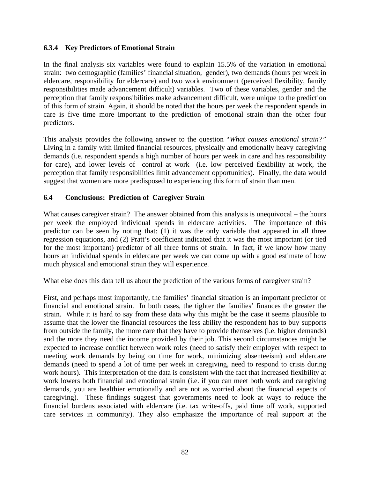#### **6.3.4 Key Predictors of Emotional Strain**

In the final analysis six variables were found to explain 15.5% of the variation in emotional strain: two demographic (families' financial situation, gender), two demands (hours per week in eldercare, responsibility for eldercare) and two work environment (perceived flexibility, family responsibilities made advancement difficult) variables. Two of these variables, gender and the perception that family responsibilities make advancement difficult, were unique to the prediction of this form of strain. Again, it should be noted that the hours per week the respondent spends in care is five time more important to the prediction of emotional strain than the other four predictors.

This analysis provides the following answer to the question "*What causes emotional strain?"* Living in a family with limited financial resources, physically and emotionally heavy caregiving demands (i.e. respondent spends a high number of hours per week in care and has responsibility for care), and lower levels of control at work (i.e. low perceived flexibility at work, the perception that family responsibilities limit advancement opportunities). Finally, the data would suggest that women are more predisposed to experiencing this form of strain than men.

### **6.4 Conclusions: Prediction of Caregiver Strain**

What causes caregiver strain? The answer obtained from this analysis is unequivocal – the hours per week the employed individual spends in eldercare activities. The importance of this predictor can be seen by noting that: (1) it was the only variable that appeared in all three regression equations, and (2) Pratt's coefficient indicated that it was the most important (or tied for the most important) predictor of all three forms of strain. In fact, if we know how many hours an individual spends in eldercare per week we can come up with a good estimate of how much physical and emotional strain they will experience.

What else does this data tell us about the prediction of the various forms of caregiver strain?

First, and perhaps most importantly, the families' financial situation is an important predictor of financial and emotional strain. In both cases, the tighter the families' finances the greater the strain. While it is hard to say from these data why this might be the case it seems plausible to assume that the lower the financial resources the less ability the respondent has to buy supports from outside the family, the more care that they have to provide themselves (i.e. higher demands) and the more they need the income provided by their job. This second circumstances might be expected to increase conflict between work roles (need to satisfy their employer with respect to meeting work demands by being on time for work, minimizing absenteeism) and eldercare demands (need to spend a lot of time per week in caregiving, need to respond to crisis during work hours). This interpretation of the data is consistent with the fact that increased flexibility at work lowers both financial and emotional strain (i.e. if you can meet both work and caregiving demands, you are healthier emotionally and are not as worried about the financial aspects of caregiving). These findings suggest that governments need to look at ways to reduce the financial burdens associated with eldercare (i.e. tax write-offs, paid time off work, supported care services in community). They also emphasize the importance of real support at the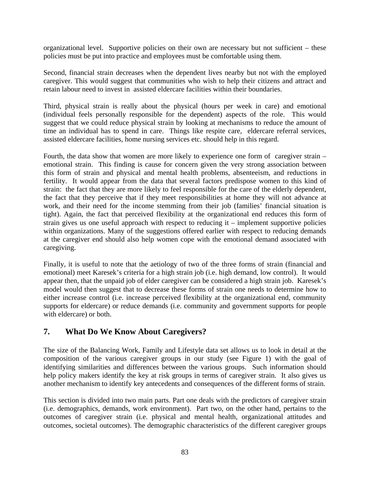organizational level. Supportive policies on their own are necessary but not sufficient – these policies must be put into practice and employees must be comfortable using them.

Second, financial strain decreases when the dependent lives nearby but not with the employed caregiver. This would suggest that communities who wish to help their citizens and attract and retain labour need to invest in assisted eldercare facilities within their boundaries.

Third, physical strain is really about the physical (hours per week in care) and emotional (individual feels personally responsible for the dependent) aspects of the role. This would suggest that we could reduce physical strain by looking at mechanisms to reduce the amount of time an individual has to spend in care. Things like respite care, eldercare referral services, assisted eldercare facilities, home nursing services etc. should help in this regard.

Fourth, the data show that women are more likely to experience one form of caregiver strain – emotional strain. This finding is cause for concern given the very strong association between this form of strain and physical and mental health problems, absenteeism, and reductions in fertility. It would appear from the data that several factors predispose women to this kind of strain: the fact that they are more likely to feel responsible for the care of the elderly dependent, the fact that they perceive that if they meet responsibilities at home they will not advance at work, and their need for the income stemming from their job (families' financial situation is tight). Again, the fact that perceived flexibility at the organizational end reduces this form of strain gives us one useful approach with respect to reducing it – implement supportive policies within organizations. Many of the suggestions offered earlier with respect to reducing demands at the caregiver end should also help women cope with the emotional demand associated with caregiving.

Finally, it is useful to note that the aetiology of two of the three forms of strain (financial and emotional) meet Karesek's criteria for a high strain job (i.e. high demand, low control). It would appear then, that the unpaid job of elder caregiver can be considered a high strain job. Karesek's model would then suggest that to decrease these forms of strain one needs to determine how to either increase control (i.e. increase perceived flexibility at the organizational end, community supports for eldercare) or reduce demands (i.e. community and government supports for people with eldercare) or both.

## **7. What Do We Know About Caregivers?**

The size of the Balancing Work, Family and Lifestyle data set allows us to look in detail at the composition of the various caregiver groups in our study (see Figure 1) with the goal of identifying similarities and differences between the various groups. Such information should help policy makers identify the key at risk groups in terms of caregiver strain. It also gives us another mechanism to identify key antecedents and consequences of the different forms of strain.

This section is divided into two main parts. Part one deals with the predictors of caregiver strain (i.e. demographics, demands, work environment). Part two, on the other hand, pertains to the outcomes of caregiver strain (i.e. physical and mental health, organizational attitudes and outcomes, societal outcomes). The demographic characteristics of the different caregiver groups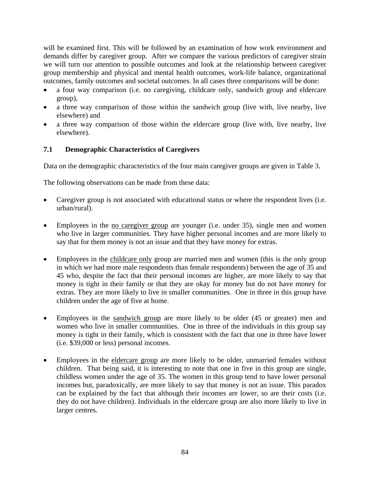will be examined first. This will be followed by an examination of how work environment and demands differ by caregiver group. After we compare the various predictors of caregiver strain we will turn our attention to possible outcomes and look at the relationship between caregiver group membership and physical and mental health outcomes, work-life balance, organizational outcomes, family outcomes and societal outcomes. In all cases three comparisons will be done:

- a four way comparison (i.e. no caregiving, childcare only, sandwich group and eldercare group),
- a three way comparison of those within the sandwich group (live with, live nearby, live elsewhere) and
- a three way comparison of those within the eldercare group (live with, live nearby, live elsewhere).

### **7.1 Demographic Characteristics of Caregivers**

Data on the demographic characteristics of the four main caregiver groups are given in Table 3.

The following observations can be made from these data:

- Caregiver group is not associated with educational status or where the respondent lives (i.e. urban/rural).
- Employees in the <u>no caregiver group</u> are younger (i.e. under 35), single men and women who live in larger communities. They have higher personal incomes and are more likely to say that for them money is not an issue and that they have money for extras.
- Employees in the childcare only group are married men and women (this is the only group in which we had more male respondents than female respondents) between the age of 35 and 45 who, despite the fact that their personal incomes are higher, are more likely to say that money is tight in their family or that they are okay for money but do not have money for extras. They are more likely to live in smaller communities. One in three in this group have children under the age of five at home.
- Employees in the sandwich group are more likely to be older (45 or greater) men and women who live in smaller communities. One in three of the individuals in this group say money is tight in their family, which is consistent with the fact that one in three have lower (i.e. \$39,000 or less) personal incomes.
- Employees in the eldercare group are more likely to be older, unmarried females without children. That being said, it is interesting to note that one in five in this group are single, childless women under the age of 35. The women in this group tend to have lower personal incomes but, paradoxically, are more likely to say that money is not an issue. This paradox can be explained by the fact that although their incomes are lower, so are their costs (i.e. they do not have children). Individuals in the eldercare group are also more likely to live in larger centres.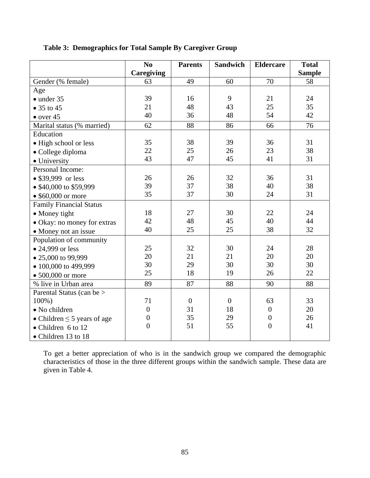|                                  | N <sub>o</sub>    | <b>Parents</b> | <b>Sandwich</b>  | <b>Eldercare</b> | <b>Total</b>  |
|----------------------------------|-------------------|----------------|------------------|------------------|---------------|
|                                  | <b>Caregiving</b> |                |                  |                  | <b>Sample</b> |
| Gender (% female)                | 63                | 49             | 60               | 70               | 58            |
| Age                              |                   |                |                  |                  |               |
| $\bullet$ under 35               | 39                | 16             | 9                | 21               | 24            |
| $\bullet$ 35 to 45               | 21                | 48             | 43               | 25               | 35            |
| $\bullet$ over 45                | 40                | 36             | 48               | 54               | 42            |
| Marital status (% married)       | 62                | 88             | 86               | 66               | 76            |
| Education                        |                   |                |                  |                  |               |
| · High school or less            | 35                | 38             | 39               | 36               | 31            |
| · College diploma                | 22                | 25             | 26               | 23               | 38            |
| • University                     | 43                | 47             | 45               | 41               | 31            |
| Personal Income:                 |                   |                |                  |                  |               |
| • \$39,999 or less               | 26                | 26             | 32               | 36               | 31            |
| • \$40,000 to \$59,999           | 39                | 37             | 38               | 40               | 38            |
| $\bullet$ \$60,000 or more       | 35                | 37             | 30               | 24               | 31            |
| <b>Family Financial Status</b>   |                   |                |                  |                  |               |
| • Money tight                    | 18                | 27             | 30               | 22               | 24            |
| • Okay: no money for extras      | 42                | 48             | 45               | 40               | 44            |
| • Money not an issue             | 40                | 25             | 25               | 38               | 32            |
| Population of community          |                   |                |                  |                  |               |
| • 24,999 or less                 | 25                | 32             | 30               | 24               | 28            |
| • 25,000 to 99,999               | 20                | 21             | 21               | 20               | 20            |
| • 100,000 to 499,999             | 30                | 29             | 30               | 30               | 30            |
| $\bullet$ 500,000 or more        | 25                | 18             | 19               | 26               | 22            |
| % live in Urban area             | 89                | 87             | 88               | 90               | 88            |
| Parental Status (can be >        |                   |                |                  |                  |               |
| 100%)                            | 71                | $\overline{0}$ | $\boldsymbol{0}$ | 63               | 33            |
| • No children                    | $\overline{0}$    | 31             | 18               | $\overline{0}$   | 20            |
| • Children $\leq$ 5 years of age | $\overline{0}$    | 35             | 29               | $\boldsymbol{0}$ | 26            |
| $\bullet$ Children 6 to 12       | $\overline{0}$    | 51             | 55               | $\overline{0}$   | 41            |
| • Children 13 to 18              |                   |                |                  |                  |               |

## **Table 3: Demographics for Total Sample By Caregiver Group**

To get a better appreciation of who is in the sandwich group we compared the demographic characteristics of those in the three different groups within the sandwich sample. These data are given in Table 4.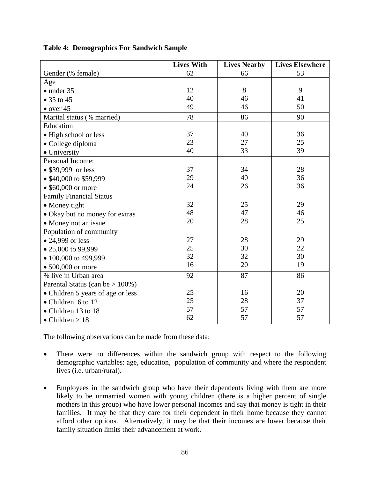|                                     | <b>Lives With</b> | <b>Lives Nearby</b> | <b>Lives Elsewhere</b> |
|-------------------------------------|-------------------|---------------------|------------------------|
| Gender (% female)                   | 62                | 66                  | 53                     |
| Age                                 |                   |                     |                        |
| $\bullet$ under 35                  | 12                | 8                   | 9                      |
| $\bullet$ 35 to 45                  | 40                | 46                  | 41                     |
| $\bullet$ over 45                   | 49                | 46                  | 50                     |
| Marital status (% married)          | 78                | 86                  | 90                     |
| Education                           |                   |                     |                        |
| • High school or less               | 37                | 40                  | 36                     |
| · College diploma                   | 23                | 27                  | 25                     |
| • University                        | 40                | 33                  | 39                     |
| Personal Income:                    |                   |                     |                        |
| • \$39,999 or less                  | 37                | 34                  | 28                     |
| • \$40,000 to \$59,999              | 29                | 40                  | 36                     |
| • $$60,000$ or more                 | 24                | 26                  | 36                     |
| <b>Family Financial Status</b>      |                   |                     |                        |
| • Money tight                       | 32                | 25                  | 29                     |
| • Okay but no money for extras      | 48                | 47                  | 46                     |
| • Money not an issue                | 20                | 28                  | 25                     |
| Population of community             |                   |                     |                        |
| • 24,999 or less                    | 27                | 28                  | 29                     |
| • 25,000 to 99,999                  | 25                | 30                  | 22                     |
| • 100,000 to 499,999                | 32                | 32                  | 30                     |
| $\bullet$ 500,000 or more           | 16                | 20                  | 19                     |
| % live in Urban area                | 92                | 87                  | 86                     |
| Parental Status (can be $> 100\%$ ) |                   |                     |                        |
| • Children 5 years of age or less   | 25                | 16                  | 20                     |
| • Children 6 to 12                  | 25                | 28                  | 37                     |
| • Children 13 to 18                 | 57                | 57                  | 57                     |
| $\bullet$ Children > 18             | 62                | 57                  | 57                     |

**Table 4: Demographics For Sandwich Sample** 

The following observations can be made from these data:

- There were no differences within the sandwich group with respect to the following demographic variables: age, education, population of community and where the respondent lives (i.e. urban/rural).
- Employees in the sandwich group who have their dependents living with them are more likely to be unmarried women with young children (there is a higher percent of single mothers in this group) who have lower personal incomes and say that money is tight in their families. It may be that they care for their dependent in their home because they cannot afford other options. Alternatively, it may be that their incomes are lower because their family situation limits their advancement at work.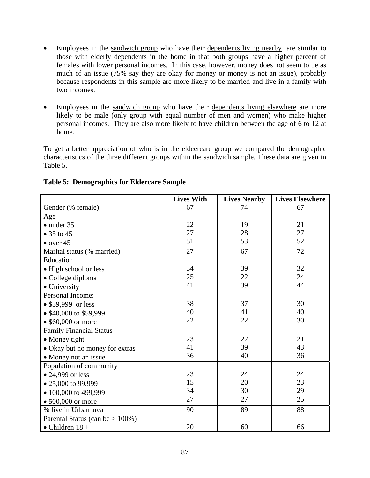- Employees in the sandwich group who have their dependents living nearby are similar to those with elderly dependents in the home in that both groups have a higher percent of females with lower personal incomes. In this case, however, money does not seem to be as much of an issue (75% say they are okay for money or money is not an issue), probably because respondents in this sample are more likely to be married and live in a family with two incomes.
- Employees in the sandwich group who have their dependents living elsewhere are more likely to be male (only group with equal number of men and women) who make higher personal incomes. They are also more likely to have children between the age of 6 to 12 at home.

To get a better appreciation of who is in the eldcercare group we compared the demographic characteristics of the three different groups within the sandwich sample. These data are given in Table 5.

|                                     | <b>Lives With</b> | <b>Lives Nearby</b> | <b>Lives Elsewhere</b> |
|-------------------------------------|-------------------|---------------------|------------------------|
| Gender (% female)                   | 67                | 74                  | 67                     |
| Age                                 |                   |                     |                        |
| $\bullet$ under 35                  | 22                | 19                  | 21                     |
| • 35 to 45                          | 27                | 28                  | 27                     |
| $\bullet$ over 45                   | 51                | 53                  | 52                     |
| Marital status (% married)          | 27                | 67                  | 72                     |
| Education                           |                   |                     |                        |
| • High school or less               | 34                | 39                  | 32                     |
| • College diploma                   | 25                | 22                  | 24                     |
| • University                        | 41                | 39                  | 44                     |
| Personal Income:                    |                   |                     |                        |
| • \$39,999 or less                  | 38                | 37                  | 30                     |
| • \$40,000 to \$59,999              | 40                | 41                  | 40                     |
| • $$60,000$ or more                 | 22                | 22                  | 30                     |
| <b>Family Financial Status</b>      |                   |                     |                        |
| • Money tight                       | 23                | 22                  | 21                     |
| • Okay but no money for extras      | 41                | 39                  | 43                     |
| • Money not an issue                | 36                | 40                  | 36                     |
| Population of community             |                   |                     |                        |
| • 24,999 or less                    | 23                | 24                  | 24                     |
| • 25,000 to 99,999                  | 15                | 20                  | 23                     |
| • 100,000 to 499,999                | 34                | 30                  | 29                     |
| $\bullet$ 500,000 or more           | 27                | 27                  | 25                     |
| % live in Urban area                | 90                | 89                  | 88                     |
| Parental Status (can be $> 100\%$ ) |                   |                     |                        |
| $\bullet$ Children 18 +             | 20                | 60                  | 66                     |

### **Table 5: Demographics for Eldercare Sample**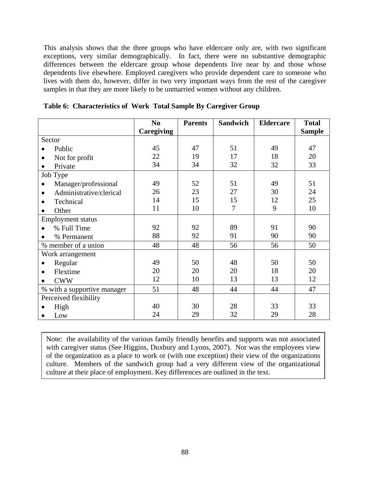This analysis shows that the three groups who have eldercare only are, with two significant exceptions, very similar demographically. In fact, there were no substantive demographic differences between the eldercare group whose dependents live near by and those whose dependents live elsewhere. Employed caregivers who provide dependent care to someone who lives with them do, however, differ in two very important ways from the rest of the caregiver samples in that they are more likely to be unmarried women without any children.

|                             | N <sub>0</sub> | <b>Parents</b> | <b>Sandwich</b> | <b>Eldercare</b> | <b>Total</b>  |
|-----------------------------|----------------|----------------|-----------------|------------------|---------------|
|                             | Caregiving     |                |                 |                  | <b>Sample</b> |
| Sector                      |                |                |                 |                  |               |
| Public                      | 45             | 47             | 51              | 49               | 47            |
| Not for profit              | 22             | 19             | 17              | 18               | 20            |
| Private                     | 34             | 34             | 32              | 32               | 33            |
| Job Type                    |                |                |                 |                  |               |
| Manager/professional        | 49             | 52             | 51              | 49               | 51            |
| Administrative/clerical     | 26             | 23             | 27              | 30               | 24            |
| Technical                   | 14             | 15             | 15              | 12               | 25            |
| Other                       | 11             | 10             | 7               | 9                | 10            |
| Employment status           |                |                |                 |                  |               |
| % Full Time                 | 92             | 92             | 89              | 91               | 90            |
| % Permanent                 | 88             | 92             | 91              | 90               | 90            |
| % member of a union         | 48             | 48             | 56              | 56               | 50            |
| Work arrangement            |                |                |                 |                  |               |
| Regular                     | 49             | 50             | 48              | 50               | 50            |
| Flextime                    | 20             | 20             | 20              | 18               | 20            |
| <b>CWW</b>                  | 12             | 10             | 13              | 13               | 12            |
| % with a supportive manager | 51             | 48             | 44              | 44               | 47            |
| Perceived flexibility       |                |                |                 |                  |               |
| High                        | 40             | 30             | 28              | 33               | 33            |
| Low<br>$\bullet$            | 24             | 29             | 32              | 29               | 28            |

**Table 6: Characteristics of Work Total Sample By Caregiver Group** 

Note: the availability of the various family friendly benefits and supports was not associated with caregiver status (See Higgins, Duxbury and Lyons, 2007). Nor was the employees view of the organization as a place to work or (with one exception) their view of the organizations culture. Members of the sandwich group had a very different view of the organizational culture at their place of employment. Key differences are outlined in the text.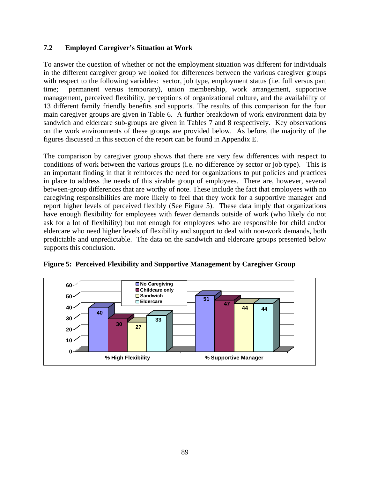### **7.2 Employed Caregiver's Situation at Work**

To answer the question of whether or not the employment situation was different for individuals in the different caregiver group we looked for differences between the various caregiver groups with respect to the following variables: sector, job type, employment status (i.e. full versus part time; permanent versus temporary), union membership, work arrangement, supportive management, perceived flexibility, perceptions of organizational culture, and the availability of 13 different family friendly benefits and supports. The results of this comparison for the four main caregiver groups are given in Table 6. A further breakdown of work environment data by sandwich and eldercare sub-groups are given in Tables 7 and 8 respectively. Key observations on the work environments of these groups are provided below. As before, the majority of the figures discussed in this section of the report can be found in Appendix E.

The comparison by caregiver group shows that there are very few differences with respect to conditions of work between the various groups (i.e. no difference by sector or job type). This is an important finding in that it reinforces the need for organizations to put policies and practices in place to address the needs of this sizable group of employees. There are, however, several between-group differences that are worthy of note. These include the fact that employees with no caregiving responsibilities are more likely to feel that they work for a supportive manager and report higher levels of perceived flexibly (See Figure 5). These data imply that organizations have enough flexibility for employees with fewer demands outside of work (who likely do not ask for a lot of flexibility) but not enough for employees who are responsible for child and/or eldercare who need higher levels of flexibility and support to deal with non-work demands, both predictable and unpredictable. The data on the sandwich and eldercare groups presented below supports this conclusion.



**Figure 5: Perceived Flexibility and Supportive Management by Caregiver Group**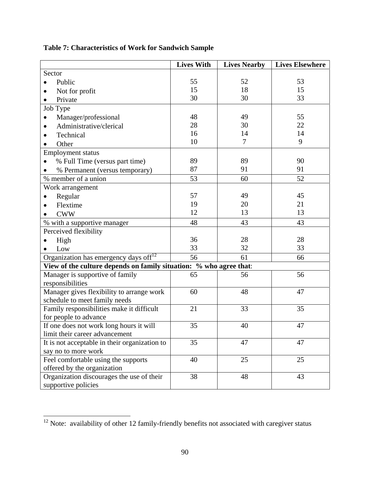|                                                                    | <b>Lives With</b> | <b>Lives Nearby</b> | <b>Lives Elsewhere</b> |
|--------------------------------------------------------------------|-------------------|---------------------|------------------------|
| Sector                                                             |                   |                     |                        |
| Public                                                             | 55                | 52                  | 53                     |
| Not for profit<br>$\bullet$                                        | 15                | 18                  | 15                     |
| Private                                                            | 30                | 30                  | 33                     |
| Job Type                                                           |                   |                     |                        |
| Manager/professional                                               | 48                | 49                  | 55                     |
| Administrative/clerical                                            | 28                | 30                  | 22                     |
| Technical                                                          | 16                | 14                  | 14                     |
| Other                                                              | 10                | 7                   | 9                      |
| <b>Employment status</b>                                           |                   |                     |                        |
| % Full Time (versus part time)                                     | 89                | 89                  | 90                     |
| % Permanent (versus temporary)                                     | 87                | 91                  | 91                     |
| % member of a union                                                | 53                | 60                  | 52                     |
| Work arrangement                                                   |                   |                     |                        |
| Regular<br>٠                                                       | 57                | 49                  | 45                     |
| Flextime                                                           | 19                | 20                  | 21                     |
| <b>CWW</b>                                                         | 12                | 13                  | 13                     |
| % with a supportive manager                                        | 48                | 43                  | 43                     |
| Perceived flexibility                                              |                   |                     |                        |
| High                                                               | 36                | 28                  | 28                     |
| Low                                                                | 33                | 32                  | 33                     |
| Organization has emergency days off <sup>12</sup>                  | 56                | 61                  | 66                     |
| View of the culture depends on family situation: % who agree that: |                   |                     |                        |
| Manager is supportive of family                                    | 65                | 56                  | 56                     |
| responsibilities                                                   |                   |                     |                        |
| Manager gives flexibility to arrange work                          | 60                | 48                  | 47                     |
| schedule to meet family needs                                      |                   |                     |                        |
| Family responsibilities make it difficult                          | 21                | 33                  | 35                     |
| for people to advance                                              |                   |                     |                        |
| If one does not work long hours it will                            | 35                | 40                  | 47                     |
| limit their career advancement                                     |                   |                     |                        |
| It is not acceptable in their organization to                      | 35                | 47                  | 47                     |
| say no to more work                                                |                   |                     |                        |
| Feel comfortable using the supports                                | 40                | 25                  | 25                     |
| offered by the organization                                        |                   |                     |                        |
| Organization discourages the use of their                          | 38                | 48                  | 43                     |
| supportive policies                                                |                   |                     |                        |

**Table 7: Characteristics of Work for Sandwich Sample** 

 $\overline{a}$ 

 $12$  Note: availability of other 12 family-friendly benefits not associated with caregiver status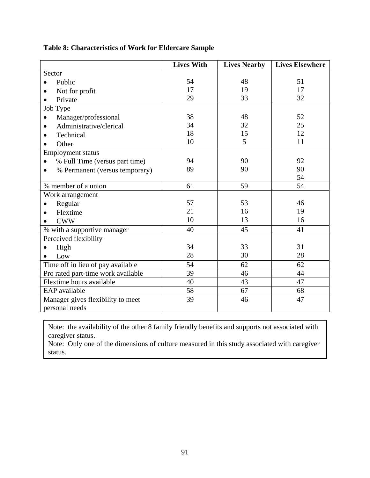|                                    | <b>Lives With</b> | <b>Lives Nearby</b> | <b>Lives Elsewhere</b> |
|------------------------------------|-------------------|---------------------|------------------------|
| Sector                             |                   |                     |                        |
| Public                             | 54                | 48                  | 51                     |
| Not for profit<br>$\bullet$        | 17                | 19                  | 17                     |
| Private                            | 29                | 33                  | 32                     |
| Job Type                           |                   |                     |                        |
| Manager/professional               | 38                | 48                  | 52                     |
| Administrative/clerical            | 34                | 32                  | 25                     |
| Technical                          | 18                | 15                  | 12                     |
| Other                              | 10                | 5                   | 11                     |
| <b>Employment status</b>           |                   |                     |                        |
| % Full Time (versus part time)     | 94                | 90                  | 92                     |
| % Permanent (versus temporary)     | 89                | 90                  | 90                     |
|                                    |                   |                     | 54                     |
| % member of a union                | 61                | 59                  | 54                     |
| Work arrangement                   |                   |                     |                        |
| Regular                            | 57                | 53                  | 46                     |
| Flextime                           | 21                | 16                  | 19                     |
| <b>CWW</b>                         | 10                | 13                  | 16                     |
| % with a supportive manager        | 40                | 45                  | 41                     |
| Perceived flexibility              |                   |                     |                        |
| High                               | 34                | 33                  | 31                     |
| Low                                | 28                | 30                  | 28                     |
| Time off in lieu of pay available  | 54                | 62                  | 62                     |
| Pro rated part-time work available | 39                | 46                  | 44                     |
| Flextime hours available           | 40                | 43                  | 47                     |
| EAP available                      | 58                | 67                  | 68                     |
| Manager gives flexibility to meet  | 39                | 46                  | 47                     |
| personal needs                     |                   |                     |                        |

## **Table 8: Characteristics of Work for Eldercare Sample**

Note: the availability of the other 8 family friendly benefits and supports not associated with caregiver status.

Note: Only one of the dimensions of culture measured in this study associated with caregiver status.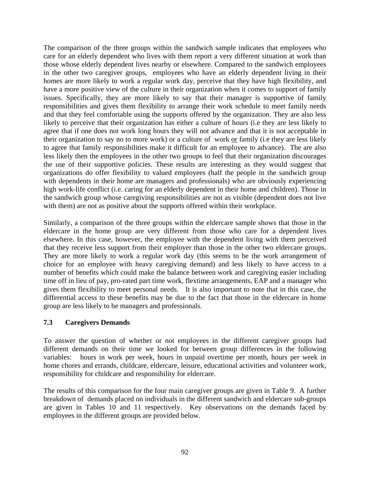The comparison of the three groups within the sandwich sample indicates that employees who care for an elderly dependent who lives with them report a very different situation at work than those whose elderly dependent lives nearby or elsewhere. Compared to the sandwich employees in the other two caregiver groups, employees who have an elderly dependent living in their homes are more likely to work a regular work day, perceive that they have high flexibility, and have a more positive view of the culture in their organization when it comes to support of family issues. Specifically, they are more likely to say that their manager is supportive of family responsibilities and gives them flexibility to arrange their work schedule to meet family needs and that they feel comfortable using the supports offered by the organization. They are also less likely to perceive that their organization has either a culture of hours (i.e they are less likely to agree that if one does not work long hours they will not advance and that it is not acceptable in their organization to say no to more work) or a culture of work or family (i.e they are less likely to agree that family responsibilities make it difficult for an employee to advance). The are also less likely then the employees in the other two groups to feel that their organization discourages the use of their supportive policies. These results are interesting as they would suggest that organizations do offer flexibility to valued employees (half the people in the sandwich group with dependents in their home are managers and professionals) who are obviously experiencing high work-life conflict (i.e. caring for an elderly dependent in their home and children). Those in the sandwich group whose caregiving responsibilities are not as visible (dependent does not live with them) are not as positive about the supports offered within their workplace.

Similarly, a comparison of the three groups within the eldercare sample shows that those in the eldercare in the home group are very different from those who care for a dependent lives elsewhere. In this case, however, the employee with the dependent living with them perceived that they receive less support from their employer than those in the other two eldercare groups. They are more likely to work a regular work day (this seems to be the work arrangement of choice for an employee with heavy caregiving demand) and less likely to have access to a number of benefits which could make the balance between work and caregiving easier including time off in lieu of pay, pro-rated part time work, flextime arrangements, EAP and a manager who gives them flexibility to meet personal needs. It is also important to note that in this case, the differential access to these benefits may be due to the fact that those in the eldercare in home group are less likely to be managers and professionals.

### **7.3 Caregivers Demands**

To answer the question of whether or not employees in the different caregiver groups had different demands on their time we looked for between group differences in the following variables: hours in work per week, hours in unpaid overtime per month, hours per week in home chores and errands, childcare, eldercare, leisure, educational activities and volunteer work, responsibility for childcare and responsibility for eldercare.

The results of this comparison for the four main caregiver groups are given in Table 9. A further breakdown of demands placed on individuals in the different sandwich and eldercare sub-groups are given in Tables 10 and 11 respectively. Key observations on the demands faced by employees in the different groups are provided below.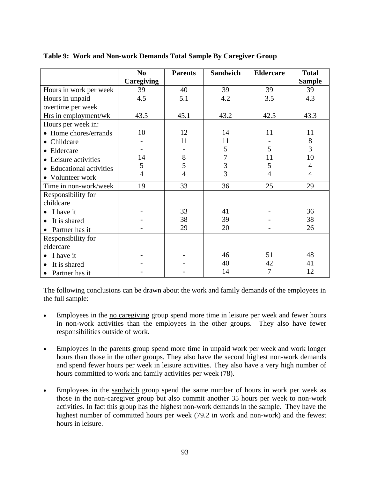|                             | N <sub>0</sub> | <b>Parents</b> | <b>Sandwich</b> | <b>Eldercare</b> | <b>Total</b>   |
|-----------------------------|----------------|----------------|-----------------|------------------|----------------|
|                             | Caregiving     |                |                 |                  | <b>Sample</b>  |
| Hours in work per week      | 39             | 40             | 39              | 39               | 39             |
| Hours in unpaid             | 4.5            | 5.1            | 4.2             | 3.5              | 4.3            |
| overtime per week           |                |                |                 |                  |                |
| Hrs in employment/wk        | 43.5           | 45.1           | 43.2            | 42.5             | 43.3           |
| Hours per week in:          |                |                |                 |                  |                |
| • Home chores/errands       | 10             | 12             | 14              | 11               | 11             |
| Childcare<br>$\bullet$      |                | 11             | 11              |                  | 8              |
| • Eldercare                 |                |                | 5               | 5                | $\overline{3}$ |
| • Leisure activities        | 14             | 8              | 7               | 11               | 10             |
| • Educational activities    | 5              | 5              | 3               | 5                | 4              |
| • Volunteer work            | $\overline{4}$ | 4              | 3               | 4                | 4              |
| Time in non-work/week       | 19             | 33             | 36              | 25               | 29             |
| Responsibility for          |                |                |                 |                  |                |
| childcare                   |                |                |                 |                  |                |
| I have it                   |                | 33             | 41              |                  | 36             |
| It is shared                |                | 38             | 39              |                  | 38             |
| Partner has it<br>$\bullet$ |                | 29             | 20              |                  | 26             |
| Responsibility for          |                |                |                 |                  |                |
| eldercare                   |                |                |                 |                  |                |
| I have it                   |                |                | 46              | 51               | 48             |
| It is shared                |                |                | 40              | 42               | 41             |
| Partner has it<br>$\bullet$ |                |                | 14              | 7                | 12             |

**Table 9: Work and Non-work Demands Total Sample By Caregiver Group** 

The following conclusions can be drawn about the work and family demands of the employees in the full sample:

- Employees in the <u>no caregiving</u> group spend more time in leisure per week and fewer hours in non-work activities than the employees in the other groups. They also have fewer responsibilities outside of work.
- Employees in the parents group spend more time in unpaid work per week and work longer hours than those in the other groups. They also have the second highest non-work demands and spend fewer hours per week in leisure activities. They also have a very high number of hours committed to work and family activities per week (78).
- Employees in the sandwich group spend the same number of hours in work per week as those in the non-caregiver group but also commit another 35 hours per week to non-work activities. In fact this group has the highest non-work demands in the sample. They have the highest number of committed hours per week (79.2 in work and non-work) and the fewest hours in leisure.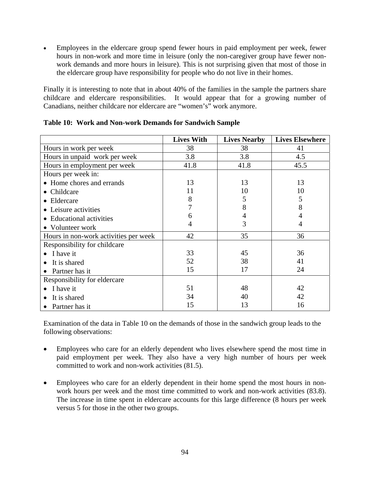• Employees in the eldercare group spend fewer hours in paid employment per week, fewer hours in non-work and more time in leisure (only the non-caregiver group have fewer nonwork demands and more hours in leisure). This is not surprising given that most of those in the eldercare group have responsibility for people who do not live in their homes.

Finally it is interesting to note that in about 40% of the families in the sample the partners share childcare and eldercare responsibilities. It would appear that for a growing number of Canadians, neither childcare nor eldercare are "women's" work anymore.

|                                       | <b>Lives With</b> | <b>Lives Nearby</b> | <b>Lives Elsewhere</b> |
|---------------------------------------|-------------------|---------------------|------------------------|
| Hours in work per week                | 38                | 38                  | 41                     |
| Hours in unpaid work per week         | 3.8               | 3.8                 | 4.5                    |
| Hours in employment per week          | 41.8              | 41.8                | 45.5                   |
| Hours per week in:                    |                   |                     |                        |
| • Home chores and errands             | 13                | 13                  | 13                     |
| • Childcare                           | 11                | 10                  | 10                     |
| • Eldercare                           | 8                 | 5                   | 5                      |
| • Leisure activities                  | 7                 | 8                   | 8                      |
| • Educational activities              | 6                 | 4                   | 4                      |
| • Volunteer work                      | 4                 | 3                   | 4                      |
| Hours in non-work activities per week | 42                | 35                  | 36                     |
| Responsibility for childcare          |                   |                     |                        |
| I have it                             | 33                | 45                  | 36                     |
| It is shared                          | 52                | 38                  | 41                     |
| Partner has it                        | 15                | 17                  | 24                     |
| Responsibility for eldercare          |                   |                     |                        |
| I have it                             | 51                | 48                  | 42                     |
| It is shared                          | 34                | 40                  | 42                     |
| Partner has it                        | 15                | 13                  | 16                     |

Examination of the data in Table 10 on the demands of those in the sandwich group leads to the following observations:

- Employees who care for an elderly dependent who lives elsewhere spend the most time in paid employment per week. They also have a very high number of hours per week committed to work and non-work activities (81.5).
- Employees who care for an elderly dependent in their home spend the most hours in nonwork hours per week and the most time committed to work and non-work activities (83.8). The increase in time spent in eldercare accounts for this large difference (8 hours per week versus 5 for those in the other two groups.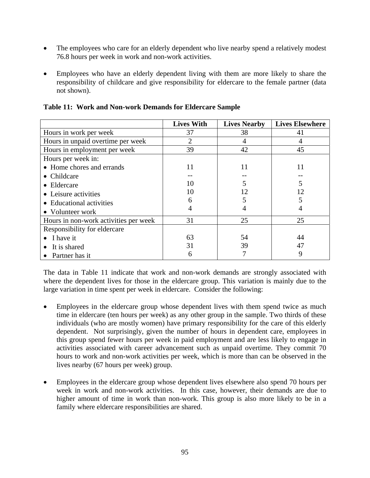- The employees who care for an elderly dependent who live nearby spend a relatively modest 76.8 hours per week in work and non-work activities.
- Employees who have an elderly dependent living with them are more likely to share the responsibility of childcare and give responsibility for eldercare to the female partner (data not shown).

|                                       | <b>Lives With</b> | <b>Lives Nearby</b> | <b>Lives Elsewhere</b> |
|---------------------------------------|-------------------|---------------------|------------------------|
| Hours in work per week                | 37                | 38                  | 41                     |
| Hours in unpaid overtime per week     | 2                 | 4                   |                        |
| Hours in employment per week          | 39                | 42                  | 45                     |
| Hours per week in:                    |                   |                     |                        |
| • Home chores and errands             | 11                | 11                  | 11                     |
| $\bullet$ Childcare                   |                   |                     |                        |
| $\bullet$ Eldercare                   | 10                | 5                   | 5                      |
| • Leisure activities                  | 10                | 12                  | 12                     |
| • Educational activities              | 6                 |                     |                        |
| • Volunteer work                      | 4                 |                     | 4                      |
| Hours in non-work activities per week | 31                | 25                  | 25                     |
| Responsibility for eldercare          |                   |                     |                        |
| $\bullet$ I have it                   | 63                | 54                  | 44                     |
| It is shared                          | 31                | 39                  | 47                     |
| • Partner has it                      | 6                 |                     | 9                      |

**Table 11: Work and Non-work Demands for Eldercare Sample** 

The data in Table 11 indicate that work and non-work demands are strongly associated with where the dependent lives for those in the eldercare group. This variation is mainly due to the large variation in time spent per week in eldercare. Consider the following:

- Employees in the eldercare group whose dependent lives with them spend twice as much time in eldercare (ten hours per week) as any other group in the sample. Two thirds of these individuals (who are mostly women) have primary responsibility for the care of this elderly dependent. Not surprisingly, given the number of hours in dependent care, employees in this group spend fewer hours per week in paid employment and are less likely to engage in activities associated with career advancement such as unpaid overtime. They commit 70 hours to work and non-work activities per week, which is more than can be observed in the lives nearby (67 hours per week) group.
- Employees in the eldercare group whose dependent lives elsewhere also spend 70 hours per week in work and non-work activities. In this case, however, their demands are due to higher amount of time in work than non-work. This group is also more likely to be in a family where eldercare responsibilities are shared.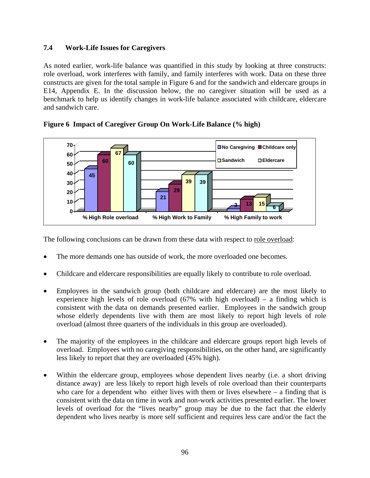### **7.4 Work-Life Issues for Caregivers**

As noted earlier, work-life balance was quantified in this study by looking at three constructs: role overload, work interferes with family, and family interferes with work. Data on these three constructs are given for the total sample in Figure 6 and for the sandwich and eldercare groups in E14, Appendix E. In the discussion below, the no caregiver situation will be used as a benchmark to help us identify changes in work-life balance associated with childcare, eldercare and sandwich care.



**Figure 6 Impact of Caregiver Group On Work-Life Balance (% high)** 

The following conclusions can be drawn from these data with respect to role overload:

- The more demands one has outside of work, the more overloaded one becomes.
- Childcare and eldercare responsibilities are equally likely to contribute to role overload.
- Employees in the sandwich group (both childcare and eldercare) are the most likely to experience high levels of role overload  $(67\%$  with high overload) – a finding which is consistent with the data on demands presented earlier. Employees in the sandwich group whose elderly dependents live with them are most likely to report high levels of role overload (almost three quarters of the individuals in this group are overloaded).
- The majority of the employees in the childcare and eldercare groups report high levels of overload. Employees with no caregiving responsibilities, on the other hand, are significantly less likely to report that they are overloaded (45% high).
- Within the eldercare group, employees whose dependent lives nearby (i.e. a short driving distance away) are less likely to report high levels of role overload than their counterparts who care for a dependent who either lives with them or lives elsewhere – a finding that is consistent with the data on time in work and non-work activities presented earlier. The lower levels of overload for the "lives nearby" group may be due to the fact that the elderly dependent who lives nearby is more self sufficient and requires less care and/or the fact the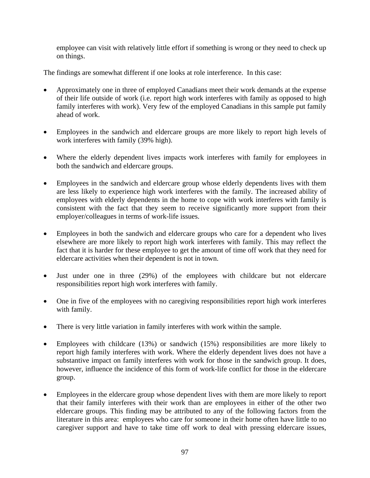employee can visit with relatively little effort if something is wrong or they need to check up on things.

The findings are somewhat different if one looks at role interference. In this case:

- Approximately one in three of employed Canadians meet their work demands at the expense of their life outside of work (i.e. report high work interferes with family as opposed to high family interferes with work). Very few of the employed Canadians in this sample put family ahead of work.
- Employees in the sandwich and eldercare groups are more likely to report high levels of work interferes with family (39% high).
- Where the elderly dependent lives impacts work interferes with family for employees in both the sandwich and eldercare groups.
- Employees in the sandwich and eldercare group whose elderly dependents lives with them are less likely to experience high work interferes with the family. The increased ability of employees with elderly dependents in the home to cope with work interferes with family is consistent with the fact that they seem to receive significantly more support from their employer/colleagues in terms of work-life issues.
- Employees in both the sandwich and eldercare groups who care for a dependent who lives elsewhere are more likely to report high work interferes with family. This may reflect the fact that it is harder for these employee to get the amount of time off work that they need for eldercare activities when their dependent is not in town.
- Just under one in three (29%) of the employees with childcare but not eldercare responsibilities report high work interferes with family.
- One in five of the employees with no caregiving responsibilities report high work interferes with family.
- There is very little variation in family interferes with work within the sample.
- Employees with childcare (13%) or sandwich (15%) responsibilities are more likely to report high family interferes with work. Where the elderly dependent lives does not have a substantive impact on family interferes with work for those in the sandwich group. It does, however, influence the incidence of this form of work-life conflict for those in the eldercare group.
- Employees in the eldercare group whose dependent lives with them are more likely to report that their family interferes with their work than are employees in either of the other two eldercare groups. This finding may be attributed to any of the following factors from the literature in this area: employees who care for someone in their home often have little to no caregiver support and have to take time off work to deal with pressing eldercare issues,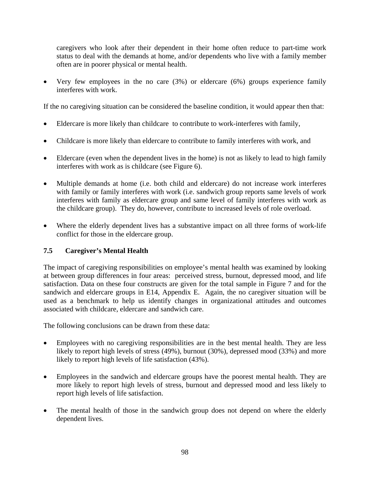caregivers who look after their dependent in their home often reduce to part-time work status to deal with the demands at home, and/or dependents who live with a family member often are in poorer physical or mental health.

• Very few employees in the no care (3%) or eldercare (6%) groups experience family interferes with work.

If the no caregiving situation can be considered the baseline condition, it would appear then that:

- Eldercare is more likely than childcare to contribute to work-interferes with family,
- Childcare is more likely than eldercare to contribute to family interferes with work, and
- Eldercare (even when the dependent lives in the home) is not as likely to lead to high family interferes with work as is childcare (see Figure 6).
- Multiple demands at home (i.e. both child and eldercare) do not increase work interferes with family or family interferes with work (i.e. sandwich group reports same levels of work interferes with family as eldercare group and same level of family interferes with work as the childcare group). They do, however, contribute to increased levels of role overload.
- Where the elderly dependent lives has a substantive impact on all three forms of work-life conflict for those in the eldercare group.

## **7.5 Caregiver's Mental Health**

The impact of caregiving responsibilities on employee's mental health was examined by looking at between group differences in four areas: perceived stress, burnout, depressed mood, and life satisfaction. Data on these four constructs are given for the total sample in Figure 7 and for the sandwich and eldercare groups in E14, Appendix E. Again, the no caregiver situation will be used as a benchmark to help us identify changes in organizational attitudes and outcomes associated with childcare, eldercare and sandwich care.

The following conclusions can be drawn from these data:

- Employees with no caregiving responsibilities are in the best mental health. They are less likely to report high levels of stress (49%), burnout (30%), depressed mood (33%) and more likely to report high levels of life satisfaction (43%).
- Employees in the sandwich and eldercare groups have the poorest mental health. They are more likely to report high levels of stress, burnout and depressed mood and less likely to report high levels of life satisfaction.
- The mental health of those in the sandwich group does not depend on where the elderly dependent lives.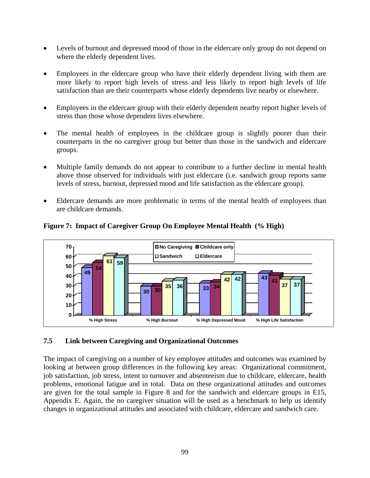- Levels of burnout and depressed mood of those in the eldercare only group do not depend on where the elderly dependent lives.
- Employees in the eldercare group who have their elderly dependent living with them are more likely to report high levels of stress and less likely to report high levels of life satisfaction than are their counterparts whose elderly dependents live nearby or elsewhere.
- Employees in the eldercare group with their elderly dependent nearby report higher levels of stress than those whose dependent lives elsewhere.
- The mental health of employees in the childcare group is slightly poorer than their counterparts in the no caregiver group but better than those in the sandwich and eldercare groups.
- Multiple family demands do not appear to contribute to a further decline in mental health above those observed for individuals with just eldercare (i.e. sandwich group reports same levels of stress, burnout, depressed mood and life satisfaction as the eldercare group).
- Eldercare demands are more problematic in terms of the mental health of employees than are childcare demands.



**Figure 7: Impact of Caregiver Group On Employee Mental Health (% High)** 

### **7.5 Link between Caregiving and Organizational Outcomes**

The impact of caregiving on a number of key employee attitudes and outcomes was examined by looking at between group differences in the following key areas: Organizational commitment, job satisfaction, job stress, intent to turnover and absenteeism due to childcare, eldercare, health problems, emotional fatigue and in total. Data on these organizational attitudes and outcomes are given for the total sample in Figure 8 and for the sandwich and eldercare groups in E15, Appendix E. Again, the no caregiver situation will be used as a benchmark to help us identify changes in organizational attitudes and associated with childcare, eldercare and sandwich care.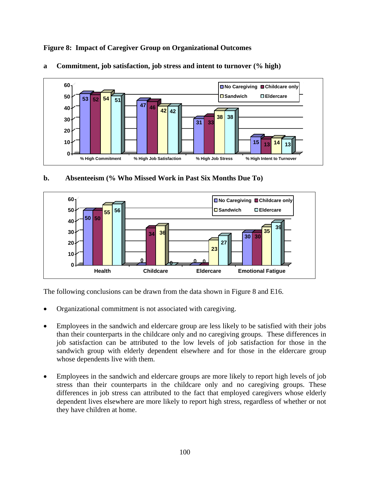**Figure 8: Impact of Caregiver Group on Organizational Outcomes** 



**a Commitment, job satisfaction, job stress and intent to turnover (% high)** 

**b. Absenteeism (% Who Missed Work in Past Six Months Due To)** 



The following conclusions can be drawn from the data shown in Figure 8 and E16.

- Organizational commitment is not associated with caregiving.
- Employees in the sandwich and eldercare group are less likely to be satisfied with their jobs than their counterparts in the childcare only and no caregiving groups. These differences in job satisfaction can be attributed to the low levels of job satisfaction for those in the sandwich group with elderly dependent elsewhere and for those in the eldercare group whose dependents live with them.
- Employees in the sandwich and eldercare groups are more likely to report high levels of job stress than their counterparts in the childcare only and no caregiving groups. These differences in job stress can attributed to the fact that employed caregivers whose elderly dependent lives elsewhere are more likely to report high stress, regardless of whether or not they have children at home.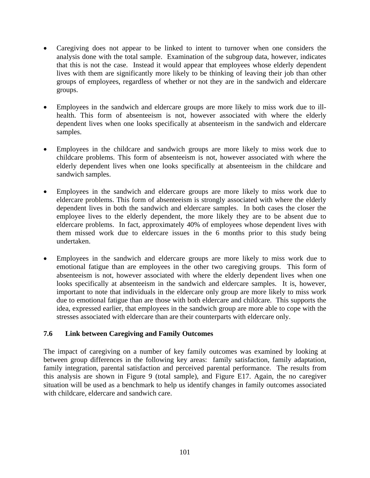- Caregiving does not appear to be linked to intent to turnover when one considers the analysis done with the total sample. Examination of the subgroup data, however, indicates that this is not the case. Instead it would appear that employees whose elderly dependent lives with them are significantly more likely to be thinking of leaving their job than other groups of employees, regardless of whether or not they are in the sandwich and eldercare groups.
- Employees in the sandwich and eldercare groups are more likely to miss work due to illhealth. This form of absenteeism is not, however associated with where the elderly dependent lives when one looks specifically at absenteeism in the sandwich and eldercare samples.
- Employees in the childcare and sandwich groups are more likely to miss work due to childcare problems. This form of absenteeism is not, however associated with where the elderly dependent lives when one looks specifically at absenteeism in the childcare and sandwich samples.
- Employees in the sandwich and eldercare groups are more likely to miss work due to eldercare problems. This form of absenteeism is strongly associated with where the elderly dependent lives in both the sandwich and eldercare samples. In both cases the closer the employee lives to the elderly dependent, the more likely they are to be absent due to eldercare problems. In fact, approximately 40% of employees whose dependent lives with them missed work due to eldercare issues in the 6 months prior to this study being undertaken.
- Employees in the sandwich and eldercare groups are more likely to miss work due to emotional fatigue than are employees in the other two caregiving groups. This form of absenteeism is not, however associated with where the elderly dependent lives when one looks specifically at absenteeism in the sandwich and eldercare samples. It is, however, important to note that individuals in the eldercare only group are more likely to miss work due to emotional fatigue than are those with both eldercare and childcare. This supports the idea, expressed earlier, that employees in the sandwich group are more able to cope with the stresses associated with eldercare than are their counterparts with eldercare only.

### **7.6 Link between Caregiving and Family Outcomes**

The impact of caregiving on a number of key family outcomes was examined by looking at between group differences in the following key areas: family satisfaction, family adaptation, family integration, parental satisfaction and perceived parental performance. The results from this analysis are shown in Figure 9 (total sample), and Figure E17. Again, the no caregiver situation will be used as a benchmark to help us identify changes in family outcomes associated with childcare, eldercare and sandwich care.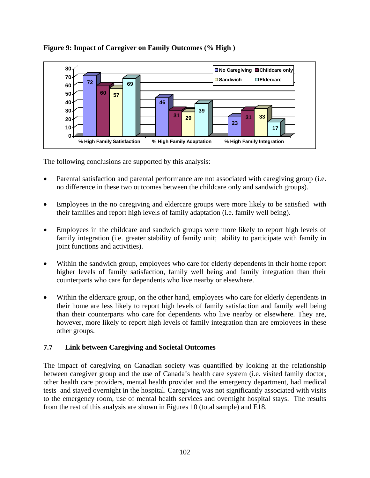

### **Figure 9: Impact of Caregiver on Family Outcomes (% High )**

The following conclusions are supported by this analysis:

- Parental satisfaction and parental performance are not associated with caregiving group (i.e. no difference in these two outcomes between the childcare only and sandwich groups).
- Employees in the no caregiving and eldercare groups were more likely to be satisfied with their families and report high levels of family adaptation (i.e. family well being).
- Employees in the childcare and sandwich groups were more likely to report high levels of family integration (i.e. greater stability of family unit; ability to participate with family in joint functions and activities).
- Within the sandwich group, employees who care for elderly dependents in their home report higher levels of family satisfaction, family well being and family integration than their counterparts who care for dependents who live nearby or elsewhere.
- Within the eldercare group, on the other hand, employees who care for elderly dependents in their home are less likely to report high levels of family satisfaction and family well being than their counterparts who care for dependents who live nearby or elsewhere. They are, however, more likely to report high levels of family integration than are employees in these other groups.

## **7.7 Link between Caregiving and Societal Outcomes**

The impact of caregiving on Canadian society was quantified by looking at the relationship between caregiver group and the use of Canada's health care system (i.e. visited family doctor, other health care providers, mental health provider and the emergency department, had medical tests and stayed overnight in the hospital. Caregiving was not significantly associated with visits to the emergency room, use of mental health services and overnight hospital stays. The results from the rest of this analysis are shown in Figures 10 (total sample) and E18.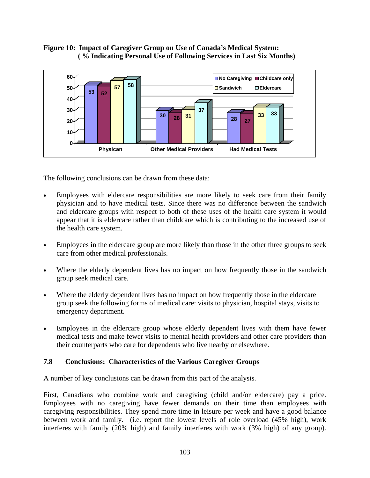### **Figure 10: Impact of Caregiver Group on Use of Canada's Medical System: ( % Indicating Personal Use of Following Services in Last Six Months)**



The following conclusions can be drawn from these data:

- Employees with eldercare responsibilities are more likely to seek care from their family physician and to have medical tests. Since there was no difference between the sandwich and eldercare groups with respect to both of these uses of the health care system it would appear that it is eldercare rather than childcare which is contributing to the increased use of the health care system.
- Employees in the eldercare group are more likely than those in the other three groups to seek care from other medical professionals.
- Where the elderly dependent lives has no impact on how frequently those in the sandwich group seek medical care.
- Where the elderly dependent lives has no impact on how frequently those in the eldercare group seek the following forms of medical care: visits to physician, hospital stays, visits to emergency department.
- Employees in the eldercare group whose elderly dependent lives with them have fewer medical tests and make fewer visits to mental health providers and other care providers than their counterparts who care for dependents who live nearby or elsewhere.

### **7.8 Conclusions: Characteristics of the Various Caregiver Groups**

A number of key conclusions can be drawn from this part of the analysis.

First, Canadians who combine work and caregiving (child and/or eldercare) pay a price. Employees with no caregiving have fewer demands on their time than employees with caregiving responsibilities. They spend more time in leisure per week and have a good balance between work and family. (i.e. report the lowest levels of role overload (45% high), work interferes with family (20% high) and family interferes with work (3% high) of any group).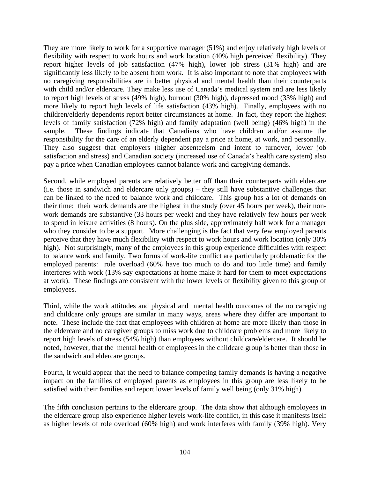They are more likely to work for a supportive manager (51%) and enjoy relatively high levels of flexibility with respect to work hours and work location (40% high perceived flexibility). They report higher levels of job satisfaction (47% high), lower job stress (31% high) and are significantly less likely to be absent from work. It is also important to note that employees with no caregiving responsibilities are in better physical and mental health than their counterparts with child and/or eldercare. They make less use of Canada's medical system and are less likely to report high levels of stress (49% high), burnout (30% high), depressed mood (33% high) and more likely to report high levels of life satisfaction (43% high). Finally, employees with no children/elderly dependents report better circumstances at home. In fact, they report the highest levels of family satisfaction (72% high) and family adaptation (well being) (46% high) in the sample. These findings indicate that Canadians who have children and/or assume the responsibility for the care of an elderly dependent pay a price at home, at work, and personally. They also suggest that employers (higher absenteeism and intent to turnover, lower job satisfaction and stress) and Canadian society (increased use of Canada's health care system) also pay a price when Canadian employees cannot balance work and caregiving demands.

Second, while employed parents are relatively better off than their counterparts with eldercare (i.e. those in sandwich and eldercare only groups) – they still have substantive challenges that can be linked to the need to balance work and childcare. This group has a lot of demands on their time: their work demands are the highest in the study (over 45 hours per week), their nonwork demands are substantive (33 hours per week) and they have relatively few hours per week to spend in leisure activities (8 hours). On the plus side, approximately half work for a manager who they consider to be a support. More challenging is the fact that very few employed parents perceive that they have much flexibility with respect to work hours and work location (only 30% high). Not surprisingly, many of the employees in this group experience difficulties with respect to balance work and family. Two forms of work-life conflict are particularly problematic for the employed parents: role overload (60% have too much to do and too little time) and family interferes with work (13% say expectations at home make it hard for them to meet expectations at work). These findings are consistent with the lower levels of flexibility given to this group of employees.

Third, while the work attitudes and physical and mental health outcomes of the no caregiving and childcare only groups are similar in many ways, areas where they differ are important to note. These include the fact that employees with children at home are more likely than those in the eldercare and no caregiver groups to miss work due to childcare problems and more likely to report high levels of stress (54% high) than employees without childcare/eldercare. It should be noted, however, that the mental health of employees in the childcare group is better than those in the sandwich and eldercare groups.

Fourth, it would appear that the need to balance competing family demands is having a negative impact on the families of employed parents as employees in this group are less likely to be satisfied with their families and report lower levels of family well being (only 31% high).

The fifth conclusion pertains to the eldercare group. The data show that although employees in the eldercare group also experience higher levels work-life conflict, in this case it manifests itself as higher levels of role overload (60% high) and work interferes with family (39% high). Very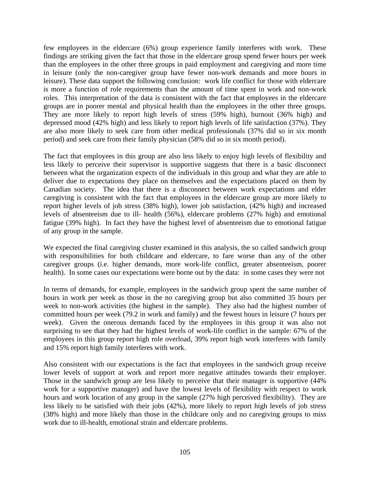few employees in the eldercare (6%) group experience family interferes with work. These findings are striking given the fact that those in the eldercare group spend fewer hours per week than the employees in the other three groups in paid employment and caregiving and more time in leisure (only the non-caregiver group have fewer non-work demands and more hours in leisure). These data support the following conclusion: work life conflict for those with eldercare is more a function of role requirements than the amount of time spent in work and non-work roles. This interpretation of the data is consistent with the fact that employees in the eldercare groups are in poorer mental and physical health than the employees in the other three groups. They are more likely to report high levels of stress (59% high), burnout (36% high) and depressed mood (42% high) and less likely to report high levels of life satisfaction (37%). They are also more likely to seek care from other medical professionals (37% did so in six month period) and seek care from their family physician (58% did so in six month period).

The fact that employees in this group are also less likely to enjoy high levels of flexibility and less likely to perceive their supervisor is supportive suggests that there is a basic disconnect between what the organization expects of the individuals in this group and what they are able to deliver due to expectations they place on themselves and the expectations placed on them by Canadian society. The idea that there is a disconnect between work expectations and elder caregiving is consistent with the fact that employees in the eldercare group are more likely to report higher levels of job stress (38% high), lower job satisfaction, (42% high) and increased levels of absenteeism due to ill- health (56%), eldercare problems (27% high) and emotional fatigue (39% high). In fact they have the highest level of absenteeism due to emotional fatigue of any group in the sample.

We expected the final caregiving cluster examined in this analysis, the so called sandwich group with responsibilities for both childcare and eldercare, to fare worse than any of the other caregiver groups (i.e. higher demands, more work-life conflict, greater absenteeism, poorer health). In some cases our expectations were borne out by the data: in some cases they were not

In terms of demands, for example, employees in the sandwich group spent the same number of hours in work per week as those in the no caregiving group but also committed 35 hours per week to non-work activities (the highest in the sample). They also had the highest number of committed hours per week (79.2 in work and family) and the fewest hours in leisure (7 hours per week). Given the onerous demands faced by the employees in this group it was also not surprising to see that they had the highest levels of work-life conflict in the sample: 67% of the employees in this group report high role overload, 39% report high work interferes with family and 15% report high family interferes with work.

Also consistent with our expectations is the fact that employees in the sandwich group receive lower levels of support at work and report more negative attitudes towards their employer. Those in the sandwich group are less likely to perceive that their manager is supportive (44% work for a supportive manager) and have the lowest levels of flexibility with respect to work hours and work location of any group in the sample (27% high perceived flexibility). They are less likely to be satisfied with their jobs (42%), more likely to report high levels of job stress (38% high) and more likely than those in the childcare only and no caregiving groups to miss work due to ill-health, emotional strain and eldercare problems.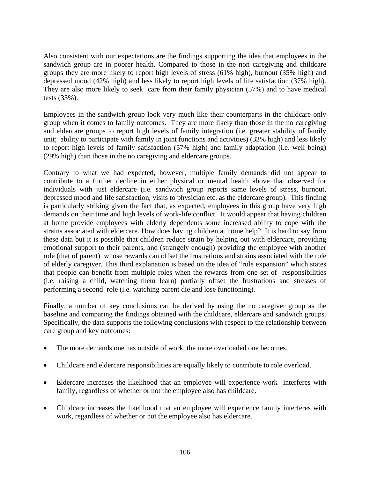Also consistent with our expectations are the findings supporting the idea that employees in the sandwich group are in poorer health. Compared to those in the non caregiving and childcare groups they are more likely to report high levels of stress (61% high), burnout (35% high) and depressed mood (42% high) and less likely to report high levels of life satisfaction (37% high). They are also more likely to seek care from their family physician (57%) and to have medical tests (33%).

Employees in the sandwich group look very much like their counterparts in the childcare only group when it comes to family outcomes. They are more likely than those in the no caregiving and eldercare groups to report high levels of family integration (i.e. greater stability of family unit; ability to participate with family in joint functions and activities) (33% high) and less likely to report high levels of family satisfaction (57% high) and family adaptation (i.e. well being) (29% high) than those in the no caregiving and eldercare groups.

Contrary to what we had expected, however, multiple family demands did not appear to contribute to a further decline in either physical or mental health above that observed for individuals with just eldercare (i.e. sandwich group reports same levels of stress, burnout, depressed mood and life satisfaction, visits to physician etc. as the eldercare group). This finding is particularly striking given the fact that, as expected, employees in this group have very high demands on their time and high levels of work-life conflict. It would appear that having children at home provide employees with elderly dependents some increased ability to cope with the strains associated with eldercare. How does having children at home help? It is hard to say from these data but it is possible that children reduce strain by helping out with eldercare, providing emotional support to their parents, and (strangely enough) providing the employee with another role (that of parent) whose rewards can offset the frustrations and strains associated with the role of elderly caregiver. This third explanation is based on the idea of "role expansion" which states that people can benefit from multiple roles when the rewards from one set of responsibilities (i.e. raising a child, watching them learn) partially offset the frustrations and stresses of performing a second role (i.e. watching parent die and lose functioning).

Finally, a number of key conclusions can be derived by using the no caregiver group as the baseline and comparing the findings obtained with the childcare, eldercare and sandwich groups. Specifically, the data supports the following conclusions with respect to the relationship between care group and key outcomes:

- The more demands one has outside of work, the more overloaded one becomes.
- Childcare and eldercare responsibilities are equally likely to contribute to role overload.
- Eldercare increases the likelihood that an employee will experience work interferes with family, regardless of whether or not the employee also has childcare.
- Childcare increases the likelihood that an employee will experience family interferes with work, regardless of whether or not the employee also has eldercare.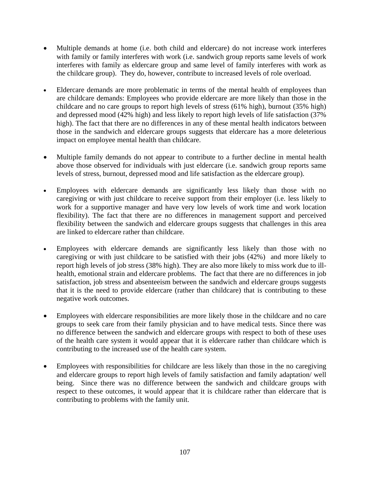- Multiple demands at home (i.e. both child and eldercare) do not increase work interferes with family or family interferes with work (i.e. sandwich group reports same levels of work interferes with family as eldercare group and same level of family interferes with work as the childcare group). They do, however, contribute to increased levels of role overload.
- Eldercare demands are more problematic in terms of the mental health of employees than are childcare demands: Employees who provide eldercare are more likely than those in the childcare and no care groups to report high levels of stress (61% high), burnout (35% high) and depressed mood  $(42\%$  high) and less likely to report high levels of life satisfaction (37%) high). The fact that there are no differences in any of these mental health indicators between those in the sandwich and eldercare groups suggests that eldercare has a more deleterious impact on employee mental health than childcare.
- Multiple family demands do not appear to contribute to a further decline in mental health above those observed for individuals with just eldercare (i.e. sandwich group reports same levels of stress, burnout, depressed mood and life satisfaction as the eldercare group).
- Employees with eldercare demands are significantly less likely than those with no caregiving or with just childcare to receive support from their employer (i.e. less likely to work for a supportive manager and have very low levels of work time and work location flexibility). The fact that there are no differences in management support and perceived flexibility between the sandwich and eldercare groups suggests that challenges in this area are linked to eldercare rather than childcare.
- Employees with eldercare demands are significantly less likely than those with no caregiving or with just childcare to be satisfied with their jobs (42%) and more likely to report high levels of job stress (38% high). They are also more likely to miss work due to illhealth, emotional strain and eldercare problems. The fact that there are no differences in job satisfaction, job stress and absenteeism between the sandwich and eldercare groups suggests that it is the need to provide eldercare (rather than childcare) that is contributing to these negative work outcomes.
- Employees with eldercare responsibilities are more likely those in the childcare and no care groups to seek care from their family physician and to have medical tests. Since there was no difference between the sandwich and eldercare groups with respect to both of these uses of the health care system it would appear that it is eldercare rather than childcare which is contributing to the increased use of the health care system.
- Employees with responsibilities for childcare are less likely than those in the no caregiving and eldercare groups to report high levels of family satisfaction and family adaptation/ well being. Since there was no difference between the sandwich and childcare groups with respect to these outcomes, it would appear that it is childcare rather than eldercare that is contributing to problems with the family unit.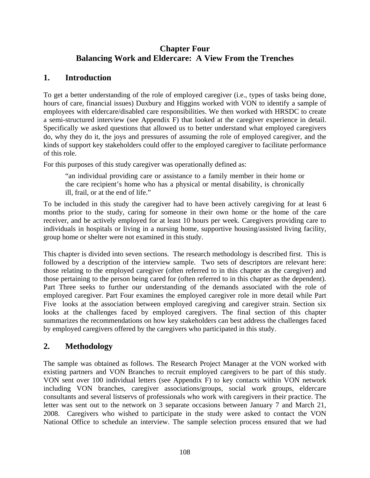# **Chapter Four Balancing Work and Eldercare: A View From the Trenches**

## **1. Introduction**

To get a better understanding of the role of employed caregiver (i.e., types of tasks being done, hours of care, financial issues) Duxbury and Higgins worked with VON to identify a sample of employees with eldercare/disabled care responsibilities. We then worked with HRSDC to create a semi-structured interview (see Appendix F) that looked at the caregiver experience in detail. Specifically we asked questions that allowed us to better understand what employed caregivers do, why they do it, the joys and pressures of assuming the role of employed caregiver, and the kinds of support key stakeholders could offer to the employed caregiver to facilitate performance of this role.

For this purposes of this study caregiver was operationally defined as:

"an individual providing care or assistance to a family member in their home or the care recipient's home who has a physical or mental disability, is chronically ill, frail, or at the end of life."

To be included in this study the caregiver had to have been actively caregiving for at least 6 months prior to the study, caring for someone in their own home or the home of the care receiver, and be actively employed for at least 10 hours per week. Caregivers providing care to individuals in hospitals or living in a nursing home, supportive housing/assisted living facility, group home or shelter were not examined in this study.

This chapter is divided into seven sections. The research methodology is described first. This is followed by a description of the interview sample. Two sets of descriptors are relevant here: those relating to the employed caregiver (often referred to in this chapter as the caregiver) and those pertaining to the person being cared for (often referred to in this chapter as the dependent). Part Three seeks to further our understanding of the demands associated with the role of employed caregiver. Part Four examines the employed caregiver role in more detail while Part Five looks at the association between employed caregiving and caregiver strain. Section six looks at the challenges faced by employed caregivers. The final section of this chapter summarizes the recommendations on how key stakeholders can best address the challenges faced by employed caregivers offered by the caregivers who participated in this study.

## **2. Methodology**

The sample was obtained as follows. The Research Project Manager at the VON worked with existing partners and VON Branches to recruit employed caregivers to be part of this study. VON sent over 100 individual letters (see Appendix F) to key contacts within VON network including VON branches, caregiver associations/groups, social work groups, eldercare consultants and several listservs of professionals who work with caregivers in their practice. The letter was sent out to the network on 3 separate occasions between January 7 and March 21, 2008. Caregivers who wished to participate in the study were asked to contact the VON National Office to schedule an interview. The sample selection process ensured that we had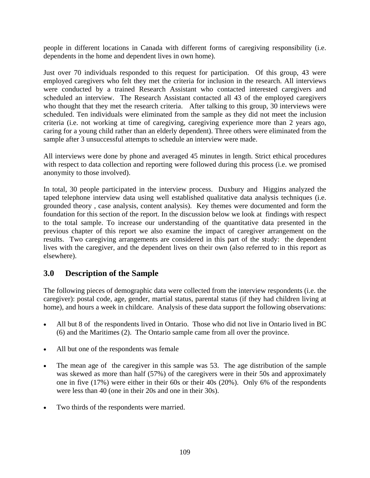people in different locations in Canada with different forms of caregiving responsibility (i.e. dependents in the home and dependent lives in own home).

Just over 70 individuals responded to this request for participation. Of this group, 43 were employed caregivers who felt they met the criteria for inclusion in the research. All interviews were conducted by a trained Research Assistant who contacted interested caregivers and scheduled an interview. The Research Assistant contacted all 43 of the employed caregivers who thought that they met the research criteria. After talking to this group, 30 interviews were scheduled. Ten individuals were eliminated from the sample as they did not meet the inclusion criteria (i.e. not working at time of caregiving, caregiving experience more than 2 years ago, caring for a young child rather than an elderly dependent). Three others were eliminated from the sample after 3 unsuccessful attempts to schedule an interview were made.

All interviews were done by phone and averaged 45 minutes in length. Strict ethical procedures with respect to data collection and reporting were followed during this process (i.e. we promised anonymity to those involved).

In total, 30 people participated in the interview process. Duxbury and Higgins analyzed the taped telephone interview data using well established qualitative data analysis techniques (i.e. grounded theory , case analysis, content analysis). Key themes were documented and form the foundation for this section of the report. In the discussion below we look at findings with respect to the total sample. To increase our understanding of the quantitative data presented in the previous chapter of this report we also examine the impact of caregiver arrangement on the results. Two caregiving arrangements are considered in this part of the study: the dependent lives with the caregiver, and the dependent lives on their own (also referred to in this report as elsewhere).

# **3.0 Description of the Sample**

The following pieces of demographic data were collected from the interview respondents (i.e. the caregiver): postal code, age, gender, martial status, parental status (if they had children living at home), and hours a week in childcare. Analysis of these data support the following observations:

- All but 8 of the respondents lived in Ontario. Those who did not live in Ontario lived in BC (6) and the Maritimes (2). The Ontario sample came from all over the province.
- All but one of the respondents was female
- The mean age of the caregiver in this sample was 53. The age distribution of the sample was skewed as more than half (57%) of the caregivers were in their 50s and approximately one in five (17%) were either in their 60s or their 40s (20%). Only 6% of the respondents were less than 40 (one in their 20s and one in their 30s).
- Two thirds of the respondents were married.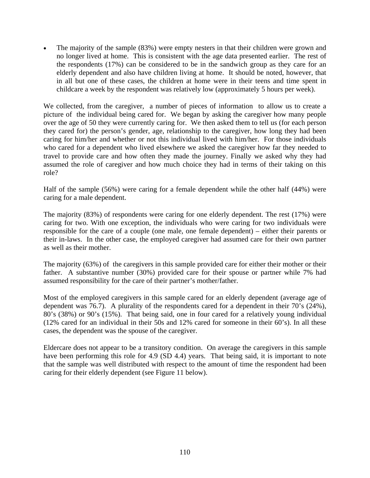The majority of the sample (83%) were empty nesters in that their children were grown and no longer lived at home. This is consistent with the age data presented earlier. The rest of the respondents (17%) can be considered to be in the sandwich group as they care for an elderly dependent and also have children living at home. It should be noted, however, that in all but one of these cases, the children at home were in their teens and time spent in childcare a week by the respondent was relatively low (approximately 5 hours per week).

We collected, from the caregiver, a number of pieces of information to allow us to create a picture of the individual being cared for. We began by asking the caregiver how many people over the age of 50 they were currently caring for. We then asked them to tell us (for each person they cared for) the person's gender, age, relationship to the caregiver, how long they had been caring for him/her and whether or not this individual lived with him/her. For those individuals who cared for a dependent who lived elsewhere we asked the caregiver how far they needed to travel to provide care and how often they made the journey. Finally we asked why they had assumed the role of caregiver and how much choice they had in terms of their taking on this role?

Half of the sample (56%) were caring for a female dependent while the other half (44%) were caring for a male dependent.

The majority (83%) of respondents were caring for one elderly dependent. The rest (17%) were caring for two. With one exception, the individuals who were caring for two individuals were responsible for the care of a couple (one male, one female dependent) – either their parents or their in-laws. In the other case, the employed caregiver had assumed care for their own partner as well as their mother.

The majority (63%) of the caregivers in this sample provided care for either their mother or their father. A substantive number (30%) provided care for their spouse or partner while 7% had assumed responsibility for the care of their partner's mother/father.

Most of the employed caregivers in this sample cared for an elderly dependent (average age of dependent was 76.7). A plurality of the respondents cared for a dependent in their 70's (24%), 80's (38%) or 90's (15%). That being said, one in four cared for a relatively young individual (12% cared for an individual in their 50s and 12% cared for someone in their 60's). In all these cases, the dependent was the spouse of the caregiver.

Eldercare does not appear to be a transitory condition. On average the caregivers in this sample have been performing this role for 4.9 (SD 4.4) years. That being said, it is important to note that the sample was well distributed with respect to the amount of time the respondent had been caring for their elderly dependent (see Figure 11 below).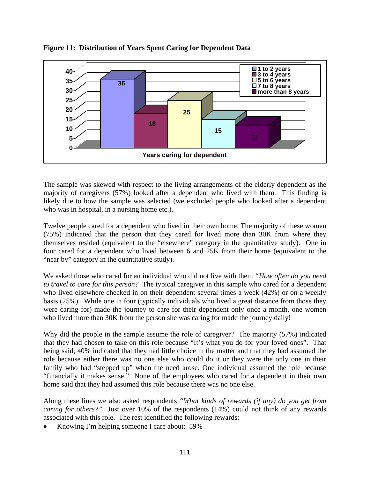

**Figure 11: Distribution of Years Spent Caring for Dependent Data** 

The sample was skewed with respect to the living arrangements of the elderly dependent as the majority of caregivers (57%) looked after a dependent who lived with them. This finding is likely due to how the sample was selected (we excluded people who looked after a dependent who was in hospital, in a nursing home etc.).

Twelve people cared for a dependent who lived in their own home. The majority of these women (75%) indicated that the person that they cared for lived more than 30K from where they themselves resided (equivalent to the "elsewhere" category in the quantitative study). One in four cared for a dependent who lived between 6 and 25K from their home (equivalent to the "near by" category in the quantitative study).

We asked those who cared for an individual who did not live with them *"How often do you need to travel to care for this person?* The typical caregiver in this sample who cared for a dependent who lived elsewhere checked in on their dependent several times a week (42%) or on a weekly basis (25%). While one in four (typically individuals who lived a great distance from those they were caring for) made the journey to care for their dependent only once a month, one women who lived more than 30K from the person she was caring for made the journey daily!

Why did the people in the sample assume the role of caregiver? The majority (57%) indicated that they had chosen to take on this role because "It's what you do for your loved ones". That being said, 40% indicated that they had little choice in the matter and that they had assumed the role because either there was no one else who could do it or they were the only one in their family who had "stepped up" when the need arose. One individual assumed the role because "financially it makes sense." None of the employees who cared for a dependent in their own home said that they had assumed this role because there was no one else.

Along these lines we also asked respondents *"What kinds of rewards (if any) do you get from caring for others?"* Just over 10% of the respondents (14%) could not think of any rewards associated with this role. The rest identified the following rewards:

• Knowing I'm helping someone I care about: 59%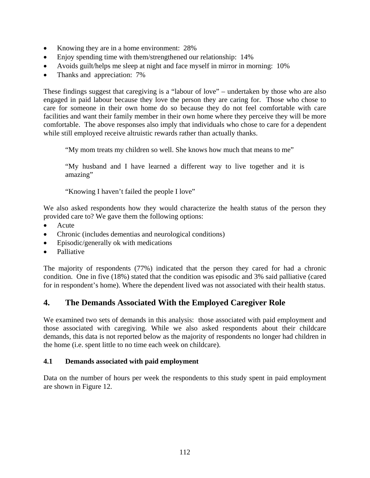- Knowing they are in a home environment: 28%
- Enjoy spending time with them/strengthened our relationship: 14%
- Avoids guilt/helps me sleep at night and face myself in mirror in morning: 10%
- Thanks and appreciation: 7%

These findings suggest that caregiving is a "labour of love" – undertaken by those who are also engaged in paid labour because they love the person they are caring for. Those who chose to care for someone in their own home do so because they do not feel comfortable with care facilities and want their family member in their own home where they perceive they will be more comfortable. The above responses also imply that individuals who chose to care for a dependent while still employed receive altruistic rewards rather than actually thanks.

"My mom treats my children so well. She knows how much that means to me"

"My husband and I have learned a different way to live together and it is amazing"

"Knowing I haven't failed the people I love"

We also asked respondents how they would characterize the health status of the person they provided care to? We gave them the following options:

- Acute
- Chronic (includes dementias and neurological conditions)
- Episodic/generally ok with medications
- Palliative

The majority of respondents (77%) indicated that the person they cared for had a chronic condition. One in five (18%) stated that the condition was episodic and 3% said palliative (cared for in respondent's home). Where the dependent lived was not associated with their health status.

### **4. The Demands Associated With the Employed Caregiver Role**

We examined two sets of demands in this analysis: those associated with paid employment and those associated with caregiving. While we also asked respondents about their childcare demands, this data is not reported below as the majority of respondents no longer had children in the home (i.e. spent little to no time each week on childcare).

#### **4.1 Demands associated with paid employment**

Data on the number of hours per week the respondents to this study spent in paid employment are shown in Figure 12.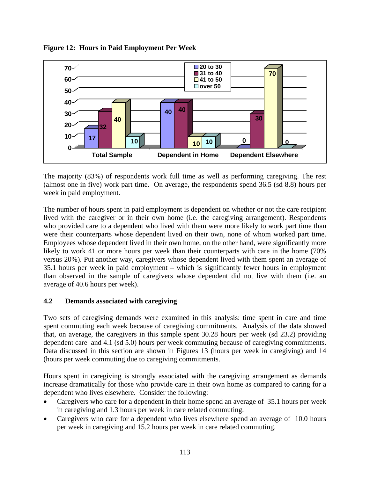

**Figure 12: Hours in Paid Employment Per Week** 

The majority (83%) of respondents work full time as well as performing caregiving. The rest (almost one in five) work part time. On average, the respondents spend 36.5 (sd 8.8) hours per week in paid employment.

The number of hours spent in paid employment is dependent on whether or not the care recipient lived with the caregiver or in their own home (i.e. the caregiving arrangement). Respondents who provided care to a dependent who lived with them were more likely to work part time than were their counterparts whose dependent lived on their own, none of whom worked part time. Employees whose dependent lived in their own home, on the other hand, were significantly more likely to work 41 or more hours per week than their counterparts with care in the home (70%) versus 20%). Put another way, caregivers whose dependent lived with them spent an average of 35.1 hours per week in paid employment – which is significantly fewer hours in employment than observed in the sample of caregivers whose dependent did not live with them (i.e. an average of 40.6 hours per week).

### **4.2 Demands associated with caregiving**

Two sets of caregiving demands were examined in this analysis: time spent in care and time spent commuting each week because of caregiving commitments. Analysis of the data showed that, on average, the caregivers in this sample spent 30.28 hours per week (sd 23.2) providing dependent care and 4.1 (sd 5.0) hours per week commuting because of caregiving commitments. Data discussed in this section are shown in Figures 13 (hours per week in caregiving) and 14 (hours per week commuting due to caregiving commitments.

Hours spent in caregiving is strongly associated with the caregiving arrangement as demands increase dramatically for those who provide care in their own home as compared to caring for a dependent who lives elsewhere. Consider the following:

- Caregivers who care for a dependent in their home spend an average of 35.1 hours per week in caregiving and 1.3 hours per week in care related commuting.
- Caregivers who care for a dependent who lives elsewhere spend an average of 10.0 hours per week in caregiving and 15.2 hours per week in care related commuting.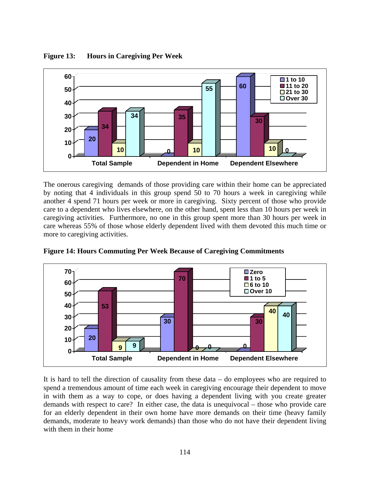

**Figure 13: Hours in Caregiving Per Week** 

The onerous caregiving demands of those providing care within their home can be appreciated by noting that 4 individuals in this group spend 50 to 70 hours a week in caregiving while another 4 spend 71 hours per week or more in caregiving. Sixty percent of those who provide care to a dependent who lives elsewhere, on the other hand, spent less than 10 hours per week in caregiving activities. Furthermore, no one in this group spent more than 30 hours per week in care whereas 55% of those whose elderly dependent lived with them devoted this much time or more to caregiving activities.



**Figure 14: Hours Commuting Per Week Because of Caregiving Commitments** 

It is hard to tell the direction of causality from these data – do employees who are required to spend a tremendous amount of time each week in caregiving encourage their dependent to move in with them as a way to cope, or does having a dependent living with you create greater demands with respect to care? In either case, the data is unequivocal – those who provide care for an elderly dependent in their own home have more demands on their time (heavy family demands, moderate to heavy work demands) than those who do not have their dependent living with them in their home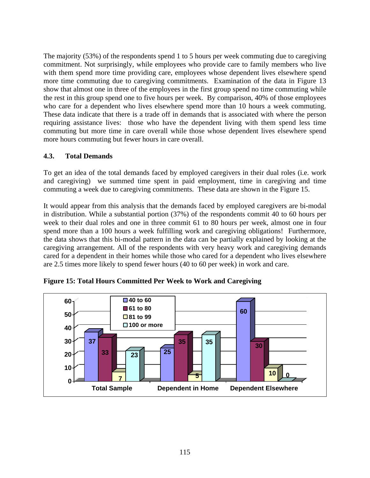The majority (53%) of the respondents spend 1 to 5 hours per week commuting due to caregiving commitment. Not surprisingly, while employees who provide care to family members who live with them spend more time providing care, employees whose dependent lives elsewhere spend more time commuting due to caregiving commitments. Examination of the data in Figure 13 show that almost one in three of the employees in the first group spend no time commuting while the rest in this group spend one to five hours per week. By comparison, 40% of those employees who care for a dependent who lives elsewhere spend more than 10 hours a week commuting. These data indicate that there is a trade off in demands that is associated with where the person requiring assistance lives: those who have the dependent living with them spend less time commuting but more time in care overall while those whose dependent lives elsewhere spend more hours commuting but fewer hours in care overall.

### **4.3. Total Demands**

To get an idea of the total demands faced by employed caregivers in their dual roles (i.e. work and caregiving) we summed time spent in paid employment, time in caregiving and time commuting a week due to caregiving commitments. These data are shown in the Figure 15.

It would appear from this analysis that the demands faced by employed caregivers are bi-modal in distribution. While a substantial portion (37%) of the respondents commit 40 to 60 hours per week to their dual roles and one in three commit 61 to 80 hours per week, almost one in four spend more than a 100 hours a week fulfilling work and caregiving obligations! Furthermore, the data shows that this bi-modal pattern in the data can be partially explained by looking at the caregiving arrangement. All of the respondents with very heavy work and caregiving demands cared for a dependent in their homes while those who cared for a dependent who lives elsewhere are 2.5 times more likely to spend fewer hours (40 to 60 per week) in work and care.



**Figure 15: Total Hours Committed Per Week to Work and Caregiving**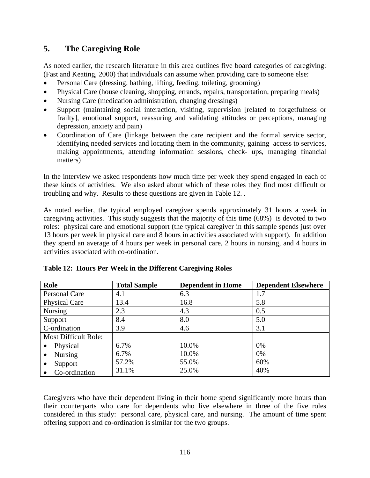# **5. The Caregiving Role**

As noted earlier, the research literature in this area outlines five board categories of caregiving: (Fast and Keating, 2000) that individuals can assume when providing care to someone else:

- Personal Care (dressing, bathing, lifting, feeding, toileting, grooming)
- Physical Care (house cleaning, shopping, errands, repairs, transportation, preparing meals)
- Nursing Care (medication administration, changing dressings)
- Support (maintaining social interaction, visiting, supervision [related to forgetfulness or frailty], emotional support, reassuring and validating attitudes or perceptions, managing depression, anxiety and pain)
- Coordination of Care (linkage between the care recipient and the formal service sector, identifying needed services and locating them in the community, gaining access to services, making appointments, attending information sessions, check- ups, managing financial matters)

In the interview we asked respondents how much time per week they spend engaged in each of these kinds of activities. We also asked about which of these roles they find most difficult or troubling and why. Results to these questions are given in Table 12. .

As noted earlier, the typical employed caregiver spends approximately 31 hours a week in caregiving activities. This study suggests that the majority of this time (68%) is devoted to two roles: physical care and emotional support (the typical caregiver in this sample spends just over 13 hours per week in physical care and 8 hours in activities associated with support). In addition they spend an average of 4 hours per week in personal care, 2 hours in nursing, and 4 hours in activities associated with co-ordination.

| Role                        | <b>Total Sample</b> | <b>Dependent in Home</b> | <b>Dependent Elsewhere</b> |
|-----------------------------|---------------------|--------------------------|----------------------------|
| Personal Care               | 4.1                 | 6.3                      | 1.7                        |
| <b>Physical Care</b>        | 13.4                | 16.8                     | 5.8                        |
| <b>Nursing</b>              | 2.3                 | 4.3                      | 0.5                        |
| Support                     | 8.4                 | 8.0                      | 5.0                        |
| C-ordination                | 3.9                 | 4.6                      | 3.1                        |
| <b>Most Difficult Role:</b> |                     |                          |                            |
| Physical                    | 6.7%                | 10.0%                    | 0%                         |
| <b>Nursing</b><br>$\bullet$ | 6.7%                | 10.0%                    | 0%                         |
| Support                     | 57.2%               | 55.0%                    | 60%                        |
| Co-ordination               | 31.1%               | 25.0%                    | 40%                        |

|  |  | Table 12: Hours Per Week in the Different Caregiving Roles |
|--|--|------------------------------------------------------------|
|  |  |                                                            |

Caregivers who have their dependent living in their home spend significantly more hours than their counterparts who care for dependents who live elsewhere in three of the five roles considered in this study: personal care, physical care, and nursing. The amount of time spent offering support and co-ordination is similar for the two groups.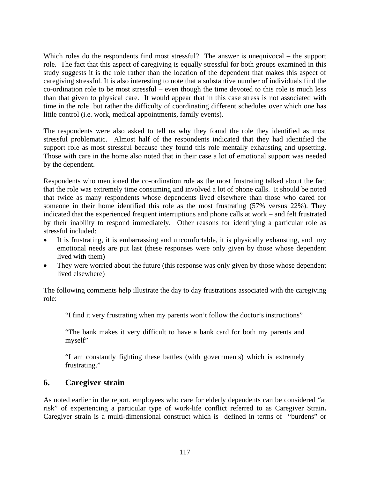Which roles do the respondents find most stressful? The answer is unequivocal – the support role. The fact that this aspect of caregiving is equally stressful for both groups examined in this study suggests it is the role rather than the location of the dependent that makes this aspect of caregiving stressful. It is also interesting to note that a substantive number of individuals find the co-ordination role to be most stressful – even though the time devoted to this role is much less than that given to physical care. It would appear that in this case stress is not associated with time in the role but rather the difficulty of coordinating different schedules over which one has little control (i.e. work, medical appointments, family events).

The respondents were also asked to tell us why they found the role they identified as most stressful problematic. Almost half of the respondents indicated that they had identified the support role as most stressful because they found this role mentally exhausting and upsetting. Those with care in the home also noted that in their case a lot of emotional support was needed by the dependent.

Respondents who mentioned the co-ordination role as the most frustrating talked about the fact that the role was extremely time consuming and involved a lot of phone calls. It should be noted that twice as many respondents whose dependents lived elsewhere than those who cared for someone in their home identified this role as the most frustrating (57% versus 22%). They indicated that the experienced frequent interruptions and phone calls at work – and felt frustrated by their inability to respond immediately. Other reasons for identifying a particular role as stressful included:

- It is frustrating, it is embarrassing and uncomfortable, it is physically exhausting, and my emotional needs are put last (these responses were only given by those whose dependent lived with them)
- They were worried about the future (this response was only given by those whose dependent lived elsewhere)

The following comments help illustrate the day to day frustrations associated with the caregiving role:

"I find it very frustrating when my parents won't follow the doctor's instructions"

"The bank makes it very difficult to have a bank card for both my parents and myself"

"I am constantly fighting these battles (with governments) which is extremely frustrating."

# **6. Caregiver strain**

As noted earlier in the report, employees who care for elderly dependents can be considered "at risk" of experiencing a particular type of work-life conflict referred to as Caregiver Strain**.**  Caregiver strain is a multi-dimensional construct which is defined in terms of "burdens" or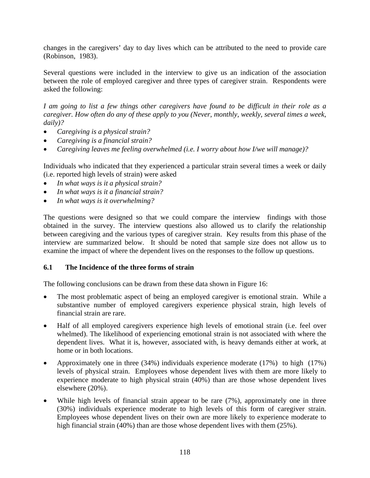changes in the caregivers' day to day lives which can be attributed to the need to provide care (Robinson, 1983).

Several questions were included in the interview to give us an indication of the association between the role of employed caregiver and three types of caregiver strain. Respondents were asked the following:

*I am going to list a few things other caregivers have found to be difficult in their role as a caregiver. How often do any of these apply to you (Never, monthly, weekly, several times a week, daily)?* 

- *Caregiving is a physical strain?*
- *Caregiving is a financial strain?*
- *Caregiving leaves me feeling overwhelmed (i.e. I worry about how I/we will manage)?*

Individuals who indicated that they experienced a particular strain several times a week or daily (i.e. reported high levels of strain) were asked

- *In what ways is it a physical strain?*
- *In what ways is it a financial strain?*
- *In what ways is it overwhelming?*

The questions were designed so that we could compare the interview findings with those obtained in the survey. The interview questions also allowed us to clarify the relationship between caregiving and the various types of caregiver strain. Key results from this phase of the interview are summarized below. It should be noted that sample size does not allow us to examine the impact of where the dependent lives on the responses to the follow up questions.

### **6.1 The Incidence of the three forms of strain**

The following conclusions can be drawn from these data shown in Figure 16:

- The most problematic aspect of being an employed caregiver is emotional strain. While a substantive number of employed caregivers experience physical strain, high levels of financial strain are rare.
- Half of all employed caregivers experience high levels of emotional strain (i.e. feel over whelmed). The likelihood of experiencing emotional strain is not associated with where the dependent lives. What it is, however, associated with, is heavy demands either at work, at home or in both locations.
- Approximately one in three (34%) individuals experience moderate (17%) to high (17%) levels of physical strain. Employees whose dependent lives with them are more likely to experience moderate to high physical strain (40%) than are those whose dependent lives elsewhere (20%).
- While high levels of financial strain appear to be rare  $(7%)$ , approximately one in three (30%) individuals experience moderate to high levels of this form of caregiver strain. Employees whose dependent lives on their own are more likely to experience moderate to high financial strain  $(40%)$  than are those whose dependent lives with them  $(25%)$ .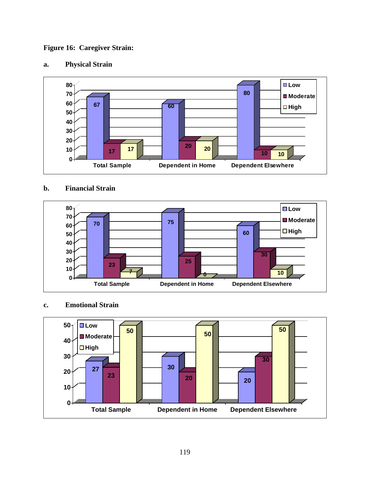### **Figure 16: Caregiver Strain:**

# **a. Physical Strain**



### **b. Financial Strain**



### **c. Emotional Strain**

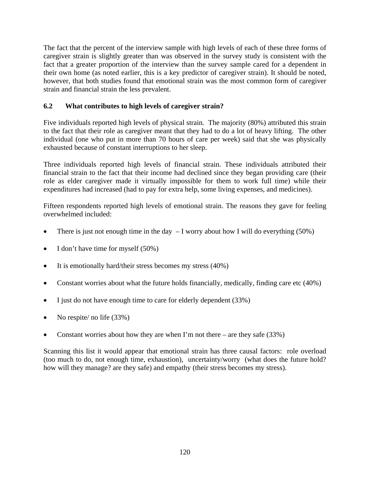The fact that the percent of the interview sample with high levels of each of these three forms of caregiver strain is slightly greater than was observed in the survey study is consistent with the fact that a greater proportion of the interview than the survey sample cared for a dependent in their own home (as noted earlier, this is a key predictor of caregiver strain). It should be noted, however, that both studies found that emotional strain was the most common form of caregiver strain and financial strain the less prevalent.

### **6.2 What contributes to high levels of caregiver strain?**

Five individuals reported high levels of physical strain. The majority (80%) attributed this strain to the fact that their role as caregiver meant that they had to do a lot of heavy lifting. The other individual (one who put in more than 70 hours of care per week) said that she was physically exhausted because of constant interruptions to her sleep.

Three individuals reported high levels of financial strain. These individuals attributed their financial strain to the fact that their income had declined since they began providing care (their role as elder caregiver made it virtually impossible for them to work full time) while their expenditures had increased (had to pay for extra help, some living expenses, and medicines).

Fifteen respondents reported high levels of emotional strain. The reasons they gave for feeling overwhelmed included:

- There is just not enough time in the day  $-I$  worry about how I will do everything (50%)
- I don't have time for myself (50%)
- It is emotionally hard/their stress becomes my stress (40%)
- Constant worries about what the future holds financially, medically, finding care etc (40%)
- I just do not have enough time to care for elderly dependent (33%)
- No respite/ no life (33%)
- Constant worries about how they are when I'm not there are they safe (33%)

Scanning this list it would appear that emotional strain has three causal factors: role overload (too much to do, not enough time, exhaustion), uncertainty/worry (what does the future hold? how will they manage? are they safe) and empathy (their stress becomes my stress).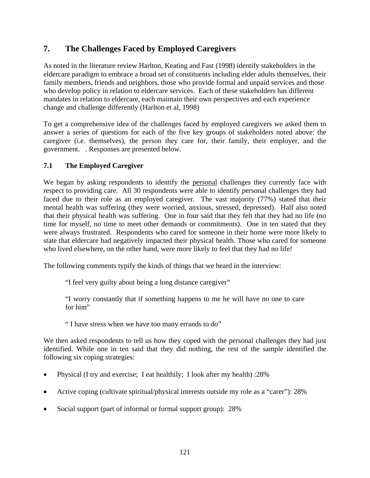# **7. The Challenges Faced by Employed Caregivers**

As noted in the literature review Harlton, Keating and Fast (1998) identify stakeholders in the eldercare paradigm to embrace a broad set of constituents including elder adults themselves, their family members, friends and neighbors, those who provide formal and unpaid services and those who develop policy in relation to eldercare services. Each of these stakeholders has different mandates in relation to eldercare, each maintain their own perspectives and each experience change and challenge differently (Harlton et al, 1998)

To get a comprehensive idea of the challenges faced by employed caregivers we asked them to answer a series of questions for each of the five key groups of stakeholders noted above: the caregiver (i.e. themselves), the person they care for, their family, their employer, and the government. . Responses are presented below.

### **7.1 The Employed Caregiver**

We began by asking respondents to identify the personal challenges they currently face with respect to providing care. All 30 respondents were able to identify personal challenges they had faced due to their role as an employed caregiver. The vast majority (77%) stated that their mental health was suffering (they were worried, anxious, stressed, depressed). Half also noted that their physical health was suffering. One in four said that they felt that they had no life (no time for myself, no time to meet other demands or commitments). One in ten stated that they were always frustrated. Respondents who cared for someone in their home were more likely to state that eldercare had negatively impacted their physical health. Those who cared for someone who lived elsewhere, on the other hand, were more likely to feel that they had no life!

The following comments typify the kinds of things that we heard in the interview:

"I feel very guilty about being a long distance caregiver"

"I worry constantly that if something happens to me he will have no one to care for him"

" I have stress when we have too many errands to do"

We then asked respondents to tell us how they coped with the personal challenges they had just identified. While one in ten said that they did nothing, the rest of the sample identified the following six coping strategies:

- Physical (I try and exercise; I eat healthily; I look after my health) :28%
- Active coping (cultivate spiritual/physical interests outside my role as a "carer"): 28%
- Social support (part of informal or formal support group): 28%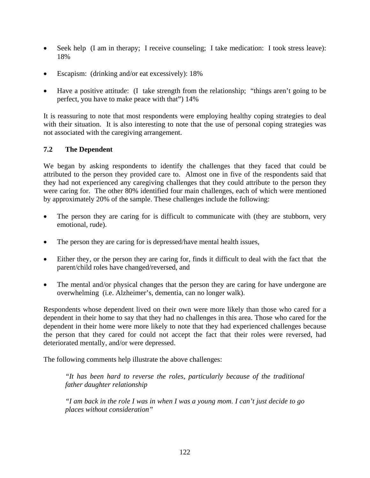- Seek help (I am in therapy; I receive counseling; I take medication: I took stress leave): 18%
- Escapism: (drinking and/or eat excessively): 18%
- Have a positive attitude: (I take strength from the relationship; "things aren't going to be perfect, you have to make peace with that") 14%

It is reassuring to note that most respondents were employing healthy coping strategies to deal with their situation. It is also interesting to note that the use of personal coping strategies was not associated with the caregiving arrangement.

### **7.2 The Dependent**

We began by asking respondents to identify the challenges that they faced that could be attributed to the person they provided care to. Almost one in five of the respondents said that they had not experienced any caregiving challenges that they could attribute to the person they were caring for. The other 80% identified four main challenges, each of which were mentioned by approximately 20% of the sample. These challenges include the following:

- The person they are caring for is difficult to communicate with (they are stubborn, very emotional, rude).
- The person they are caring for is depressed/have mental health issues,
- Either they, or the person they are caring for, finds it difficult to deal with the fact that the parent/child roles have changed/reversed, and
- The mental and/or physical changes that the person they are caring for have undergone are overwhelming (i.e. Alzheimer's, dementia, can no longer walk).

Respondents whose dependent lived on their own were more likely than those who cared for a dependent in their home to say that they had no challenges in this area. Those who cared for the dependent in their home were more likely to note that they had experienced challenges because the person that they cared for could not accept the fact that their roles were reversed, had deteriorated mentally, and/or were depressed.

The following comments help illustrate the above challenges:

*"It has been hard to reverse the roles, particularly because of the traditional father daughter relationship* 

*"I am back in the role I was in when I was a young mom. I can't just decide to go places without consideration"*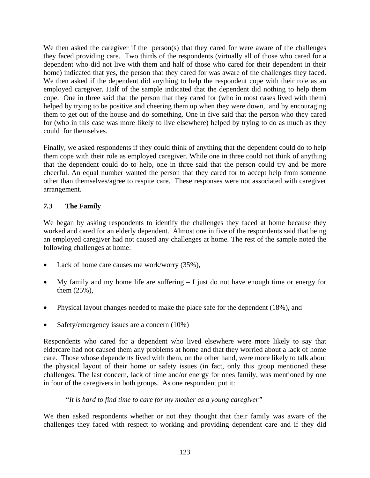We then asked the caregiver if the person(s) that they cared for were aware of the challenges they faced providing care. Two thirds of the respondents (virtually all of those who cared for a dependent who did not live with them and half of those who cared for their dependent in their home) indicated that yes, the person that they cared for was aware of the challenges they faced. We then asked if the dependent did anything to help the respondent cope with their role as an employed caregiver. Half of the sample indicated that the dependent did nothing to help them cope. One in three said that the person that they cared for (who in most cases lived with them) helped by trying to be positive and cheering them up when they were down, and by encouraging them to get out of the house and do something. One in five said that the person who they cared for (who in this case was more likely to live elsewhere) helped by trying to do as much as they could for themselves.

Finally, we asked respondents if they could think of anything that the dependent could do to help them cope with their role as employed caregiver. While one in three could not think of anything that the dependent could do to help, one in three said that the person could try and be more cheerful. An equal number wanted the person that they cared for to accept help from someone other than themselves/agree to respite care. These responses were not associated with caregiver arrangement.

### *7.3* **The Family**

We began by asking respondents to identify the challenges they faced at home because they worked and cared for an elderly dependent. Almost one in five of the respondents said that being an employed caregiver had not caused any challenges at home. The rest of the sample noted the following challenges at home:

- Lack of home care causes me work/worry (35%),
- My family and my home life are suffering  $I$  just do not have enough time or energy for them (25%),
- Physical layout changes needed to make the place safe for the dependent (18%), and
- Safety/emergency issues are a concern (10%)

Respondents who cared for a dependent who lived elsewhere were more likely to say that eldercare had not caused them any problems at home and that they worried about a lack of home care. Those whose dependents lived with them, on the other hand, were more likely to talk about the physical layout of their home or safety issues (in fact, only this group mentioned these challenges. The last concern, lack of time and/or energy for ones family, was mentioned by one in four of the caregivers in both groups. As one respondent put it:

### *"It is hard to find time to care for my mother as a young caregiver"*

We then asked respondents whether or not they thought that their family was aware of the challenges they faced with respect to working and providing dependent care and if they did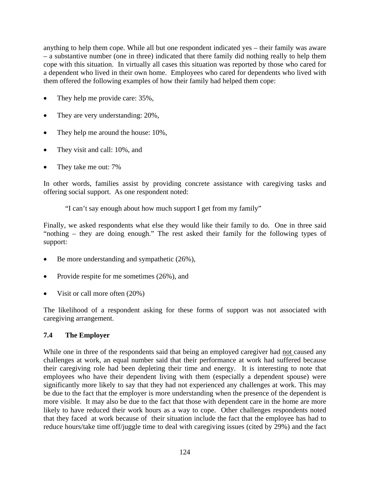anything to help them cope. While all but one respondent indicated yes – their family was aware – a substantive number (one in three) indicated that there family did nothing really to help them cope with this situation. In virtually all cases this situation was reported by those who cared for a dependent who lived in their own home. Employees who cared for dependents who lived with them offered the following examples of how their family had helped them cope:

- They help me provide care: 35%,
- They are very understanding: 20%,
- They help me around the house: 10%,
- They visit and call: 10%, and
- They take me out: 7%

In other words, families assist by providing concrete assistance with caregiving tasks and offering social support. As one respondent noted:

"I can't say enough about how much support I get from my family"

Finally, we asked respondents what else they would like their family to do. One in three said "nothing – they are doing enough." The rest asked their family for the following types of support:

- Be more understanding and sympathetic  $(26\%)$ ,
- Provide respite for me sometimes (26%), and
- Visit or call more often  $(20%)$

The likelihood of a respondent asking for these forms of support was not associated with caregiving arrangement.

### **7.4 The Employer**

While one in three of the respondents said that being an employed caregiver had not caused any challenges at work, an equal number said that their performance at work had suffered because their caregiving role had been depleting their time and energy. It is interesting to note that employees who have their dependent living with them (especially a dependent spouse) were significantly more likely to say that they had not experienced any challenges at work. This may be due to the fact that the employer is more understanding when the presence of the dependent is more visible. It may also be due to the fact that those with dependent care in the home are more likely to have reduced their work hours as a way to cope. Other challenges respondents noted that they faced at work because of their situation include the fact that the employee has had to reduce hours/take time off/juggle time to deal with caregiving issues (cited by 29%) and the fact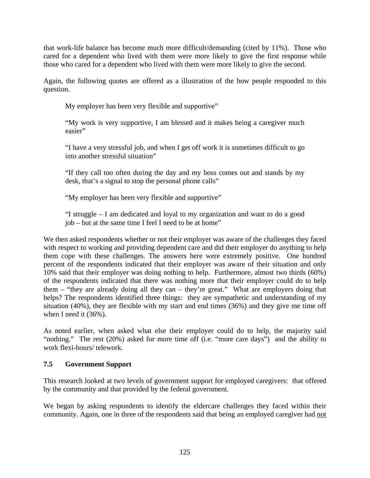that work-life balance has become much more difficult/demanding (cited by 11%). Those who cared for a dependent who lived with them were more likely to give the first response while those who cared for a dependent who lived with them were more likely to give the second.

Again, the following quotes are offered as a illustration of the how people responded to this question.

My employer has been very flexible and supportive"

"My work is very supportive, I am blessed and it makes being a caregiver much easier"

"I have a very stressful job, and when I get off work it is sometimes difficult to go into another stressful situation"

"If they call too often during the day and my boss comes out and stands by my desk, that's a signal to stop the personal phone calls"

"My employer has been very flexible and supportive"

"I struggle – I am dedicated and loyal to my organization and want to do a good job – but at the same time I feel I need to be at home"

We then asked respondents whether or not their employer was aware of the challenges they faced with respect to working and providing dependent care and did their employer do anything to help them cope with these challenges. The answers here were extremely positive. One hundred percent of the respondents indicated that their employer was aware of their situation and only 10% said that their employer was doing nothing to help. Furthermore, almost two thirds (60%) of the respondents indicated that there was nothing more that their employer could do to help them – "they are already doing all they can – they're great." What are employers doing that helps? The respondents identified three things: they are sympathetic and understanding of my situation (40%), they are flexible with my start and end times (36%) and they give me time off when I need it (36%).

As noted earlier, when asked what else their employer could do to help, the majority said "nothing." The rest (20%) asked for more time off (i.e. "more care days") and the ability to work flexi-hours/ telework.

### **7.5 Government Support**

This research looked at two levels of government support for employed caregivers: that offered by the community and that provided by the federal government.

We began by asking respondents to identify the eldercare challenges they faced within their community. Again, one in three of the respondents said that being an employed caregiver had not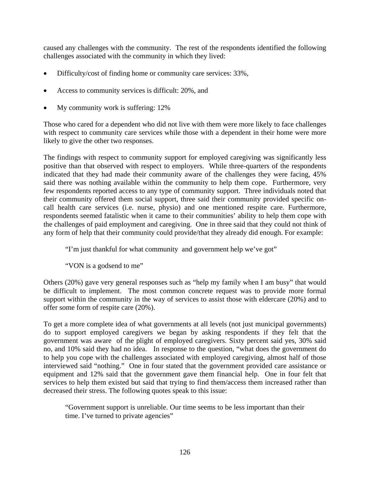caused any challenges with the community. The rest of the respondents identified the following challenges associated with the community in which they lived:

- Difficulty/cost of finding home or community care services: 33%,
- Access to community services is difficult: 20%, and
- My community work is suffering: 12%

Those who cared for a dependent who did not live with them were more likely to face challenges with respect to community care services while those with a dependent in their home were more likely to give the other two responses.

The findings with respect to community support for employed caregiving was significantly less positive than that observed with respect to employers. While three-quarters of the respondents indicated that they had made their community aware of the challenges they were facing, 45% said there was nothing available within the community to help them cope. Furthermore, very few respondents reported access to any type of community support. Three individuals noted that their community offered them social support, three said their community provided specific oncall health care services (i.e. nurse, physio) and one mentioned respite care. Furthermore, respondents seemed fatalistic when it came to their communities' ability to help them cope with the challenges of paid employment and caregiving. One in three said that they could not think of any form of help that their community could provide/that they already did enough. For example:

"I'm just thankful for what community and government help we've got"

"VON is a godsend to me"

Others (20%) gave very general responses such as "help my family when I am busy" that would be difficult to implement. The most common concrete request was to provide more formal support within the community in the way of services to assist those with eldercare (20%) and to offer some form of respite care (20%).

To get a more complete idea of what governments at all levels (not just municipal governments) do to support employed caregivers we began by asking respondents if they felt that the government was aware of the plight of employed caregivers. Sixty percent said yes, 30% said no, and 10% said they had no idea. In response to the question, "what does the government do to help you cope with the challenges associated with employed caregiving, almost half of those interviewed said "nothing." One in four stated that the government provided care assistance or equipment and 12% said that the government gave them financial help. One in four felt that services to help them existed but said that trying to find them/access them increased rather than decreased their stress. The following quotes speak to this issue:

"Government support is unreliable. Our time seems to be less important than their time. I've turned to private agencies"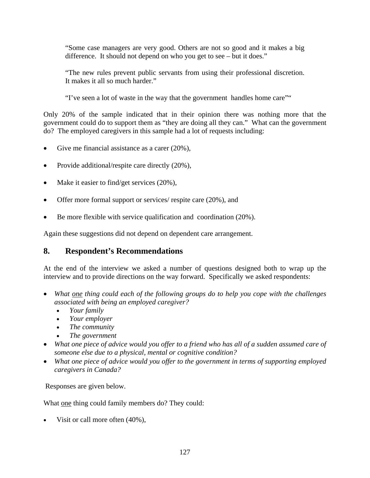"Some case managers are very good. Others are not so good and it makes a big difference. It should not depend on who you get to see – but it does."

"The new rules prevent public servants from using their professional discretion. It makes it all so much harder."

"I've seen a lot of waste in the way that the government handles home care""

Only 20% of the sample indicated that in their opinion there was nothing more that the government could do to support them as "they are doing all they can." What can the government do? The employed caregivers in this sample had a lot of requests including:

- Give me financial assistance as a carer (20%),
- Provide additional/respite care directly  $(20\%),$
- Make it easier to find/get services  $(20\%)$ ,
- Offer more formal support or services/ respite care (20%), and
- Be more flexible with service qualification and coordination (20%).

Again these suggestions did not depend on dependent care arrangement.

### **8. Respondent's Recommendations**

At the end of the interview we asked a number of questions designed both to wrap up the interview and to provide directions on the way forward. Specifically we asked respondents:

- *What one thing could each of the following groups do to help you cope with the challenges associated with being an employed caregiver?* 
	- *Your family*
	- *Your employer*
	- *The community*
	- *The government*
- *What one piece of advice would you offer to a friend who has all of a sudden assumed care of someone else due to a physical, mental or cognitive condition?*
- *What one piece of advice would you offer to the government in terms of supporting employed caregivers in Canada?*

Responses are given below.

What <u>one</u> thing could family members do? They could:

Visit or call more often  $(40\%)$ ,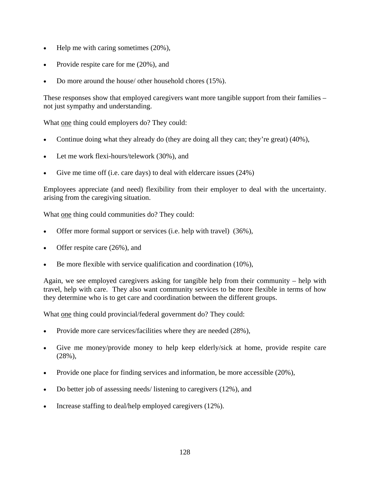- Help me with caring sometimes  $(20\%)$ ,
- Provide respite care for me (20%), and
- Do more around the house/ other household chores (15%).

These responses show that employed caregivers want more tangible support from their families – not just sympathy and understanding.

What one thing could employers do? They could:

- Continue doing what they already do (they are doing all they can; they're great) (40%),
- Let me work flexi-hours/telework (30%), and
- Give me time off (i.e. care days) to deal with eldercare issues (24%)

Employees appreciate (and need) flexibility from their employer to deal with the uncertainty. arising from the caregiving situation.

What one thing could communities do? They could:

- Offer more formal support or services (i.e. help with travel) (36%),
- Offer respite care (26%), and
- Be more flexible with service qualification and coordination (10%),

Again, we see employed caregivers asking for tangible help from their community – help with travel, help with care. They also want community services to be more flexible in terms of how they determine who is to get care and coordination between the different groups.

What one thing could provincial/federal government do? They could:

- Provide more care services/facilities where they are needed (28%),
- Give me money/provide money to help keep elderly/sick at home, provide respite care (28%),
- Provide one place for finding services and information, be more accessible (20%),
- Do better job of assessing needs/ listening to caregivers (12%), and
- Increase staffing to deal/help employed caregivers (12%).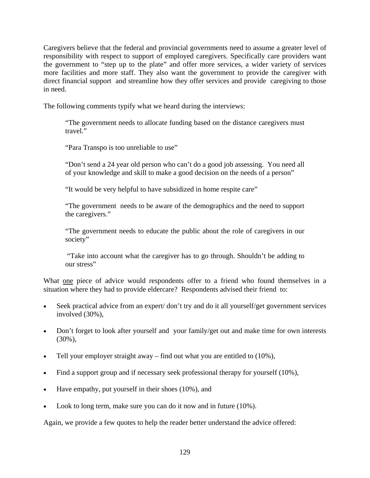Caregivers believe that the federal and provincial governments need to assume a greater level of responsibility with respect to support of employed caregivers. Specifically care providers want the government to "step up to the plate" and offer more services, a wider variety of services more facilities and more staff. They also want the government to provide the caregiver with direct financial support and streamline how they offer services and provide caregiving to those in need.

The following comments typify what we heard during the interviews:

"The government needs to allocate funding based on the distance caregivers must travel."

"Para Transpo is too unreliable to use"

"Don't send a 24 year old person who can't do a good job assessing. You need all of your knowledge and skill to make a good decision on the needs of a person"

"It would be very helpful to have subsidized in home respite care"

"The government needs to be aware of the demographics and the need to support the caregivers."

"The government needs to educate the public about the role of caregivers in our society"

 "Take into account what the caregiver has to go through. Shouldn't be adding to our stress"

What one piece of advice would respondents offer to a friend who found themselves in a situation where they had to provide eldercare? Respondents advised their friend to:

- Seek practical advice from an expert/don't try and do it all yourself/get government services involved (30%),
- Don't forget to look after yourself and your family/get out and make time for own interests (30%),
- Tell your employer straight away find out what you are entitled to  $(10\%)$ ,
- Find a support group and if necessary seek professional therapy for yourself (10%),
- Have empathy, put yourself in their shoes (10%), and
- Look to long term, make sure you can do it now and in future (10%).

Again, we provide a few quotes to help the reader better understand the advice offered: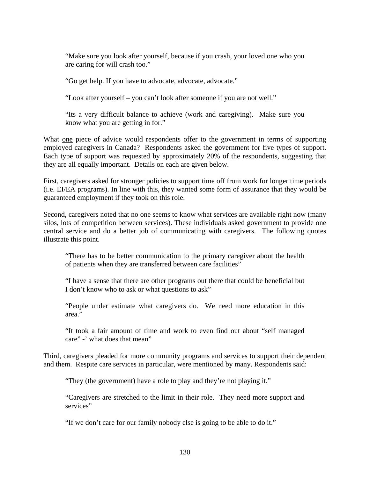"Make sure you look after yourself, because if you crash, your loved one who you are caring for will crash too."

"Go get help. If you have to advocate, advocate, advocate."

"Look after yourself – you can't look after someone if you are not well."

"Its a very difficult balance to achieve (work and caregiving). Make sure you know what you are getting in for."

What one piece of advice would respondents offer to the government in terms of supporting employed caregivers in Canada? Respondents asked the government for five types of support. Each type of support was requested by approximately 20% of the respondents, suggesting that they are all equally important. Details on each are given below.

First, caregivers asked for stronger policies to support time off from work for longer time periods (i.e. EI/EA programs). In line with this, they wanted some form of assurance that they would be guaranteed employment if they took on this role.

Second, caregivers noted that no one seems to know what services are available right now (many silos, lots of competition between services). These individuals asked government to provide one central service and do a better job of communicating with caregivers. The following quotes illustrate this point.

"There has to be better communication to the primary caregiver about the health of patients when they are transferred between care facilities"

"I have a sense that there are other programs out there that could be beneficial but I don't know who to ask or what questions to ask"

"People under estimate what caregivers do. We need more education in this area."

"It took a fair amount of time and work to even find out about "self managed care" -' what does that mean"

Third, caregivers pleaded for more community programs and services to support their dependent and them. Respite care services in particular, were mentioned by many. Respondents said:

"They (the government) have a role to play and they're not playing it."

"Caregivers are stretched to the limit in their role. They need more support and services"

"If we don't care for our family nobody else is going to be able to do it."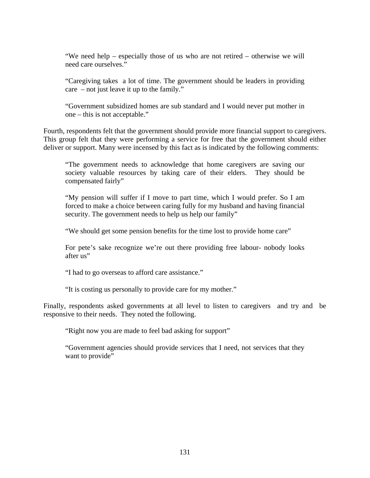"We need help – especially those of us who are not retired – otherwise we will need care ourselves."

"Caregiving takes a lot of time. The government should be leaders in providing care – not just leave it up to the family."

"Government subsidized homes are sub standard and I would never put mother in one – this is not acceptable."

Fourth, respondents felt that the government should provide more financial support to caregivers. This group felt that they were performing a service for free that the government should either deliver or support. Many were incensed by this fact as is indicated by the following comments:

"The government needs to acknowledge that home caregivers are saving our society valuable resources by taking care of their elders. They should be compensated fairly"

"My pension will suffer if I move to part time, which I would prefer. So I am forced to make a choice between caring fully for my husband and having financial security. The government needs to help us help our family"

"We should get some pension benefits for the time lost to provide home care"

For pete's sake recognize we're out there providing free labour- nobody looks after us"

"I had to go overseas to afford care assistance."

"It is costing us personally to provide care for my mother."

Finally, respondents asked governments at all level to listen to caregivers and try and be responsive to their needs. They noted the following.

"Right now you are made to feel bad asking for support"

"Government agencies should provide services that I need, not services that they want to provide"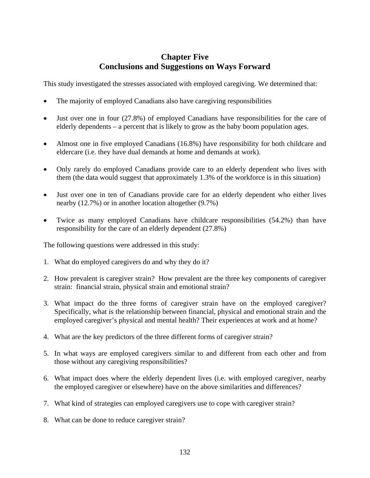# **Chapter Five Conclusions and Suggestions on Ways Forward**

This study investigated the stresses associated with employed caregiving. We determined that:

- The majority of employed Canadians also have caregiving responsibilities
- Just over one in four (27.8%) of employed Canadians have responsibilities for the care of elderly dependents – a percent that is likely to grow as the baby boom population ages.
- Almost one in five employed Canadians (16.8%) have responsibility for both childcare and eldercare (i.e. they have dual demands at home and demands at work).
- Only rarely do employed Canadians provide care to an elderly dependent who lives with them (the data would suggest that approximately 1.3% of the workforce is in this situation)
- Just over one in ten of Canadians provide care for an elderly dependent who either lives nearby (12.7%) or in another location altogether (9.7%)
- Twice as many employed Canadians have childcare responsibilities (54.2%) than have responsibility for the care of an elderly dependent (27.8%)

The following questions were addressed in this study:

- 1. What do employed caregivers do and why they do it?
- 2. How prevalent is caregiver strain? How prevalent are the three key components of caregiver strain: financial strain, physical strain and emotional strain?
- 3. What impact do the three forms of caregiver strain have on the employed caregiver? Specifically, what is the relationship between financial, physical and emotional strain and the employed caregiver's physical and mental health? Their experiences at work and at home?
- 4. What are the key predictors of the three different forms of caregiver strain?
- 5. In what ways are employed caregivers similar to and different from each other and from those without any caregiving responsibilities?
- 6. What impact does where the elderly dependent lives (i.e. with employed caregiver, nearby the employed caregiver or elsewhere) have on the above similarities and differences?
- 7. What kind of strategies can employed caregivers use to cope with caregiver strain?
- 8. What can be done to reduce caregiver strain?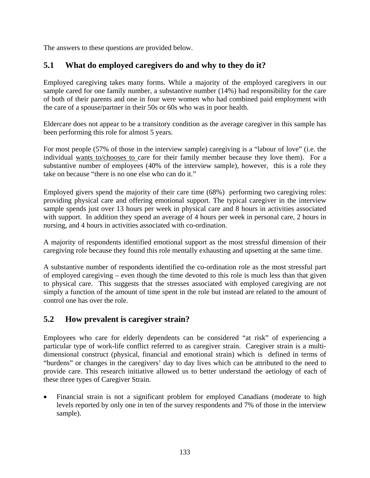The answers to these questions are provided below.

# **5.1 What do employed caregivers do and why to they do it?**

Employed caregiving takes many forms. While a majority of the employed caregivers in our sample cared for one family number, a substantive number (14%) had responsibility for the care of both of their parents and one in four were women who had combined paid employment with the care of a spouse/partner in their 50s or 60s who was in poor health.

Eldercare does not appear to be a transitory condition as the average caregiver in this sample has been performing this role for almost 5 years.

For most people (57% of those in the interview sample) caregiving is a "labour of love" (i.e. the individual wants to/chooses to care for their family member because they love them). For a substantive number of employees (40% of the interview sample), however, this is a role they take on because "there is no one else who can do it."

Employed givers spend the majority of their care time (68%) performing two caregiving roles: providing physical care and offering emotional support. The typical caregiver in the interview sample spends just over 13 hours per week in physical care and 8 hours in activities associated with support. In addition they spend an average of 4 hours per week in personal care, 2 hours in nursing, and 4 hours in activities associated with co-ordination.

A majority of respondents identified emotional support as the most stressful dimension of their caregiving role because they found this role mentally exhausting and upsetting at the same time.

A substantive number of respondents identified the co-ordination role as the most stressful part of employed caregiving – even though the time devoted to this role is much less than that given to physical care. This suggests that the stresses associated with employed caregiving are not simply a function of the amount of time spent in the role but instead are related to the amount of control one has over the role.

# **5.2 How prevalent is caregiver strain?**

Employees who care for elderly dependents can be considered "at risk" of experiencing a particular type of work-life conflict referred to as caregiver strain. Caregiver strain is a multidimensional construct (physical, financial and emotional strain) which is defined in terms of "burdens" or changes in the caregivers' day to day lives which can be attributed to the need to provide care. This research initiative allowed us to better understand the aetiology of each of these three types of Caregiver Strain.

Financial strain is not a significant problem for employed Canadians (moderate to high levels reported by only one in ten of the survey respondents and 7% of those in the interview sample).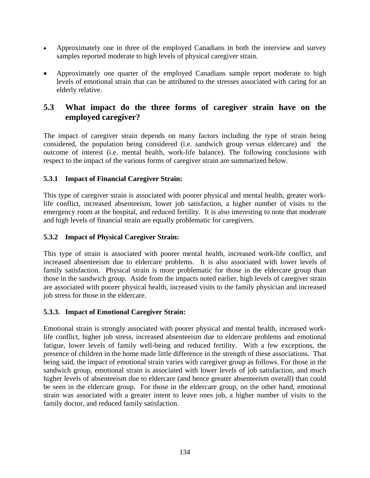- Approximately one in three of the employed Canadians in both the interview and survey samples reported moderate to high levels of physical caregiver strain.
- Approximately one quarter of the employed Canadians sample report moderate to high levels of emotional strain that can be attributed to the stresses associated with caring for an elderly relative.

# **5.3 What impact do the three forms of caregiver strain have on the employed caregiver?**

The impact of caregiver strain depends on many factors including the type of strain being considered, the population being considered (i.e. sandwich group versus eldercare) and the outcome of interest (i.e. mental health, work-life balance). The following conclusions with respect to the impact of the various forms of caregiver strain are summarized below.

### **5.3.1 Impact of Financial Caregiver Strain:**

This type of caregiver strain is associated with poorer physical and mental health, greater worklife conflict, increased absenteeism, lower job satisfaction, a higher number of visits to the emergency room at the hospital, and reduced fertility. It is also interesting to note that moderate and high levels of financial strain are equally problematic for caregivers.

### **5.3.2 Impact of Physical Caregiver Strain:**

This type of strain is associated with poorer mental health, increased work-life conflict, and increased absenteeism due to eldercare problems. It is also associated with lower levels of family satisfaction. Physical strain is more problematic for those in the eldercare group than those in the sandwich group. Aside from the impacts noted earlier, high levels of caregiver strain are associated with poorer physical health, increased visits to the family physician and increased job stress for those in the eldercare.

### **5.3.3. Impact of Emotional Caregiver Strain:**

Emotional strain is strongly associated with poorer physical and mental health, increased worklife conflict, higher job stress, increased absenteeism due to eldercare problems and emotional fatigue, lower levels of family well-being and reduced fertility. With a few exceptions, the presence of children in the home made little difference in the strength of these associations. That being said, the impact of emotional strain varies with caregiver group as follows. For those in the sandwich group, emotional strain is associated with lower levels of job satisfaction, and much higher levels of absenteeism due to eldercare (and hence greater absenteeism overall) than could be seen in the eldercare group. For those in the eldercare group, on the other hand, emotional strain was associated with a greater intent to leave ones job, a higher number of visits to the family doctor, and reduced family satisfaction.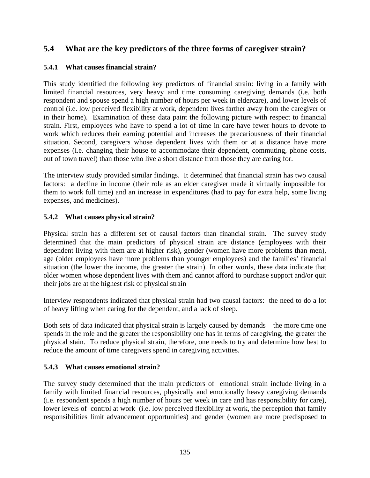# **5.4 What are the key predictors of the three forms of caregiver strain?**

#### **5.4.1 What causes financial strain?**

This study identified the following key predictors of financial strain: living in a family with limited financial resources, very heavy and time consuming caregiving demands (i.e. both respondent and spouse spend a high number of hours per week in eldercare), and lower levels of control (i.e. low perceived flexibility at work, dependent lives farther away from the caregiver or in their home). Examination of these data paint the following picture with respect to financial strain. First, employees who have to spend a lot of time in care have fewer hours to devote to work which reduces their earning potential and increases the precariousness of their financial situation. Second, caregivers whose dependent lives with them or at a distance have more expenses (i.e. changing their house to accommodate their dependent, commuting, phone costs, out of town travel) than those who live a short distance from those they are caring for.

The interview study provided similar findings. It determined that financial strain has two causal factors: a decline in income (their role as an elder caregiver made it virtually impossible for them to work full time) and an increase in expenditures (had to pay for extra help, some living expenses, and medicines).

### **5.4.2 What causes physical strain?**

Physical strain has a different set of causal factors than financial strain. The survey study determined that the main predictors of physical strain are distance (employees with their dependent living with them are at higher risk), gender (women have more problems than men), age (older employees have more problems than younger employees) and the families' financial situation (the lower the income, the greater the strain). In other words, these data indicate that older women whose dependent lives with them and cannot afford to purchase support and/or quit their jobs are at the highest risk of physical strain

Interview respondents indicated that physical strain had two causal factors: the need to do a lot of heavy lifting when caring for the dependent, and a lack of sleep.

Both sets of data indicated that physical strain is largely caused by demands – the more time one spends in the role and the greater the responsibility one has in terms of caregiving, the greater the physical stain. To reduce physical strain, therefore, one needs to try and determine how best to reduce the amount of time caregivers spend in caregiving activities.

### **5.4.3 What causes emotional strain?**

The survey study determined that the main predictors of emotional strain include living in a family with limited financial resources, physically and emotionally heavy caregiving demands (i.e. respondent spends a high number of hours per week in care and has responsibility for care), lower levels of control at work (i.e. low perceived flexibility at work, the perception that family responsibilities limit advancement opportunities) and gender (women are more predisposed to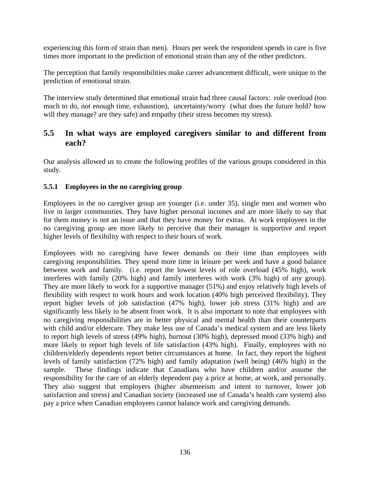experiencing this form of strain than men). Hours per week the respondent spends in care is five times more important to the prediction of emotional strain than any of the other predictors.

The perception that family responsibilities make career advancement difficult, were unique to the prediction of emotional strain.

The interview study determined that emotional strain had three causal factors: role overload (too much to do, not enough time, exhaustion), uncertainty/worry (what does the future hold? how will they manage? are they safe) and empathy (their stress becomes my stress).

# **5.5 In what ways are employed caregivers similar to and different from each?**

Our analysis allowed us to create the following profiles of the various groups considered in this study.

### **5.5.1 Employees in the no caregiving group**

Employees in the no caregiver group are younger (i.e. under 35), single men and women who live in larger communities. They have higher personal incomes and are more likely to say that for them money is not an issue and that they have money for extras. At work employees in the no caregiving group are more likely to perceive that their manager is supportive and report higher levels of flexibility with respect to their hours of work.

Employees with no caregiving have fewer demands on their time than employees with caregiving responsibilities. They spend more time in leisure per week and have a good balance between work and family. (i.e. report the lowest levels of role overload (45% high), work interferes with family (20% high) and family interferes with work (3% high) of any group). They are more likely to work for a supportive manager (51%) and enjoy relatively high levels of flexibility with respect to work hours and work location (40% high perceived flexibility). They report higher levels of job satisfaction (47% high), lower job stress (31% high) and are significantly less likely to be absent from work. It is also important to note that employees with no caregiving responsibilities are in better physical and mental health than their counterparts with child and/or eldercare. They make less use of Canada's medical system and are less likely to report high levels of stress (49% high), burnout (30% high), depressed mood (33% high) and more likely to report high levels of life satisfaction (43% high). Finally, employees with no children/elderly dependents report better circumstances at home. In fact, they report the highest levels of family satisfaction (72% high) and family adaptation (well being) (46% high) in the sample. These findings indicate that Canadians who have children and/or assume the responsibility for the care of an elderly dependent pay a price at home, at work, and personally. They also suggest that employers (higher absenteeism and intent to turnover, lower job satisfaction and stress) and Canadian society (increased use of Canada's health care system) also pay a price when Canadian employees cannot balance work and caregiving demands.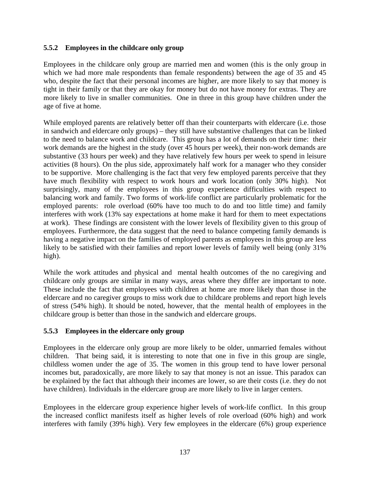### **5.5.2 Employees in the childcare only group**

Employees in the childcare only group are married men and women (this is the only group in which we had more male respondents than female respondents) between the age of 35 and 45 who, despite the fact that their personal incomes are higher, are more likely to say that money is tight in their family or that they are okay for money but do not have money for extras. They are more likely to live in smaller communities. One in three in this group have children under the age of five at home.

While employed parents are relatively better off than their counterparts with eldercare (i.e. those in sandwich and eldercare only groups) – they still have substantive challenges that can be linked to the need to balance work and childcare. This group has a lot of demands on their time: their work demands are the highest in the study (over 45 hours per week), their non-work demands are substantive (33 hours per week) and they have relatively few hours per week to spend in leisure activities (8 hours). On the plus side, approximately half work for a manager who they consider to be supportive. More challenging is the fact that very few employed parents perceive that they have much flexibility with respect to work hours and work location (only 30% high). Not surprisingly, many of the employees in this group experience difficulties with respect to balancing work and family. Two forms of work-life conflict are particularly problematic for the employed parents: role overload (60% have too much to do and too little time) and family interferes with work (13% say expectations at home make it hard for them to meet expectations at work). These findings are consistent with the lower levels of flexibility given to this group of employees. Furthermore, the data suggest that the need to balance competing family demands is having a negative impact on the families of employed parents as employees in this group are less likely to be satisfied with their families and report lower levels of family well being (only 31% high).

While the work attitudes and physical and mental health outcomes of the no caregiving and childcare only groups are similar in many ways, areas where they differ are important to note. These include the fact that employees with children at home are more likely than those in the eldercare and no caregiver groups to miss work due to childcare problems and report high levels of stress (54% high). It should be noted, however, that the mental health of employees in the childcare group is better than those in the sandwich and eldercare groups.

### **5.5.3 Employees in the eldercare only group**

Employees in the eldercare only group are more likely to be older, unmarried females without children. That being said, it is interesting to note that one in five in this group are single, childless women under the age of 35. The women in this group tend to have lower personal incomes but, paradoxically, are more likely to say that money is not an issue. This paradox can be explained by the fact that although their incomes are lower, so are their costs (i.e. they do not have children). Individuals in the eldercare group are more likely to live in larger centers.

Employees in the eldercare group experience higher levels of work-life conflict. In this group the increased conflict manifests itself as higher levels of role overload (60% high) and work interferes with family (39% high). Very few employees in the eldercare (6%) group experience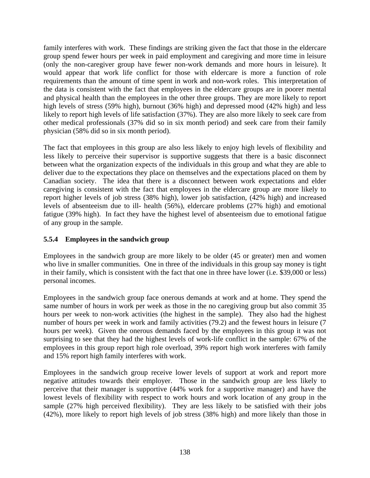family interferes with work. These findings are striking given the fact that those in the eldercare group spend fewer hours per week in paid employment and caregiving and more time in leisure (only the non-caregiver group have fewer non-work demands and more hours in leisure). It would appear that work life conflict for those with eldercare is more a function of role requirements than the amount of time spent in work and non-work roles. This interpretation of the data is consistent with the fact that employees in the eldercare groups are in poorer mental and physical health than the employees in the other three groups. They are more likely to report high levels of stress (59% high), burnout (36% high) and depressed mood (42% high) and less likely to report high levels of life satisfaction (37%). They are also more likely to seek care from other medical professionals (37% did so in six month period) and seek care from their family physician (58% did so in six month period).

The fact that employees in this group are also less likely to enjoy high levels of flexibility and less likely to perceive their supervisor is supportive suggests that there is a basic disconnect between what the organization expects of the individuals in this group and what they are able to deliver due to the expectations they place on themselves and the expectations placed on them by Canadian society. The idea that there is a disconnect between work expectations and elder caregiving is consistent with the fact that employees in the eldercare group are more likely to report higher levels of job stress (38% high), lower job satisfaction, (42% high) and increased levels of absenteeism due to ill- health (56%), eldercare problems (27% high) and emotional fatigue (39% high). In fact they have the highest level of absenteeism due to emotional fatigue of any group in the sample.

### **5.5.4 Employees in the sandwich group**

Employees in the sandwich group are more likely to be older (45 or greater) men and women who live in smaller communities. One in three of the individuals in this group say money is tight in their family, which is consistent with the fact that one in three have lower (i.e. \$39,000 or less) personal incomes.

Employees in the sandwich group face onerous demands at work and at home. They spend the same number of hours in work per week as those in the no caregiving group but also commit 35 hours per week to non-work activities (the highest in the sample). They also had the highest number of hours per week in work and family activities (79.2) and the fewest hours in leisure (7 hours per week). Given the onerous demands faced by the employees in this group it was not surprising to see that they had the highest levels of work-life conflict in the sample: 67% of the employees in this group report high role overload, 39% report high work interferes with family and 15% report high family interferes with work.

Employees in the sandwich group receive lower levels of support at work and report more negative attitudes towards their employer. Those in the sandwich group are less likely to perceive that their manager is supportive (44% work for a supportive manager) and have the lowest levels of flexibility with respect to work hours and work location of any group in the sample (27% high perceived flexibility). They are less likely to be satisfied with their jobs (42%), more likely to report high levels of job stress (38% high) and more likely than those in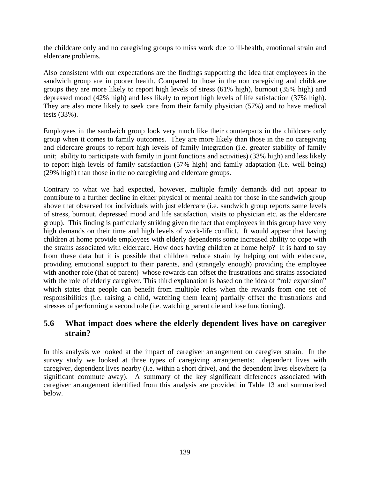the childcare only and no caregiving groups to miss work due to ill-health, emotional strain and eldercare problems.

Also consistent with our expectations are the findings supporting the idea that employees in the sandwich group are in poorer health. Compared to those in the non caregiving and childcare groups they are more likely to report high levels of stress (61% high), burnout (35% high) and depressed mood (42% high) and less likely to report high levels of life satisfaction (37% high). They are also more likely to seek care from their family physician (57%) and to have medical tests (33%).

Employees in the sandwich group look very much like their counterparts in the childcare only group when it comes to family outcomes. They are more likely than those in the no caregiving and eldercare groups to report high levels of family integration (i.e. greater stability of family unit; ability to participate with family in joint functions and activities) (33% high) and less likely to report high levels of family satisfaction (57% high) and family adaptation (i.e. well being) (29% high) than those in the no caregiving and eldercare groups.

Contrary to what we had expected, however, multiple family demands did not appear to contribute to a further decline in either physical or mental health for those in the sandwich group above that observed for individuals with just eldercare (i.e. sandwich group reports same levels of stress, burnout, depressed mood and life satisfaction, visits to physician etc. as the eldercare group). This finding is particularly striking given the fact that employees in this group have very high demands on their time and high levels of work-life conflict. It would appear that having children at home provide employees with elderly dependents some increased ability to cope with the strains associated with eldercare. How does having children at home help? It is hard to say from these data but it is possible that children reduce strain by helping out with eldercare, providing emotional support to their parents, and (strangely enough) providing the employee with another role (that of parent) whose rewards can offset the frustrations and strains associated with the role of elderly caregiver. This third explanation is based on the idea of "role expansion" which states that people can benefit from multiple roles when the rewards from one set of responsibilities (i.e. raising a child, watching them learn) partially offset the frustrations and stresses of performing a second role (i.e. watching parent die and lose functioning).

# **5.6 What impact does where the elderly dependent lives have on caregiver strain?**

In this analysis we looked at the impact of caregiver arrangement on caregiver strain. In the survey study we looked at three types of caregiving arrangements: dependent lives with caregiver, dependent lives nearby (i.e. within a short drive), and the dependent lives elsewhere (a significant commute away). A summary of the key significant differences associated with caregiver arrangement identified from this analysis are provided in Table 13 and summarized below.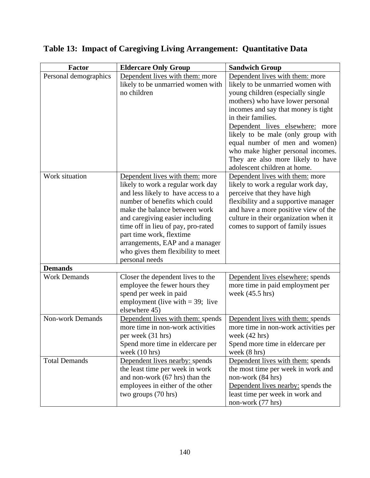| <b>Factor</b>           | <b>Eldercare Only Group</b>                                                                                                                                                                                                                                                                                                                                                    | <b>Sandwich Group</b>                                                                                                                                                                                                                                                                                                                                                                                                           |
|-------------------------|--------------------------------------------------------------------------------------------------------------------------------------------------------------------------------------------------------------------------------------------------------------------------------------------------------------------------------------------------------------------------------|---------------------------------------------------------------------------------------------------------------------------------------------------------------------------------------------------------------------------------------------------------------------------------------------------------------------------------------------------------------------------------------------------------------------------------|
| Personal demographics   | Dependent lives with them: more<br>likely to be unmarried women with<br>no children                                                                                                                                                                                                                                                                                            | Dependent lives with them: more<br>likely to be unmarried women with<br>young children (especially single<br>mothers) who have lower personal<br>incomes and say that money is tight<br>in their families.<br>Dependent lives elsewhere: more<br>likely to be male (only group with<br>equal number of men and women)<br>who make higher personal incomes.<br>They are also more likely to have<br>adolescent children at home. |
| Work situation          | Dependent lives with them: more<br>likely to work a regular work day<br>and less likely to have access to a<br>number of benefits which could<br>make the balance between work<br>and caregiving easier including<br>time off in lieu of pay, pro-rated<br>part time work, flextime<br>arrangements, EAP and a manager<br>who gives them flexibility to meet<br>personal needs | Dependent lives with them: more<br>likely to work a regular work day,<br>perceive that they have high<br>flexibility and a supportive manager<br>and have a more positive view of the<br>culture in their organization when it<br>comes to support of family issues                                                                                                                                                             |
| <b>Demands</b>          |                                                                                                                                                                                                                                                                                                                                                                                |                                                                                                                                                                                                                                                                                                                                                                                                                                 |
| <b>Work Demands</b>     | Closer the dependent lives to the<br>employee the fewer hours they<br>spend per week in paid<br>employment (live with $=$ 39; live<br>elsewhere 45)                                                                                                                                                                                                                            | Dependent lives elsewhere: spends<br>more time in paid employment per<br>week $(45.5 \text{ hrs})$                                                                                                                                                                                                                                                                                                                              |
| <b>Non-work Demands</b> | Dependent lives with them: spends<br>more time in non-work activities<br>per week (31 hrs)<br>Spend more time in eldercare per<br>week $(10 \text{ hrs})$                                                                                                                                                                                                                      | Dependent lives with them: spends<br>more time in non-work activities per<br>week $(42 \text{ hrs})$<br>Spend more time in eldercare per<br>week $(8 \text{ hrs})$                                                                                                                                                                                                                                                              |
| <b>Total Demands</b>    | Dependent lives nearby: spends<br>the least time per week in work<br>and non-work (67 hrs) than the<br>employees in either of the other<br>two groups (70 hrs)                                                                                                                                                                                                                 | Dependent lives with them: spends<br>the most time per week in work and<br>non-work (84 hrs)<br>Dependent lives nearby: spends the<br>least time per week in work and<br>non-work (77 hrs)                                                                                                                                                                                                                                      |

# **Table 13: Impact of Caregiving Living Arrangement: Quantitative Data**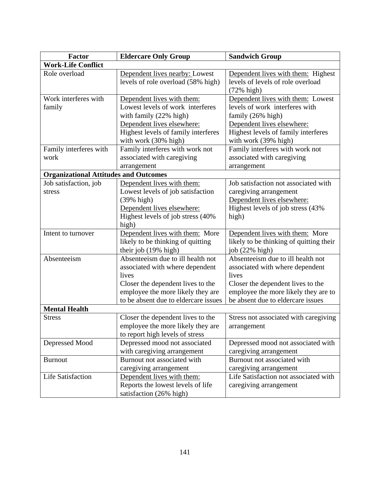| <b>Factor</b>                                | <b>Eldercare Only Group</b>                                                                                                                                                                     | <b>Sandwich Group</b>                                                                                                                                                                           |
|----------------------------------------------|-------------------------------------------------------------------------------------------------------------------------------------------------------------------------------------------------|-------------------------------------------------------------------------------------------------------------------------------------------------------------------------------------------------|
| <b>Work-Life Conflict</b>                    |                                                                                                                                                                                                 |                                                                                                                                                                                                 |
| Role overload                                | Dependent lives nearby: Lowest<br>levels of role overload (58% high)                                                                                                                            | Dependent lives with them: Highest<br>levels of levels of role overload<br>$(72\% \text{ high})$                                                                                                |
| Work interferes with<br>family               | Dependent lives with them:<br>Lowest levels of work interferes<br>with family (22% high)<br>Dependent lives elsewhere:<br>Highest levels of family interferes<br>with work (30% high)           | Dependent lives with them: Lowest<br>levels of work interferes with<br>family (26% high)<br>Dependent lives elsewhere:<br>Highest levels of family interferes<br>with work (39% high)           |
| Family interferes with<br>work               | Family interferes with work not<br>associated with caregiving<br>arrangement                                                                                                                    | Family interferes with work not<br>associated with caregiving<br>arrangement                                                                                                                    |
| <b>Organizational Attitudes and Outcomes</b> |                                                                                                                                                                                                 |                                                                                                                                                                                                 |
| Job satisfaction, job<br>stress              | Dependent lives with them:<br>Lowest levels of job satisfaction<br>(39% high)<br>Dependent lives elsewhere:<br>Highest levels of job stress (40%)<br>high)                                      | Job satisfaction not associated with<br>caregiving arrangement<br>Dependent lives elsewhere:<br>Highest levels of job stress (43%<br>high)                                                      |
| Intent to turnover                           | Dependent lives with them: More<br>likely to be thinking of quitting<br>their job (19% high)                                                                                                    | Dependent lives with them: More<br>likely to be thinking of quitting their<br>job (22% high)                                                                                                    |
| Absenteeism                                  | Absenteeism due to ill health not<br>associated with where dependent<br>lives<br>Closer the dependent lives to the<br>employee the more likely they are<br>to be absent due to eldercare issues | Absenteeism due to ill health not<br>associated with where dependent<br>lives<br>Closer the dependent lives to the<br>employee the more likely they are to<br>be absent due to eldercare issues |
| <b>Mental Health</b>                         |                                                                                                                                                                                                 |                                                                                                                                                                                                 |
| <b>Stress</b>                                | Closer the dependent lives to the<br>employee the more likely they are<br>to report high levels of stress                                                                                       | Stress not associated with caregiving<br>arrangement                                                                                                                                            |
| Depressed Mood                               | Depressed mood not associated<br>with caregiving arrangement                                                                                                                                    | Depressed mood not associated with<br>caregiving arrangement                                                                                                                                    |
| <b>Burnout</b>                               | Burnout not associated with<br>caregiving arrangement                                                                                                                                           | Burnout not associated with<br>caregiving arrangement                                                                                                                                           |
| <b>Life Satisfaction</b>                     | Dependent lives with them:<br>Reports the lowest levels of life<br>satisfaction (26% high)                                                                                                      | Life Satisfaction not associated with<br>caregiving arrangement                                                                                                                                 |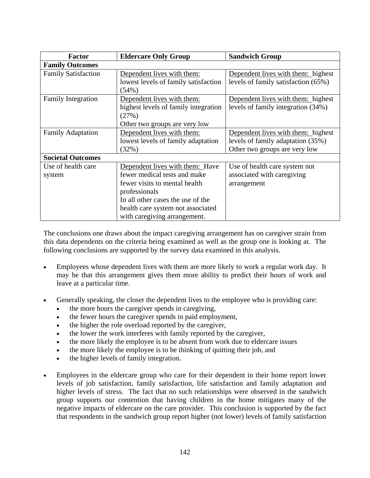| <b>Factor</b>              | <b>Eldercare Only Group</b>          | <b>Sandwich Group</b>               |
|----------------------------|--------------------------------------|-------------------------------------|
| <b>Family Outcomes</b>     |                                      |                                     |
| <b>Family Satisfaction</b> | Dependent lives with them:           | Dependent lives with them: highest  |
|                            | lowest levels of family satisfaction | levels of family satisfaction (65%) |
|                            | (54%)                                |                                     |
| <b>Family Integration</b>  | Dependent lives with them:           | Dependent lives with them: highest  |
|                            | highest levels of family integration | levels of family integration (34%)  |
|                            | (27%)                                |                                     |
|                            | Other two groups are very low        |                                     |
| <b>Family Adaptation</b>   | Dependent lives with them:           | Dependent lives with them: highest  |
|                            | lowest levels of family adaptation   | levels of family adaptation (35%)   |
|                            | (32%)                                | Other two groups are very low       |
| <b>Societal Outcomes</b>   |                                      |                                     |
| Use of health care         | Dependent lives with them: Have      | Use of health care system not       |
| system                     | fewer medical tests and make         | associated with caregiving          |
|                            | fewer visits to mental health        | arrangement                         |
|                            | professionals                        |                                     |
|                            | In all other cases the use of the    |                                     |
|                            | health care system not associated    |                                     |
|                            | with caregiving arrangement.         |                                     |

The conclusions one draws about the impact caregiving arrangement has on caregiver strain from this data dependents on the criteria being examined as well as the group one is looking at. The following conclusions are supported by the survey data examined in this analysis.

- Employees whose dependent lives with them are more likely to work a regular work day. It may be that this arrangement gives them more ability to predict their hours of work and leave at a particular time.
- Generally speaking, the closer the dependent lives to the employee who is providing care:
	- the more hours the caregiver spends in caregiving,
	- the fewer hours the caregiver spends in paid employment,
	- the higher the role overload reported by the caregiver,
	- the lower the work interferes with family reported by the caregiver,
	- the more likely the employee is to be absent from work due to eldercare issues
	- the more likely the employee is to be thinking of quitting their job, and
	- the higher levels of family integration.
- Employees in the eldercare group who care for their dependent in their home report lower levels of job satisfaction, family satisfaction, life satisfaction and family adaptation and higher levels of stress. The fact that no such relationships were observed in the sandwich group supports our contention that having children in the home mitigates many of the negative impacts of eldercare on the care provider. This conclusion is supported by the fact that respondents in the sandwich group report higher (not lower) levels of family satisfaction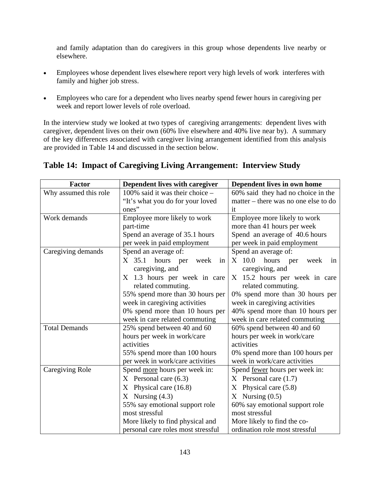and family adaptation than do caregivers in this group whose dependents live nearby or elsewhere.

- Employees whose dependent lives elsewhere report very high levels of work interferes with family and higher job stress.
- Employees who care for a dependent who lives nearby spend fewer hours in caregiving per week and report lower levels of role overload.

In the interview study we looked at two types of caregiving arrangements: dependent lives with caregiver, dependent lives on their own (60% live elsewhere and 40% live near by). A summary of the key differences associated with caregiver living arrangement identified from this analysis are provided in Table 14 and discussed in the section below.

| <b>Factor</b>          | Dependent lives with caregiver         | Dependent lives in own home           |  |
|------------------------|----------------------------------------|---------------------------------------|--|
| Why assumed this role  | 100% said it was their choice $-$      | 60% said they had no choice in the    |  |
|                        | "It's what you do for your loved       | matter – there was no one else to do  |  |
|                        | ones"                                  | it                                    |  |
| Work demands           | Employee more likely to work           | Employee more likely to work          |  |
|                        | part-time                              | more than 41 hours per week           |  |
|                        | Spend an average of 35.1 hours         | Spend an average of 40.6 hours        |  |
|                        | per week in paid employment            | per week in paid employment           |  |
| Caregiving demands     | Spend an average of:                   | Spend an average of:                  |  |
|                        | $X$ 35.1<br>hours<br>week<br>per<br>in | X 10.0<br>hours<br>week<br>per<br>in  |  |
|                        | caregiving, and                        | caregiving, and                       |  |
|                        | 1.3 hours per week in care<br>X        | 15.2 hours per week in care<br>X      |  |
|                        | related commuting.                     | related commuting.                    |  |
|                        | 55% spend more than 30 hours per       | 0% spend more than 30 hours per       |  |
|                        | week in caregiving activities          | week in caregiving activities         |  |
|                        | 0% spend more than 10 hours per        | 40% spend more than 10 hours per      |  |
|                        | week in care related commuting         | week in care related commuting        |  |
| <b>Total Demands</b>   | 25% spend between 40 and 60            | 60% spend between 40 and 60           |  |
|                        | hours per week in work/care            | hours per week in work/care           |  |
|                        | activities                             | activities                            |  |
|                        | 55% spend more than 100 hours          | 0% spend more than 100 hours per      |  |
|                        | per week in work/care activities       | week in work/care activities          |  |
| <b>Caregiving Role</b> | Spend more hours per week in:          | Spend <u>fewer</u> hours per week in: |  |
|                        | $X$ Personal care $(6.3)$              | $X$ Personal care $(1.7)$             |  |
|                        | Physical care (16.8)<br>X              | Physical care (5.8)<br>X              |  |
|                        | $X$ Nursing $(4.3)$                    | Nursing $(0.5)$<br>X                  |  |
|                        | 55% say emotional support role         | 60% say emotional support role        |  |
|                        | most stressful                         | most stressful                        |  |
|                        | More likely to find physical and       | More likely to find the co-           |  |
|                        | personal care roles most stressful     | ordination role most stressful        |  |

# **Table 14: Impact of Caregiving Living Arrangement: Interview Study**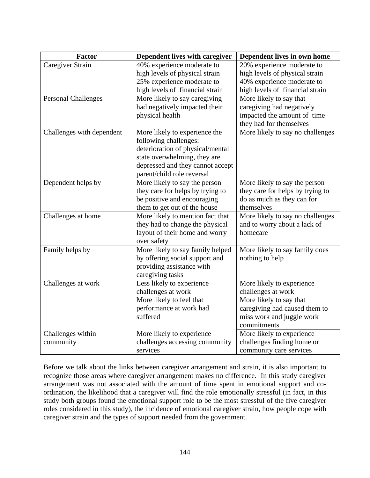| Factor                     | Dependent lives with caregiver                                 | Dependent lives in own home                           |
|----------------------------|----------------------------------------------------------------|-------------------------------------------------------|
| Caregiver Strain           | 40% experience moderate to                                     | 20% experience moderate to                            |
|                            | high levels of physical strain                                 | high levels of physical strain                        |
|                            | 25% experience moderate to                                     | 40% experience moderate to                            |
|                            | high levels of financial strain                                | high levels of financial strain                       |
| <b>Personal Challenges</b> | More likely to say caregiving                                  | More likely to say that                               |
|                            | had negatively impacted their                                  | caregiving had negatively                             |
|                            | physical health                                                | impacted the amount of time                           |
|                            |                                                                | they had for themselves                               |
| Challenges with dependent  | More likely to experience the                                  | More likely to say no challenges                      |
|                            | following challenges:                                          |                                                       |
|                            | deterioration of physical/mental                               |                                                       |
|                            | state overwhelming, they are                                   |                                                       |
|                            | depressed and they cannot accept<br>parent/child role reversal |                                                       |
| Dependent helps by         | More likely to say the person                                  | More likely to say the person                         |
|                            | they care for helps by trying to                               | they care for helps by trying to                      |
|                            | be positive and encouraging                                    | do as much as they can for                            |
|                            | them to get out of the house                                   | themselves                                            |
| Challenges at home         | More likely to mention fact that                               | More likely to say no challenges                      |
|                            | they had to change the physical                                | and to worry about a lack of                          |
|                            | layout of their home and worry                                 | homecare                                              |
|                            | over safety                                                    |                                                       |
| Family helps by            | More likely to say family helped                               | More likely to say family does                        |
|                            | by offering social support and                                 | nothing to help                                       |
|                            | providing assistance with                                      |                                                       |
|                            | caregiving tasks                                               |                                                       |
| Challenges at work         | Less likely to experience                                      | More likely to experience                             |
|                            | challenges at work                                             | challenges at work                                    |
|                            | More likely to feel that                                       | More likely to say that                               |
|                            | performance at work had                                        | caregiving had caused them to                         |
|                            | suffered                                                       | miss work and juggle work                             |
|                            |                                                                | commitments                                           |
| Challenges within          | More likely to experience                                      | More likely to experience                             |
| community                  | challenges accessing community<br>services                     | challenges finding home or<br>community care services |
|                            |                                                                |                                                       |

Before we talk about the links between caregiver arrangement and strain, it is also important to recognize those areas where caregiver arrangement makes no difference. In this study caregiver arrangement was not associated with the amount of time spent in emotional support and coordination, the likelihood that a caregiver will find the role emotionally stressful (in fact, in this study both groups found the emotional support role to be the most stressful of the five caregiver roles considered in this study), the incidence of emotional caregiver strain, how people cope with caregiver strain and the types of support needed from the government.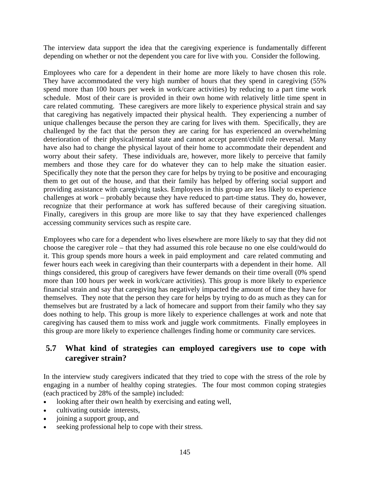The interview data support the idea that the caregiving experience is fundamentally different depending on whether or not the dependent you care for live with you. Consider the following.

Employees who care for a dependent in their home are more likely to have chosen this role. They have accommodated the very high number of hours that they spend in caregiving (55% spend more than 100 hours per week in work/care activities) by reducing to a part time work schedule. Most of their care is provided in their own home with relatively little time spent in care related commuting. These caregivers are more likely to experience physical strain and say that caregiving has negatively impacted their physical health. They experiencing a number of unique challenges because the person they are caring for lives with them. Specifically, they are challenged by the fact that the person they are caring for has experienced an overwhelming deterioration of their physical/mental state and cannot accept parent/child role reversal. Many have also had to change the physical layout of their home to accommodate their dependent and worry about their safety. These individuals are, however, more likely to perceive that family members and those they care for do whatever they can to help make the situation easier. Specifically they note that the person they care for helps by trying to be positive and encouraging them to get out of the house, and that their family has helped by offering social support and providing assistance with caregiving tasks. Employees in this group are less likely to experience challenges at work – probably because they have reduced to part-time status. They do, however, recognize that their performance at work has suffered because of their caregiving situation. Finally, caregivers in this group are more like to say that they have experienced challenges accessing community services such as respite care.

Employees who care for a dependent who lives elsewhere are more likely to say that they did not choose the caregiver role – that they had assumed this role because no one else could/would do it. This group spends more hours a week in paid employment and care related commuting and fewer hours each week in caregiving than their counterparts with a dependent in their home. All things considered, this group of caregivers have fewer demands on their time overall (0% spend more than 100 hours per week in work/care activities). This group is more likely to experience financial strain and say that caregiving has negatively impacted the amount of time they have for themselves. They note that the person they care for helps by trying to do as much as they can for themselves but are frustrated by a lack of homecare and support from their family who they say does nothing to help. This group is more likely to experience challenges at work and note that caregiving has caused them to miss work and juggle work commitments. Finally employees in this group are more likely to experience challenges finding home or community care services.

### **5.7 What kind of strategies can employed caregivers use to cope with caregiver strain?**

In the interview study caregivers indicated that they tried to cope with the stress of the role by engaging in a number of healthy coping strategies. The four most common coping strategies (each practiced by 28% of the sample) included:

- looking after their own health by exercising and eating well,
- cultivating outside interests,
- joining a support group, and
- seeking professional help to cope with their stress.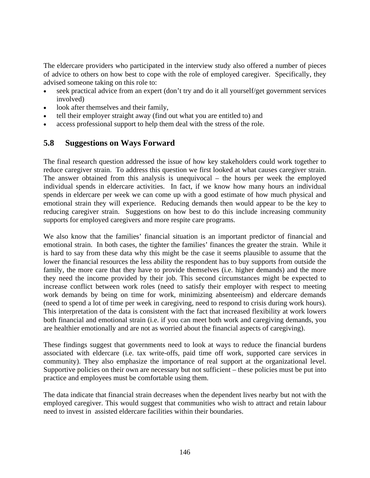The eldercare providers who participated in the interview study also offered a number of pieces of advice to others on how best to cope with the role of employed caregiver. Specifically, they advised someone taking on this role to:

- seek practical advice from an expert (don't try and do it all yourself/get government services involved)
- look after themselves and their family,
- tell their employer straight away (find out what you are entitled to) and
- access professional support to help them deal with the stress of the role.

### **5.8 Suggestions on Ways Forward**

The final research question addressed the issue of how key stakeholders could work together to reduce caregiver strain. To address this question we first looked at what causes caregiver strain. The answer obtained from this analysis is unequivocal – the hours per week the employed individual spends in eldercare activities. In fact, if we know how many hours an individual spends in eldercare per week we can come up with a good estimate of how much physical and emotional strain they will experience. Reducing demands then would appear to be the key to reducing caregiver strain. Suggestions on how best to do this include increasing community supports for employed caregivers and more respite care programs.

We also know that the families' financial situation is an important predictor of financial and emotional strain. In both cases, the tighter the families' finances the greater the strain. While it is hard to say from these data why this might be the case it seems plausible to assume that the lower the financial resources the less ability the respondent has to buy supports from outside the family, the more care that they have to provide themselves (i.e. higher demands) and the more they need the income provided by their job. This second circumstances might be expected to increase conflict between work roles (need to satisfy their employer with respect to meeting work demands by being on time for work, minimizing absenteeism) and eldercare demands (need to spend a lot of time per week in caregiving, need to respond to crisis during work hours). This interpretation of the data is consistent with the fact that increased flexibility at work lowers both financial and emotional strain (i.e. if you can meet both work and caregiving demands, you are healthier emotionally and are not as worried about the financial aspects of caregiving).

These findings suggest that governments need to look at ways to reduce the financial burdens associated with eldercare (i.e. tax write-offs, paid time off work, supported care services in community). They also emphasize the importance of real support at the organizational level. Supportive policies on their own are necessary but not sufficient – these policies must be put into practice and employees must be comfortable using them.

The data indicate that financial strain decreases when the dependent lives nearby but not with the employed caregiver. This would suggest that communities who wish to attract and retain labour need to invest in assisted eldercare facilities within their boundaries.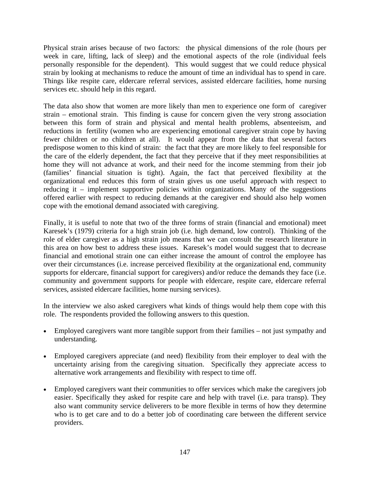Physical strain arises because of two factors: the physical dimensions of the role (hours per week in care, lifting, lack of sleep) and the emotional aspects of the role (individual feels personally responsible for the dependent). This would suggest that we could reduce physical strain by looking at mechanisms to reduce the amount of time an individual has to spend in care. Things like respite care, eldercare referral services, assisted eldercare facilities, home nursing services etc. should help in this regard.

The data also show that women are more likely than men to experience one form of caregiver strain – emotional strain. This finding is cause for concern given the very strong association between this form of strain and physical and mental health problems, absenteeism, and reductions in fertility (women who are experiencing emotional caregiver strain cope by having fewer children or no children at all). It would appear from the data that several factors predispose women to this kind of strain: the fact that they are more likely to feel responsible for the care of the elderly dependent, the fact that they perceive that if they meet responsibilities at home they will not advance at work, and their need for the income stemming from their job (families' financial situation is tight). Again, the fact that perceived flexibility at the organizational end reduces this form of strain gives us one useful approach with respect to reducing it – implement supportive policies within organizations. Many of the suggestions offered earlier with respect to reducing demands at the caregiver end should also help women cope with the emotional demand associated with caregiving.

Finally, it is useful to note that two of the three forms of strain (financial and emotional) meet Karesek's (1979) criteria for a high strain job (i.e. high demand, low control). Thinking of the role of elder caregiver as a high strain job means that we can consult the research literature in this area on how best to address these issues. Karesek's model would suggest that to decrease financial and emotional strain one can either increase the amount of control the employee has over their circumstances (i.e. increase perceived flexibility at the organizational end, community supports for eldercare, financial support for caregivers) and/or reduce the demands they face (i.e. community and government supports for people with eldercare, respite care, eldercare referral services, assisted eldercare facilities, home nursing services).

In the interview we also asked caregivers what kinds of things would help them cope with this role. The respondents provided the following answers to this question.

- Employed caregivers want more tangible support from their families not just sympathy and understanding.
- Employed caregivers appreciate (and need) flexibility from their employer to deal with the uncertainty arising from the caregiving situation. Specifically they appreciate access to alternative work arrangements and flexibility with respect to time off.
- Employed caregivers want their communities to offer services which make the caregivers job easier. Specifically they asked for respite care and help with travel (i.e. para transp). They also want community service deliverers to be more flexible in terms of how they determine who is to get care and to do a better job of coordinating care between the different service providers.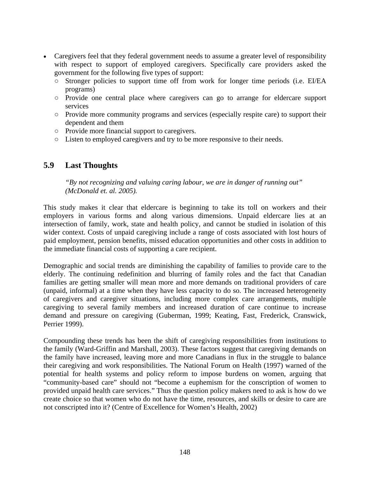- Caregivers feel that they federal government needs to assume a greater level of responsibility with respect to support of employed caregivers. Specifically care providers asked the government for the following five types of support:
	- Stronger policies to support time off from work for longer time periods (i.e. EI/EA programs)
	- Provide one central place where caregivers can go to arrange for eldercare support services
	- Provide more community programs and services (especially respite care) to support their dependent and them
	- Provide more financial support to caregivers.
	- Listen to employed caregivers and try to be more responsive to their needs.

### **5.9 Last Thoughts**

*"By not recognizing and valuing caring labour, we are in danger of running out" (McDonald et. al. 2005).* 

This study makes it clear that eldercare is beginning to take its toll on workers and their employers in various forms and along various dimensions. Unpaid eldercare lies at an intersection of family, work, state and health policy, and cannot be studied in isolation of this wider context. Costs of unpaid caregiving include a range of costs associated with lost hours of paid employment, pension benefits, missed education opportunities and other costs in addition to the immediate financial costs of supporting a care recipient.

Demographic and social trends are diminishing the capability of families to provide care to the elderly. The continuing redefinition and blurring of family roles and the fact that Canadian families are getting smaller will mean more and more demands on traditional providers of care (unpaid, informal) at a time when they have less capacity to do so. The increased heterogeneity of caregivers and caregiver situations, including more complex care arrangements, multiple caregiving to several family members and increased duration of care continue to increase demand and pressure on caregiving (Guberman, 1999; Keating, Fast, Frederick, Cranswick, Perrier 1999).

Compounding these trends has been the shift of caregiving responsibilities from institutions to the family (Ward-Griffin and Marshall, 2003). These factors suggest that caregiving demands on the family have increased, leaving more and more Canadians in flux in the struggle to balance their caregiving and work responsibilities. The National Forum on Health (1997) warned of the potential for health systems and policy reform to impose burdens on women, arguing that "community-based care" should not "become a euphemism for the conscription of women to provided unpaid health care services." Thus the question policy makers need to ask is how do we create choice so that women who do not have the time, resources, and skills or desire to care are not conscripted into it? (Centre of Excellence for Women's Health, 2002)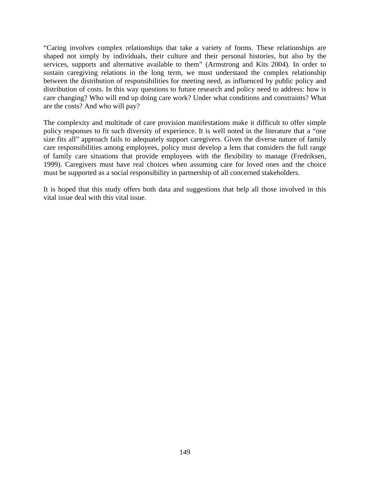"Caring involves complex relationships that take a variety of forms. These relationships are shaped not simply by individuals, their culture and their personal histories, but also by the services, supports and alternative available to them" (Armstrong and Kits 2004). In order to sustain caregiving relations in the long term, we must understand the complex relationship between the distribution of responsibilities for meeting need, as influenced by public policy and distribution of costs. In this way questions to future research and policy need to address: how is care changing? Who will end up doing care work? Under what conditions and constraints? What are the costs? And who will pay?

The complexity and multitude of care provision manifestations make it difficult to offer simple policy responses to fit such diversity of experience. It is well noted in the literature that a "one size fits all" approach fails to adequately support caregivers. Given the diverse nature of family care responsibilities among employees, policy must develop a lens that considers the full range of family care situations that provide employees with the flexibility to manage (Fredriksen, 1999). Caregivers must have real choices when assuming care for loved ones and the choice must be supported as a social responsibility in partnership of all concerned stakeholders.

It is hoped that this study offers both data and suggestions that help all those involved in this vital issue deal with this vital issue.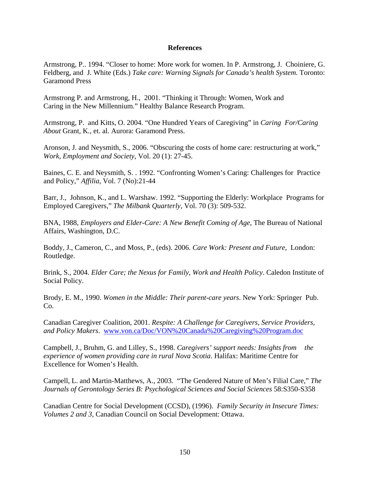#### **References**

Armstrong, P.. 1994. "Closer to home: More work for women. In P. Armstrong, J. Choiniere, G. Feldberg, and J. White (Eds.) *Take care: Warning Signals for Canada's health System.* Toronto: Garamond Press

Armstrong P. and Armstrong, H., 2001. "Thinking it Through: Women, Work and Caring in the New Millennium." Healthy Balance Research Program.

Armstrong, P. and Kitts, O. 2004. "One Hundred Years of Caregiving" in *Caring For/Caring About* Grant, K., et. al. Aurora: Garamond Press.

Aronson, J. and Neysmith, S., 2006. "Obscuring the costs of home care: restructuring at work," *Work, Employment and Society*, Vol. 20 (1): 27-45.

Baines, C. E. and Neysmith, S. . 1992. "Confronting Women's Caring: Challenges for Practice and Policy," *Affilia*, Vol. 7 (No):21-44

Barr, J., Johnson, K., and L. Warshaw. 1992. "Supporting the Elderly: Workplace Programs for Employed Caregivers," *The Milbank Quarterly*, Vol. 70 (3): 509-532.

BNA, 1988, *Employers and Elder-Care: A New Benefit Coming of Age*, The Bureau of National Affairs, Washington, D.C.

Boddy, J., Cameron, C., and Moss, P., (eds). 2006. *Care Work: Present and Future,* London: Routledge.

Brink, S., 2004. *Elder Care; the Nexus for Family, Work and Health Policy*. Caledon Institute of Social Policy.

Brody, E. M., 1990. *Women in the Middle: Their parent-care years*. New York: Springer Pub. Co.

Canadian Caregiver Coalition, 2001. *Respite: A Challenge for Caregivers, Service Providers, and Policy Makers*. www.von.ca/Doc/VON%20Canada%20Caregiving%20Program.doc

Campbell, J., Bruhm, G. and Lilley, S., 1998. *Caregivers' support needs: Insights from the experience of women providing care in rural Nova Scotia*. Halifax: Maritime Centre for Excellence for Women's Health.

Campell, L. and Martin-Matthews, A., 2003. "The Gendered Nature of Men's Filial Care," *The Journals of Gerontology Series B: Psychological Sciences and Social Sciences* 58:S350-S358

Canadian Centre for Social Development (CCSD), (1996). *Family Security in Insecure Times: Volumes 2 and 3*, Canadian Council on Social Development: Ottawa.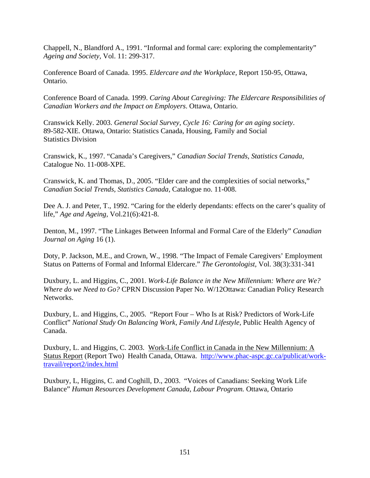Chappell, N., Blandford A., 1991. "Informal and formal care: exploring the complementarity" *Ageing and Society,* Vol. 11: 299-317.

Conference Board of Canada. 1995. *Eldercare and the Workplace,* Report 150-95, Ottawa, Ontario.

Conference Board of Canada. 1999. *Caring About Caregiving: The Eldercare Responsibilities of Canadian Workers and the Impact on Employers*. Ottawa, Ontario.

Cranswick Kelly. 2003. *General Social Survey, Cycle 16: Caring for an aging society*. 89-582-XIE. Ottawa, Ontario: Statistics Canada, Housing, Family and Social Statistics Division

Cranswick, K., 1997. "Canada's Caregivers," *Canadian Social Trends, Statistics Canada*, Catalogue No. 11-008-XPE.

Cranswick, K. and Thomas, D., 2005. "Elder care and the complexities of social networks," *Canadian Social Trends, Statistics Canada,* Catalogue no. 11-008.

Dee A. J. and Peter, T., 1992. "Caring for the elderly dependants: effects on the carer's quality of life," *Age and Ageing,* Vol.21(6):421-8.

Denton, M., 1997. "The Linkages Between Informal and Formal Care of the Elderly" *Canadian Journal on Aging* 16 (1).

Doty, P. Jackson, M.E., and Crown, W., 1998. "The Impact of Female Caregivers' Employment Status on Patterns of Formal and Informal Eldercare." *The Gerontologist,* Vol. 38(3):331-341

Duxbury, L. and Higgins, C., 2001. *Work-Life Balance in the New Millennium: Where are We? Where do we Need to Go?* CPRN Discussion Paper No. W/12Ottawa: Canadian Policy Research Networks.

Duxbury, L. and Higgins, C., 2005. "Report Four – Who Is at Risk? Predictors of Work-Life Conflict" *National Study On Balancing Work, Family And Lifestyle,* Public Health Agency of Canada.

Duxbury, L. and Higgins, C. 2003. Work-Life Conflict in Canada in the New Millennium: A Status Report (Report Two) Health Canada, Ottawa. http://www.phac-aspc.gc.ca/publicat/worktravail/report2/index.html

Duxbury, L, Higgins, C. and Coghill, D., 2003. "Voices of Canadians: Seeking Work Life Balance" *Human Resources Development Canada, Labour Program.* Ottawa, Ontario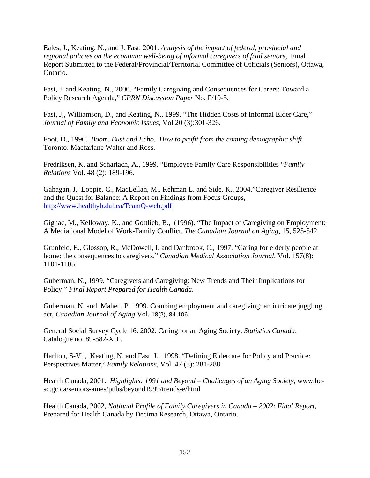Eales, J., Keating, N., and J. Fast. 2001. *Analysis of the impact of federal, provincial and regional policies on the economic well-being of informal caregivers of frail seniors*, Final Report Submitted to the Federal/Provincial/Territorial Committee of Officials (Seniors), Ottawa, Ontario.

Fast, J. and Keating, N., 2000. "Family Caregiving and Consequences for Carers: Toward a Policy Research Agenda," *CPRN Discussion Paper* No. F/10-5.

Fast, J,, Williamson, D., and Keating, N., 1999. "The Hidden Costs of Informal Elder Care," *Journal of Family and Economic Issues*, Vol 20 (3):301-326.

Foot, D., 1996. *Boom, Bust and Echo. How to profit from the coming demographic shift*. Toronto: Macfarlane Walter and Ross.

Fredriksen, K. and Scharlach, A., 1999. "Employee Family Care Responsibilities "*Family Relations* Vol. 48 (2): 189-196.

Gahagan, J, Loppie, C., MacLellan, M., Rehman L. and Side, K., 2004."Caregiver Resilience and the Quest for Balance: A Report on Findings from Focus Groups, http://www.healthyb.dal.ca/TeamQ-web.pdf

Gignac, M., Kelloway, K., and Gottlieb, B., (1996). "The Impact of Caregiving on Employment: A Mediational Model of Work-Family Conflict. *The Canadian Journal on Aging,* 15, 525-542.

Grunfeld, E., Glossop, R., McDowell, I. and Danbrook, C., 1997. "Caring for elderly people at home: the consequences to caregivers," *Canadian Medical Association Journal*, Vol. 157(8): 1101-1105.

Guberman, N., 1999. "Caregivers and Caregiving: New Trends and Their Implications for Policy." *Final Report Prepared for Health Canada*.

Guberman, N. and Maheu, P. 1999. Combing employment and caregiving: an intricate juggling act, *Canadian Journal of Aging* Vol. 18(2), 84-106.

General Social Survey Cycle 16. 2002. Caring for an Aging Society. *Statistics Canada*. Catalogue no. 89-582-XIE.

Harlton, S-Vi., Keating, N. and Fast. J., 1998. "Defining Eldercare for Policy and Practice: Perspectives Matter,' *Family Relations*, Vol. 47 (3): 281-288.

Health Canada, 2001. *Highlights: 1991 and Beyond – Challenges of an Aging Society*, www.hcsc.gc.ca/seniors-aines/pubs/beyond1999/trends-e/html

Health Canada, 2002, *National Profile of Family Caregivers in Canada – 2002: Final Report,*  Prepared for Health Canada by Decima Research, Ottawa, Ontario.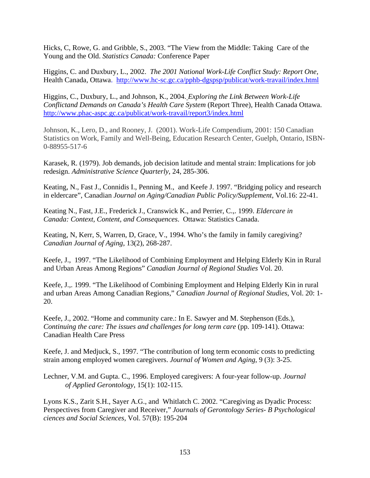Hicks, C, Rowe, G. and Gribble, S., 2003. "The View from the Middle: Taking Care of the Young and the Old. *Statistics Canada:* Conference Paper

Higgins, C. and Duxbury, L., 2002. *The 2001 National Work-Life Conflict Study: Report One,*  Health Canada, Ottawa. http://www.hc-sc.gc.ca/pphb-dgspsp/publicat/work-travail/index.html

Higgins, C., Duxbury, L., and Johnson, K., 2004. *Exploring the Link Between Work-Life Conflictand Demands on Canada's Health Care System* (Report Three), Health Canada Ottawa. http://www.phac-aspc.gc.ca/publicat/work-travail/report3/index.html

Johnson, K., Lero, D., and Rooney, J. (2001). Work-Life Compendium, 2001: 150 Canadian Statistics on Work, Family and Well-Being, Education Research Center, Guelph, Ontario, ISBN-0-88955-517-6

Karasek, R. (1979). Job demands, job decision latitude and mental strain: Implications for job redesign. *Administrative Science Quarterly*, 24, 285-306.

Keating, N., Fast J., Connidis I., Penning M., and Keefe J. 1997. "Bridging policy and research in eldercare", Canadian *Journal on Aging/Canadian Public Policy/Supplement*, Vol.16: 22-41.

Keating N., Fast, J.E., Frederick J., Cranswick K., and Perrier, C.,. 1999. *Eldercare in Canada: Context, Content, and Consequences*. Ottawa: Statistics Canada.

Keating, N, Kerr, S, Warren, D, Grace, V., 1994. Who's the family in family caregiving? *Canadian Journal of Aging*, 13(2), 268-287.

Keefe, J., 1997. "The Likelihood of Combining Employment and Helping Elderly Kin in Rural and Urban Areas Among Regions" *Canadian Journal of Regional Studies* Vol. 20.

Keefe, J.,. 1999. "The Likelihood of Combining Employment and Helping Elderly Kin in rural and urban Areas Among Canadian Regions," *Canadian Journal of Regional Studies*, Vol. 20: 1- 20.

Keefe, J., 2002. "Home and community care.: In E. Sawyer and M. Stephenson (Eds.), *Continuing the care: The issues and challenges for long term care (pp. 109-141). Ottawa:* Canadian Health Care Press

Keefe, J. and Medjuck, S., 1997. "The contribution of long term economic costs to predicting strain among employed women caregivers. *Journal of Women and Aging*, 9 (3): 3-25.

Lechner, V.M. and Gupta. C., 1996. Employed caregivers: A four-year follow-up. *Journal of Applied Gerontology*, 15(1): 102-115.

Lyons K.S., Zarit S.H., Sayer A.G., and Whitlatch C. 2002. "Caregiving as Dyadic Process: Perspectives from Caregiver and Receiver," *Journals of Gerontology Series- B Psychological ciences and Social Sciences,* Vol. 57(B): 195-204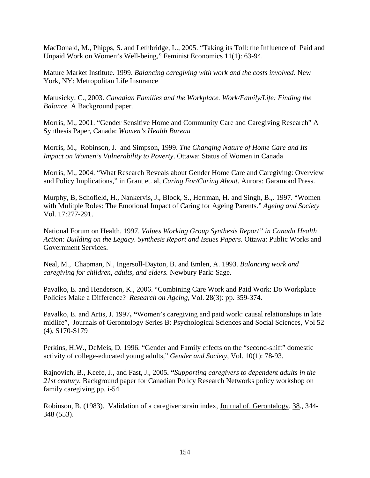MacDonald, M., Phipps, S. and Lethbridge, L., 2005. "Taking its Toll: the Influence of Paid and Unpaid Work on Women's Well-being," Feminist Economics 11(1): 63-94.

Mature Market Institute. 1999. *Balancing caregiving with work and the costs involved*. New York, NY: Metropolitan Life Insurance

Matusicky, C., 2003. *Canadian Families and the Workplace. Work/Family/Life: Finding the Balance.* A Background paper.

Morris, M., 2001. "Gender Sensitive Home and Community Care and Caregiving Research" A Synthesis Paper, Canada: *Women's Health Bureau*

Morris, M., Robinson, J. and Simpson, 1999. *The Changing Nature of Home Care and Its Impact on Women's Vulnerability to Poverty*. Ottawa: Status of Women in Canada

Morris, M., 2004. "What Research Reveals about Gender Home Care and Caregiving: Overview and Policy Implications," in Grant et. al, *Caring For/Caring About*. Aurora: Garamond Press.

Murphy, B, Schofield, H., Nankervis, J., Block, S., Herrman, H. and Singh, B.,. 1997. "Women with Mulitple Roles: The Emotional Impact of Caring for Ageing Parents." *Ageing and Society* Vol. 17:277-291.

National Forum on Health. 1997. *Values Working Group Synthesis Report" in Canada Health Action: Building on the Legacy. Synthesis Report and Issues Papers*. Ottawa: Public Works and Government Services.

Neal, M., Chapman, N., Ingersoll-Dayton, B. and Emlen, A. 1993. *Balancing work and caregiving for children, adults, and elders.* Newbury Park: Sage.

Pavalko, E. and Henderson, K., 2006. "Combining Care Work and Paid Work: Do Workplace Policies Make a Difference? *Research on Ageing,* Vol. 28(3): pp. 359-374.

Pavalko, E. and Artis, J. 1997**,** *"*Women's caregiving and paid work: causal relationships in late midlife", Journals of Gerontology Series B: Psychological Sciences and Social Sciences, Vol 52 (4), S170-S179

Perkins, H.W., DeMeis, D. 1996. "Gender and Family effects on the "second-shift" domestic activity of college-educated young adults," *Gender and Society*, Vol. 10(1): 78-93.

Rajnovich, B., Keefe, J., and Fast, J., 2005**. "***Supporting caregivers to dependent adults in the 21st century.* Background paper for Canadian Policy Research Networks policy workshop on family caregiving pp. i-54.

Robinson, B. (1983). Validation of a caregiver strain index, Journal of. Gerontalogy, 38., 344- 348 (553).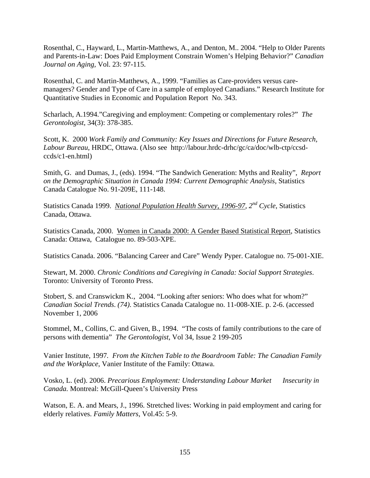Rosenthal, C., Hayward, L., Martin-Matthews, A., and Denton, M.. 2004. "Help to Older Parents and Parents-in-Law: Does Paid Employment Constrain Women's Helping Behavior?" *Canadian Journal on Aging,* Vol. 23: 97-115.

Rosenthal, C. and Martin-Matthews, A., 1999. "Families as Care-providers versus caremanagers? Gender and Type of Care in a sample of employed Canadians." Research Institute for Quantitative Studies in Economic and Population Report No. 343.

Scharlach, A.1994."Caregiving and employment: Competing or complementary roles?" *The Gerontologist*, 34(3): 378-385.

Scott, K. 2000 *Work Family and Community: Key Issues and Directions for Future Research, Labour Bureau*, HRDC, Ottawa. (Also see http://labour.hrdc-drhc/gc/ca/doc/wlb-ctp/ccsdccds/c1-en.html)

Smith, G. and Dumas, J., (eds). 1994. "The Sandwich Generation: Myths and Reality", *Report on the Demographic Situation in Canada 1994: Current Demographic Analysis,* Statistics Canada Catalogue No. 91-209E, 111-148.

Statistics Canada 1999. *National Population Health Survey, 1996-97, 2nd Cycle*, Statistics Canada, Ottawa.

Statistics Canada, 2000. Women in Canada 2000: A Gender Based Statistical Report, Statistics Canada: Ottawa, Catalogue no. 89-503-XPE.

Statistics Canada. 2006. "Balancing Career and Care" Wendy Pyper. Catalogue no. 75-001-XIE.

Stewart, M. 2000. *Chronic Conditions and Caregiving in Canada: Social Support Strategies*. Toronto: University of Toronto Press.

Stobert, S. and Cranswickm K., 2004. "Looking after seniors: Who does what for whom?" *Canadian Social Trends*. *(74)*. Statistics Canada Catalogue no. 11-008-XIE. p. 2-6. (accessed November 1, 2006

Stommel, M., Collins, C. and Given, B., 1994. "The costs of family contributions to the care of persons with dementia" *The Gerontologist*, Vol 34, Issue 2 199-205

Vanier Institute, 1997*. From the Kitchen Table to the Boardroom Table: The Canadian Family and the Workplace*, Vanier Institute of the Family: Ottawa.

Vosko, L. (ed). 2006. *Precarious Employment: Understanding Labour Market Insecurity in Canada.* Montreal: McGill-Queen's University Press

Watson, E. A. and Mears, J., 1996. Stretched lives: Working in paid employment and caring for elderly relatives. *Family Matters*, Vol.45: 5-9.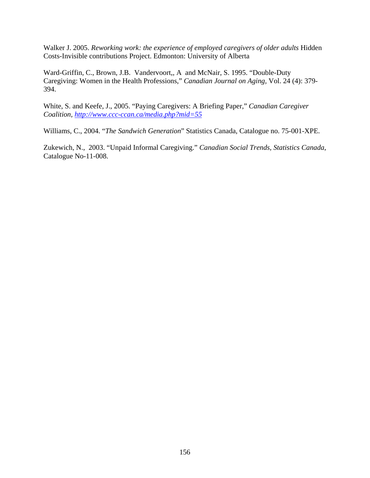Walker J. 2005. *Reworking work: the experience of employed caregivers of older adults* Hidden Costs-Invisible contributions Project. Edmonton: University of Alberta

Ward-Griffin, C., Brown, J.B. Vandervoort,, A and McNair, S. 1995. "Double-Duty Caregiving: Women in the Health Professions," *Canadian Journal on Aging,* Vol. 24 (4): 379- 394.

White, S. and Keefe, J., 2005. "Paying Caregivers: A Briefing Paper," *Canadian Caregiver Coalition, http://www.ccc-ccan.ca/media.php?mid=55*

Williams, C., 2004. "*The Sandwich Generation*" Statistics Canada, Catalogue no. 75-001-XPE.

Zukewich, N., 2003. "Unpaid Informal Caregiving." *Canadian Social Trends, Statistics Canada*, Catalogue No-11-008.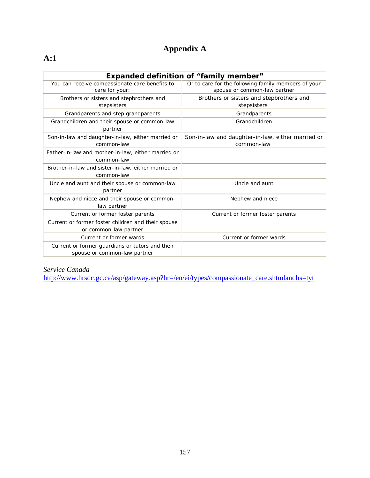# **Appendix A**

# **A:1**

|                                                                                 | <b>Expanded definition of "family member"</b>                                       |  |  |  |
|---------------------------------------------------------------------------------|-------------------------------------------------------------------------------------|--|--|--|
| You can receive compassionate care benefits to<br>care for your:                | Or to care for the following family members of your<br>spouse or common-law partner |  |  |  |
| Brothers or sisters and stepbrothers and                                        | Brothers or sisters and stepbrothers and                                            |  |  |  |
| stepsisters                                                                     | stepsisters                                                                         |  |  |  |
| Grandparents and step grandparents                                              | Grandparents                                                                        |  |  |  |
| Grandchildren and their spouse or common-law<br>partner                         | Grandchildren                                                                       |  |  |  |
| Son-in-law and daughter-in-law, either married or                               | Son-in-law and daughter-in-law, either married or                                   |  |  |  |
| common-law                                                                      | common-law                                                                          |  |  |  |
| Father-in-law and mother-in-law, either married or<br>common-law                |                                                                                     |  |  |  |
| Brother-in-law and sister-in-law, either married or<br>common-law               |                                                                                     |  |  |  |
| Uncle and aunt and their spouse or common-law<br>partner                        | Uncle and aunt                                                                      |  |  |  |
| Nephew and niece and their spouse or common-<br>law partner                     | Nephew and niece                                                                    |  |  |  |
| Current or former foster parents                                                | Current or former foster parents                                                    |  |  |  |
| Current or former foster children and their spouse<br>or common-law partner     |                                                                                     |  |  |  |
| Current or former wards                                                         | Current or former wards                                                             |  |  |  |
| Current or former guardians or tutors and their<br>spouse or common-law partner |                                                                                     |  |  |  |

#### *Service Canada*

http://www.hrsdc.gc.ca/asp/gateway.asp?hr=/en/ei/types/compassionate\_care.shtmlandhs=tyt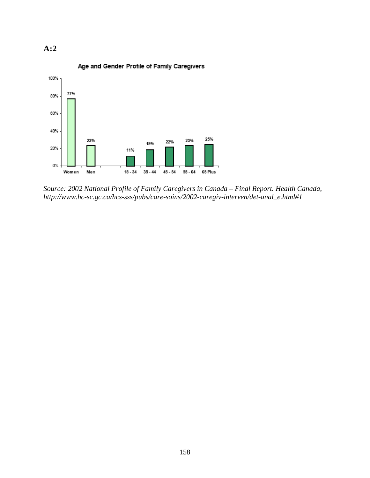



*Source: 2002 National Profile of Family Caregivers in Canada – Final Report. Health Canada, http://www.hc-sc.gc.ca/hcs-sss/pubs/care-soins/2002-caregiv-interven/det-anal\_e.html#1*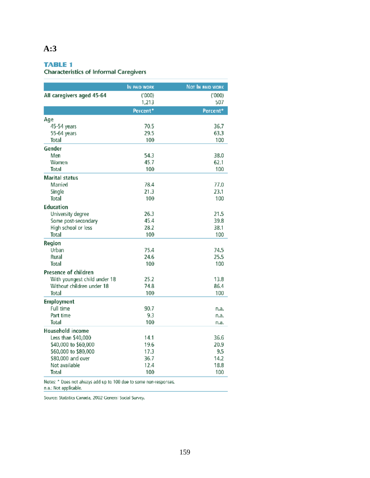# **A:3**

#### **TABLE 1**

**Characteristics of Informal Caregivers** 

|                              | IN PAID WORK | NOT IN PAID WORK |
|------------------------------|--------------|------------------|
| All caregivers aged 45-64    | (1000)       | (000)            |
|                              | 1,213        | 507              |
|                              | Percent*     | Percent*         |
| Age                          |              |                  |
| 45-54 years                  | 70.5         | 36.7             |
| 55-64 years                  | 29.5         | 63.3             |
| <b>Total</b>                 | 100          | 100              |
| Gender                       |              |                  |
| Men                          | 54.3         | 38.0             |
| Women                        | 45.7         | 62.1             |
| Total                        | 100          | 100              |
| <b>Marital status</b>        |              |                  |
| Married                      | 78.4         | 77.0             |
| Single                       | 21.3         | 23.1             |
| Total                        | 100          | 100              |
| <b>Education</b>             |              |                  |
| University degree            | 26.3         | 21.5             |
| Some post-secondary          | 45.4         | 39.8             |
| High school or less          | 28.2         | 38.1             |
| Total                        | 100          | 100              |
| Region                       |              |                  |
| Urban                        | 75.4         | 74.5             |
| Rural                        | 24.6         | 25.5             |
| Total                        | 100          | 100              |
| Presence of children         |              |                  |
| With youngest child under 18 | 25.2         | 13.8             |
| Without children under 18    | 74.8         | 86.4             |
| Total                        | 100          | 100              |
| <b>Employment</b>            |              |                  |
| Full time                    | 90.7         | n.a.             |
| Part time                    | 9.3          | n.a.             |
| Total                        | 100          | n.a.             |
| Household income             |              |                  |
| Less than \$40,000           | 14.1         | 36.6             |
| \$40,000 to \$60,000         | 19.6         | 20.9             |
| \$60,000 to \$80,000         | 17.3         | 9.5              |
| \$80,000 and over            | 36.7         | 14.2             |
| Not available                | 12.4         | 18.8             |
| Total                        | 100          | 100              |

Notes:  $*$  Does not always add up to 100 due to some non-responses.<br>n.a.: Not applicable.

Source: Statistics Canada, 2002 General Social Survey.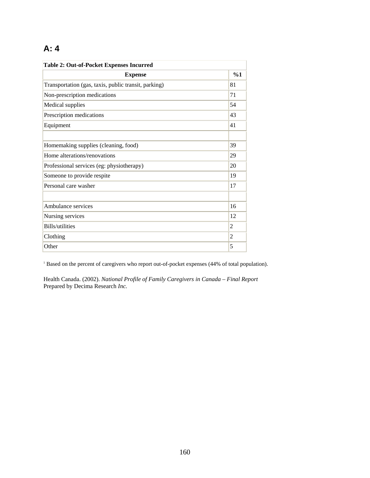# **A: 4**

| <b>Table 2: Out-of-Pocket Expenses Incurred</b>      |                |  |  |
|------------------------------------------------------|----------------|--|--|
| <b>Expense</b>                                       | %1             |  |  |
| Transportation (gas, taxis, public transit, parking) | 81             |  |  |
| Non-prescription medications                         | 71             |  |  |
| Medical supplies                                     | 54             |  |  |
| Prescription medications                             | 43             |  |  |
| Equipment                                            | 41             |  |  |
|                                                      |                |  |  |
| Homemaking supplies (cleaning, food)                 | 39             |  |  |
| Home alterations/renovations                         | 29             |  |  |
| Professional services (eg: physiotherapy)            | 20             |  |  |
| Someone to provide respite                           | 19             |  |  |
| Personal care washer                                 | 17             |  |  |
|                                                      |                |  |  |
| Ambulance services                                   | 16             |  |  |
| Nursing services                                     | 12             |  |  |
| <b>Bills/utilities</b>                               | $\overline{2}$ |  |  |
| Clothing                                             | $\overline{2}$ |  |  |
| Other                                                | 5              |  |  |

<sup>1</sup> Based on the percent of caregivers who report out-of-pocket expenses (44% of total population).

Health Canada. (2002). *National Profile of Family Caregivers in Canada – Final Report*  Prepared by Decima Research *Inc.*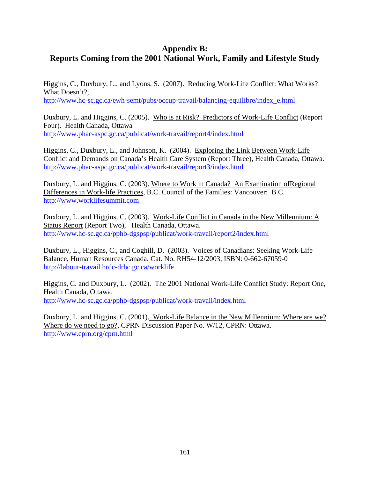# **Appendix B: Reports Coming from the 2001 National Work, Family and Lifestyle Study**

Higgins, C., Duxbury, L., and Lyons, S. (2007). Reducing Work-Life Conflict: What Works? What Doesn't?, http://www.hc-sc.gc.ca/ewh-semt/pubs/occup-travail/balancing-equilibre/index\_e.html

Duxbury, L. and Higgins, C. (2005). Who is at Risk? Predictors of Work-Life Conflict (Report Four). Health Canada, Ottawa http://www.phac-aspc.gc.ca/publicat/work-travail/report4/index.html

Higgins, C., Duxbury, L., and Johnson, K. (2004). Exploring the Link Between Work-Life Conflict and Demands on Canada's Health Care System (Report Three), Health Canada, Ottawa. http://www.phac-aspc.gc.ca/publicat/work-travail/report3/index.html

Duxbury, L. and Higgins, C. (2003). Where to Work in Canada? An Examination ofRegional Differences in Work-life Practices, B.C. Council of the Families: Vancouver: B.C. http://www.worklifesummit.com

Duxbury, L. and Higgins, C. (2003). Work-Life Conflict in Canada in the New Millennium: A Status Report (Report Two), Health Canada, Ottawa. http://www.hc-sc.gc.ca/pphb-dgspsp/publicat/work-travail/report2/index.html

Duxbury, L., Higgins, C., and Coghill, D. (2003). Voices of Canadians: Seeking Work-Life Balance, Human Resources Canada, Cat. No. RH54-12/2003, ISBN: 0-662-67059-0 http://labour-travail.hrdc-drhc.gc.ca/worklife

Higgins, C. and Duxbury, L. (2002). The 2001 National Work-Life Conflict Study: Report One, Health Canada, Ottawa. http://www.hc-sc.gc.ca/pphb-dgspsp/publicat/work-travail/index.html

Duxbury, L. and Higgins, C. (2001). Work-Life Balance in the New Millennium: Where are we? Where do we need to go?, CPRN Discussion Paper No. W/12, CPRN: Ottawa. http://www.cprn.org/cprn.html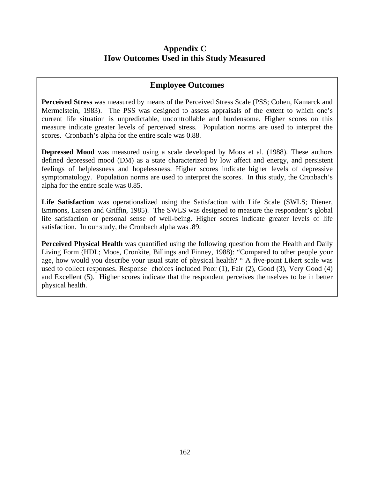## **Appendix C How Outcomes Used in this Study Measured**

### **Employee Outcomes**

**Perceived Stress** was measured by means of the Perceived Stress Scale (PSS; Cohen, Kamarck and Mermelstein, 1983). The PSS was designed to assess appraisals of the extent to which one's current life situation is unpredictable, uncontrollable and burdensome. Higher scores on this measure indicate greater levels of perceived stress. Population norms are used to interpret the scores. Cronbach's alpha for the entire scale was 0.88.

**Depressed Mood** was measured using a scale developed by Moos et al. (1988). These authors defined depressed mood (DM) as a state characterized by low affect and energy, and persistent feelings of helplessness and hopelessness. Higher scores indicate higher levels of depressive symptomatology. Population norms are used to interpret the scores. In this study, the Cronbach's alpha for the entire scale was 0.85.

Life Satisfaction was operationalized using the Satisfaction with Life Scale (SWLS; Diener, Emmons, Larsen and Griffin, 1985). The SWLS was designed to measure the respondent's global life satisfaction or personal sense of well-being. Higher scores indicate greater levels of life satisfaction. In our study, the Cronbach alpha was .89.

**Perceived Physical Health** was quantified using the following question from the Health and Daily Living Form (HDL; Moos, Cronkite, Billings and Finney, 1988): "Compared to other people your age, how would you describe your usual state of physical health? " A five-point Likert scale was used to collect responses. Response choices included Poor (1), Fair (2), Good (3), Very Good (4) and Excellent (5). Higher scores indicate that the respondent perceives themselves to be in better physical health.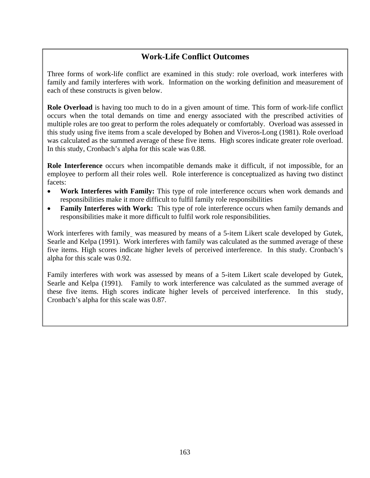# **Work-Life Conflict Outcomes**

Three forms of work-life conflict are examined in this study: role overload, work interferes with family and family interferes with work. Information on the working definition and measurement of each of these constructs is given below.

**Role Overload** is having too much to do in a given amount of time. This form of work-life conflict occurs when the total demands on time and energy associated with the prescribed activities of multiple roles are too great to perform the roles adequately or comfortably. Overload was assessed in this study using five items from a scale developed by Bohen and Viveros-Long (1981). Role overload was calculated as the summed average of these five items. High scores indicate greater role overload. In this study, Cronbach's alpha for this scale was 0.88.

**Role Interference** occurs when incompatible demands make it difficult, if not impossible, for an employee to perform all their roles well. Role interference is conceptualized as having two distinct facets:

- **Work Interferes with Family:** This type of role interference occurs when work demands and responsibilities make it more difficult to fulfil family role responsibilities
- **Family Interferes with Work:** This type of role interference occurs when family demands and responsibilities make it more difficult to fulfil work role responsibilities.

Work interferes with family was measured by means of a 5-item Likert scale developed by Gutek, Searle and Kelpa (1991). Work interferes with family was calculated as the summed average of these five items. High scores indicate higher levels of perceived interference. In this study. Cronbach's alpha for this scale was 0.92.

Family interferes with work was assessed by means of a 5-item Likert scale developed by Gutek, Searle and Kelpa (1991). Family to work interference was calculated as the summed average of these five items. High scores indicate higher levels of perceived interference. In this study, Cronbach's alpha for this scale was 0.87.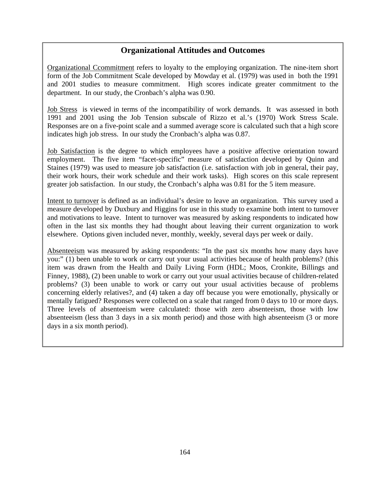## **Organizational Attitudes and Outcomes**

Organizational Ccommitment refers to loyalty to the employing organization. The nine-item short form of the Job Commitment Scale developed by Mowday et al. (1979) was used in both the 1991 and 2001 studies to measure commitment. High scores indicate greater commitment to the department. In our study, the Cronbach's alpha was 0.90.

Job Stress is viewed in terms of the incompatibility of work demands. It was assessed in both 1991 and 2001 using the Job Tension subscale of Rizzo et al.'s (1970) Work Stress Scale. Responses are on a five-point scale and a summed average score is calculated such that a high score indicates high job stress. In our study the Cronbach's alpha was 0.87.

Job Satisfaction is the degree to which employees have a positive affective orientation toward employment. The five item "facet-specific" measure of satisfaction developed by Quinn and Staines (1979) was used to measure job satisfaction (i.e. satisfaction with job in general, their pay, their work hours, their work schedule and their work tasks). High scores on this scale represent greater job satisfaction. In our study, the Cronbach's alpha was 0.81 for the 5 item measure.

Intent to turnover is defined as an individual's desire to leave an organization. This survey used a measure developed by Duxbury and Higgins for use in this study to examine both intent to turnover and motivations to leave. Intent to turnover was measured by asking respondents to indicated how often in the last six months they had thought about leaving their current organization to work elsewhere. Options given included never, monthly, weekly, several days per week or daily.

Absenteeism was measured by asking respondents: "In the past six months how many days have you:" (1) been unable to work or carry out your usual activities because of health problems? (this item was drawn from the Health and Daily Living Form (HDL; Moos, Cronkite, Billings and Finney, 1988), (2) been unable to work or carry out your usual activities because of children-related problems? (3) been unable to work or carry out your usual activities because of problems concerning elderly relatives?, and (4) taken a day off because you were emotionally, physically or mentally fatigued? Responses were collected on a scale that ranged from 0 days to 10 or more days. Three levels of absenteeism were calculated: those with zero absenteeism, those with low absenteeism (less than 3 days in a six month period) and those with high absenteeism (3 or more days in a six month period).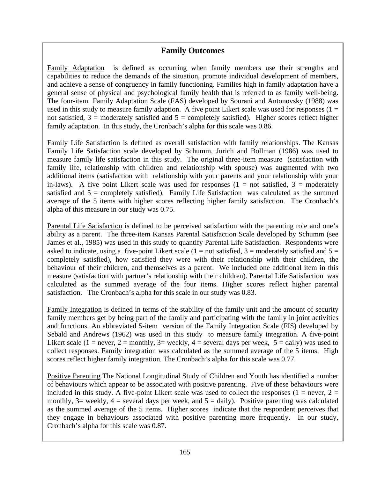## **Family Outcomes**

Family Adaptation is defined as occurring when family members use their strengths and capabilities to reduce the demands of the situation, promote individual development of members, and achieve a sense of congruency in family functioning. Families high in family adaptation have a general sense of physical and psychological family health that is referred to as family well-being. The four-item Family Adaptation Scale (FAS) developed by Sourani and Antonovsky (1988) was used in this study to measure family adaption. A five point Likert scale was used for responses  $(1 =$ not satisfied,  $3$  = moderately satisfied and  $5$  = completely satisfied). Higher scores reflect higher family adaptation. In this study, the Cronbach's alpha for this scale was 0.86.

Family Life Satisfaction is defined as overall satisfaction with family relationships. The Kansas Family Life Satisfaction scale developed by Schumm, Jurich and Bollman (1986) was used to measure family life satisfaction in this study. The original three-item measure (satisfaction with family life, relationship with children and relationship with spouse) was augmented with two additional items (satisfaction with relationship with your parents and your relationship with your in-laws). A five point Likert scale was used for responses  $(1 = not satisfied, 3 = moderately)$ satisfied and 5 = completely satisfied). Family Life Satisfaction was calculated as the summed average of the 5 items with higher scores reflecting higher family satisfaction. The Cronhach's alpha of this measure in our study was 0.75.

Parental Life Satisfaction is defined to be perceived satisfaction with the parenting role and one's ability as a parent. The three-item Kansas Parental Satisfaction Scale developed by Schumm (see James et al., 1985) was used in this study to quantify Parental Life Satisfaction. Respondents were asked to indicate, using a five-point Likert scale  $(1 = not satisfied, 3 = moderately satisfied and 5 =$ completely satisfied), how satisfied they were with their relationship with their children, the behaviour of their children, and themselves as a parent. We included one additional item in this measure (satisfaction with partner's relationship with their children). Parental Life Satisfaction was calculated as the summed average of the four items. Higher scores reflect higher parental satisfaction. The Cronbach's alpha for this scale in our study was 0.83.

Family Integration is defined in terms of the stability of the family unit and the amount of security family members get by being part of the family and participating with the family in joint activities and functions. An abbreviated 5-item version of the Family Integration Scale (FIS) developed by Sebald and Andrews (1962) was used in this study to measure family integration. A five-point Likert scale (1 = never, 2 = monthly, 3= weekly, 4 = several days per week,  $5 = \text{daily}$ ) was used to collect responses. Family integration was calculated as the summed average of the 5 items. High scores reflect higher family integration. The Cronbach's alpha for this scale was 0.77.

Positive Parenting The National Longitudinal Study of Children and Youth has identified a number of behaviours which appear to be associated with positive parenting. Five of these behaviours were included in this study. A five-point Likert scale was used to collect the responses ( $1 = never, 2 =$ monthly,  $3=$  weekly,  $4=$  several days per week, and  $5=$  daily). Positive parenting was calculated as the summed average of the 5 items. Higher scores indicate that the respondent perceives that they engage in behaviours associated with positive parenting more frequently. In our study, Cronbach's alpha for this scale was 0.87.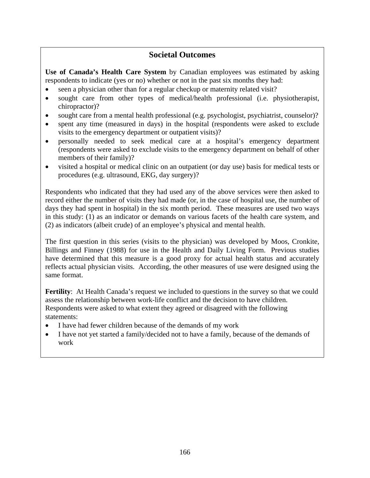### **Societal Outcomes**

**Use of Canada's Health Care System** by Canadian employees was estimated by asking respondents to indicate (yes or no) whether or not in the past six months they had:

- seen a physician other than for a regular checkup or maternity related visit?
- sought care from other types of medical/health professional (i.e. physiotherapist, chiropractor)?
- sought care from a mental health professional (e.g. psychologist, psychiatrist, counselor)?
- spent any time (measured in days) in the hospital (respondents were asked to exclude visits to the emergency department or outpatient visits)?
- personally needed to seek medical care at a hospital's emergency department (respondents were asked to exclude visits to the emergency department on behalf of other members of their family)?
- visited a hospital or medical clinic on an outpatient (or day use) basis for medical tests or procedures (e.g. ultrasound, EKG, day surgery)?

Respondents who indicated that they had used any of the above services were then asked to record either the number of visits they had made (or, in the case of hospital use, the number of days they had spent in hospital) in the six month period. These measures are used two ways in this study: (1) as an indicator or demands on various facets of the health care system, and (2) as indicators (albeit crude) of an employee's physical and mental health.

The first question in this series (visits to the physician) was developed by Moos, Cronkite, Billings and Finney (1988) for use in the Health and Daily Living Form. Previous studies have determined that this measure is a good proxy for actual health status and accurately reflects actual physician visits. According, the other measures of use were designed using the same format.

**Fertility**: At Health Canada's request we included to questions in the survey so that we could assess the relationship between work-life conflict and the decision to have children. Respondents were asked to what extent they agreed or disagreed with the following statements:

- I have had fewer children because of the demands of my work
- I have not yet started a family/decided not to have a family, because of the demands of work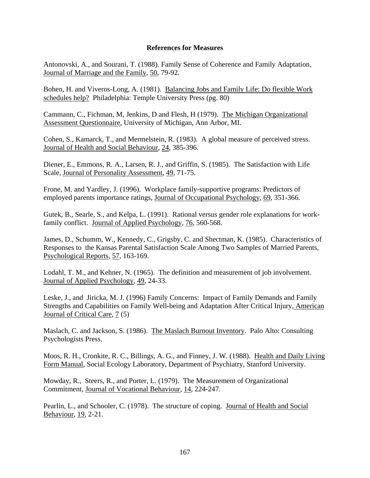#### **References for Measures**

Antonovski, A., and Sourani, T. (1988). Family Sense of Coherence and Family Adaptation, Journal of Marriage and the Family, 50, 79-92.

Bohen, H. and Viveros-Long, A. (1981). Balancing Jobs and Family Life: Do flexible Work schedules help? Philadelphia: Temple University Press (pg. 80)

Cammann, C., Fichman, M, Jenkins, D and Flesh, H (1979). The Michigan Organizational Assessment Questionnaire, University of Michigan, Ann Arbor, MI.

Cohen, S., Kamarck, T., and Mermelstein, R. (1983). A global measure of perceived stress. Journal of Health and Social Behaviour, 24, 385-396.

Diener, E., Emmons, R. A., Larsen, R. J., and Griffin, S. (1985). The Satisfaction with Life Scale, Journal of Personality Assessment, 49, 71-75.

Frone, M. and Yardley, J. (1996). Workplace family-supportive programs: Predictors of employed parents importance ratings, Journal of Occupational Psychology, 69, 351-366.

Gutek, B., Searle, S., and Kelpa, L. (1991). Rational versus gender role explanations for workfamily conflict. Journal of Applied Psychology, 76, 560-568.

James, D., Schumm, W., Kennedy, C., Grigsby, C. and Shectman, K. (1985). Characteristics of Responses to the Kansas Parental Satisfaction Scale Among Two Samples of Married Parents, Psychological Reports, 57, 163-169.

Lodahl, T. M., and Kehner, N. (1965). The definition and measurement of job involvement. Journal of Applied Psychology, 49, 24-33.

Leske, J., and Jiricka, M. J. (1996) Family Concerns: Impact of Family Demands and Family Strengths and Capabilities on Family Well-being and Adaptation After Critical Injury, American Journal of Critical Care, 7 (5)

Maslach, C. and Jackson, S. (1986). The Maslach Burnout Inventory. Palo Alto: Consulting Psychologists Press.

Moos, R. H., Cronkite, R. C., Billings, A. G., and Finney, J. W. (1988). Health and Daily Living Form Manual, Social Ecology Laboratory, Department of Psychiatry, Stanford University.

Mowday, R., Steers, R., and Porter, L. (1979). The Measurement of Organizational Commitment, Journal of Vocational Behaviour, 14, 224-247.

Pearlin, L., and Schooler, C. (1978). The structure of coping. Journal of Health and Social Behaviour, 19, 2-21.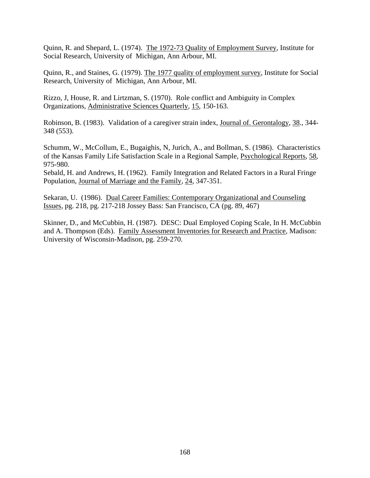Quinn, R. and Shepard, L. (1974). The 1972-73 Quality of Employment Survey, Institute for Social Research, University of Michigan, Ann Arbour, MI.

Quinn, R., and Staines, G. (1979). The 1977 quality of employment survey, Institute for Social Research, University of Michigan, Ann Arbour, MI.

Rizzo, J, House, R. and Lirtzman, S. (1970). Role conflict and Ambiguity in Complex Organizations, Administrative Sciences Quarterly, 15, 150-163.

Robinson, B. (1983). Validation of a caregiver strain index, Journal of. Gerontalogy, 38., 344- 348 (553).

Schumm, W., McCollum, E., Bugaighis, N, Jurich, A., and Bollman, S. (1986). Characteristics of the Kansas Family Life Satisfaction Scale in a Regional Sample, Psychological Reports, 58, 975-980.

Sebald, H. and Andrews, H. (1962). Family Integration and Related Factors in a Rural Fringe Population, Journal of Marriage and the Family, 24, 347-351.

Sekaran, U. (1986). Dual Career Families: Contemporary Organizational and Counseling Issues, pg. 218, pg. 217-218 Jossey Bass: San Francisco, CA (pg. 89, 467)

Skinner, D., and McCubbin, H. (1987). DESC: Dual Employed Coping Scale, In H. McCubbin and A. Thompson (Eds). Family Assessment Inventories for Research and Practice, Madison: University of Wisconsin-Madison, pg. 259-270.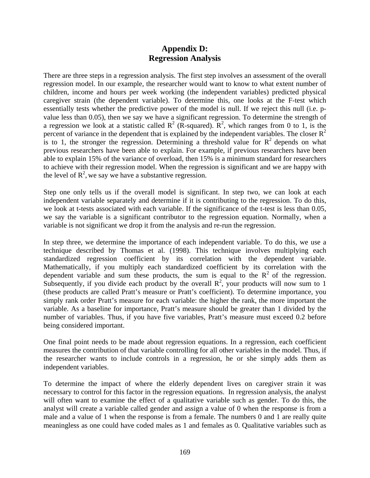### **Appendix D: Regression Analysis**

There are three steps in a regression analysis. The first step involves an assessment of the overall regression model. In our example, the researcher would want to know to what extent number of children, income and hours per week working (the independent variables) predicted physical caregiver strain (the dependent variable). To determine this, one looks at the F-test which essentially tests whether the predictive power of the model is null. If we reject this null (i.e. pvalue less than 0.05), then we say we have a significant regression. To determine the strength of a regression we look at a statistic called  $R^2$  (R-squared).  $R^2$ , which ranges from 0 to 1, is the percent of variance in the dependent that is explained by the independent variables. The closer  $R^2$ is to 1, the stronger the regression. Determining a threshold value for  $\mathbb{R}^2$  depends on what previous researchers have been able to explain. For example, if previous researchers have been able to explain 15% of the variance of overload, then 15% is a minimum standard for researchers to achieve with their regression model. When the regression is significant and we are happy with the level of  $\mathbb{R}^2$ , we say we have a substantive regression.

Step one only tells us if the overall model is significant. In step two, we can look at each independent variable separately and determine if it is contributing to the regression. To do this, we look at t-tests associated with each variable. If the significance of the t-test is less than 0.05, we say the variable is a significant contributor to the regression equation. Normally, when a variable is not significant we drop it from the analysis and re-run the regression.

In step three, we determine the importance of each independent variable. To do this, we use a technique described by Thomas et al. (1998). This technique involves multiplying each standardized regression coefficient by its correlation with the dependent variable. Mathematically, if you multiply each standardized coefficient by its correlation with the dependent variable and sum these products, the sum is equal to the  $R^2$  of the regression. Subsequently, if you divide each product by the overall  $\mathbb{R}^2$ , your products will now sum to 1 (these products are called Pratt's measure or Pratt's coefficient). To determine importance, you simply rank order Pratt's measure for each variable: the higher the rank, the more important the variable. As a baseline for importance, Pratt's measure should be greater than 1 divided by the number of variables. Thus, if you have five variables, Pratt's measure must exceed 0.2 before being considered important.

One final point needs to be made about regression equations. In a regression, each coefficient measures the contribution of that variable controlling for all other variables in the model. Thus, if the researcher wants to include controls in a regression, he or she simply adds them as independent variables.

To determine the impact of where the elderly dependent lives on caregiver strain it was necessary to control for this factor in the regression equations. In regression analysis, the analyst will often want to examine the effect of a qualitative variable such as gender. To do this, the analyst will create a variable called gender and assign a value of 0 when the response is from a male and a value of 1 when the response is from a female. The numbers 0 and 1 are really quite meaningless as one could have coded males as 1 and females as 0. Qualitative variables such as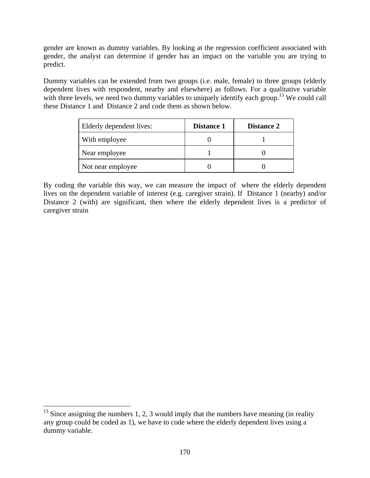gender are known as dummy variables. By looking at the regression coefficient associated with gender, the analyst can determine if gender has an impact on the variable you are trying to predict.

Dummy variables can be extended from two groups (i.e. male, female) to three groups (elderly dependent lives with respondent, nearby and elsewhere) as follows. For a qualitative variable with three levels, we need two dummy variables to uniquely identify each group.<sup>13</sup> We could call these Distance 1 and Distance 2 and code them as shown below.

| Elderly dependent lives: | <b>Distance 1</b> | <b>Distance 2</b> |
|--------------------------|-------------------|-------------------|
| With employee            |                   |                   |
| Near employee            |                   |                   |
| Not near employee        |                   |                   |

By coding the variable this way, we can measure the impact of where the elderly dependent lives on the dependent variable of interest (e.g. caregiver strain). If Distance 1 (nearby) and/or Distance 2 (with) are significant, then where the elderly dependent lives is a predictor of caregiver strain

 $\overline{a}$ 

 $13$  Since assigning the numbers 1, 2, 3 would imply that the numbers have meaning (in reality any group could be coded as 1), we have to code where the elderly dependent lives using a dummy variable.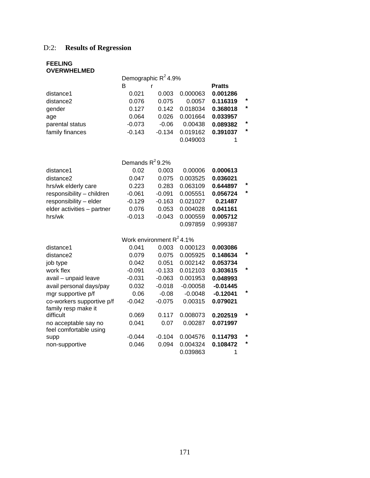# D:2: **Results of Regression**

#### **FEELING OVERWHELMED**

|                 | Demographic $R^2$ 4.9% |          |          |               |         |
|-----------------|------------------------|----------|----------|---------------|---------|
|                 | B                      |          |          | <b>Pratts</b> |         |
| distance1       | 0.021                  | 0.003    | 0.000063 | 0.001286      |         |
| distance2       | 0.076                  | 0.075    | 0.0057   | 0.116319      | $\star$ |
| gender          | 0.127                  | 0.142    | 0.018034 | 0.368018      | $\star$ |
| age             | 0.064                  | 0.026    | 0.001664 | 0.033957      |         |
| parental status | $-0.073$               | $-0.06$  | 0.00438  | 0.089382      | $\star$ |
| family finances | $-0.143$               | $-0.134$ | 0.019162 | 0.391037      | $\star$ |
|                 |                        |          | 0.049003 |               |         |

|                            | Demands $R^2$ 9.2% |          |          |          |        |
|----------------------------|--------------------|----------|----------|----------|--------|
| distance1                  | 0.02               | 0.003    | 0.00006  | 0.000613 |        |
| distance2                  | 0.047              | 0.075    | 0.003525 | 0.036021 |        |
| hrs/wk elderly care        | 0.223              | 0.283    | 0.063109 | 0.644897 | $\ast$ |
| responsibility - children  | $-0.061$           | $-0.091$ | 0.005551 | 0.056724 | $\ast$ |
| responsibility - elder     | $-0.129$           | $-0.163$ | 0.021027 | 0.21487  |        |
| elder activities - partner | 0.076              | 0.053    | 0.004028 | 0.041161 |        |
| hrs/wk                     | $-0.013$           | $-0.043$ | 0.000559 | 0.005712 |        |
|                            |                    |          | 0.097859 | 0.999387 |        |

| Work environment $R^2$ 4.1% |          |          |            |            |         |
|-----------------------------|----------|----------|------------|------------|---------|
| distance1                   | 0.041    | 0.003    | 0.000123   | 0.003086   |         |
| distance2                   | 0.079    | 0.075    | 0.005925   | 0.148634   | $\star$ |
| job type                    | 0.042    | 0.051    | 0.002142   | 0.053734   |         |
| work flex                   | $-0.091$ | $-0.133$ | 0.012103   | 0.303615   | *       |
| avail - unpaid leave        | $-0.031$ | $-0.063$ | 0.001953   | 0.048993   |         |
| avail personal days/pay     | 0.032    | $-0.018$ | $-0.00058$ | $-0.01445$ |         |
| mgr supportive p/f          | 0.06     | $-0.08$  | $-0.0048$  | $-0.12041$ | *       |
| co-workers supportive p/f   | $-0.042$ | $-0.075$ | 0.00315    | 0.079021   |         |
| family resp make it         |          |          |            |            |         |
| difficult                   | 0.069    | 0.117    | 0.008073   | 0.202519   | $\ast$  |
| no acceptable say no        | 0.041    | 0.07     | 0.00287    | 0.071997   |         |
| feel comfortable using      |          |          |            |            |         |
| supp                        | $-0.044$ | $-0.104$ | 0.004576   | 0.114793   | $\star$ |
| non-supportive              | 0.046    | 0.094    | 0.004324   | 0.108472   | $\star$ |
|                             |          |          | 0.039863   |            |         |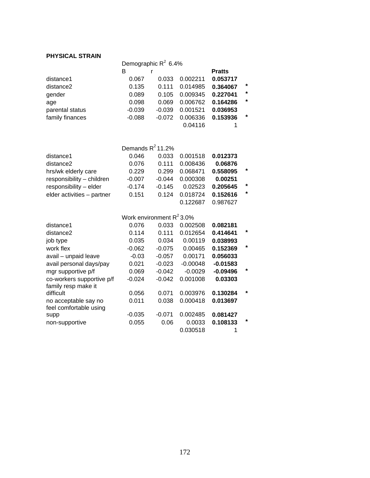#### **PHYSICAL STRAIN**

|                 | Demographic $R^2$ 6.4% |          |          |               |         |
|-----------------|------------------------|----------|----------|---------------|---------|
|                 | в                      |          |          | <b>Pratts</b> |         |
| distance1       | 0.067                  | 0.033    | 0.002211 | 0.053717      |         |
| distance2       | 0.135                  | 0.111    | 0.014985 | 0.364067      | $\star$ |
| gender          | 0.089                  | 0.105    | 0.009345 | 0.227041      | $\star$ |
| age             | 0.098                  | 0.069    | 0.006762 | 0.164286      | $\star$ |
| parental status | $-0.039$               | $-0.039$ | 0.001521 | 0.036953      |         |
| family finances | $-0.088$               | $-0.072$ | 0.006336 | 0.153936      | $\ast$  |
|                 |                        |          | 0.04116  |               |         |

|                            | Demands $R^2$ 11.2% |          |          |          |         |
|----------------------------|---------------------|----------|----------|----------|---------|
| distance1                  | 0.046               | 0.033    | 0.001518 | 0.012373 |         |
| distance2                  | 0.076               | 0.111    | 0.008436 | 0.06876  |         |
| hrs/wk elderly care        | 0.229               | 0.299    | 0.068471 | 0.558095 | $\star$ |
| responsibility - children  | $-0.007$            | $-0.044$ | 0.000308 | 0.00251  |         |
| responsibility - elder     | $-0.174$            | $-0.145$ | 0.02523  | 0.205645 | $\star$ |
| elder activities - partner | 0.151               | 0.124    | 0.018724 | 0.152616 | $\star$ |
|                            |                     |          | 0.122687 | 0.987627 |         |

| Work environment $R^2$ 3.0% |          |          |            |            |         |
|-----------------------------|----------|----------|------------|------------|---------|
| distance1                   | 0.076    | 0.033    | 0.002508   | 0.082181   |         |
| distance <sub>2</sub>       | 0.114    | 0.111    | 0.012654   | 0.414641   | $\star$ |
| job type                    | 0.035    | 0.034    | 0.00119    | 0.038993   |         |
| work flex                   | $-0.062$ | $-0.075$ | 0.00465    | 0.152369   | $\star$ |
| avail - unpaid leave        | $-0.03$  | $-0.057$ | 0.00171    | 0.056033   |         |
| avail personal days/pay     | 0.021    | $-0.023$ | $-0.00048$ | $-0.01583$ |         |
| mgr supportive p/f          | 0.069    | $-0.042$ | $-0.0029$  | $-0.09496$ | $\ast$  |
| co-workers supportive p/f   | $-0.024$ | $-0.042$ | 0.001008   | 0.03303    |         |
| family resp make it         |          |          |            |            | $\star$ |
| difficult                   | 0.056    | 0.071    | 0.003976   | 0.130284   |         |
| no acceptable say no        | 0.011    | 0.038    | 0.000418   | 0.013697   |         |
| feel comfortable using      |          |          |            |            |         |
| supp                        | $-0.035$ | $-0.071$ | 0.002485   | 0.081427   |         |
| non-supportive              | 0.055    | 0.06     | 0.0033     | 0.108133   | $\ast$  |
|                             |          |          | 0.030518   |            |         |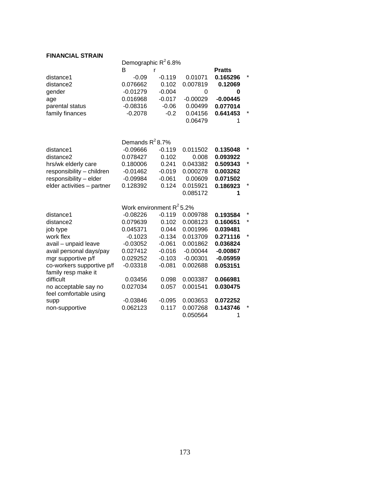#### **FINANCIAL STRAIN**

|                            | Demographic R <sup>2</sup> 6.8% |          |            |               |   |
|----------------------------|---------------------------------|----------|------------|---------------|---|
|                            | В                               |          |            | <b>Pratts</b> |   |
| distance1                  | -0.09                           | $-0.119$ | 0.01071    | 0.165296      |   |
| distance2                  | 0.076662                        | 0.102    | 0.007819   | 0.12069       |   |
| gender                     | $-0.01279$                      | $-0.004$ | 0          | 0             |   |
| age                        | 0.016968                        | $-0.017$ | $-0.00029$ | $-0.00445$    |   |
| parental status            | $-0.08316$                      | $-0.06$  | 0.00499    | 0.077014      |   |
| family finances            | $-0.2078$                       | $-0.2$   | 0.04156    | 0.641453      |   |
|                            |                                 |          | 0.06479    | 1             |   |
|                            |                                 |          |            |               |   |
|                            | Demands $R^2$ 8.7%              |          |            |               |   |
| distance1                  | $-0.09666$                      | $-0.119$ | 0.011502   | 0.135048      |   |
| distance2                  | 0.078427                        | 0.102    | 0.008      | 0.093922      |   |
| hrs/wk elderly care        | 0.180006                        | 0.241    | 0.043382   | 0.509343      |   |
| responsibility - children  | $-0.01462$                      | $-0.019$ | 0.000278   | 0.003262      |   |
| responsibility - elder     | $-0.09984$                      | $-0.061$ | 0.00609    | 0.071502      |   |
| elder activities - partner | 0.128392                        | 0.124    | 0.015921   | 0.186923      | * |
|                            |                                 |          | 0.085172   | 1             |   |
|                            |                                 |          |            |               |   |
|                            | Work environment $R^2$ 5.2%     |          |            |               |   |
| distance1                  | $-0.08226$                      | $-0.119$ | 0.009788   | 0.193584      |   |
| distance2                  | 0.079639                        | 0.102    | 0.008123   | 0.160651      |   |
| job type                   | 0.045371                        | 0.044    | 0.001996   | 0.039481      |   |
| work flex                  | $-0.1023$                       | $-0.134$ | 0.013709   | 0.271116      | * |
| avail - unpaid leave       | $-0.03052$                      | $-0.061$ | 0.001862   | 0.036824      |   |
| avail personal days/pay    | 0.027412                        | $-0.016$ | $-0.00044$ | $-0.00867$    |   |
| mgr supportive p/f         | 0.029252                        | $-0.103$ | $-0.00301$ | $-0.05959$    |   |
| co-workers supportive p/f  | $-0.03318$                      | $-0.081$ | 0.002688   | 0.053151      |   |
| family resp make it        |                                 |          |            |               |   |
| difficult                  | 0.03456                         | 0.098    | 0.003387   | 0.066981      |   |
| no acceptable say no       | 0.027034                        | 0.057    | 0.001541   | 0.030475      |   |
| feel comfortable using     |                                 |          |            |               |   |
| supp                       | $-0.03846$                      | $-0.095$ | 0.003653   | 0.072252      |   |
| non-supportive             | 0.062123                        | 0.117    | 0.007268   | 0.143746      |   |
|                            |                                 |          | 0.050564   | 1             |   |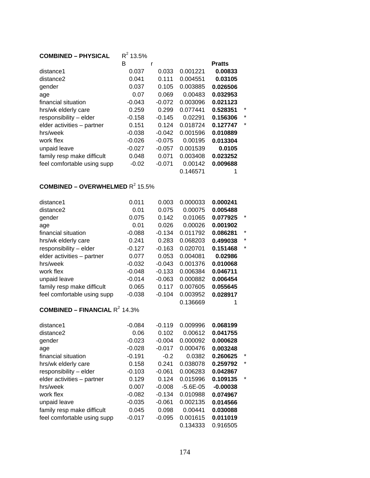| <b>COMBINED - PHYSICAL</b>  | $R^2$ 13.5% |          |          |               |         |
|-----------------------------|-------------|----------|----------|---------------|---------|
|                             | в           | r        |          | <b>Pratts</b> |         |
| distance1                   | 0.037       | 0.033    | 0.001221 | 0.00833       |         |
| distance2                   | 0.041       | 0.111    | 0.004551 | 0.03105       |         |
| gender                      | 0.037       | 0.105    | 0.003885 | 0.026506      |         |
| age                         | 0.07        | 0.069    | 0.00483  | 0.032953      |         |
| financial situation         | $-0.043$    | $-0.072$ | 0.003096 | 0.021123      |         |
| hrs/wk elderly care         | 0.259       | 0.299    | 0.077441 | 0.528351      | *       |
| responsibility - elder      | $-0.158$    | $-0.145$ | 0.02291  | 0.156306      | $\star$ |
| elder activities - partner  | 0.151       | 0.124    | 0.018724 | 0.127747      | $\star$ |
| hrs/week                    | $-0.038$    | $-0.042$ | 0.001596 | 0.010889      |         |
| work flex                   | $-0.026$    | $-0.075$ | 0.00195  | 0.013304      |         |
| unpaid leave                | $-0.027$    | $-0.057$ | 0.001539 | 0.0105        |         |
| family resp make difficult  | 0.048       | 0.071    | 0.003408 | 0.023252      |         |
| feel comfortable using supp | $-0.02$     | $-0.071$ | 0.00142  | 0.009688      |         |
|                             |             |          | 0.146571 |               |         |

#### **COMBINED – OVERWHELMED**  $R^2$  15.5%

| distance1                   | 0.011    | 0.003    | 0.000033 | 0.000241 |         |
|-----------------------------|----------|----------|----------|----------|---------|
| distance2                   | 0.01     | 0.075    | 0.00075  | 0.005488 |         |
| gender                      | 0.075    | 0.142    | 0.01065  | 0.077925 | $\ast$  |
| age                         | 0.01     | 0.026    | 0.00026  | 0.001902 |         |
| financial situation         | $-0.088$ | $-0.134$ | 0.011792 | 0.086281 | $\ast$  |
| hrs/wk elderly care         | 0.241    | 0.283    | 0.068203 | 0.499038 | $\ast$  |
| responsibility - elder      | $-0.127$ | $-0.163$ | 0.020701 | 0.151468 | $\star$ |
| elder activities - partner  | 0.077    | 0.053    | 0.004081 | 0.02986  |         |
| hrs/week                    | $-0.032$ | $-0.043$ | 0.001376 | 0.010068 |         |
| work flex                   | $-0.048$ | $-0.133$ | 0.006384 | 0.046711 |         |
| unpaid leave                | $-0.014$ | $-0.063$ | 0.000882 | 0.006454 |         |
| family resp make difficult  | 0.065    | 0.117    | 0.007605 | 0.055645 |         |
| feel comfortable using supp | $-0.038$ | $-0.104$ | 0.003952 | 0.028917 |         |
|                             |          |          | 0.136669 | 1        |         |

### **COMBINED – FINANCIAL R<sup>2</sup> 14.3%**

| distance1                   | $-0.084$ | $-0.119$ | 0.009996      | 0.068199   |         |
|-----------------------------|----------|----------|---------------|------------|---------|
| distance2                   | 0.06     | 0.102    | 0.00612       | 0.041755   |         |
| gender                      | $-0.023$ | $-0.004$ | 0.000092      | 0.000628   |         |
| age                         | $-0.028$ | $-0.017$ | 0.000476      | 0.003248   |         |
| financial situation         | $-0.191$ | $-0.2$   | 0.0382        | 0.260625   | $\ast$  |
| hrs/wk elderly care         | 0.158    | 0.241    | 0.038078      | 0.259792   | $\ast$  |
| responsibility - elder      | $-0.103$ | $-0.061$ | 0.006283      | 0.042867   |         |
| elder activities - partner  | 0.129    | 0.124    | 0.015996      | 0.109135   | $\star$ |
| hrs/week                    | 0.007    | $-0.008$ | $-5.6E - 0.5$ | $-0.00038$ |         |
| work flex                   | $-0.082$ | $-0.134$ | 0.010988      | 0.074967   |         |
| unpaid leave                | $-0.035$ | $-0.061$ | 0.002135      | 0.014566   |         |
| family resp make difficult  | 0.045    | 0.098    | 0.00441       | 0.030088   |         |
| feel comfortable using supp | $-0.017$ | $-0.095$ | 0.001615      | 0.011019   |         |
|                             |          |          | 0.134333      | 0.916505   |         |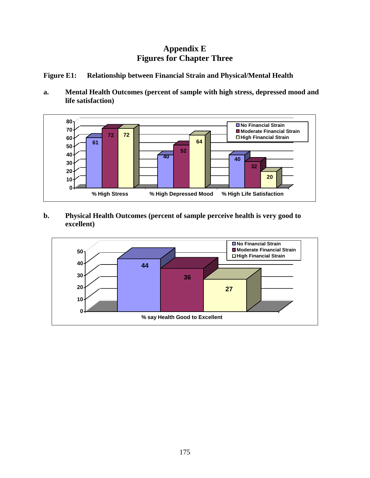# **Appendix E Figures for Chapter Three**

#### **Figure E1: Relationship between Financial Strain and Physical/Mental Health**

**a. Mental Health Outcomes (percent of sample with high stress, depressed mood and life satisfaction)** 



**b. Physical Health Outcomes (percent of sample perceive health is very good to excellent)** 

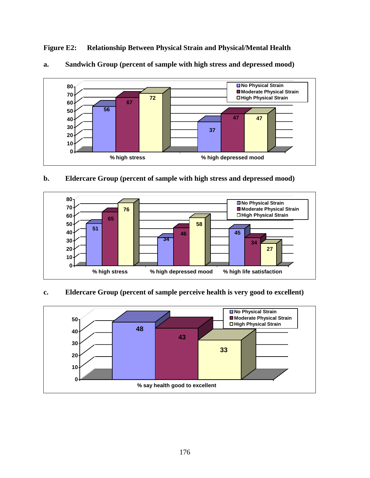**Figure E2: Relationship Between Physical Strain and Physical/Mental Health** 



#### **a. Sandwich Group (percent of sample with high stress and depressed mood)**

#### **b. Eldercare Group (percent of sample with high stress and depressed mood)**



#### **c. Eldercare Group (percent of sample perceive health is very good to excellent)**

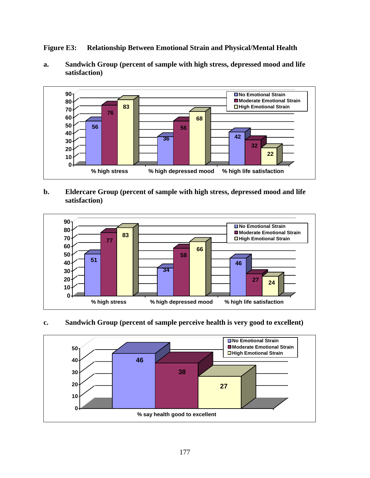**Figure E3: Relationship Between Emotional Strain and Physical/Mental Health** 

**a. Sandwich Group (percent of sample with high stress, depressed mood and life satisfaction)** 



#### **b. Eldercare Group (percent of sample with high stress, depressed mood and life satisfaction)**



#### **c. Sandwich Group (percent of sample perceive health is very good to excellent)**

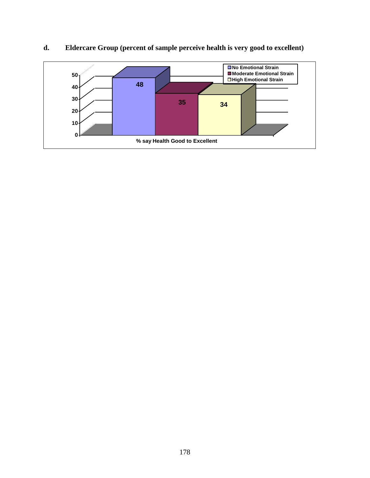

# **d. Eldercare Group (percent of sample perceive health is very good to excellent)**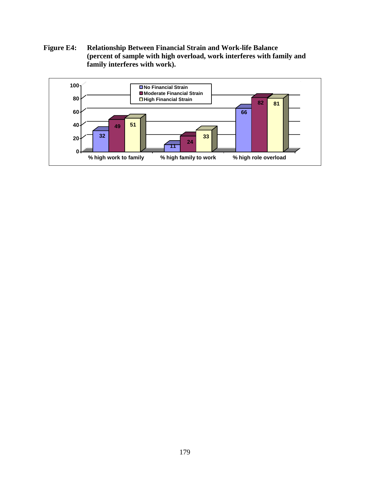**Figure E4: Relationship Between Financial Strain and Work-life Balance (percent of sample with high overload, work interferes with family and family interferes with work).** 

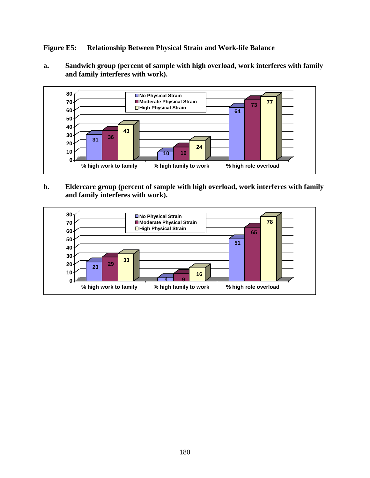**Figure E5: Relationship Between Physical Strain and Work-life Balance** 

**a. Sandwich group (percent of sample with high overload, work interferes with family and family interferes with work).** 



**b. Eldercare group (percent of sample with high overload, work interferes with family and family interferes with work).** 

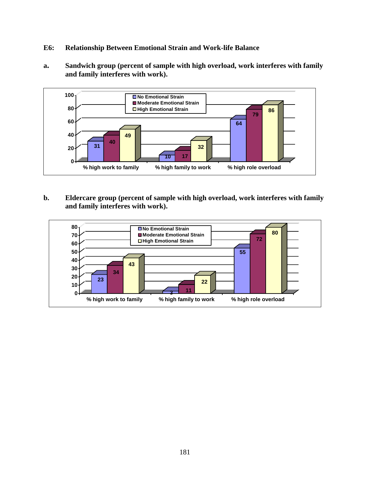- **E6: Relationship Between Emotional Strain and Work-life Balance**
- **a. Sandwich group (percent of sample with high overload, work interferes with family and family interferes with work).**



**b. Eldercare group (percent of sample with high overload, work interferes with family and family interferes with work).** 

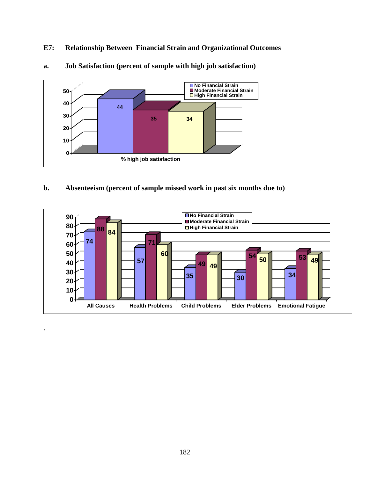**E7: Relationship Between Financial Strain and Organizational Outcomes**



**a. Job Satisfaction (percent of sample with high job satisfaction)** 

**b. Absenteeism (percent of sample missed work in past six months due to)** 

.

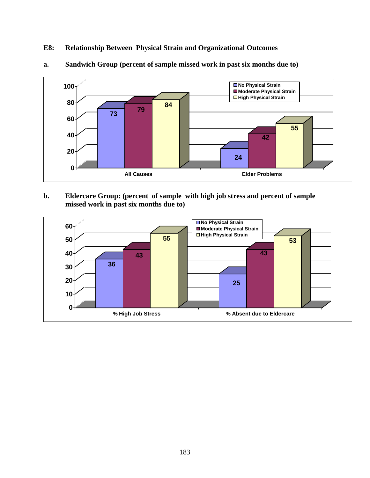**E8: Relationship Between Physical Strain and Organizational Outcomes**



## **a. Sandwich Group (percent of sample missed work in past six months due to)**

**b. Eldercare Group: (percent of sample with high job stress and percent of sample missed work in past six months due to)** 

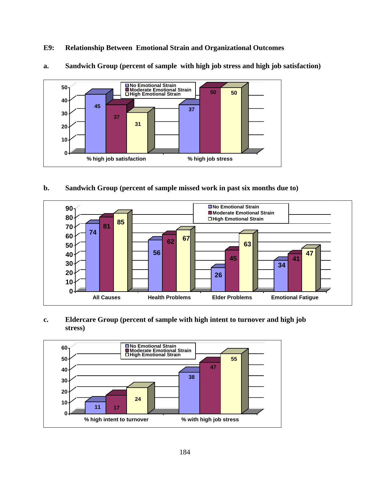**E9: Relationship Between Emotional Strain and Organizational Outcomes**



**a. Sandwich Group (percent of sample with high job stress and high job satisfaction)** 

### **b. Sandwich Group (percent of sample missed work in past six months due to)**



## **c. Eldercare Group (percent of sample with high intent to turnover and high job stress)**

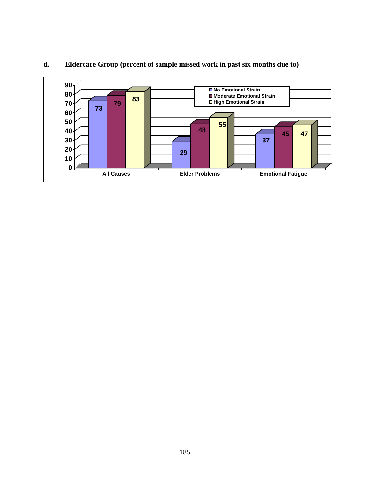

## **d. Eldercare Group (percent of sample missed work in past six months due to)**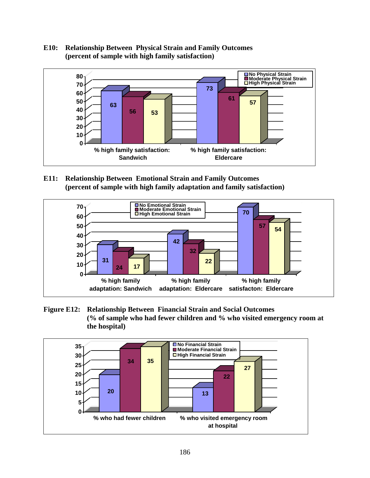### **E10: Relationship Between Physical Strain and Family Outcomes (percent of sample with high family satisfaction)**



**E11: Relationship Between Emotional Strain and Family Outcomes (percent of sample with high family adaptation and family satisfaction)** 



**Figure E12: Relationship Between Financial Strain and Social Outcomes (% of sample who had fewer children and % who visited emergency room at the hospital)** 

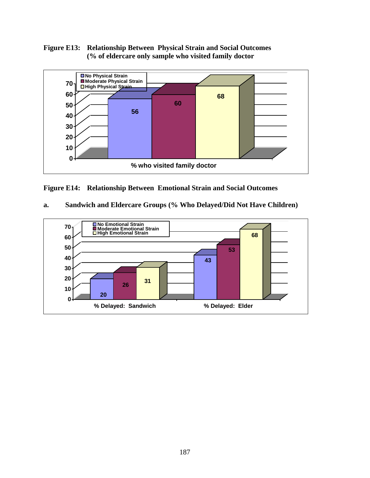**Figure E13: Relationship Between Physical Strain and Social Outcomes (% of eldercare only sample who visited family doctor** 



**Figure E14: Relationship Between Emotional Strain and Social Outcomes** 

| Sandwich and Eldercare Groups (% Who Delayed/Did Not Have Children)<br>a. |
|---------------------------------------------------------------------------|
|---------------------------------------------------------------------------|

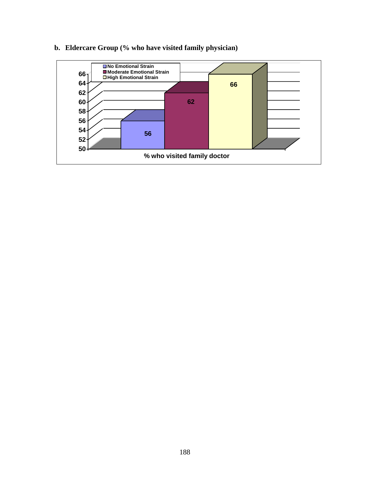

# **b. Eldercare Group (% who have visited family physician)**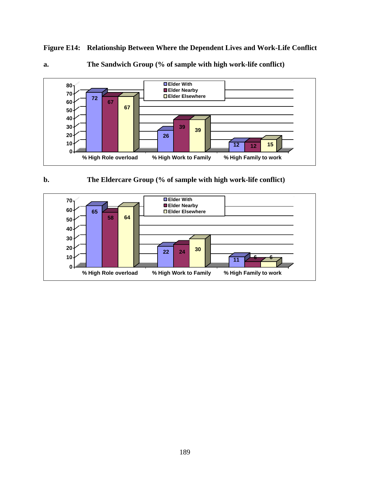**Figure E14: Relationship Between Where the Dependent Lives and Work-Life Conflict** 







**b. The Eldercare Group (% of sample with high work-life conflict)** 

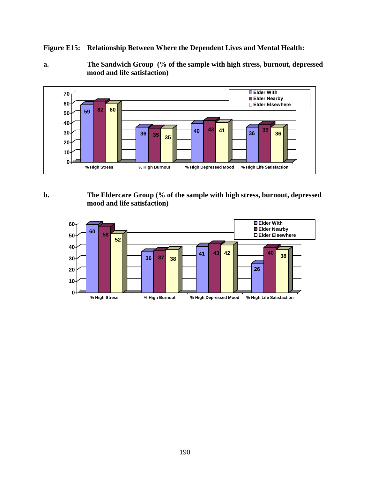**Figure E15: Relationship Between Where the Dependent Lives and Mental Health:** 

**a. The Sandwich Group (% of the sample with high stress, burnout, depressed mood and life satisfaction)** 



### **b. The Eldercare Group (% of the sample with high stress, burnout, depressed mood and life satisfaction)**

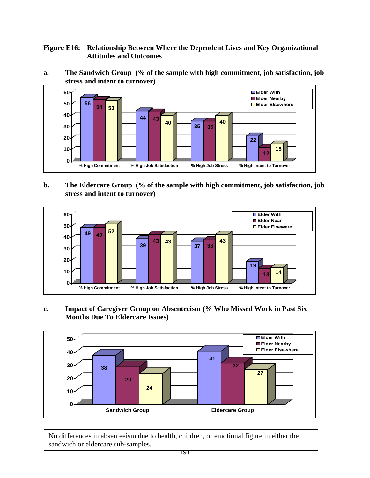### **Figure E16: Relationship Between Where the Dependent Lives and Key Organizational Attitudes and Outcomes**

**a. The Sandwich Group (% of the sample with high commitment, job satisfaction, job stress and intent to turnover)** 



### **b. The Eldercare Group (% of the sample with high commitment, job satisfaction, job stress and intent to turnover)**



### **c. Impact of Caregiver Group on Absenteeism (% Who Missed Work in Past Six Months Due To Eldercare Issues)**



No differences in absenteeism due to health, children, or emotional figure in either the sandwich or eldercare sub-samples.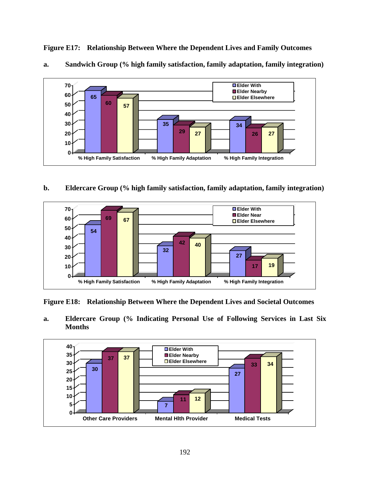

**Figure E17: Relationship Between Where the Dependent Lives and Family Outcomes** 



### **b. Eldercare Group (% high family satisfaction, family adaptation, family integration)**



**Figure E18: Relationship Between Where the Dependent Lives and Societal Outcomes** 

**a. Eldercare Group (% Indicating Personal Use of Following Services in Last Six Months** 

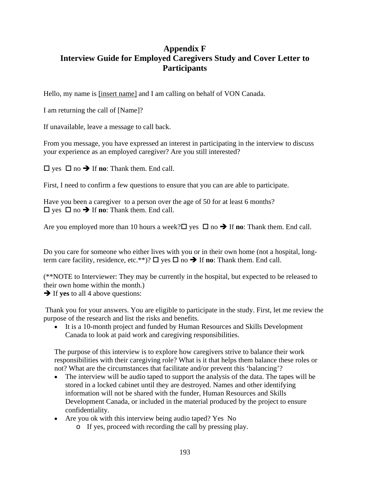# **Appendix F Interview Guide for Employed Caregivers Study and Cover Letter to Participants**

Hello, my name is [insert name] and I am calling on behalf of VON Canada.

I am returning the call of [Name]?

If unavailable, leave a message to call back.

From you message, you have expressed an interest in participating in the interview to discuss your experience as an employed caregiver? Are you still interested?

 $\square$  yes  $\square$  no  $\rightarrow$  If **no**: Thank them. End call.

First, I need to confirm a few questions to ensure that you can are able to participate.

Have you been a caregiver to a person over the age of 50 for at least 6 months?  $\Box$  yes  $\Box$  no  $\rightarrow$  If **no**: Thank them. End call.

Are you employed more than 10 hours a week?  $\square$  yes  $\square$  no  $\rightarrow$  If **no**: Thank them. End call.

Do you care for someone who either lives with you or in their own home (not a hospital, longterm care facility, residence, etc.\*\*)?  $\Box$  yes  $\Box$  no  $\rightarrow$  If **no**: Thank them. End call.

(\*\*NOTE to Interviewer: They may be currently in the hospital, but expected to be released to their own home within the month.)

 $\rightarrow$  If **yes** to all 4 above questions:

 Thank you for your answers. You are eligible to participate in the study. First, let me review the purpose of the research and list the risks and benefits.

• It is a 10-month project and funded by Human Resources and Skills Development Canada to look at paid work and caregiving responsibilities.

The purpose of this interview is to explore how caregivers strive to balance their work responsibilities with their caregiving role? What is it that helps them balance these roles or not? What are the circumstances that facilitate and/or prevent this 'balancing'?

- The interview will be audio taped to support the analysis of the data. The tapes will be stored in a locked cabinet until they are destroyed. Names and other identifying information will not be shared with the funder, Human Resources and Skills Development Canada, or included in the material produced by the project to ensure confidentiality.
- Are you ok with this interview being audio taped? Yes No
	- o If yes, proceed with recording the call by pressing play.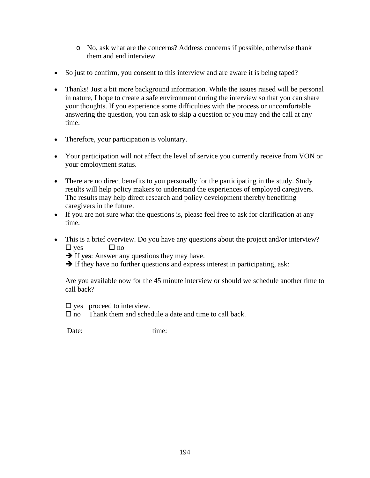- o No, ask what are the concerns? Address concerns if possible, otherwise thank them and end interview.
- So just to confirm, you consent to this interview and are aware it is being taped?
- Thanks! Just a bit more background information. While the issues raised will be personal in nature, I hope to create a safe environment during the interview so that you can share your thoughts. If you experience some difficulties with the process or uncomfortable answering the question, you can ask to skip a question or you may end the call at any time.
- Therefore, your participation is voluntary.
- Your participation will not affect the level of service you currently receive from VON or your employment status.
- There are no direct benefits to you personally for the participating in the study. Study results will help policy makers to understand the experiences of employed caregivers. The results may help direct research and policy development thereby benefiting caregivers in the future.
- If you are not sure what the questions is, please feel free to ask for clarification at any time.
- This is a brief overview. Do you have any questions about the project and/or interview?  $\Box$  ves  $\Box$  no

 $\rightarrow$  If yes: Answer any questions they may have.

 $\rightarrow$  If they have no further questions and express interest in participating, ask:

Are you available now for the 45 minute interview or should we schedule another time to call back?

 $\Box$  yes proceed to interview.

 $\Box$  no Thank them and schedule a date and time to call back.

Date: time: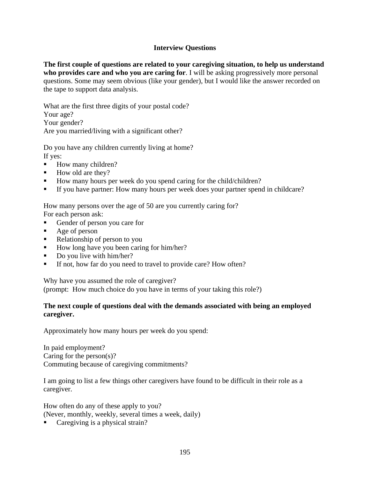### **Interview Questions**

**The first couple of questions are related to your caregiving situation, to help us understand who provides care and who you are caring for**. I will be asking progressively more personal questions. Some may seem obvious (like your gender), but I would like the answer recorded on the tape to support data analysis.

What are the first three digits of your postal code?

Your age?

Your gender?

Are you married/living with a significant other?

Do you have any children currently living at home? If yes:

- How many children?
- How old are they?
- How many hours per week do you spend caring for the child/children?
- If you have partner: How many hours per week does your partner spend in childcare?

How many persons over the age of 50 are you currently caring for? For each person ask:

- Gender of person you care for
- Age of person
- Relationship of person to you
- How long have you been caring for him/her?
- $\blacksquare$  Do you live with him/her?
- If not, how far do you need to travel to provide care? How often?

Why have you assumed the role of caregiver?

(prompt: How much choice do you have in terms of your taking this role?)

### **The next couple of questions deal with the demands associated with being an employed caregiver.**

Approximately how many hours per week do you spend:

In paid employment? Caring for the person(s)? Commuting because of caregiving commitments?

I am going to list a few things other caregivers have found to be difficult in their role as a caregiver.

How often do any of these apply to you? (Never, monthly, weekly, several times a week, daily)

Caregiving is a physical strain?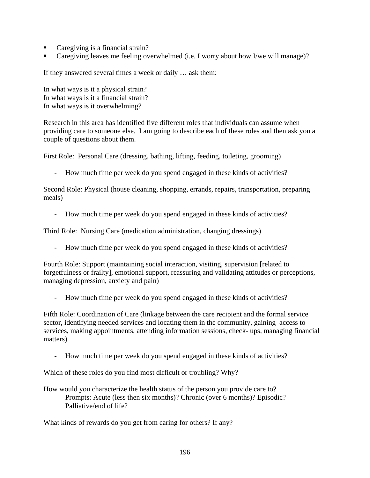- Caregiving is a financial strain?
- Caregiving leaves me feeling overwhelmed (i.e. I worry about how I/we will manage)?

If they answered several times a week or daily … ask them:

In what ways is it a physical strain? In what ways is it a financial strain? In what ways is it overwhelming?

Research in this area has identified five different roles that individuals can assume when providing care to someone else. I am going to describe each of these roles and then ask you a couple of questions about them.

First Role: Personal Care (dressing, bathing, lifting, feeding, toileting, grooming)

- How much time per week do you spend engaged in these kinds of activities?

Second Role: Physical (house cleaning, shopping, errands, repairs, transportation, preparing meals)

- How much time per week do you spend engaged in these kinds of activities?

Third Role: Nursing Care (medication administration, changing dressings)

How much time per week do you spend engaged in these kinds of activities?

Fourth Role: Support (maintaining social interaction, visiting, supervision [related to forgetfulness or frailty], emotional support, reassuring and validating attitudes or perceptions, managing depression, anxiety and pain)

- How much time per week do you spend engaged in these kinds of activities?

Fifth Role: Coordination of Care (linkage between the care recipient and the formal service sector, identifying needed services and locating them in the community, gaining access to services, making appointments, attending information sessions, check- ups, managing financial matters)

- How much time per week do you spend engaged in these kinds of activities?

Which of these roles do you find most difficult or troubling? Why?

How would you characterize the health status of the person you provide care to? Prompts: Acute (less then six months)? Chronic (over 6 months)? Episodic? Palliative/end of life?

What kinds of rewards do you get from caring for others? If any?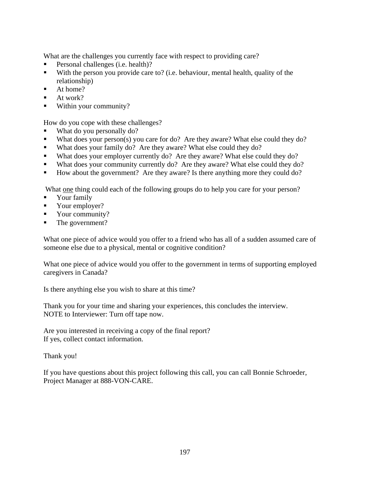What are the challenges you currently face with respect to providing care?

- Personal challenges (i.e. health)?
- With the person you provide care to? (i.e. behaviour, mental health, quality of the relationship)
- At home?
- At work?
- Within your community?

How do you cope with these challenges?

- What do you personally do?
- What does your person(s) you care for do? Are they aware? What else could they do?
- What does your family do? Are they aware? What else could they do?
- What does your employer currently do? Are they aware? What else could they do?
- What does your community currently do? Are they aware? What else could they do?
- How about the government? Are they aware? Is there anything more they could do?

What one thing could each of the following groups do to help you care for your person?

- Your family
- Your employer?
- Vour community?
- The government?

What one piece of advice would you offer to a friend who has all of a sudden assumed care of someone else due to a physical, mental or cognitive condition?

What one piece of advice would you offer to the government in terms of supporting employed caregivers in Canada?

Is there anything else you wish to share at this time?

Thank you for your time and sharing your experiences, this concludes the interview. NOTE to Interviewer: Turn off tape now.

Are you interested in receiving a copy of the final report? If yes, collect contact information.

Thank you!

If you have questions about this project following this call, you can call Bonnie Schroeder, Project Manager at 888-VON-CARE.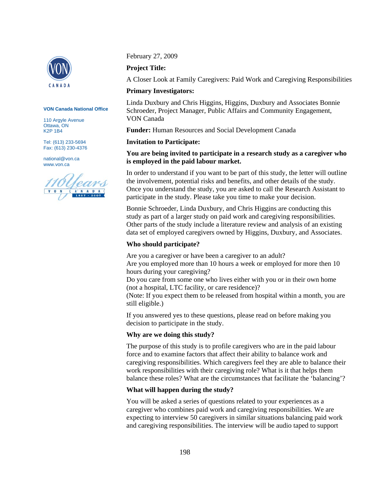

#### **VON Canada National Office**

110 Argyle Avenue Ottawa, ON K2P 1B4

Tel: (613) 233-5694 Fax: (613) 230-4376

national@von.ca www.von.ca

February 27, 2009

#### **Project Title:**

A Closer Look at Family Caregivers: Paid Work and Caregiving Responsibilities

#### **Primary Investigators:**

Linda Duxbury and Chris Higgins, Higgins, Duxbury and Associates Bonnie Schroeder, Project Manager, Public Affairs and Community Engagement, VON Canada

**Funder:** Human Resources and Social Development Canada

#### **Invitation to Participate:**

#### **You are being invited to participate in a research study as a caregiver who is employed in the paid labour market.**

In order to understand if you want to be part of this study, the letter will outline the involvement, potential risks and benefits, and other details of the study. Once you understand the study, you are asked to call the Research Assistant to participate in the study. Please take you time to make your decision.

Bonnie Schroeder, Linda Duxbury, and Chris Higgins are conducting this study as part of a larger study on paid work and caregiving responsibilities. Other parts of the study include a literature review and analysis of an existing data set of employed caregivers owned by Higgins, Duxbury, and Associates.

#### **Who should participate?**

Are you a caregiver or have been a caregiver to an adult? Are you employed more than 10 hours a week or employed for more then 10 hours during your caregiving?

Do you care from some one who lives either with you or in their own home (not a hospital, LTC facility, or care residence)?

(Note: If you expect them to be released from hospital within a month, you are still eligible.)

If you answered yes to these questions, please read on before making you decision to participate in the study.

#### **Why are we doing this study?**

The purpose of this study is to profile caregivers who are in the paid labour force and to examine factors that affect their ability to balance work and caregiving responsibilities. Which caregivers feel they are able to balance their work responsibilities with their caregiving role? What is it that helps them balance these roles? What are the circumstances that facilitate the 'balancing'?

#### **What will happen during the study?**

You will be asked a series of questions related to your experiences as a caregiver who combines paid work and caregiving responsibilities. We are expecting to interview 50 caregivers in similar situations balancing paid work and caregiving responsibilities. The interview will be audio taped to support